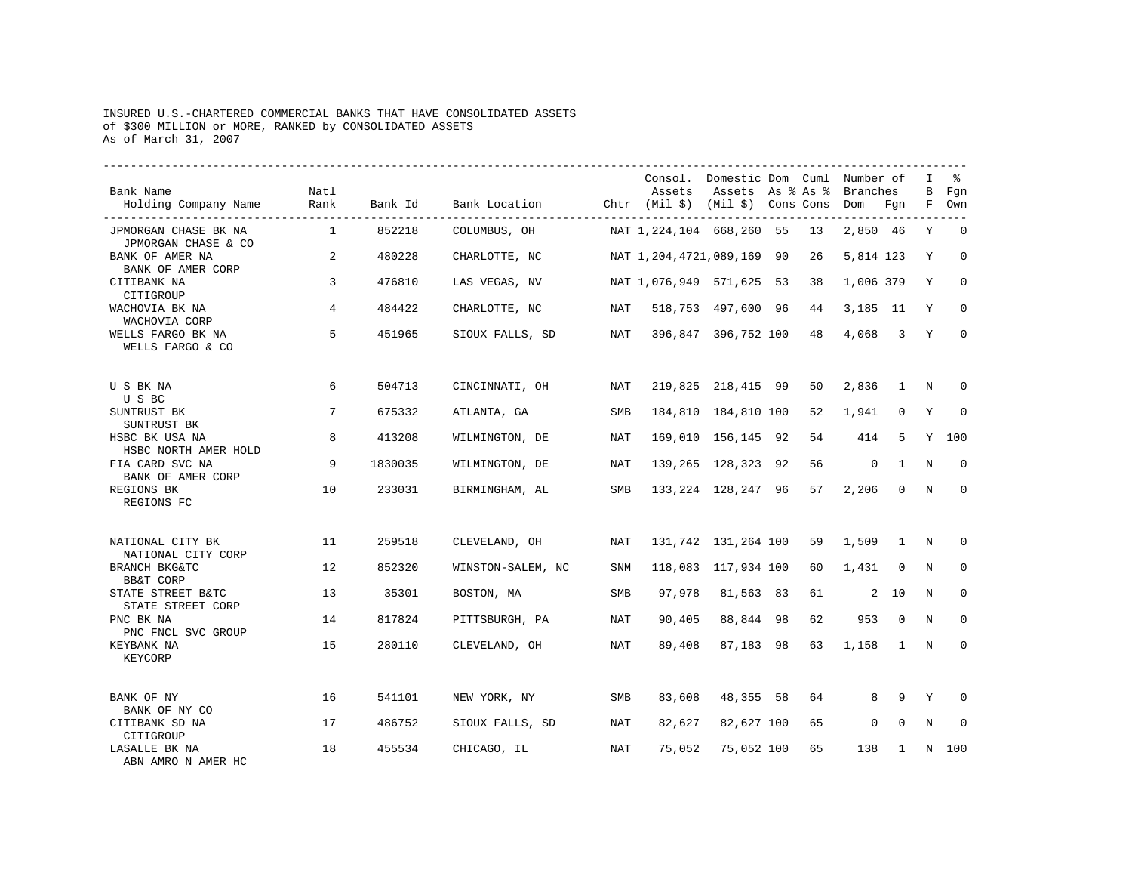## INSURED U.S.-CHARTERED COMMERCIAL BANKS THAT HAVE CONSOLIDATED ASSETS of \$300 MILLION or MORE, RANKED by CONSOLIDATED ASSETS As of March 31, 2007

| Bank Name<br>Holding Company Name           | Natl<br>Rank   | Bank Id | Bank Location (htr (Mil \$) (Mil \$) Cons Cons Dom Fgn |            | Assets                    | Consol. Domestic Dom Cuml Number of<br>Assets As % As % |    | Branches    |                          | I<br>В      | ዱ<br>Fgn<br>F Own |
|---------------------------------------------|----------------|---------|--------------------------------------------------------|------------|---------------------------|---------------------------------------------------------|----|-------------|--------------------------|-------------|-------------------|
| JPMORGAN CHASE BK NA<br>JPMORGAN CHASE & CO | $\overline{1}$ | 852218  | COLUMBUS, OH                                           |            | NAT 1,224,104 668,260 55  |                                                         | 13 | 2,850 46    |                          | Y           | $\Omega$          |
| BANK OF AMER NA<br>BANK OF AMER CORP        | 2              | 480228  | CHARLOTTE, NC                                          |            | NAT 1,204,4721,089,169 90 |                                                         | 26 | 5,814 123   |                          | Y           | $\mathbf 0$       |
| CITIBANK NA<br>CITIGROUP                    | 3              | 476810  | LAS VEGAS, NV                                          |            | NAT 1,076,949 571,625 53  |                                                         | 38 | 1,006 379   |                          | Y           | $\Omega$          |
| WACHOVIA BK NA<br>WACHOVIA CORP             | 4              | 484422  | CHARLOTTE, NC                                          | NAT        |                           | 518,753 497,600 96                                      | 44 | 3,185 11    |                          | Y           | $\Omega$          |
| WELLS FARGO BK NA<br>WELLS FARGO & CO       | 5              | 451965  | SIOUX FALLS, SD                                        | NAT        |                           | 396,847 396,752 100                                     | 48 | 4,068       | $\overline{\phantom{a}}$ | Y           | $\Omega$          |
| U S BK NA<br>U S BC                         | 6              | 504713  | CINCINNATI, OH                                         | NAT        |                           | 219,825 218,415 99                                      | 50 | 2,836       | 1                        | N           | <sup>0</sup>      |
| SUNTRUST BK<br>SUNTRUST BK                  | 7              | 675332  | ATLANTA, GA                                            | <b>SMB</b> |                           | 184,810 184,810 100                                     | 52 | 1,941       | $\mathbf 0$              | Y           | $\mathbf 0$       |
| HSBC BK USA NA<br>HSBC NORTH AMER HOLD      | 8              | 413208  | WILMINGTON, DE                                         | NAT        |                           | 169,010 156,145 92                                      | 54 | 414         | 5                        | Y           | 100               |
| FIA CARD SVC NA<br>BANK OF AMER CORP        | 9              | 1830035 | WILMINGTON, DE                                         | NAT        |                           | 139,265 128,323 92                                      | 56 | $\mathbf 0$ | 1                        | N           | $\Omega$          |
| REGIONS BK<br>REGIONS FC                    | 10             | 233031  | BIRMINGHAM, AL                                         | SMB        |                           | 133, 224 128, 247 96                                    | 57 | 2,206       | $\Omega$                 | N           | $\Omega$          |
| NATIONAL CITY BK<br>NATIONAL CITY CORP      | 11             | 259518  | CLEVELAND, OH                                          | NAT        |                           | 131,742 131,264 100                                     | 59 | 1,509       | $\overline{1}$           | N           | 0                 |
| BRANCH BKG&TC<br>BB&T CORP                  | 12             | 852320  | WINSTON-SALEM, NC                                      | SNM        |                           | 118,083 117,934 100                                     | 60 | 1,431       | 0                        | N           | $\Omega$          |
| STATE STREET B&TC<br>STATE STREET CORP      | 13             | 35301   | BOSTON, MA                                             | SMB        | 97,978                    | 81,563 83                                               | 61 |             | 2 10                     | N           | $\mathbf 0$       |
| PNC BK NA<br>PNC FNCL SVC GROUP             | 14             | 817824  | PITTSBURGH, PA                                         | NAT        | 90,405                    | 88,844 98                                               | 62 | 953         | 0                        | N           | $\mathbf 0$       |
| KEYBANK NA<br>KEYCORP                       | 15             | 280110  | CLEVELAND, OH                                          | NAT        | 89,408                    | 87,183 98                                               | 63 | 1,158       | <sup>1</sup>             | $\mathbf N$ | $\mathbf 0$       |
| BANK OF NY<br>BANK OF NY CO                 | 16             | 541101  | NEW YORK, NY                                           | SMB        | 83,608                    | 48,355 58                                               | 64 | 8           | 9                        | Υ           | $\Omega$          |
| CITIBANK SD NA<br>CITIGROUP                 | 17             | 486752  | SIOUX FALLS, SD                                        | NAT        | 82,627                    | 82,627 100                                              | 65 | $\mathbf 0$ | 0                        | N           | $\Omega$          |
| LASALLE BK NA<br>ABN AMRO N AMER HC         | 18             | 455534  | CHICAGO, IL                                            | NAT        | 75,052                    | 75,052 100                                              | 65 | 138         | 1                        |             | N 100             |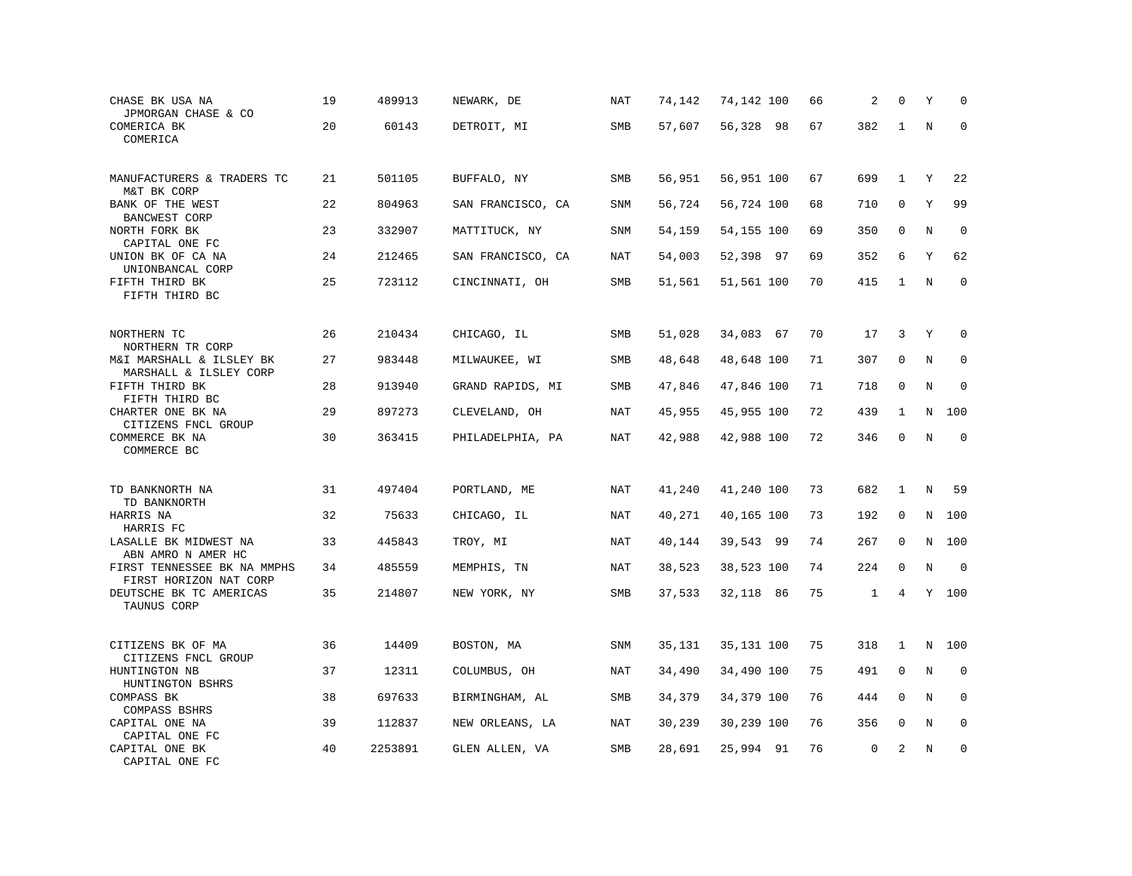| CHASE BK USA NA<br>JPMORGAN CHASE & CO                                 | 19 | 489913  | NEWARK, DE        | NAT        | 74,142 | 74,142 100 | 66 | 2            | $\mathbf 0$  | Υ           | $\mathbf 0$ |
|------------------------------------------------------------------------|----|---------|-------------------|------------|--------|------------|----|--------------|--------------|-------------|-------------|
| COMERICA BK<br>COMERICA                                                | 20 | 60143   | DETROIT, MI       | SMB        | 57,607 | 56,328 98  | 67 | 382          | $\mathbf{1}$ | N           | $\mathbf 0$ |
| MANUFACTURERS & TRADERS TC<br>M&T BK CORP                              | 21 | 501105  | BUFFALO, NY       | SMB        | 56,951 | 56,951 100 | 67 | 699          | $\mathbf{1}$ | Y           | 22          |
| BANK OF THE WEST<br>BANCWEST CORP                                      | 22 | 804963  | SAN FRANCISCO, CA | <b>SNM</b> | 56,724 | 56,724 100 | 68 | 710          | $\mathbf 0$  | Y           | 99          |
| NORTH FORK BK<br>CAPITAL ONE FC                                        | 23 | 332907  | MATTITUCK, NY     | SNM        | 54,159 | 54,155 100 | 69 | 350          | $\mathbf{0}$ | $\rm N$     | $\mathbf 0$ |
| UNION BK OF CA NA<br>UNIONBANCAL CORP                                  | 24 | 212465  | SAN FRANCISCO, CA | NAT        | 54,003 | 52,398 97  | 69 | 352          | 6            | Y           | 62          |
| FIFTH THIRD BK<br>FIFTH THIRD BC                                       | 25 | 723112  | CINCINNATI, OH    | SMB        | 51,561 | 51,561 100 | 70 | 415          | $\mathbf{1}$ | N           | $\mathbf 0$ |
| NORTHERN TC                                                            | 26 | 210434  | CHICAGO, IL       | SMB        | 51,028 | 34,083 67  | 70 | 17           | 3            | Y           | $\mathbf 0$ |
| NORTHERN TR CORP<br>M&I MARSHALL & ILSLEY BK<br>MARSHALL & ILSLEY CORP | 27 | 983448  | MILWAUKEE, WI     | SMB        | 48,648 | 48,648 100 | 71 | 307          | 0            | N           | 0           |
| FIFTH THIRD BK<br>FIFTH THIRD BC                                       | 28 | 913940  | GRAND RAPIDS, MI  | SMB        | 47,846 | 47,846 100 | 71 | 718          | $\mathbf 0$  | $\mathbf N$ | $\mathbf 0$ |
| CHARTER ONE BK NA<br>CITIZENS FNCL GROUP                               | 29 | 897273  | CLEVELAND, OH     | NAT        | 45,955 | 45,955 100 | 72 | 439          | 1            |             | N 100       |
| COMMERCE BK NA<br>COMMERCE BC                                          | 30 | 363415  | PHILADELPHIA, PA  | NAT        | 42,988 | 42,988 100 | 72 | 346          | $\mathbf 0$  | $\rm N$     | $\mathbf 0$ |
| TD BANKNORTH NA                                                        | 31 | 497404  | PORTLAND, ME      | NAT        | 41,240 | 41,240 100 | 73 | 682          | 1            | N           | 59          |
| TD BANKNORTH<br>HARRIS NA<br>HARRIS FC                                 | 32 | 75633   | CHICAGO, IL       | NAT        | 40,271 | 40,165 100 | 73 | 192          | $\Omega$     | N           | 100         |
| LASALLE BK MIDWEST NA<br>ABN AMRO N AMER HC                            | 33 | 445843  | TROY, MI          | NAT        | 40,144 | 39,543 99  | 74 | 267          | 0            | N           | 100         |
| FIRST TENNESSEE BK NA MMPHS<br>FIRST HORIZON NAT CORP                  | 34 | 485559  | MEMPHIS, TN       | NAT        | 38,523 | 38,523 100 | 74 | 224          | $\mathbf{0}$ | $\mathbf N$ | $\mathbf 0$ |
| DEUTSCHE BK TC AMERICAS<br>TAUNUS CORP                                 | 35 | 214807  | NEW YORK, NY      | SMB        | 37,533 | 32,118 86  | 75 | $\mathbf{1}$ | 4            |             | Y 100       |
| CITIZENS BK OF MA<br>CITIZENS FNCL GROUP                               | 36 | 14409   | BOSTON, MA        | SNM        | 35,131 | 35,131 100 | 75 | 318          | $\mathbf{1}$ | $_{\rm N}$  | 100         |
| HUNTINGTON NB<br>HUNTINGTON BSHRS                                      | 37 | 12311   | COLUMBUS, OH      | NAT        | 34,490 | 34,490 100 | 75 | 491          | 0            | N           | $\mathbf 0$ |
| COMPASS BK<br>COMPASS BSHRS                                            | 38 | 697633  | BIRMINGHAM, AL    | SMB        | 34,379 | 34,379 100 | 76 | 444          | $\mathbf 0$  | N           | 0           |
| CAPITAL ONE NA<br>CAPITAL ONE FC                                       | 39 | 112837  | NEW ORLEANS, LA   | NAT        | 30,239 | 30,239 100 | 76 | 356          | $\mathbf{0}$ | N           | $\mathbf 0$ |
| CAPITAL ONE BK<br>CAPITAL ONE FC                                       | 40 | 2253891 | GLEN ALLEN, VA    | SMB        | 28,691 | 25,994 91  | 76 | $\mathbf 0$  | 2            | $\mathbf N$ | $\mathbf 0$ |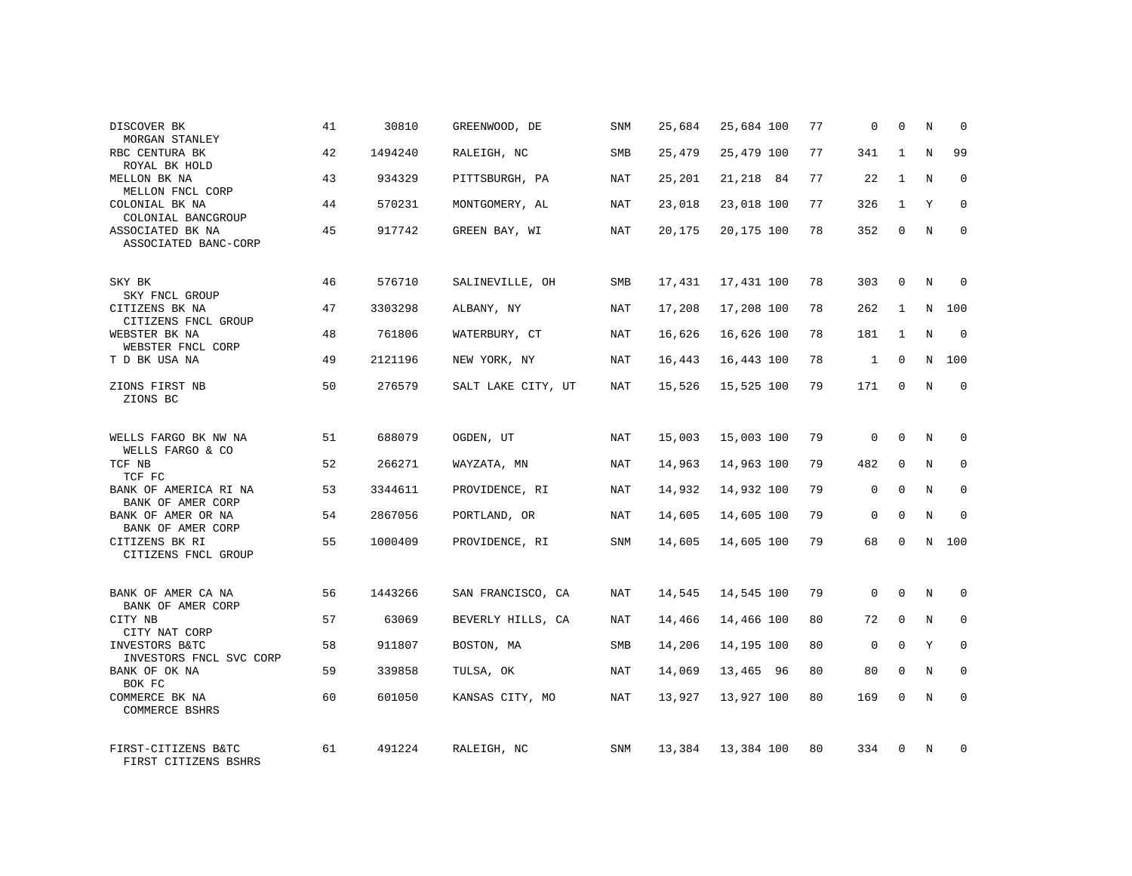| DISCOVER BK<br>MORGAN STANLEY                           | 41 | 30810   | GREENWOOD, DE      | SNM        | 25,684 | 25,684 100 | 77 | 0           | $\mathbf 0$  | N       | $\mathbf 0$  |
|---------------------------------------------------------|----|---------|--------------------|------------|--------|------------|----|-------------|--------------|---------|--------------|
| RBC CENTURA BK<br>ROYAL BK HOLD                         | 42 | 1494240 | RALEIGH, NC        | SMB        | 25,479 | 25,479 100 | 77 | 341         | 1            | N       | 99           |
| MELLON BK NA<br>MELLON FNCL CORP                        | 43 | 934329  | PITTSBURGH, PA     | NAT        | 25,201 | 21,218 84  | 77 | 22          | $\mathbf{1}$ | N       | $\mathbf 0$  |
| COLONIAL BK NA<br>COLONIAL BANCGROUP                    | 44 | 570231  | MONTGOMERY, AL     | NAT        | 23,018 | 23,018 100 | 77 | 326         | $\mathbf{1}$ | Υ       | $\mathbf 0$  |
| ASSOCIATED BK NA<br>ASSOCIATED BANC-CORP                | 45 | 917742  | GREEN BAY, WI      | NAT        | 20,175 | 20,175 100 | 78 | 352         | $\Omega$     | N       | $\Omega$     |
| SKY BK                                                  | 46 | 576710  | SALINEVILLE, OH    | <b>SMB</b> | 17,431 | 17,431 100 | 78 | 303         | $\mathbf 0$  | N       | $\mathbf 0$  |
| SKY FNCL GROUP<br>CITIZENS BK NA<br>CITIZENS FNCL GROUP | 47 | 3303298 | ALBANY, NY         | NAT        | 17,208 | 17,208 100 | 78 | 262         | 1            | N       | 100          |
| WEBSTER BK NA<br>WEBSTER FNCL CORP                      | 48 | 761806  | WATERBURY, CT      | NAT        | 16,626 | 16,626 100 | 78 | 181         | $\mathbf{1}$ | N       | $\mathbf 0$  |
| T D BK USA NA                                           | 49 | 2121196 | NEW YORK, NY       | NAT        | 16,443 | 16,443 100 | 78 | 1           | 0            | N       | 100          |
| ZIONS FIRST NB<br>ZIONS BC                              | 50 | 276579  | SALT LAKE CITY, UT | NAT        | 15,526 | 15,525 100 | 79 | 171         | $\mathbf 0$  | N       | $\mathbf 0$  |
| WELLS FARGO BK NW NA<br>WELLS FARGO & CO                | 51 | 688079  | OGDEN, UT          | NAT        | 15,003 | 15,003 100 | 79 | 0           | 0            | N       | 0            |
| TCF NB<br>TCF FC                                        | 52 | 266271  | WAYZATA, MN        | NAT        | 14,963 | 14,963 100 | 79 | 482         | $\mathbf{0}$ | N       | $\mathbf 0$  |
| BANK OF AMERICA RI NA<br>BANK OF AMER CORP              | 53 | 3344611 | PROVIDENCE, RI     | NAT        | 14,932 | 14,932 100 | 79 | 0           | $\mathbf 0$  | N       | 0            |
| BANK OF AMER OR NA<br>BANK OF AMER CORP                 | 54 | 2867056 | PORTLAND, OR       | NAT        | 14,605 | 14,605 100 | 79 | $\mathbf 0$ | $\Omega$     | $\rm N$ | $\mathbf 0$  |
| CITIZENS BK RI<br>CITIZENS FNCL GROUP                   | 55 | 1000409 | PROVIDENCE, RI     | SNM        | 14,605 | 14,605 100 | 79 | 68          | $\mathbf 0$  | N       | 100          |
| BANK OF AMER CA NA<br>BANK OF AMER CORP                 | 56 | 1443266 | SAN FRANCISCO, CA  | NAT        | 14,545 | 14,545 100 | 79 | 0           | $\mathbf 0$  | N       | 0            |
| CITY NB<br>CITY NAT CORP                                | 57 | 63069   | BEVERLY HILLS, CA  | NAT        | 14,466 | 14,466 100 | 80 | 72          | $\mathbf 0$  | N       | 0            |
| INVESTORS B&TC<br>INVESTORS FNCL SVC CORP               | 58 | 911807  | BOSTON, MA         | SMB        | 14,206 | 14,195 100 | 80 | $\mathbf 0$ | $\Omega$     | Y       | $\mathbf{0}$ |
| BANK OF OK NA<br>BOK FC                                 | 59 | 339858  | TULSA, OK          | NAT        | 14,069 | 13,465 96  | 80 | 80          | $\mathbf 0$  | N       | 0            |
| COMMERCE BK NA<br>COMMERCE BSHRS                        | 60 | 601050  | KANSAS CITY, MO    | NAT        | 13,927 | 13,927 100 | 80 | 169         | $\Omega$     | N       | $\mathbf{0}$ |
| FIRST-CITIZENS B&TC<br>FIRST CITIZENS BSHRS             | 61 | 491224  | RALEIGH, NC        | SNM        | 13,384 | 13,384 100 | 80 | 334         | $\Omega$     | N       | $\mathbf 0$  |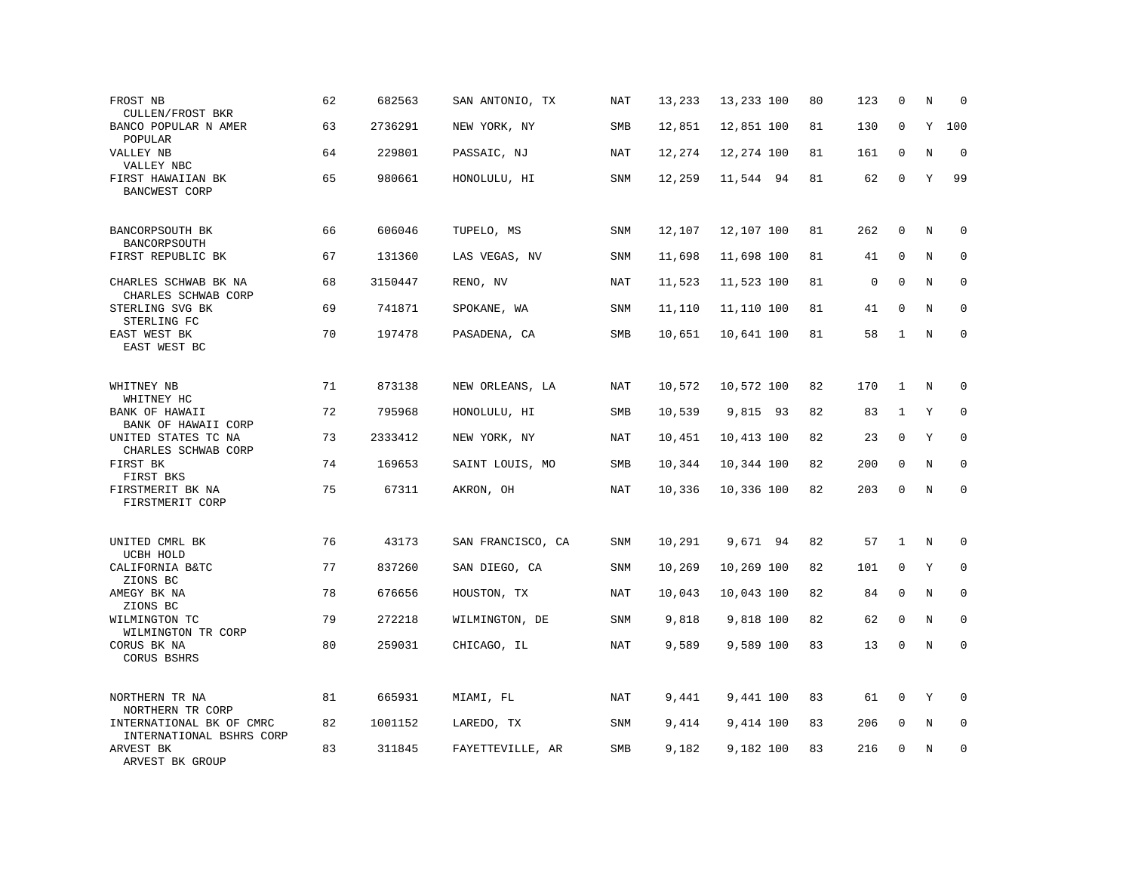| FROST NB<br><b>CULLEN/FROST BKR</b>                  | 62 | 682563  | SAN ANTONIO, TX   | <b>NAT</b> | 13,233 | 13,233 100 | 80 | 123          | $\mathbf 0$  | N | $\mathbf 0$  |
|------------------------------------------------------|----|---------|-------------------|------------|--------|------------|----|--------------|--------------|---|--------------|
| BANCO POPULAR N AMER<br>POPULAR                      | 63 | 2736291 | NEW YORK, NY      | <b>SMB</b> | 12,851 | 12,851 100 | 81 | 130          | 0            | Y | 100          |
| VALLEY NB<br>VALLEY NBC                              | 64 | 229801  | PASSAIC, NJ       | NAT        | 12,274 | 12,274 100 | 81 | 161          | $\mathbf 0$  | N | $\mathbf 0$  |
| FIRST HAWAIIAN BK<br>BANCWEST CORP                   | 65 | 980661  | HONOLULU, HI      | <b>SNM</b> | 12,259 | 11,544 94  | 81 | 62           | $\mathbf 0$  | Υ | 99           |
| BANCORPSOUTH BK<br>BANCORPSOUTH                      | 66 | 606046  | TUPELO, MS        | <b>SNM</b> | 12,107 | 12,107 100 | 81 | 262          | $\mathbf 0$  | N | 0            |
| FIRST REPUBLIC BK                                    | 67 | 131360  | LAS VEGAS, NV     | SNM        | 11,698 | 11,698 100 | 81 | 41           | $\mathbf{0}$ | N | 0            |
| CHARLES SCHWAB BK NA<br>CHARLES SCHWAB CORP          | 68 | 3150447 | RENO, NV          | NAT        | 11,523 | 11,523 100 | 81 | $\mathbf{0}$ | $\Omega$     | N | $\mathbf{0}$ |
| STERLING SVG BK<br>STERLING FC                       | 69 | 741871  | SPOKANE, WA       | SNM        | 11,110 | 11,110 100 | 81 | 41           | $\mathbf 0$  | N | $\mathbf 0$  |
| EAST WEST BK<br>EAST WEST BC                         | 70 | 197478  | PASADENA, CA      | <b>SMB</b> | 10,651 | 10,641 100 | 81 | 58           | $\mathbf{1}$ | N | $\mathbf 0$  |
| WHITNEY NB<br>WHITNEY HC                             | 71 | 873138  | NEW ORLEANS, LA   | NAT        | 10,572 | 10,572 100 | 82 | 170          | $\mathbf{1}$ | N | 0            |
| BANK OF HAWAII<br>BANK OF HAWAII CORP                | 72 | 795968  | HONOLULU, HI      | SMB        | 10,539 | 9,815 93   | 82 | 83           | 1            | Υ | $\mathbf 0$  |
| UNITED STATES TC NA<br>CHARLES SCHWAB CORP           | 73 | 2333412 | NEW YORK, NY      | <b>NAT</b> | 10,451 | 10,413 100 | 82 | 23           | $\mathbf{0}$ | Y | $\mathbf 0$  |
| FIRST BK<br>FIRST BKS                                | 74 | 169653  | SAINT LOUIS, MO   | SMB        | 10,344 | 10,344 100 | 82 | 200          | $\mathbf 0$  | N | $\mathbf 0$  |
| FIRSTMERIT BK NA<br>FIRSTMERIT CORP                  | 75 | 67311   | AKRON, OH         | <b>NAT</b> | 10,336 | 10,336 100 | 82 | 203          | $\mathbf 0$  | N | $\mathbf 0$  |
| UNITED CMRL BK<br>UCBH HOLD                          | 76 | 43173   | SAN FRANCISCO, CA | SNM        | 10,291 | 9,671 94   | 82 | 57           | $\mathbf{1}$ | N | 0            |
| CALIFORNIA B&TC<br>ZIONS BC                          | 77 | 837260  | SAN DIEGO, CA     | SNM        | 10,269 | 10,269 100 | 82 | 101          | 0            | Y | 0            |
| AMEGY BK NA<br>ZIONS BC                              | 78 | 676656  | HOUSTON, TX       | NAT        | 10,043 | 10,043 100 | 82 | 84           | $\mathbf{0}$ | N | $\mathbf 0$  |
| WILMINGTON TC<br>WILMINGTON TR CORP                  | 79 | 272218  | WILMINGTON, DE    | SNM        | 9,818  | 9,818 100  | 82 | 62           | $\mathbf{0}$ | N | $\mathbf 0$  |
| CORUS BK NA<br>CORUS BSHRS                           | 80 | 259031  | CHICAGO, IL       | <b>NAT</b> | 9,589  | 9,589 100  | 83 | 13           | $\mathbf{0}$ | N | $\mathbf 0$  |
| NORTHERN TR NA<br>NORTHERN TR CORP                   | 81 | 665931  | MIAMI, FL         | <b>NAT</b> | 9,441  | 9,441 100  | 83 | 61           | 0            | Y | $\Omega$     |
| INTERNATIONAL BK OF CMRC<br>INTERNATIONAL BSHRS CORP | 82 | 1001152 | LAREDO, TX        | SNM        | 9,414  | 9,414 100  | 83 | 206          | $\mathbf 0$  | N | $\mathbf 0$  |
| ARVEST BK<br>ARVEST BK GROUP                         | 83 | 311845  | FAYETTEVILLE, AR  | <b>SMB</b> | 9,182  | 9,182 100  | 83 | 216          | $\mathbf{0}$ | N | $\mathbf 0$  |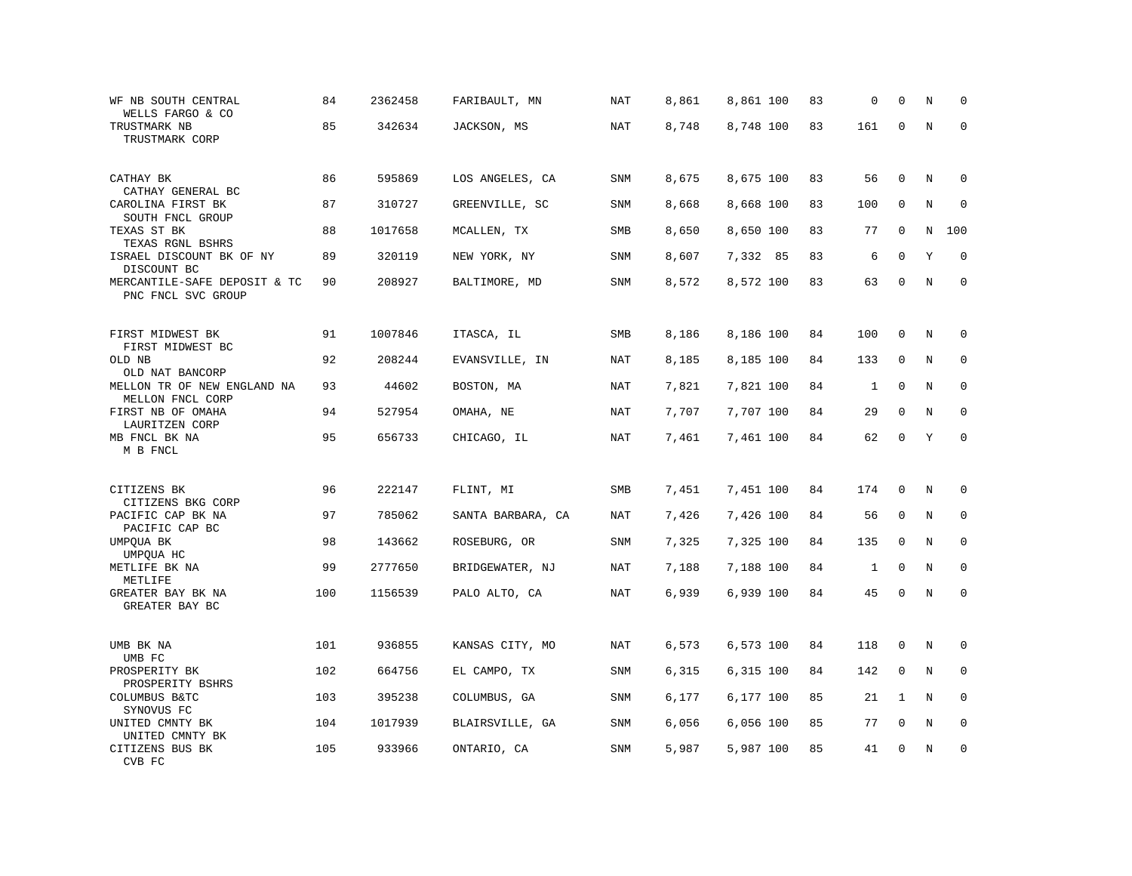| WF NB SOUTH CENTRAL<br>WELLS FARGO & CO                  | 84  | 2362458 | FARIBAULT, MN     | NAT        | 8,861 | 8,861 100 | 83 | 0            | $\mathbf 0$  | N       | $\mathbf 0$  |
|----------------------------------------------------------|-----|---------|-------------------|------------|-------|-----------|----|--------------|--------------|---------|--------------|
| TRUSTMARK NB<br>TRUSTMARK CORP                           | 85  | 342634  | JACKSON, MS       | <b>NAT</b> | 8,748 | 8,748 100 | 83 | 161          | $\mathbf 0$  | $\rm N$ | $\mathbf 0$  |
| CATHAY BK<br>CATHAY GENERAL BC                           | 86  | 595869  | LOS ANGELES, CA   | <b>SNM</b> | 8,675 | 8,675 100 | 83 | 56           | $\mathbf 0$  | N       | 0            |
| CAROLINA FIRST BK<br>SOUTH FNCL GROUP                    | 87  | 310727  | GREENVILLE, SC    | SNM        | 8,668 | 8,668 100 | 83 | 100          | $\mathbf 0$  | N       | $\mathbf 0$  |
| TEXAS ST BK<br>TEXAS RGNL BSHRS                          | 88  | 1017658 | MCALLEN, TX       | SMB        | 8,650 | 8,650 100 | 83 | 77           | $\mathbf 0$  | N       | 100          |
| ISRAEL DISCOUNT BK OF NY<br>DISCOUNT BC                  | 89  | 320119  | NEW YORK, NY      | SNM        | 8,607 | 7,332 85  | 83 | 6            | $\mathbf{0}$ | Y       | $\mathbf 0$  |
| MERCANTILE-SAFE DEPOSIT & TC<br>PNC FNCL SVC GROUP       | 90  | 208927  | BALTIMORE, MD     | SNM        | 8,572 | 8,572 100 | 83 | 63           | $\mathbf 0$  | N       | $\mathbf 0$  |
| FIRST MIDWEST BK                                         | 91  | 1007846 | ITASCA, IL        | <b>SMB</b> | 8,186 | 8,186 100 | 84 | 100          | $\mathbf 0$  | N       | $\mathbf 0$  |
| FIRST MIDWEST BC<br>OLD NB<br>OLD NAT BANCORP            | 92  | 208244  | EVANSVILLE, IN    | NAT        | 8,185 | 8,185 100 | 84 | 133          | 0            | N       | $\mathbf 0$  |
| MELLON TR OF NEW ENGLAND NA<br>MELLON FNCL CORP          | 93  | 44602   | BOSTON, MA        | NAT        | 7,821 | 7,821 100 | 84 | 1            | $\mathbf 0$  | N       | $\mathbf 0$  |
| FIRST NB OF OMAHA<br>LAURITZEN CORP                      | 94  | 527954  | OMAHA, NE         | NAT        | 7,707 | 7,707 100 | 84 | 29           | $\mathbf{0}$ | N       | $\mathbf 0$  |
| MB FNCL BK NA<br>M B FNCL                                | 95  | 656733  | CHICAGO, IL       | <b>NAT</b> | 7,461 | 7,461 100 | 84 | 62           | $\mathbf 0$  | Y       | $\mathbf 0$  |
| CITIZENS BK                                              | 96  | 222147  | FLINT, MI         | SMB        | 7,451 | 7,451 100 | 84 | 174          | $\mathbf 0$  | N       | $\mathbf 0$  |
| CITIZENS BKG CORP<br>PACIFIC CAP BK NA<br>PACIFIC CAP BC | 97  | 785062  | SANTA BARBARA, CA | NAT        | 7,426 | 7,426 100 | 84 | 56           | 0            | N       | $\mathbf 0$  |
| UMPQUA BK<br>UMPQUA HC                                   | 98  | 143662  | ROSEBURG, OR      | SNM        | 7,325 | 7,325 100 | 84 | 135          | $\mathbf 0$  | N       | 0            |
| METLIFE BK NA<br>METLIFE                                 | 99  | 2777650 | BRIDGEWATER, NJ   | <b>NAT</b> | 7,188 | 7,188 100 | 84 | $\mathbf{1}$ | $\mathbf{0}$ | N       | $\mathbf{0}$ |
| GREATER BAY BK NA<br>GREATER BAY BC                      | 100 | 1156539 | PALO ALTO, CA     | <b>NAT</b> | 6,939 | 6,939 100 | 84 | 45           | 0            | N       | $\Omega$     |
| UMB BK NA<br>UMB FC                                      | 101 | 936855  | KANSAS CITY, MO   | NAT        | 6,573 | 6,573 100 | 84 | 118          | 0            | N       | 0            |
| PROSPERITY BK<br>PROSPERITY BSHRS                        | 102 | 664756  | EL CAMPO, TX      | SNM        | 6,315 | 6,315 100 | 84 | 142          | 0            | N       | 0            |
| COLUMBUS B&TC<br>SYNOVUS FC                              | 103 | 395238  | COLUMBUS, GA      | SNM        | 6,177 | 6,177 100 | 85 | 21           | 1            | N       | $\mathbf 0$  |
| UNITED CMNTY BK<br>UNITED CMNTY BK                       | 104 | 1017939 | BLAIRSVILLE, GA   | SNM        | 6,056 | 6,056 100 | 85 | 77           | 0            | $\rm N$ | 0            |
| CITIZENS BUS BK<br>CVB FC                                | 105 | 933966  | ONTARIO, CA       | SNM        | 5,987 | 5,987 100 | 85 | 41           | $\mathbf 0$  | N       | $\mathbf 0$  |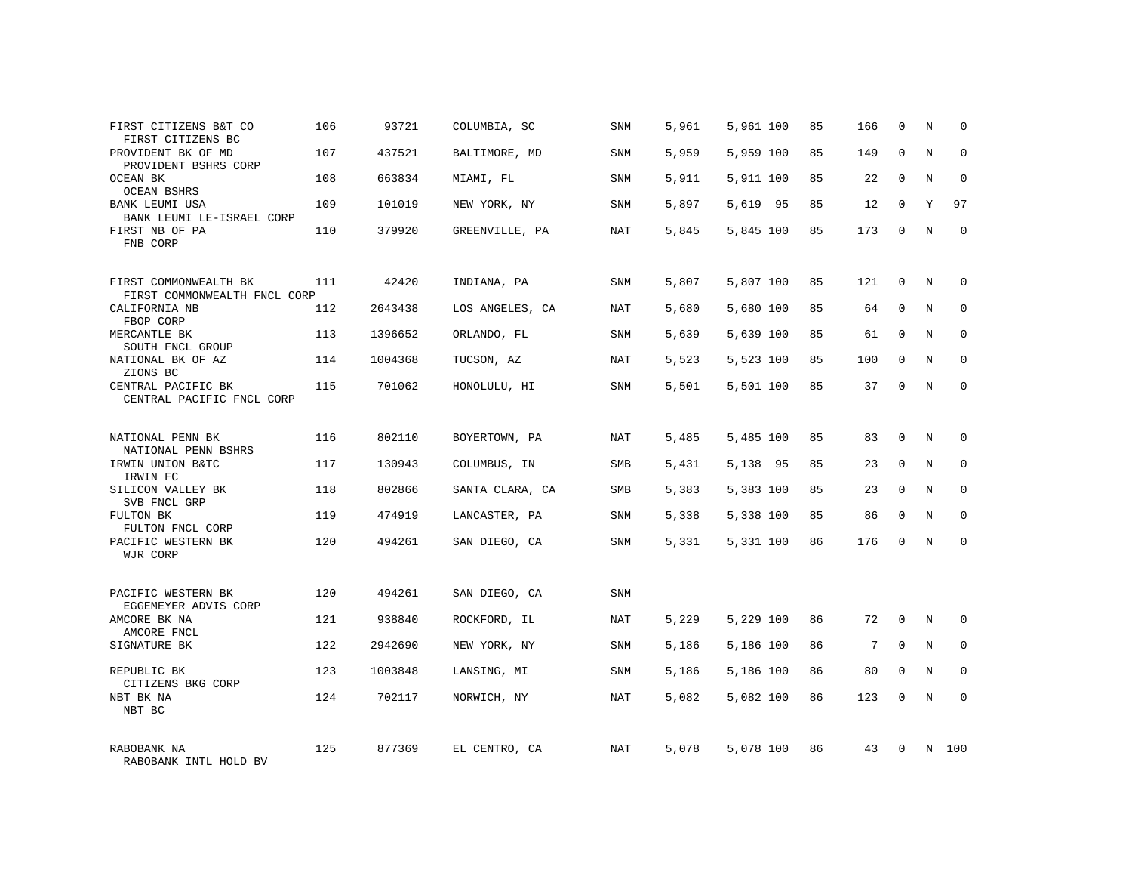| FIRST CITIZENS B&T CO<br>FIRST CITIZENS BC            | 106 | 93721   | COLUMBIA, SC    | SNM        | 5,961 | 5,961 100 | 85 | 166 | 0            | N | 0           |
|-------------------------------------------------------|-----|---------|-----------------|------------|-------|-----------|----|-----|--------------|---|-------------|
| PROVIDENT BK OF MD<br>PROVIDENT BSHRS CORP            | 107 | 437521  | BALTIMORE, MD   | <b>SNM</b> | 5,959 | 5,959 100 | 85 | 149 | $\Omega$     | N | $\Omega$    |
| OCEAN BK<br><b>OCEAN BSHRS</b>                        | 108 | 663834  | MIAMI, FL       | SNM        | 5,911 | 5,911 100 | 85 | 22  | 0            | N | $\mathbf 0$ |
| BANK LEUMI USA<br>BANK LEUMI LE-ISRAEL CORP           | 109 | 101019  | NEW YORK, NY    | SNM        | 5,897 | 5,619 95  | 85 | 12  | $\mathbf 0$  | Y | 97          |
| FIRST NB OF PA<br>FNB CORP                            | 110 | 379920  | GREENVILLE, PA  | NAT        | 5,845 | 5,845 100 | 85 | 173 | 0            | N | $\mathbf 0$ |
| FIRST COMMONWEALTH BK<br>FIRST COMMONWEALTH FNCL CORP | 111 | 42420   | INDIANA, PA     | SNM        | 5,807 | 5,807 100 | 85 | 121 | 0            | N | 0           |
| CALIFORNIA NB<br>FBOP CORP                            | 112 | 2643438 | LOS ANGELES, CA | NAT        | 5,680 | 5,680 100 | 85 | 64  | $\mathbf 0$  | N | $\mathbf 0$ |
| MERCANTLE BK<br>SOUTH FNCL GROUP                      | 113 | 1396652 | ORLANDO, FL     | SNM        | 5,639 | 5,639 100 | 85 | 61  | 0            | N | $\mathbf 0$ |
| NATIONAL BK OF AZ<br>ZIONS BC                         | 114 | 1004368 | TUCSON, AZ      | NAT        | 5,523 | 5,523 100 | 85 | 100 | $\Omega$     | N | $\mathbf 0$ |
| CENTRAL PACIFIC BK<br>CENTRAL PACIFIC FNCL CORP       | 115 | 701062  | HONOLULU, HI    | SNM        | 5,501 | 5,501 100 | 85 | 37  | 0            | N | $\mathbf 0$ |
| NATIONAL PENN BK<br>NATIONAL PENN BSHRS               | 116 | 802110  | BOYERTOWN, PA   | NAT        | 5,485 | 5,485 100 | 85 | 83  | 0            | N | 0           |
| IRWIN UNION B&TC<br>IRWIN FC                          | 117 | 130943  | COLUMBUS, IN    | SMB        | 5,431 | 5,138 95  | 85 | 23  | $\mathbf 0$  | N | $\mathbf 0$ |
| SILICON VALLEY BK<br>SVB FNCL GRP                     | 118 | 802866  | SANTA CLARA, CA | SMB        | 5,383 | 5,383 100 | 85 | 23  | 0            | N | $\mathbf 0$ |
| FULTON BK<br>FULTON FNCL CORP                         | 119 | 474919  | LANCASTER, PA   | SNM        | 5,338 | 5,338 100 | 85 | 86  | 0            | N | $\mathbf 0$ |
| PACIFIC WESTERN BK<br>WJR CORP                        | 120 | 494261  | SAN DIEGO, CA   | SNM        | 5,331 | 5,331 100 | 86 | 176 | 0            | N | $\mathbf 0$ |
| PACIFIC WESTERN BK<br>EGGEMEYER ADVIS CORP            | 120 | 494261  | SAN DIEGO, CA   | <b>SNM</b> |       |           |    |     |              |   |             |
| AMCORE BK NA<br>AMCORE FNCL                           | 121 | 938840  | ROCKFORD, IL    | NAT        | 5,229 | 5,229 100 | 86 | 72  | $\mathbf 0$  | N | $\mathbf 0$ |
| SIGNATURE BK                                          | 122 | 2942690 | NEW YORK, NY    | SNM        | 5,186 | 5,186 100 | 86 | 7   | 0            | N | $\mathbf 0$ |
| REPUBLIC BK<br>CITIZENS BKG CORP                      | 123 | 1003848 | LANSING, MI     | SNM        | 5,186 | 5,186 100 | 86 | 80  | $\mathbf 0$  | N | $\mathbf 0$ |
| NBT BK NA<br>NBT BC                                   | 124 | 702117  | NORWICH, NY     | NAT        | 5,082 | 5,082 100 | 86 | 123 | $\mathbf{0}$ | N | $\mathbf 0$ |
| RABOBANK NA<br>RABOBANK INTL HOLD BV                  | 125 | 877369  | EL CENTRO, CA   | NAT        | 5,078 | 5,078 100 | 86 | 43  | $\Omega$     | N | 100         |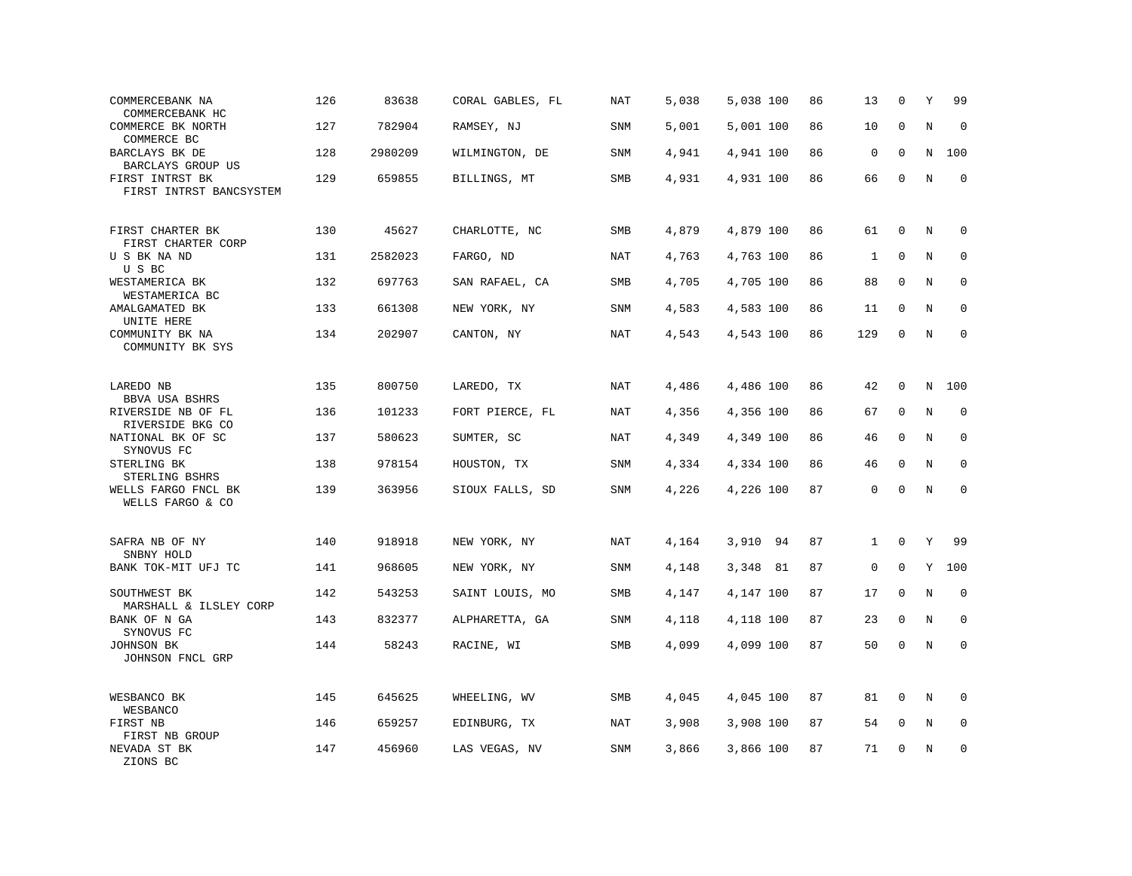| COMMERCEBANK NA<br>COMMERCEBANK HC         | 126 | 83638   | CORAL GABLES, FL | NAT        | 5,038 | 5,038 100 | 86 | 13           | 0            | Υ       | 99          |
|--------------------------------------------|-----|---------|------------------|------------|-------|-----------|----|--------------|--------------|---------|-------------|
| COMMERCE BK NORTH<br>COMMERCE BC           | 127 | 782904  | RAMSEY, NJ       | SNM        | 5,001 | 5,001 100 | 86 | 10           | $\mathbf{0}$ | $\rm N$ | $\mathbf 0$ |
| BARCLAYS BK DE<br>BARCLAYS GROUP US        | 128 | 2980209 | WILMINGTON, DE   | SNM        | 4,941 | 4,941 100 | 86 | 0            | 0            | N       | 100         |
| FIRST INTRST BK<br>FIRST INTRST BANCSYSTEM | 129 | 659855  | BILLINGS, MT     | SMB        | 4,931 | 4,931 100 | 86 | 66           | $\mathbf{0}$ | N       | $\mathbf 0$ |
| FIRST CHARTER BK<br>FIRST CHARTER CORP     | 130 | 45627   | CHARLOTTE, NC    | SMB        | 4,879 | 4,879 100 | 86 | 61           | $\mathbf 0$  | Ν       | 0           |
| U S BK NA ND<br>U S BC                     | 131 | 2582023 | FARGO, ND        | NAT        | 4,763 | 4,763 100 | 86 | 1            | $\mathbf{0}$ | N       | $\mathbf 0$ |
| WESTAMERICA BK<br>WESTAMERICA BC           | 132 | 697763  | SAN RAFAEL, CA   | SMB        | 4,705 | 4,705 100 | 86 | 88           | $\mathbf 0$  | N       | $\mathbf 0$ |
| AMALGAMATED BK<br>UNITE HERE               | 133 | 661308  | NEW YORK, NY     | SNM        | 4,583 | 4,583 100 | 86 | 11           | $\mathbf 0$  | N       | $\mathbf 0$ |
| COMMUNITY BK NA<br>COMMUNITY BK SYS        | 134 | 202907  | CANTON, NY       | NAT        | 4,543 | 4,543 100 | 86 | 129          | $\mathbf 0$  | N       | $\mathbf 0$ |
| LAREDO NB<br>BBVA USA BSHRS                | 135 | 800750  | LAREDO, TX       | NAT        | 4,486 | 4,486 100 | 86 | 42           | $\mathbf 0$  | N       | 100         |
| RIVERSIDE NB OF FL<br>RIVERSIDE BKG CO     | 136 | 101233  | FORT PIERCE, FL  | <b>NAT</b> | 4,356 | 4,356 100 | 86 | 67           | $\mathbf 0$  | N       | $\mathbf 0$ |
| NATIONAL BK OF SC<br>SYNOVUS FC            | 137 | 580623  | SUMTER, SC       | <b>NAT</b> | 4,349 | 4,349 100 | 86 | 46           | $\mathbf{0}$ | N       | $\mathbf 0$ |
| STERLING BK<br>STERLING BSHRS              | 138 | 978154  | HOUSTON, TX      | SNM        | 4,334 | 4,334 100 | 86 | 46           | $\Omega$     | N       | $\Omega$    |
| WELLS FARGO FNCL BK<br>WELLS FARGO & CO    | 139 | 363956  | SIOUX FALLS, SD  | SNM        | 4,226 | 4,226 100 | 87 | 0            | $\mathbf 0$  | N       | $\mathbf 0$ |
| SAFRA NB OF NY<br>SNBNY HOLD               | 140 | 918918  | NEW YORK, NY     | NAT        | 4,164 | 3,910 94  | 87 | $\mathbf{1}$ | 0            | Y       | 99          |
| BANK TOK-MIT UFJ TC                        | 141 | 968605  | NEW YORK, NY     | <b>SNM</b> | 4,148 | 3,348 81  | 87 | $\mathbf 0$  | $\mathbf 0$  | Y       | 100         |
| SOUTHWEST BK<br>MARSHALL & ILSLEY CORP     | 142 | 543253  | SAINT LOUIS, MO  | SMB        | 4,147 | 4,147 100 | 87 | 17           | 0            | N       | $\Omega$    |
| BANK OF N GA<br>SYNOVUS FC                 | 143 | 832377  | ALPHARETTA, GA   | <b>SNM</b> | 4,118 | 4,118 100 | 87 | 23           | $\mathbf{0}$ | N       | $\mathbf 0$ |
| JOHNSON BK<br>JOHNSON FNCL GRP             | 144 | 58243   | RACINE, WI       | SMB        | 4,099 | 4,099 100 | 87 | 50           | $\mathbf 0$  | N       | $\mathbf 0$ |
| WESBANCO BK<br>WESBANCO                    | 145 | 645625  | WHEELING, WV     | SMB        | 4,045 | 4,045 100 | 87 | 81           | $\mathbf{0}$ | N       | 0           |
| FIRST NB<br>FIRST NB GROUP                 | 146 | 659257  | EDINBURG, TX     | <b>NAT</b> | 3,908 | 3,908 100 | 87 | 54           | 0            | Ν       | 0           |
| NEVADA ST BK<br>ZIONS BC                   | 147 | 456960  | LAS VEGAS, NV    | SNM        | 3,866 | 3,866 100 | 87 | 71           | $\mathbf{0}$ | N       | $\mathbf 0$ |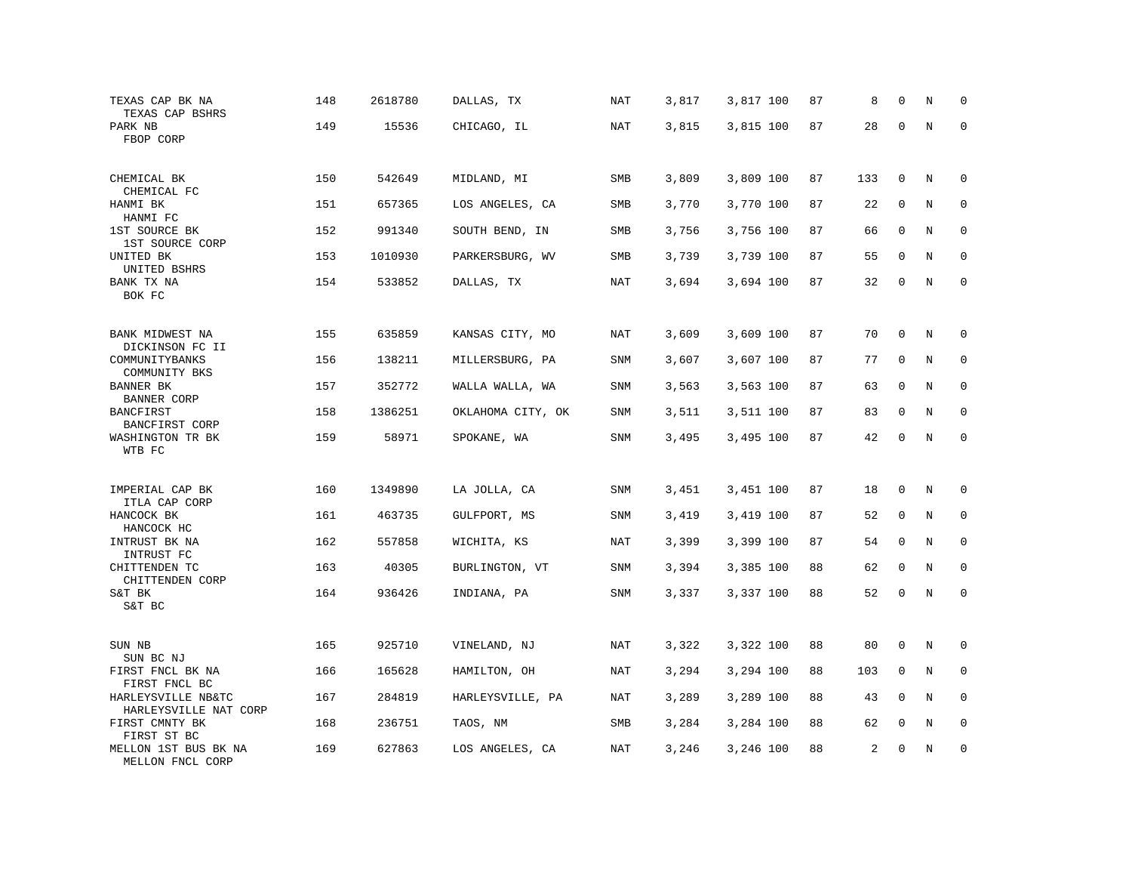| TEXAS CAP BK NA<br>TEXAS CAP BSHRS               | 148 | 2618780 | DALLAS, TX        | <b>NAT</b> | 3,817 | 3,817 100 | 87 | 8   | $\mathbf 0$  | N       | $\mathbf 0$ |
|--------------------------------------------------|-----|---------|-------------------|------------|-------|-----------|----|-----|--------------|---------|-------------|
| PARK NB<br>FBOP CORP                             | 149 | 15536   | CHICAGO, IL       | <b>NAT</b> | 3,815 | 3,815 100 | 87 | 28  | $\mathbf 0$  | N       | $\mathbf 0$ |
| CHEMICAL BK<br>CHEMICAL FC                       | 150 | 542649  | MIDLAND, MI       | SMB        | 3,809 | 3,809 100 | 87 | 133 | $\mathbf 0$  | N       | 0           |
| HANMI BK<br>HANMI FC                             | 151 | 657365  | LOS ANGELES, CA   | SMB        | 3,770 | 3,770 100 | 87 | 22  | $\mathbf 0$  | N       | $\mathbf 0$ |
| 1ST SOURCE BK<br>1ST SOURCE CORP                 | 152 | 991340  | SOUTH BEND, IN    | SMB        | 3,756 | 3,756 100 | 87 | 66  | $\mathbf 0$  | N       | 0           |
| UNITED BK<br>UNITED BSHRS                        | 153 | 1010930 | PARKERSBURG, WV   | SMB        | 3,739 | 3,739 100 | 87 | 55  | $\mathbf 0$  | N       | $\mathbf 0$ |
| BANK TX NA<br>BOK FC                             | 154 | 533852  | DALLAS, TX        | NAT        | 3,694 | 3,694 100 | 87 | 32  | $\mathbf 0$  | N       | $\mathbf 0$ |
| BANK MIDWEST NA                                  | 155 | 635859  | KANSAS CITY, MO   | NAT        | 3,609 | 3,609 100 | 87 | 70  | $\mathbf 0$  | N       | $\mathbf 0$ |
| DICKINSON FC II<br>COMMUNITYBANKS                | 156 | 138211  | MILLERSBURG, PA   | SNM        | 3,607 | 3,607 100 | 87 | 77  | 0            | N       | 0           |
| COMMUNITY BKS<br>BANNER BK<br><b>BANNER CORP</b> | 157 | 352772  | WALLA WALLA, WA   | SNM        | 3,563 | 3,563 100 | 87 | 63  | $\mathbf 0$  | N       | $\mathbf 0$ |
| BANCFIRST<br>BANCFIRST CORP                      | 158 | 1386251 | OKLAHOMA CITY, OK | SNM        | 3,511 | 3,511 100 | 87 | 83  | $\mathbf 0$  | N       | $\mathbf 0$ |
| WASHINGTON TR BK<br>WTB FC                       | 159 | 58971   | SPOKANE, WA       | <b>SNM</b> | 3,495 | 3,495 100 | 87 | 42  | $\mathbf 0$  | $\rm N$ | $\mathbf 0$ |
| IMPERIAL CAP BK                                  | 160 | 1349890 | LA JOLLA, CA      | SNM        | 3,451 | 3,451 100 | 87 | 18  | 0            | N       | 0           |
| ITLA CAP CORP<br>HANCOCK BK                      | 161 | 463735  | GULFPORT, MS      | SNM        | 3,419 | 3,419 100 | 87 | 52  | $\mathbf 0$  | N       | $\mathbf 0$ |
| HANCOCK HC<br>INTRUST BK NA                      | 162 | 557858  | WICHITA, KS       | <b>NAT</b> | 3,399 | 3,399 100 | 87 | 54  | $\mathbf 0$  | N       | $\mathbf 0$ |
| INTRUST FC<br>CHITTENDEN TC                      | 163 | 40305   | BURLINGTON, VT    | SNM        | 3,394 | 3,385 100 | 88 | 62  | 0            | N       | 0           |
| CHITTENDEN CORP<br>S&T BK<br>S&T BC              | 164 | 936426  | INDIANA, PA       | SNM        | 3,337 | 3,337 100 | 88 | 52  | $\mathsf 0$  | $\rm N$ | $\mathbf 0$ |
| SUN NB<br>SUN BC NJ                              | 165 | 925710  | VINELAND, NJ      | <b>NAT</b> | 3,322 | 3,322 100 | 88 | 80  | 0            | Ν       | 0           |
| FIRST FNCL BK NA<br>FIRST FNCL BC                | 166 | 165628  | HAMILTON, OH      | NAT        | 3,294 | 3,294 100 | 88 | 103 | 0            | N       | 0           |
| HARLEYSVILLE NB&TC<br>HARLEYSVILLE NAT CORP      | 167 | 284819  | HARLEYSVILLE, PA  | NAT        | 3,289 | 3,289 100 | 88 | 43  | 0            | N       | $\mathbf 0$ |
| FIRST CMNTY BK<br>FIRST ST BC                    | 168 | 236751  | TAOS, NM          | SMB        | 3,284 | 3,284 100 | 88 | 62  | 0            | N       | $\mathbf 0$ |
| MELLON 1ST BUS BK NA<br>MELLON FNCL CORP         | 169 | 627863  | LOS ANGELES, CA   | <b>NAT</b> | 3,246 | 3,246 100 | 88 | 2   | $\mathbf{0}$ | N       | $\mathbf 0$ |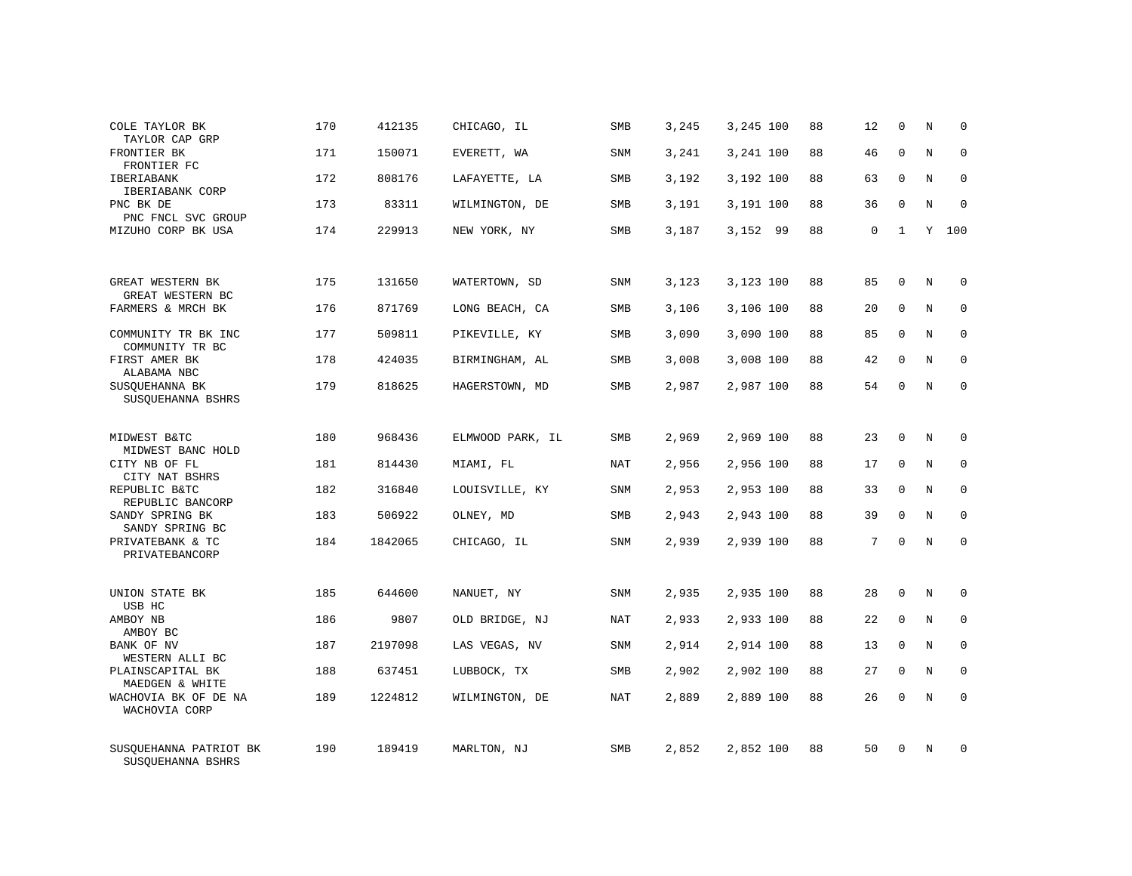| COLE TAYLOR BK<br>TAYLOR CAP GRP            | 170 | 412135  | CHICAGO, IL      | SMB        | 3,245 | 3,245 100 | 88 | 12       | $\mathbf 0$  | N       | $\mathbf 0$ |
|---------------------------------------------|-----|---------|------------------|------------|-------|-----------|----|----------|--------------|---------|-------------|
| FRONTIER BK<br>FRONTIER FC                  | 171 | 150071  | EVERETT, WA      | <b>SNM</b> | 3,241 | 3,241 100 | 88 | 46       | $\mathbf 0$  | N       | $\mathbf 0$ |
| IBERIABANK<br>IBERIABANK CORP               | 172 | 808176  | LAFAYETTE, LA    | SMB        | 3,192 | 3,192 100 | 88 | 63       | $\mathbf 0$  | N       | $\mathbf 0$ |
| PNC BK DE<br>PNC FNCL SVC GROUP             | 173 | 83311   | WILMINGTON, DE   | SMB        | 3,191 | 3,191 100 | 88 | 36       | $\mathbf 0$  | $\rm N$ | $\mathbf 0$ |
| MIZUHO CORP BK USA                          | 174 | 229913  | NEW YORK, NY     | SMB        | 3,187 | 3,152 99  | 88 | $\Omega$ | $\mathbf{1}$ | Y       | 100         |
| GREAT WESTERN BK                            | 175 | 131650  | WATERTOWN, SD    | <b>SNM</b> | 3,123 | 3,123 100 | 88 | 85       | $\mathbf 0$  | N       | $\mathbf 0$ |
| GREAT WESTERN BC<br>FARMERS & MRCH BK       | 176 | 871769  | LONG BEACH, CA   | SMB        | 3,106 | 3,106 100 | 88 | 20       | $\mathbf 0$  | N       | 0           |
| COMMUNITY TR BK INC<br>COMMUNITY TR BC      | 177 | 509811  | PIKEVILLE, KY    | <b>SMB</b> | 3,090 | 3,090 100 | 88 | 85       | $\Omega$     | N       | $\mathbf 0$ |
| FIRST AMER BK<br>ALABAMA NBC                | 178 | 424035  | BIRMINGHAM, AL   | SMB        | 3,008 | 3,008 100 | 88 | 42       | $\mathbf 0$  | N       | 0           |
| SUSQUEHANNA BK<br>SUSOUEHANNA BSHRS         | 179 | 818625  | HAGERSTOWN, MD   | SMB        | 2,987 | 2,987 100 | 88 | 54       | $\mathbf 0$  | N       | $\mathbf 0$ |
| MIDWEST B&TC<br>MIDWEST BANC HOLD           | 180 | 968436  | ELMWOOD PARK, IL | SMB        | 2,969 | 2,969 100 | 88 | 23       | $\mathbf 0$  | N       | $\mathbf 0$ |
| CITY NB OF FL<br>CITY NAT BSHRS             | 181 | 814430  | MIAMI, FL        | <b>NAT</b> | 2,956 | 2,956 100 | 88 | 17       | $\mathbf{0}$ | N       | $\mathbf 0$ |
| REPUBLIC B&TC<br>REPUBLIC BANCORP           | 182 | 316840  | LOUISVILLE, KY   | SNM        | 2,953 | 2,953 100 | 88 | 33       | $\mathbf 0$  | N       | 0           |
| SANDY SPRING BK<br>SANDY SPRING BC          | 183 | 506922  | OLNEY, MD        | SMB        | 2,943 | 2,943 100 | 88 | 39       | $\mathbf{0}$ | N       | $\mathbf 0$ |
| PRIVATEBANK & TC<br>PRIVATEBANCORP          | 184 | 1842065 | CHICAGO, IL      | <b>SNM</b> | 2,939 | 2,939 100 | 88 | 7        | $\mathbf{0}$ | N       | $\mathbf 0$ |
| UNION STATE BK                              | 185 | 644600  | NANUET, NY       | SNM        | 2,935 | 2,935 100 | 88 | 28       | $\mathbf 0$  | $\rm N$ | 0           |
| USB HC<br>AMBOY NB<br>AMBOY BC              | 186 | 9807    | OLD BRIDGE, NJ   | NAT        | 2,933 | 2,933 100 | 88 | 22       | $\mathbf{0}$ | N       | 0           |
| BANK OF NV<br>WESTERN ALLI BC               | 187 | 2197098 | LAS VEGAS, NV    | <b>SNM</b> | 2,914 | 2,914 100 | 88 | 13       | $\Omega$     | N       | $\mathbf 0$ |
| PLAINSCAPITAL BK<br>MAEDGEN & WHITE         | 188 | 637451  | LUBBOCK, TX      | SMB        | 2,902 | 2,902 100 | 88 | 27       | $\mathbf 0$  | N       | 0           |
| WACHOVIA BK OF DE NA<br>WACHOVIA CORP       | 189 | 1224812 | WILMINGTON, DE   | <b>NAT</b> | 2,889 | 2,889 100 | 88 | 26       | $\Omega$     | N       | $\mathbf 0$ |
| SUSQUEHANNA PATRIOT BK<br>SUSOUEHANNA BSHRS | 190 | 189419  | MARLTON, NJ      | <b>SMB</b> | 2,852 | 2,852 100 | 88 | 50       | $\Omega$     | N       | $\mathbf 0$ |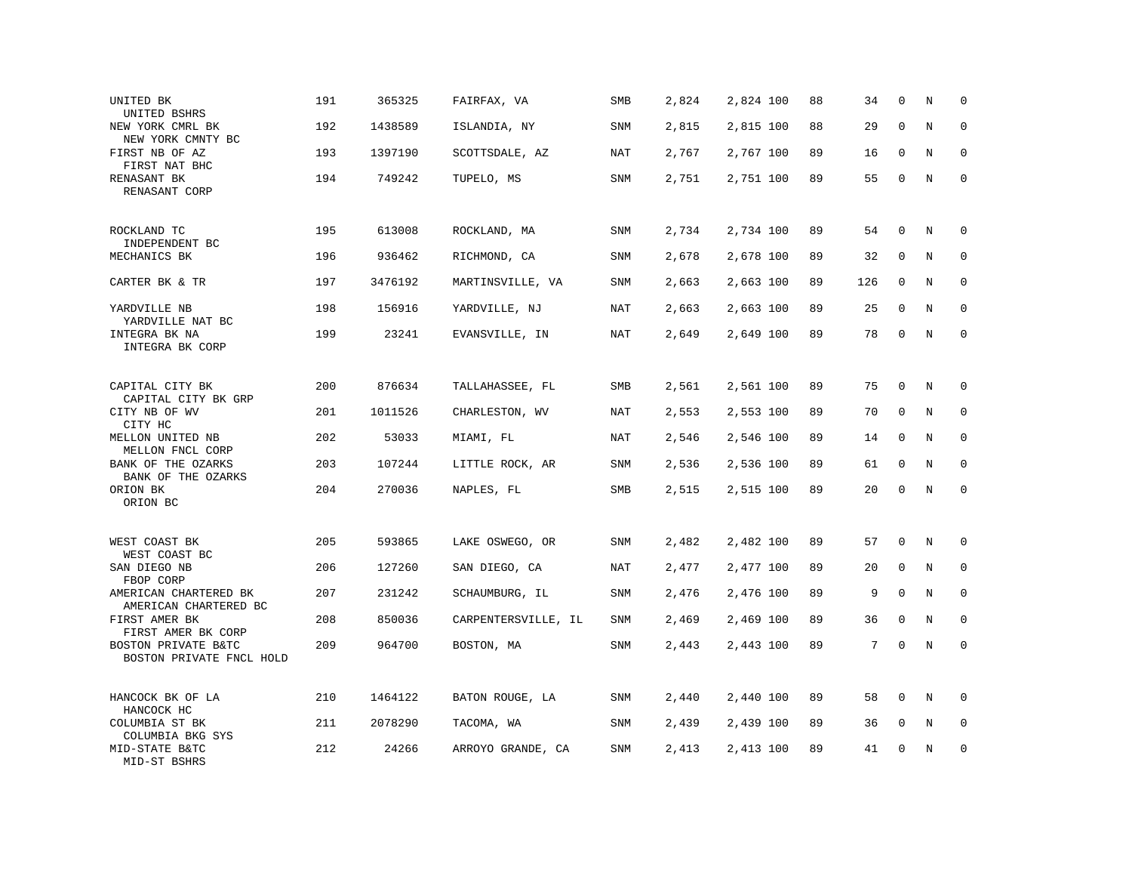| UNITED BK<br>UNITED BSHRS                       | 191 | 365325  | FAIRFAX, VA         | SMB        | 2,824 | 2,824 100 | 88 | 34  | $\mathbf 0$  | N       | $\mathbf 0$ |
|-------------------------------------------------|-----|---------|---------------------|------------|-------|-----------|----|-----|--------------|---------|-------------|
| NEW YORK CMRL BK<br>NEW YORK CMNTY BC           | 192 | 1438589 | ISLANDIA, NY        | SNM        | 2,815 | 2,815 100 | 88 | 29  | $\mathbf{0}$ | N       | $\mathbf 0$ |
| FIRST NB OF AZ<br>FIRST NAT BHC                 | 193 | 1397190 | SCOTTSDALE, AZ      | NAT        | 2,767 | 2,767 100 | 89 | 16  | $\Omega$     | N       | 0           |
| RENASANT BK<br>RENASANT CORP                    | 194 | 749242  | TUPELO, MS          | SNM        | 2,751 | 2,751 100 | 89 | 55  | $\mathbf 0$  | N       | $\mathbf 0$ |
| ROCKLAND TC<br>INDEPENDENT BC                   | 195 | 613008  | ROCKLAND, MA        | SNM        | 2,734 | 2,734 100 | 89 | 54  | $\mathbf{0}$ | N       | $\mathbf 0$ |
| MECHANICS BK                                    | 196 | 936462  | RICHMOND, CA        | SNM        | 2,678 | 2,678 100 | 89 | 32  | 0            | N       | $\mathbf 0$ |
| CARTER BK & TR                                  | 197 | 3476192 | MARTINSVILLE, VA    | SNM        | 2,663 | 2,663 100 | 89 | 126 | 0            | N       | $\mathbf 0$ |
| YARDVILLE NB<br>YARDVILLE NAT BC                | 198 | 156916  | YARDVILLE, NJ       | <b>NAT</b> | 2,663 | 2,663 100 | 89 | 25  | $\mathbf 0$  | N       | $\mathbf 0$ |
| INTEGRA BK NA<br>INTEGRA BK CORP                | 199 | 23241   | EVANSVILLE, IN      | <b>NAT</b> | 2,649 | 2,649 100 | 89 | 78  | $\mathbf 0$  | N       | $\mathbf 0$ |
| CAPITAL CITY BK<br>CAPITAL CITY BK GRP          | 200 | 876634  | TALLAHASSEE, FL     | SMB        | 2,561 | 2,561 100 | 89 | 75  | 0            | N       | $\mathbf 0$ |
| CITY NB OF WV<br>CITY HC                        | 201 | 1011526 | CHARLESTON, WV      | NAT        | 2,553 | 2,553 100 | 89 | 70  | $\mathbf 0$  | N       | $\mathbf 0$ |
| MELLON UNITED NB<br>MELLON FNCL CORP            | 202 | 53033   | MIAMI, FL           | <b>NAT</b> | 2,546 | 2,546 100 | 89 | 14  | $\mathbf{0}$ | $\rm N$ | 0           |
| BANK OF THE OZARKS<br>BANK OF THE OZARKS        | 203 | 107244  | LITTLE ROCK, AR     | <b>SNM</b> | 2,536 | 2,536 100 | 89 | 61  | $\mathbf 0$  | N       | $\mathbf 0$ |
| ORION BK<br>ORION BC                            | 204 | 270036  | NAPLES, FL          | <b>SMB</b> | 2,515 | 2,515 100 | 89 | 20  | $\mathbf 0$  | N       | $\mathbf 0$ |
| WEST COAST BK<br>WEST COAST BC                  | 205 | 593865  | LAKE OSWEGO, OR     | SNM        | 2,482 | 2,482 100 | 89 | 57  | $\mathbf 0$  | N       | $\mathbf 0$ |
| SAN DIEGO NB<br>FBOP CORP                       | 206 | 127260  | SAN DIEGO, CA       | NAT        | 2,477 | 2,477 100 | 89 | 20  | 0            | N       | 0           |
| AMERICAN CHARTERED BK<br>AMERICAN CHARTERED BC  | 207 | 231242  | SCHAUMBURG, IL      | SNM        | 2,476 | 2,476 100 | 89 | 9   | $\mathbf 0$  | N       | $\mathbf 0$ |
| FIRST AMER BK<br>FIRST AMER BK CORP             | 208 | 850036  | CARPENTERSVILLE, IL | SNM        | 2,469 | 2,469 100 | 89 | 36  | $\mathbf 0$  | N       | $\Omega$    |
| BOSTON PRIVATE B&TC<br>BOSTON PRIVATE FNCL HOLD | 209 | 964700  | BOSTON, MA          | <b>SNM</b> | 2,443 | 2,443 100 | 89 | 7   | $\mathbf 0$  | $\rm N$ | $\mathbf 0$ |
| HANCOCK BK OF LA<br>HANCOCK HC                  | 210 | 1464122 | BATON ROUGE, LA     | SNM        | 2,440 | 2,440 100 | 89 | 58  | 0            | N       | 0           |
| COLUMBIA ST BK<br>COLUMBIA BKG SYS              | 211 | 2078290 | TACOMA, WA          | SNM        | 2,439 | 2,439 100 | 89 | 36  | 0            | N       | $\mathbf 0$ |
| MID-STATE B&TC<br>MID-ST BSHRS                  | 212 | 24266   | ARROYO GRANDE, CA   | SNM        | 2,413 | 2,413 100 | 89 | 41  | $\mathbf 0$  | N       | $\mathbf 0$ |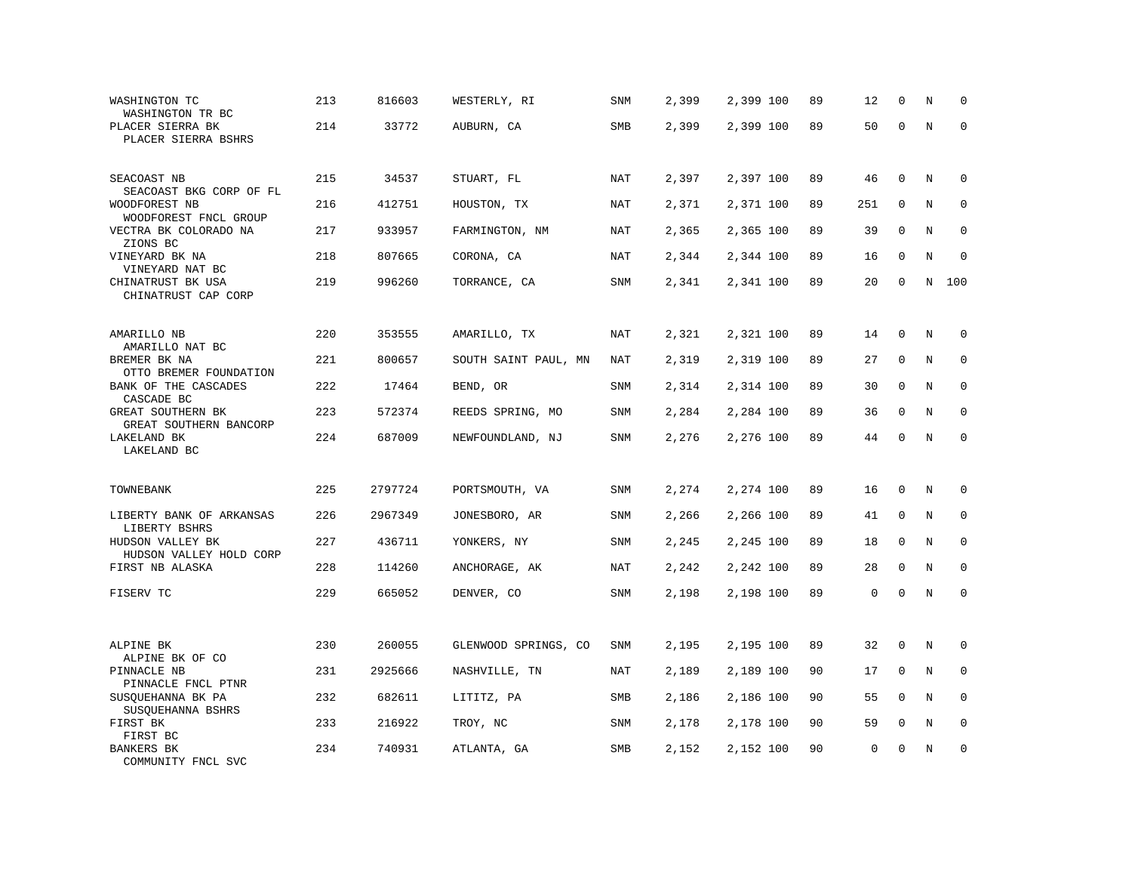| WASHINGTON TC<br>WASHINGTON TR BC<br>PLACER SIERRA BK        | 213<br>214 | 816603<br>33772 | WESTERLY, RI<br>AUBURN, CA | SNM<br>SMB | 2,399<br>2,399 | 2,399 100<br>2,399 100 | 89<br>89 | 12<br>50 | $\mathbf 0$<br>$\mathbf 0$ | N<br>N  | $\mathbf 0$<br>$\Omega$ |
|--------------------------------------------------------------|------------|-----------------|----------------------------|------------|----------------|------------------------|----------|----------|----------------------------|---------|-------------------------|
| PLACER SIERRA BSHRS                                          |            |                 |                            |            |                |                        |          |          |                            |         |                         |
| SEACOAST NB<br>SEACOAST BKG CORP OF FL                       | 215        | 34537           | STUART, FL                 | NAT        | 2,397          | 2,397 100              | 89       | 46       | $\mathbf 0$                | N       | $\mathbf 0$             |
| WOODFOREST NB<br>WOODFOREST FNCL GROUP                       | 216        | 412751          | HOUSTON, TX                | NAT        | 2,371          | 2,371 100              | 89       | 251      | $\mathbf 0$                | N       | $\mathbf 0$             |
| VECTRA BK COLORADO NA<br>ZIONS BC                            | 217        | 933957          | FARMINGTON, NM             | <b>NAT</b> | 2,365          | 2,365 100              | 89       | 39       | $\mathbf 0$                | N       | $\mathbf 0$             |
| VINEYARD BK NA<br>VINEYARD NAT BC                            | 218        | 807665          | CORONA, CA                 | <b>NAT</b> | 2,344          | 2,344 100              | 89       | 16       | $\Omega$                   | N       | $\mathbf 0$             |
| CHINATRUST BK USA<br>CHINATRUST CAP CORP                     | 219        | 996260          | TORRANCE, CA               | SNM        | 2,341          | 2,341 100              | 89       | 20       | 0                          | N       | 100                     |
| AMARILLO NB                                                  | 220        | 353555          | AMARILLO, TX               | NAT        | 2,321          | 2,321 100              | 89       | 14       | $\Omega$                   | N       | $\Omega$                |
| AMARILLO NAT BC<br>BREMER BK NA                              | 221        | 800657          | SOUTH SAINT PAUL, MN       | NAT        | 2,319          | 2,319 100              | 89       | 27       | $\mathbf{0}$               | N       | $\mathbf 0$             |
| OTTO BREMER FOUNDATION<br>BANK OF THE CASCADES               | 222        | 17464           | BEND, OR                   | <b>SNM</b> | 2,314          | 2,314 100              | 89       | 30       | $\Omega$                   | N       | $\mathbf 0$             |
| CASCADE BC<br>GREAT SOUTHERN BK<br>GREAT SOUTHERN BANCORP    | 223        | 572374          | REEDS SPRING, MO           | <b>SNM</b> | 2,284          | 2,284 100              | 89       | 36       | $\mathbf 0$                | N       | $\mathbf 0$             |
| LAKELAND BK<br>LAKELAND BC                                   | 224        | 687009          | NEWFOUNDLAND, NJ           | <b>SNM</b> | 2,276          | 2,276 100              | 89       | 44       | $\mathbf 0$                | $\rm N$ | $\mathbf 0$             |
| TOWNEBANK                                                    | 225        | 2797724         | PORTSMOUTH, VA             | SNM        | 2,274          | 2,274 100              | 89       | 16       | $\mathbf 0$                | N       | $\mathbf 0$             |
| LIBERTY BANK OF ARKANSAS                                     | 226        | 2967349         | JONESBORO, AR              | SNM        | 2,266          | 2,266 100              | 89       | 41       | $\Omega$                   | N       | $\Omega$                |
| LIBERTY BSHRS<br>HUDSON VALLEY BK<br>HUDSON VALLEY HOLD CORP | 227        | 436711          | YONKERS, NY                | <b>SNM</b> | 2,245          | 2,245 100              | 89       | 18       | $\mathbf{0}$               | N       | $\mathbf 0$             |
| FIRST NB ALASKA                                              | 228        | 114260          | ANCHORAGE, AK              | NAT        | 2,242          | 2,242 100              | 89       | 28       | $\mathbf{0}$               | N       | $\mathbf 0$             |
| FISERV TC                                                    | 229        | 665052          | DENVER, CO                 | SNM        | 2,198          | 2,198 100              | 89       | 0        | $\mathbf 0$                | N       | $\mathbf 0$             |
| ALPINE BK                                                    | 230        | 260055          | GLENWOOD SPRINGS, CO       | <b>SNM</b> | 2,195          | 2,195 100              | 89       | 32       | $\mathbf{0}$               | N       | $\mathbf 0$             |
| ALPINE BK OF CO                                              |            |                 |                            |            |                |                        |          |          |                            |         |                         |
| PINNACLE NB<br>PINNACLE FNCL PTNR                            | 231        | 2925666         | NASHVILLE, TN              | <b>NAT</b> | 2,189          | 2,189 100              | 90       | 17       | $\mathbf 0$                | N       | 0                       |
| SUSQUEHANNA BK PA<br>SUSQUEHANNA BSHRS                       | 232        | 682611          | LITITZ, PA                 | <b>SMB</b> | 2,186          | 2,186 100              | 90       | 55       | $\Omega$                   | N       | $\mathbf 0$             |
| FIRST BK<br>FIRST BC                                         | 233        | 216922          | TROY, NC                   | SNM        | 2,178          | 2,178 100              | 90       | 59       | $\mathbf 0$                | N       | $\mathbf 0$             |
| <b>BANKERS BK</b><br>COMMUNITY FNCL SVC                      | 234        | 740931          | ATLANTA, GA                | SMB        | 2,152          | 2,152 100              | 90       | 0        | $\mathbf 0$                | N       | $\mathbf 0$             |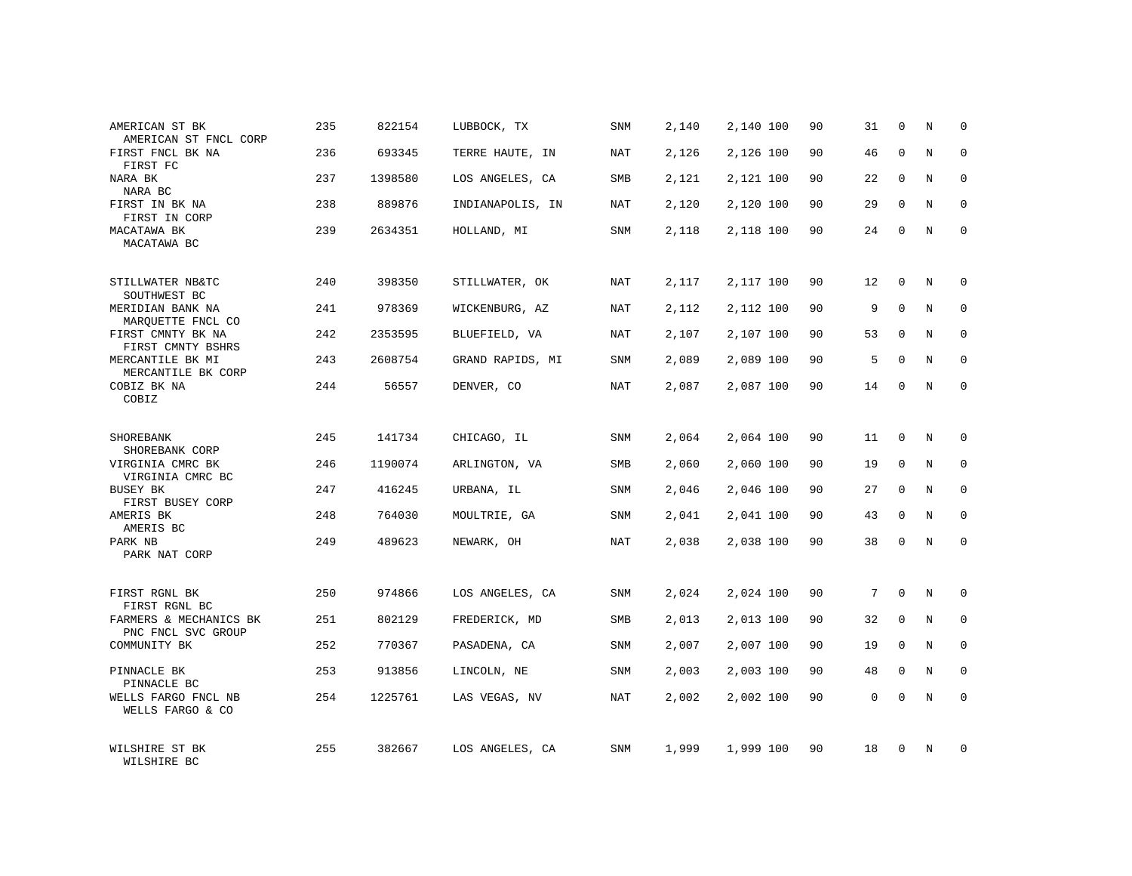| AMERICAN ST BK<br>AMERICAN ST FNCL CORP               | 235 | 822154  | LUBBOCK, TX      | <b>SNM</b> | 2,140 | 2,140 100 | 90 | 31 | $\mathbf 0$ | N | $\mathbf 0$  |
|-------------------------------------------------------|-----|---------|------------------|------------|-------|-----------|----|----|-------------|---|--------------|
| FIRST FNCL BK NA<br>FIRST FC                          | 236 | 693345  | TERRE HAUTE, IN  | NAT        | 2,126 | 2,126 100 | 90 | 46 | $\mathbf 0$ | N | $\mathbf 0$  |
| NARA BK<br>NARA BC                                    | 237 | 1398580 | LOS ANGELES, CA  | SMB        | 2,121 | 2,121 100 | 90 | 22 | $\mathbf 0$ | N | $\mathbf 0$  |
| FIRST IN BK NA<br>FIRST IN CORP                       | 238 | 889876  | INDIANAPOLIS, IN | NAT        | 2,120 | 2,120 100 | 90 | 29 | $\mathbf 0$ | N | $\mathbf 0$  |
| MACATAWA BK<br>MACATAWA BC                            | 239 | 2634351 | HOLLAND, MI      | <b>SNM</b> | 2,118 | 2,118 100 | 90 | 24 | $\mathbf 0$ | N | $\mathbf 0$  |
| STILLWATER NB&TC                                      | 240 | 398350  | STILLWATER, OK   | <b>NAT</b> | 2,117 | 2,117 100 | 90 | 12 | 0           | N | 0            |
| SOUTHWEST BC<br>MERIDIAN BANK NA<br>MARQUETTE FNCL CO | 241 | 978369  | WICKENBURG, AZ   | NAT        | 2,112 | 2,112 100 | 90 | 9  | $\mathbf 0$ | N | $\mathbf 0$  |
| FIRST CMNTY BK NA<br>FIRST CMNTY BSHRS                | 242 | 2353595 | BLUEFIELD, VA    | NAT        | 2,107 | 2,107 100 | 90 | 53 | $\mathbf 0$ | N | $\mathbf 0$  |
| MERCANTILE BK MI<br>MERCANTILE BK CORP                | 243 | 2608754 | GRAND RAPIDS, MI | SNM        | 2,089 | 2,089 100 | 90 | 5  | $\Omega$    | N | $\mathbf 0$  |
| COBIZ BK NA<br>COBIZ                                  | 244 | 56557   | DENVER, CO       | NAT        | 2,087 | 2,087 100 | 90 | 14 | 0           | N | $\mathbf 0$  |
| SHOREBANK<br>SHOREBANK CORP                           | 245 | 141734  | CHICAGO, IL      | SNM        | 2,064 | 2,064 100 | 90 | 11 | 0           | N | $\mathbf 0$  |
| VIRGINIA CMRC BK<br>VIRGINIA CMRC BC                  | 246 | 1190074 | ARLINGTON, VA    | SMB        | 2,060 | 2,060 100 | 90 | 19 | $\mathbf 0$ | N | $\mathbf 0$  |
| <b>BUSEY BK</b><br>FIRST BUSEY CORP                   | 247 | 416245  | URBANA, IL       | SNM        | 2,046 | 2,046 100 | 90 | 27 | $\mathbf 0$ | N | 0            |
| AMERIS BK<br>AMERIS BC                                | 248 | 764030  | MOULTRIE, GA     | SNM        | 2,041 | 2,041 100 | 90 | 43 | $\mathbf 0$ | N | 0            |
| PARK NB<br>PARK NAT CORP                              | 249 | 489623  | NEWARK, OH       | NAT        | 2,038 | 2,038 100 | 90 | 38 | $\mathbf 0$ | N | $\mathbf 0$  |
| FIRST RGNL BK<br>FIRST RGNL BC                        | 250 | 974866  | LOS ANGELES, CA  | SNM        | 2,024 | 2,024 100 | 90 | 7  | $\mathbf 0$ | N | $\mathbf 0$  |
| FARMERS & MECHANICS BK<br>PNC FNCL SVC GROUP          | 251 | 802129  | FREDERICK, MD    | SMB        | 2,013 | 2,013 100 | 90 | 32 | $\mathbf 0$ | N | $\mathbf 0$  |
| COMMUNITY BK                                          | 252 | 770367  | PASADENA, CA     | SNM        | 2,007 | 2,007 100 | 90 | 19 | 0           | N | $\mathbf 0$  |
| PINNACLE BK<br>PINNACLE BC                            | 253 | 913856  | LINCOLN, NE      | <b>SNM</b> | 2,003 | 2,003 100 | 90 | 48 | $\mathbf 0$ | N | 0            |
| WELLS FARGO FNCL NB<br>WELLS FARGO & CO               | 254 | 1225761 | LAS VEGAS, NV    | NAT        | 2,002 | 2,002 100 | 90 | 0  | $\mathbf 0$ | N | $\mathbf{0}$ |
| WILSHIRE ST BK<br>WILSHIRE BC                         | 255 | 382667  | LOS ANGELES, CA  | <b>SNM</b> | 1,999 | 1,999 100 | 90 | 18 | $\mathbf 0$ | N | $\mathbf 0$  |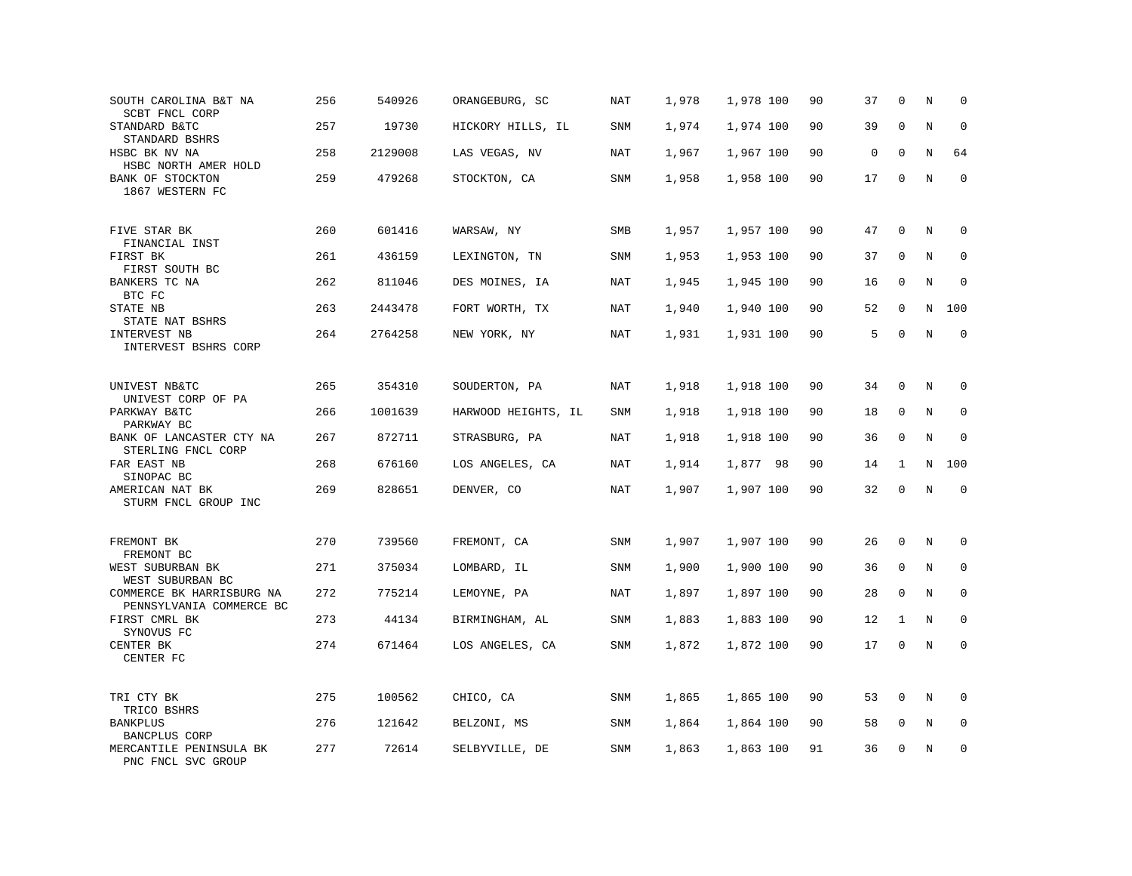| SOUTH CAROLINA B&T NA<br>SCBT FNCL CORP               | 256 | 540926  | ORANGEBURG, SC      | <b>NAT</b> | 1,978 | 1,978 100 | 90 | 37          | $\mathbf 0$ | N       | $\mathbf 0$ |
|-------------------------------------------------------|-----|---------|---------------------|------------|-------|-----------|----|-------------|-------------|---------|-------------|
| STANDARD B&TC<br>STANDARD BSHRS                       | 257 | 19730   | HICKORY HILLS, IL   | <b>SNM</b> | 1,974 | 1,974 100 | 90 | 39          | $\mathbf 0$ | N       | $\mathbf 0$ |
| HSBC BK NV NA<br>HSBC NORTH AMER HOLD                 | 258 | 2129008 | LAS VEGAS, NV       | NAT        | 1,967 | 1,967 100 | 90 | $\mathsf 0$ | $\mathbf 0$ | N       | 64          |
| BANK OF STOCKTON<br>1867 WESTERN FC                   | 259 | 479268  | STOCKTON, CA        | <b>SNM</b> | 1,958 | 1,958 100 | 90 | 17          | $\mathbf 0$ | $\rm N$ | $\mathbf 0$ |
| FIVE STAR BK<br>FINANCIAL INST                        | 260 | 601416  | WARSAW, NY          | SMB        | 1,957 | 1,957 100 | 90 | 47          | $\mathbf 0$ | N       | $\mathbf 0$ |
| FIRST BK<br>FIRST SOUTH BC                            | 261 | 436159  | LEXINGTON, TN       | SNM        | 1,953 | 1,953 100 | 90 | 37          | $\mathbf 0$ | N       | $\mathbf 0$ |
| BANKERS TC NA<br>BTC FC                               | 262 | 811046  | DES MOINES, IA      | NAT        | 1,945 | 1,945 100 | 90 | 16          | $\mathbf 0$ | N       | $\mathbf 0$ |
| STATE NB<br>STATE NAT BSHRS                           | 263 | 2443478 | FORT WORTH, TX      | NAT        | 1,940 | 1,940 100 | 90 | 52          | $\mathbf 0$ | N       | 100         |
| INTERVEST NB<br>INTERVEST BSHRS CORP                  | 264 | 2764258 | NEW YORK, NY        | <b>NAT</b> | 1,931 | 1,931 100 | 90 | 5           | $\mathbf 0$ | $\rm N$ | $\mathbf 0$ |
| UNIVEST NB&TC<br>UNIVEST CORP OF PA                   | 265 | 354310  | SOUDERTON, PA       | <b>NAT</b> | 1,918 | 1,918 100 | 90 | 34          | $\mathbf 0$ | N       | 0           |
| PARKWAY B&TC<br>PARKWAY BC                            | 266 | 1001639 | HARWOOD HEIGHTS, IL | SNM        | 1,918 | 1,918 100 | 90 | 18          | $\mathbf 0$ | N       | $\mathbf 0$ |
| BANK OF LANCASTER CTY NA<br>STERLING FNCL CORP        | 267 | 872711  | STRASBURG, PA       | <b>NAT</b> | 1,918 | 1,918 100 | 90 | 36          | 0           | N       | 0           |
| FAR EAST NB<br>SINOPAC BC                             | 268 | 676160  | LOS ANGELES, CA     | <b>NAT</b> | 1,914 | 1,877 98  | 90 | 14          | 1           | N       | 100         |
| AMERICAN NAT BK<br>STURM FNCL GROUP INC               | 269 | 828651  | DENVER, CO          | NAT        | 1,907 | 1,907 100 | 90 | 32          | $\Omega$    | $\rm N$ | $\Omega$    |
| FREMONT BK<br>FREMONT BC                              | 270 | 739560  | FREMONT, CA         | SNM        | 1,907 | 1,907 100 | 90 | 26          | $\mathbf 0$ | N       | $\mathbf 0$ |
| WEST SUBURBAN BK<br>WEST SUBURBAN BC                  | 271 | 375034  | LOMBARD, IL         | SNM        | 1,900 | 1,900 100 | 90 | 36          | 0           | N       | 0           |
| COMMERCE BK HARRISBURG NA<br>PENNSYLVANIA COMMERCE BC | 272 | 775214  | LEMOYNE, PA         | NAT        | 1,897 | 1,897 100 | 90 | 28          | $\mathbf 0$ | N       | $\mathbf 0$ |
| FIRST CMRL BK<br>SYNOVUS FC                           | 273 | 44134   | BIRMINGHAM, AL      | <b>SNM</b> | 1,883 | 1,883 100 | 90 | 12          | 1           | N       | $\mathbf 0$ |
| CENTER BK<br>CENTER FC                                | 274 | 671464  | LOS ANGELES, CA     | SNM        | 1,872 | 1,872 100 | 90 | 17          | $\mathbf 0$ | N       | $\mathbf 0$ |
| TRI CTY BK<br>TRICO BSHRS                             | 275 | 100562  | CHICO, CA           | SNM        | 1,865 | 1,865 100 | 90 | 53          | $\mathbf 0$ | N       | $\mathbf 0$ |
| <b>BANKPLUS</b><br>BANCPLUS CORP                      | 276 | 121642  | BELZONI, MS         | SNM        | 1,864 | 1,864 100 | 90 | 58          | 0           | Ν       | 0           |
| MERCANTILE PENINSULA BK<br>PNC FNCL SVC GROUP         | 277 | 72614   | SELBYVILLE, DE      | SNM        | 1,863 | 1,863 100 | 91 | 36          | $\mathbf 0$ | N       | $\mathbf 0$ |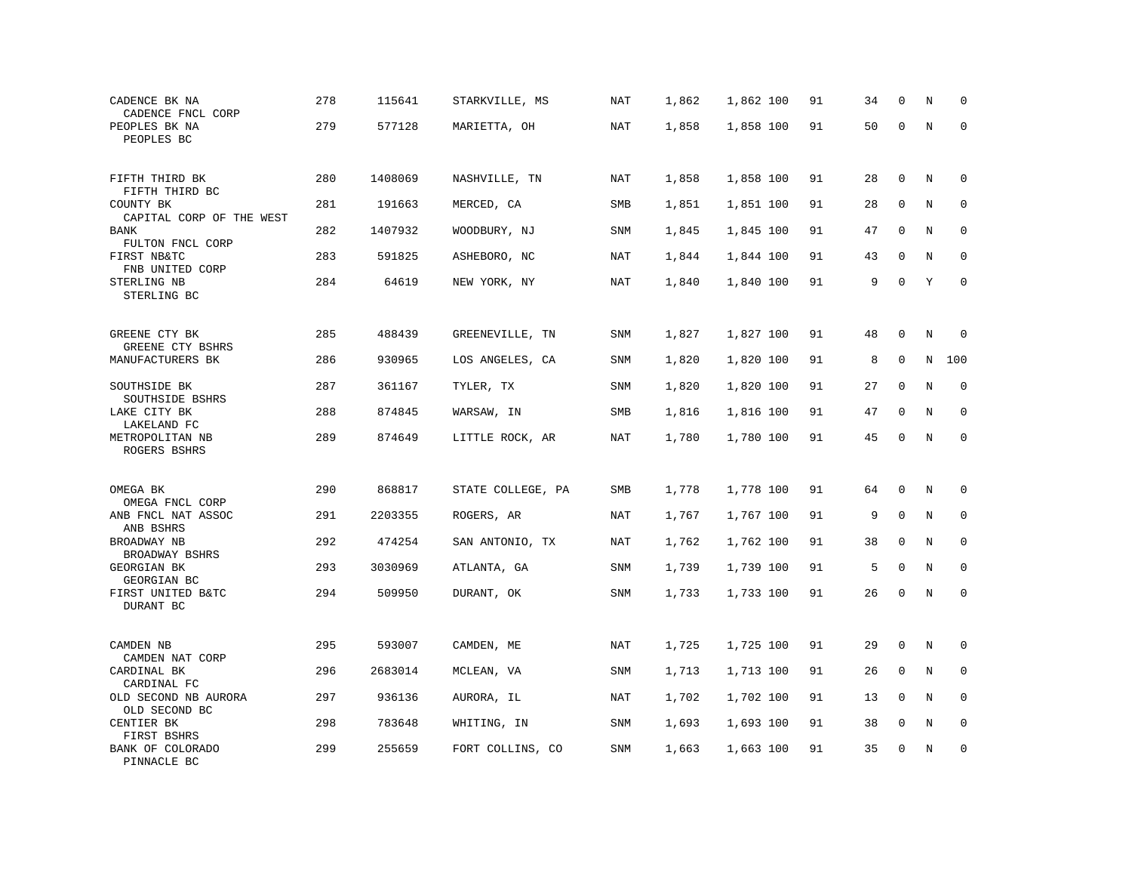| CADENCE BK NA<br>CADENCE FNCL CORP<br>PEOPLES BK NA | 278 | 115641  | STARKVILLE, MS    | <b>NAT</b> | 1,862 | 1,862 100 | 91 | 34 | $\mathbf 0$  | N       | $\mathbf 0$ |
|-----------------------------------------------------|-----|---------|-------------------|------------|-------|-----------|----|----|--------------|---------|-------------|
| PEOPLES BC                                          | 279 | 577128  | MARIETTA, OH      | NAT        | 1,858 | 1,858 100 | 91 | 50 | $\mathbf 0$  | $\rm N$ | $\mathbf 0$ |
| FIFTH THIRD BK<br>FIFTH THIRD BC                    | 280 | 1408069 | NASHVILLE, TN     | NAT        | 1,858 | 1,858 100 | 91 | 28 | $\mathbf 0$  | N       | 0           |
| COUNTY BK<br>CAPITAL CORP OF THE WEST               | 281 | 191663  | MERCED, CA        | SMB        | 1,851 | 1,851 100 | 91 | 28 | 0            | N       | 0           |
| <b>BANK</b><br>FULTON FNCL CORP                     | 282 | 1407932 | WOODBURY, NJ      | <b>SNM</b> | 1,845 | 1,845 100 | 91 | 47 | $\mathbf{0}$ | N       | $\mathbf 0$ |
| FIRST NB&TC<br>FNB UNITED CORP                      | 283 | 591825  | ASHEBORO, NC      | NAT        | 1,844 | 1,844 100 | 91 | 43 | $\mathbf 0$  | N       | $\mathbf 0$ |
| STERLING NB<br>STERLING BC                          | 284 | 64619   | NEW YORK, NY      | NAT        | 1,840 | 1,840 100 | 91 | 9  | $\mathbf{0}$ | Y       | $\mathbf 0$ |
| GREENE CTY BK<br>GREENE CTY BSHRS                   | 285 | 488439  | GREENEVILLE, TN   | SNM        | 1,827 | 1,827 100 | 91 | 48 | 0            | N       | 0           |
| MANUFACTURERS BK                                    | 286 | 930965  | LOS ANGELES, CA   | SNM        | 1,820 | 1,820 100 | 91 | 8  | 0            | N       | 100         |
| SOUTHSIDE BK<br>SOUTHSIDE BSHRS                     | 287 | 361167  | TYLER, TX         | SNM        | 1,820 | 1,820 100 | 91 | 27 | $\mathbf 0$  | $\rm N$ | $\mathbf 0$ |
| LAKE CITY BK<br>LAKELAND FC                         | 288 | 874845  | WARSAW, IN        | SMB        | 1,816 | 1,816 100 | 91 | 47 | $\mathbf 0$  | N       | $\mathbf 0$ |
| METROPOLITAN NB<br>ROGERS BSHRS                     | 289 | 874649  | LITTLE ROCK, AR   | <b>NAT</b> | 1,780 | 1,780 100 | 91 | 45 | 0            | $\rm N$ | $\mathbf 0$ |
| OMEGA BK<br>OMEGA FNCL CORP                         | 290 | 868817  | STATE COLLEGE, PA | SMB        | 1,778 | 1,778 100 | 91 | 64 | 0            | Ν       | 0           |
| ANB FNCL NAT ASSOC<br>ANB BSHRS                     | 291 | 2203355 | ROGERS, AR        | NAT        | 1,767 | 1,767 100 | 91 | 9  | $\mathbf{0}$ | N       | $\mathbf 0$ |
| BROADWAY NB<br>BROADWAY BSHRS                       | 292 | 474254  | SAN ANTONIO, TX   | NAT        | 1,762 | 1,762 100 | 91 | 38 | $\mathbf 0$  | N       | 0           |
| GEORGIAN BK<br>GEORGIAN BC                          | 293 | 3030969 | ATLANTA, GA       | SNM        | 1,739 | 1,739 100 | 91 | 5  | $\mathbf 0$  | N       | $\mathbf 0$ |
| FIRST UNITED B&TC<br>DURANT BC                      | 294 | 509950  | DURANT, OK        | SNM        | 1,733 | 1,733 100 | 91 | 26 | $\mathbf 0$  | N       | $\mathbf 0$ |
| CAMDEN NB<br>CAMDEN NAT CORP                        | 295 | 593007  | CAMDEN, ME        | NAT        | 1,725 | 1,725 100 | 91 | 29 | 0            | N       | 0           |
| CARDINAL BK<br>CARDINAL FC                          | 296 | 2683014 | MCLEAN, VA        | SNM        | 1,713 | 1,713 100 | 91 | 26 | 0            | Ν       | 0           |
| OLD SECOND NB AURORA<br>OLD SECOND BC               | 297 | 936136  | AURORA, IL        | NAT        | 1,702 | 1,702 100 | 91 | 13 | $\mathbf 0$  | N       | $\mathbf 0$ |
| CENTIER BK<br>FIRST BSHRS                           | 298 | 783648  | WHITING, IN       | SNM        | 1,693 | 1,693 100 | 91 | 38 | 0            | Ν       | 0           |
| BANK OF COLORADO<br>PINNACLE BC                     | 299 | 255659  | FORT COLLINS, CO  | SNM        | 1,663 | 1,663 100 | 91 | 35 | $\mathbf 0$  | N       | $\mathbf 0$ |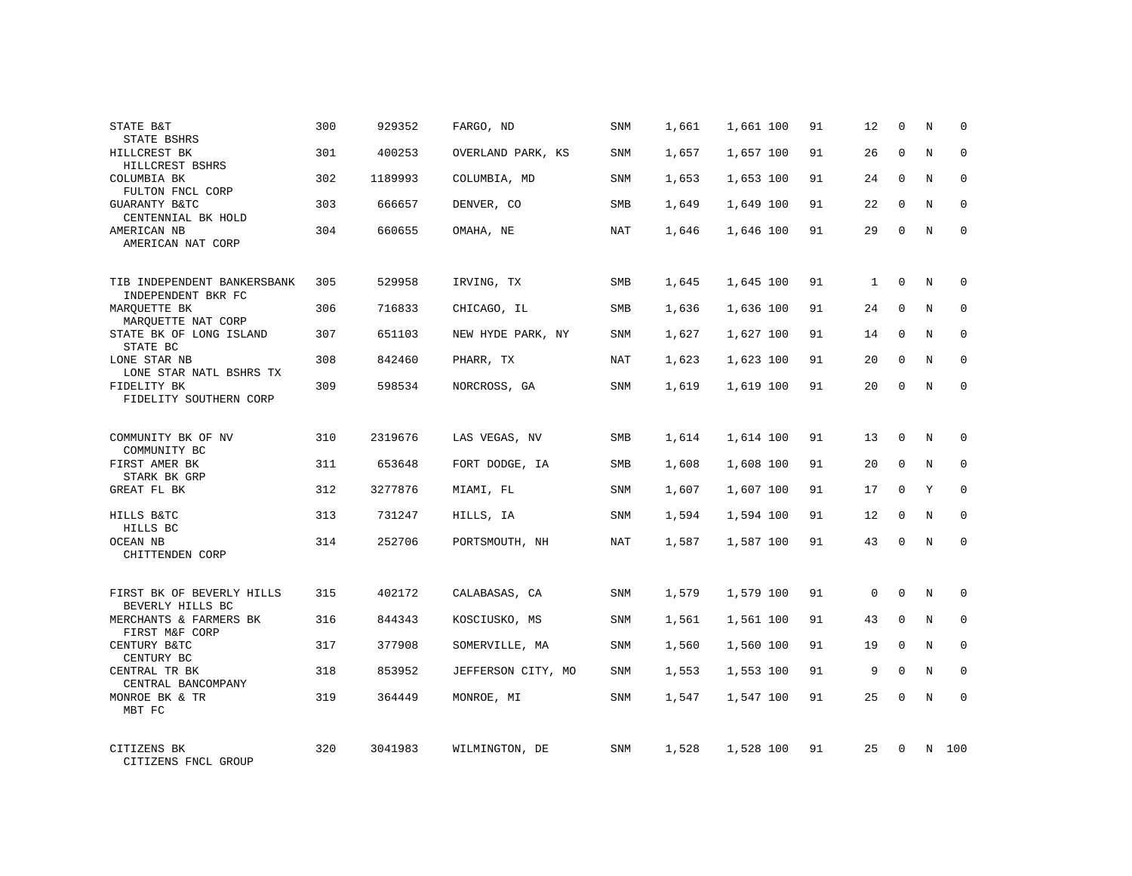| STATE B&T<br><b>STATE BSHRS</b>                           | 300 | 929352  | FARGO, ND          | SNM        | 1,661 | 1,661 100 | 91 | 12           | 0           | Ν | $\mathbf 0$ |
|-----------------------------------------------------------|-----|---------|--------------------|------------|-------|-----------|----|--------------|-------------|---|-------------|
| HILLCREST BK<br>HILLCREST BSHRS                           | 301 | 400253  | OVERLAND PARK, KS  | <b>SNM</b> | 1,657 | 1,657 100 | 91 | 26           | $\mathbf 0$ | N | $\mathbf 0$ |
| COLUMBIA BK<br>FULTON FNCL CORP                           | 302 | 1189993 | COLUMBIA, MD       | <b>SNM</b> | 1,653 | 1,653 100 | 91 | 24           | $\Omega$    | N | $\mathbf 0$ |
| <b>GUARANTY B&amp;TC</b><br>CENTENNIAL BK HOLD            | 303 | 666657  | DENVER, CO         | SMB        | 1,649 | 1,649 100 | 91 | 22           | 0           | N | 0           |
| AMERICAN NB<br>AMERICAN NAT CORP                          | 304 | 660655  | OMAHA, NE          | NAT        | 1,646 | 1,646 100 | 91 | 29           | $\Omega$    | N | $\mathbf 0$ |
| TIB INDEPENDENT BANKERSBANK                               | 305 | 529958  | IRVING, TX         | <b>SMB</b> | 1,645 | 1,645 100 | 91 | $\mathbf{1}$ | 0           | N | $\mathbf 0$ |
| INDEPENDENT BKR FC<br>MAROUETTE BK                        | 306 | 716833  | CHICAGO, IL        | <b>SMB</b> | 1,636 | 1,636 100 | 91 | 24           | $\mathbf 0$ | N | $\mathbf 0$ |
| MARQUETTE NAT CORP<br>STATE BK OF LONG ISLAND<br>STATE BC | 307 | 651103  | NEW HYDE PARK, NY  | SNM        | 1,627 | 1,627 100 | 91 | 14           | 0           | N | $\mathbf 0$ |
| LONE STAR NB<br>LONE STAR NATL BSHRS TX                   | 308 | 842460  | PHARR, TX          | NAT        | 1,623 | 1,623 100 | 91 | 20           | $\mathbf 0$ | N | $\mathbf 0$ |
| FIDELITY BK<br>FIDELITY SOUTHERN CORP                     | 309 | 598534  | NORCROSS, GA       | SNM        | 1,619 | 1,619 100 | 91 | 20           | 0           | N | $\mathbf 0$ |
| COMMUNITY BK OF NV<br>COMMUNITY BC                        | 310 | 2319676 | LAS VEGAS, NV      | <b>SMB</b> | 1,614 | 1,614 100 | 91 | 13           | $\mathbf 0$ | N | $\mathbf 0$ |
| FIRST AMER BK<br>STARK BK GRP                             | 311 | 653648  | FORT DODGE, IA     | SMB        | 1,608 | 1,608 100 | 91 | 20           | 0           | N | 0           |
| GREAT FL BK                                               | 312 | 3277876 | MIAMI, FL          | <b>SNM</b> | 1,607 | 1,607 100 | 91 | 17           | $\Omega$    | Y | $\mathbf 0$ |
| HILLS B&TC<br>HILLS BC                                    | 313 | 731247  | HILLS, IA          | SNM        | 1,594 | 1,594 100 | 91 | 12           | 0           | N | 0           |
| OCEAN NB<br>CHITTENDEN CORP                               | 314 | 252706  | PORTSMOUTH, NH     | NAT        | 1,587 | 1,587 100 | 91 | 43           | $\Omega$    | N | $\mathbf 0$ |
| FIRST BK OF BEVERLY HILLS<br>BEVERLY HILLS BC             | 315 | 402172  | CALABASAS, CA      | SNM        | 1,579 | 1,579 100 | 91 | 0            | 0           | N | $\mathbf 0$ |
| MERCHANTS & FARMERS BK<br>FIRST M&F CORP                  | 316 | 844343  | KOSCIUSKO, MS      | <b>SNM</b> | 1,561 | 1,561 100 | 91 | 43           | $\mathbf 0$ | N | 0           |
| CENTURY B&TC<br>CENTURY BC                                | 317 | 377908  | SOMERVILLE, MA     | SNM        | 1,560 | 1,560 100 | 91 | 19           | 0           | N | 0           |
| CENTRAL TR BK<br>CENTRAL BANCOMPANY                       | 318 | 853952  | JEFFERSON CITY, MO | SNM        | 1,553 | 1,553 100 | 91 | 9            | $\mathbf 0$ | N | $\mathbf 0$ |
| MONROE BK & TR<br>MBT FC                                  | 319 | 364449  | MONROE, MI         | <b>SNM</b> | 1,547 | 1,547 100 | 91 | 25           | $\Omega$    | N | $\mathbf 0$ |
| CITIZENS BK<br>CITIZENS FNCL GROUP                        | 320 | 3041983 | WILMINGTON, DE     | SNM        | 1,528 | 1,528 100 | 91 | 25           | $\Omega$    | N | 100         |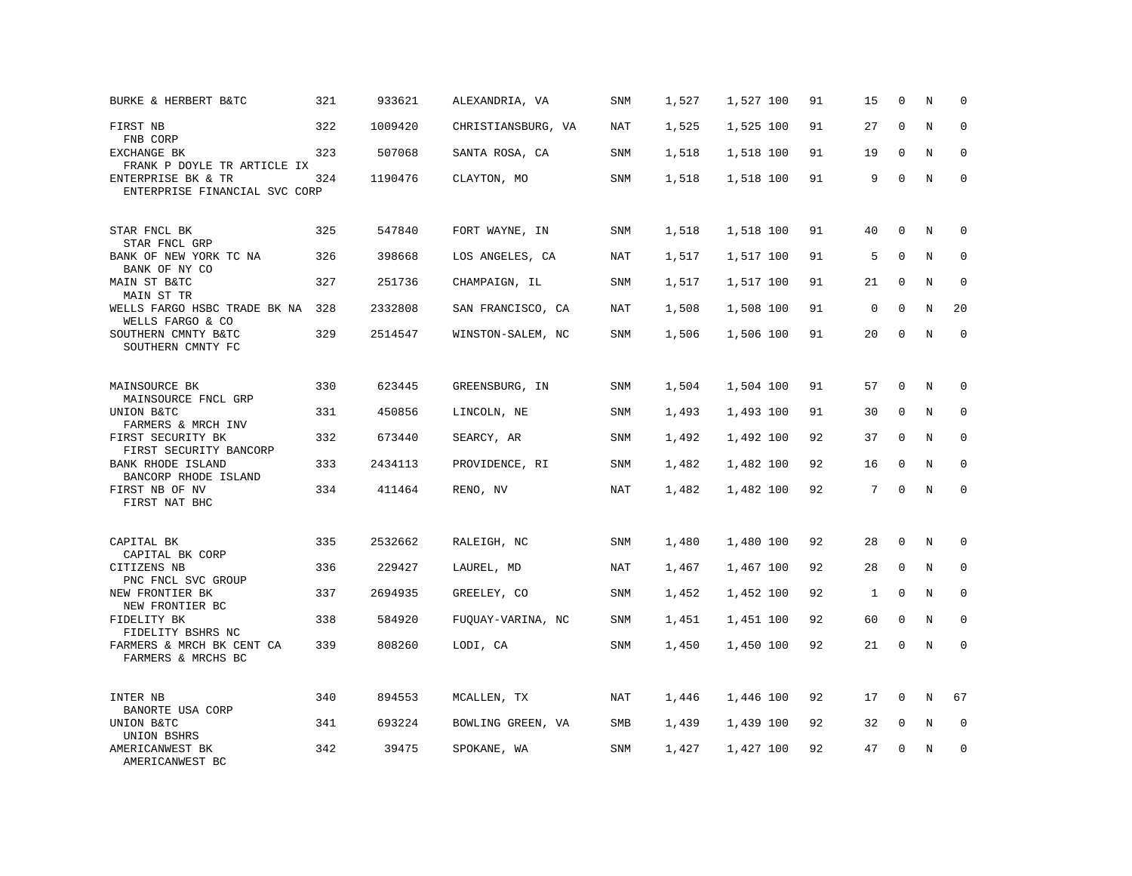| BURKE & HERBERT B&TC                                | 321 | 933621  | ALEXANDRIA, VA     | SNM        | 1,527 | 1,527 100 | 91 | 15           | $\mathbf 0$ | N       | $\mathbf 0$  |
|-----------------------------------------------------|-----|---------|--------------------|------------|-------|-----------|----|--------------|-------------|---------|--------------|
| FIRST NB<br>FNB CORP                                | 322 | 1009420 | CHRISTIANSBURG, VA | NAT        | 1,525 | 1,525 100 | 91 | 27           | $\mathbf 0$ | N       | $\mathbf 0$  |
| EXCHANGE BK<br>FRANK P DOYLE TR ARTICLE IX          | 323 | 507068  | SANTA ROSA, CA     | SNM        | 1,518 | 1,518 100 | 91 | 19           | $\mathbf 0$ | N       | 0            |
| ENTERPRISE BK & TR<br>ENTERPRISE FINANCIAL SVC CORP | 324 | 1190476 | CLAYTON, MO        | SNM        | 1,518 | 1,518 100 | 91 | 9            | $\mathbf 0$ | N       | $\mathbf{0}$ |
| STAR FNCL BK<br>STAR FNCL GRP                       | 325 | 547840  | FORT WAYNE, IN     | <b>SNM</b> | 1,518 | 1,518 100 | 91 | 40           | $\mathbf 0$ | $\rm N$ | 0            |
| BANK OF NEW YORK TC NA<br>BANK OF NY CO             | 326 | 398668  | LOS ANGELES, CA    | NAT        | 1,517 | 1,517 100 | 91 | 5            | $\mathbf 0$ | N       | $\mathbf 0$  |
| MAIN ST B&TC<br>MAIN ST TR                          | 327 | 251736  | CHAMPAIGN, IL      | SNM        | 1,517 | 1,517 100 | 91 | 21           | $\mathbf 0$ | N       | $\mathbf 0$  |
| WELLS FARGO HSBC TRADE BK NA<br>WELLS FARGO & CO    | 328 | 2332808 | SAN FRANCISCO, CA  | NAT        | 1,508 | 1,508 100 | 91 | $\mathbf 0$  | $\mathbf 0$ | N       | 20           |
| SOUTHERN CMNTY B&TC<br>SOUTHERN CMNTY FC            | 329 | 2514547 | WINSTON-SALEM, NC  | SNM        | 1,506 | 1,506 100 | 91 | 20           | $\Omega$    | N       | $\mathbf 0$  |
| MAINSOURCE BK<br>MAINSOURCE FNCL GRP                | 330 | 623445  | GREENSBURG, IN     | SNM        | 1,504 | 1,504 100 | 91 | 57           | $\mathbf 0$ | N       | 0            |
| UNION B&TC<br>FARMERS & MRCH INV                    | 331 | 450856  | LINCOLN, NE        | <b>SNM</b> | 1,493 | 1,493 100 | 91 | 30           | $\mathbf 0$ | N       | $\mathbf 0$  |
| FIRST SECURITY BK<br>FIRST SECURITY BANCORP         | 332 | 673440  | SEARCY, AR         | SNM        | 1,492 | 1,492 100 | 92 | 37           | $\mathbf 0$ | N       | $\mathbf 0$  |
| BANK RHODE ISLAND<br>BANCORP RHODE ISLAND           | 333 | 2434113 | PROVIDENCE, RI     | SNM        | 1,482 | 1,482 100 | 92 | 16           | $\Omega$    | N       | $\Omega$     |
| FIRST NB OF NV<br>FIRST NAT BHC                     | 334 | 411464  | RENO, NV           | NAT        | 1,482 | 1,482 100 | 92 | 7            | $\mathbf 0$ | N       | $\mathbf 0$  |
| CAPITAL BK<br>CAPITAL BK CORP                       | 335 | 2532662 | RALEIGH, NC        | SNM        | 1,480 | 1,480 100 | 92 | 28           | 0           | N       | 0            |
| CITIZENS NB<br>PNC FNCL SVC GROUP                   | 336 | 229427  | LAUREL, MD         | NAT        | 1,467 | 1,467 100 | 92 | 28           | $\mathbf 0$ | N       | $\mathbf{0}$ |
| NEW FRONTIER BK<br>NEW FRONTIER BC                  | 337 | 2694935 | GREELEY, CO        | SNM        | 1,452 | 1,452 100 | 92 | $\mathbf{1}$ | 0           | N       | 0            |
| FIDELITY BK<br>FIDELITY BSHRS NC                    | 338 | 584920  | FUQUAY-VARINA, NC  | <b>SNM</b> | 1,451 | 1,451 100 | 92 | 60           | $\mathbf 0$ | N       | $\mathbf 0$  |
| FARMERS & MRCH BK CENT CA<br>FARMERS & MRCHS BC     | 339 | 808260  | LODI, CA           | SNM        | 1,450 | 1,450 100 | 92 | 21           | $\mathbf 0$ | N       | $\mathbf 0$  |
| INTER NB<br>BANORTE USA CORP                        | 340 | 894553  | MCALLEN, TX        | NAT        | 1,446 | 1,446 100 | 92 | 17           | 0           | N       | 67           |
| UNION B&TC<br>UNION BSHRS                           | 341 | 693224  | BOWLING GREEN, VA  | SMB        | 1,439 | 1,439 100 | 92 | 32           | 0           | Ν       | 0            |
| AMERICANWEST BK<br>AMERICANWEST BC                  | 342 | 39475   | SPOKANE, WA        | SNM        | 1,427 | 1,427 100 | 92 | 47           | $\mathbf 0$ | N       | $\mathbf 0$  |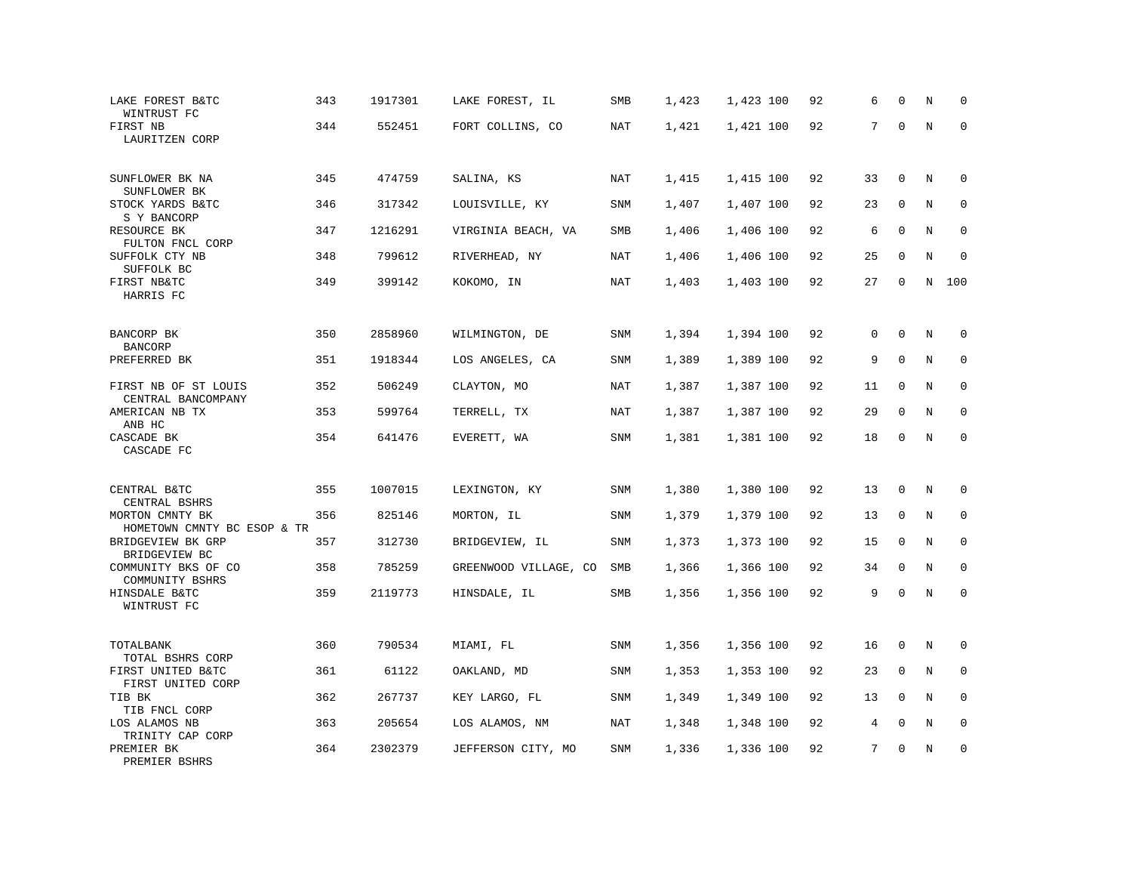| LAKE FOREST B&TC<br>WINTRUST FC                | 343 | 1917301 | LAKE FOREST, IL       | SMB        | 1,423 | 1,423 100 | 92 | 6           | $\mathbf 0$  | N       | $\mathbf 0$ |
|------------------------------------------------|-----|---------|-----------------------|------------|-------|-----------|----|-------------|--------------|---------|-------------|
| FIRST NB<br>LAURITZEN CORP                     | 344 | 552451  | FORT COLLINS, CO      | <b>NAT</b> | 1,421 | 1,421 100 | 92 | 7           | $\mathbf 0$  | $\rm N$ | $\mathbf 0$ |
| SUNFLOWER BK NA<br>SUNFLOWER BK                | 345 | 474759  | SALINA, KS            | NAT        | 1,415 | 1,415 100 | 92 | 33          | $\mathbf 0$  | N       | 0           |
| STOCK YARDS B&TC<br>S Y BANCORP                | 346 | 317342  | LOUISVILLE, KY        | SNM        | 1,407 | 1,407 100 | 92 | 23          | $\mathbf 0$  | N       | $\mathbf 0$ |
| RESOURCE BK<br>FULTON FNCL CORP                | 347 | 1216291 | VIRGINIA BEACH, VA    | SMB        | 1,406 | 1,406 100 | 92 | 6           | $\mathbf 0$  | N       | $\mathbf 0$ |
| SUFFOLK CTY NB<br>SUFFOLK BC                   | 348 | 799612  | RIVERHEAD, NY         | NAT        | 1,406 | 1,406 100 | 92 | 25          | $\mathbf 0$  | N       | $\mathbf 0$ |
| FIRST NB&TC<br>HARRIS FC                       | 349 | 399142  | KOKOMO, IN            | NAT        | 1,403 | 1,403 100 | 92 | 27          | 0            | N       | 100         |
| BANCORP BK<br><b>BANCORP</b>                   | 350 | 2858960 | WILMINGTON, DE        | SNM        | 1,394 | 1,394 100 | 92 | $\mathbf 0$ | $\mathbf 0$  | N       | $\mathbf 0$ |
| PREFERRED BK                                   | 351 | 1918344 | LOS ANGELES, CA       | SNM        | 1,389 | 1,389 100 | 92 | 9           | $\mathbf 0$  | N       | 0           |
| FIRST NB OF ST LOUIS<br>CENTRAL BANCOMPANY     | 352 | 506249  | CLAYTON, MO           | <b>NAT</b> | 1,387 | 1,387 100 | 92 | 11          | $\mathbf 0$  | N       | $\mathbf 0$ |
| AMERICAN NB TX<br>ANB HC                       | 353 | 599764  | TERRELL, TX           | NAT        | 1,387 | 1,387 100 | 92 | 29          | $\mathbf 0$  | N       | $\mathbf 0$ |
| CASCADE BK<br>CASCADE FC                       | 354 | 641476  | EVERETT, WA           | SNM        | 1,381 | 1,381 100 | 92 | 18          | $\mathbf 0$  | $\rm N$ | $\mathbf 0$ |
| CENTRAL B&TC<br>CENTRAL BSHRS                  | 355 | 1007015 | LEXINGTON, KY         | SNM        | 1,380 | 1,380 100 | 92 | 13          | $\mathbf 0$  | N       | $\mathbf 0$ |
| MORTON CMNTY BK<br>HOMETOWN CMNTY BC ESOP & TR | 356 | 825146  | MORTON, IL            | SNM        | 1,379 | 1,379 100 | 92 | 13          | $\mathbf 0$  | N       | $\mathbf 0$ |
| BRIDGEVIEW BK GRP<br>BRIDGEVIEW BC             | 357 | 312730  | BRIDGEVIEW, IL        | SNM        | 1,373 | 1,373 100 | 92 | 15          | $\mathbf{0}$ | N       | $\mathbf 0$ |
| COMMUNITY BKS OF CO<br>COMMUNITY BSHRS         | 358 | 785259  | GREENWOOD VILLAGE, CO | SMB        | 1,366 | 1,366 100 | 92 | 34          | 0            | N       | 0           |
| HINSDALE B&TC<br>WINTRUST FC                   | 359 | 2119773 | HINSDALE, IL          | SMB        | 1,356 | 1,356 100 | 92 | 9           | $\mathsf 0$  | $\rm N$ | $\mathbf 0$ |
| TOTALBANK<br>TOTAL BSHRS CORP                  | 360 | 790534  | MIAMI, FL             | <b>SNM</b> | 1,356 | 1,356 100 | 92 | 16          | $\mathbf 0$  | Ν       | 0           |
| FIRST UNITED B&TC<br>FIRST UNITED CORP         | 361 | 61122   | OAKLAND, MD           | SNM        | 1,353 | 1,353 100 | 92 | 23          | $\mathbf 0$  | N       | 0           |
| TIB BK<br>TIB FNCL CORP                        | 362 | 267737  | KEY LARGO, FL         | <b>SNM</b> | 1,349 | 1,349 100 | 92 | 13          | $\mathbf 0$  | N       | $\mathbf 0$ |
| LOS ALAMOS NB<br>TRINITY CAP CORP              | 363 | 205654  | LOS ALAMOS, NM        | NAT        | 1,348 | 1,348 100 | 92 | 4           | $\mathbf 0$  | N       | $\mathbf 0$ |
| PREMIER BK<br>PREMIER BSHRS                    | 364 | 2302379 | JEFFERSON CITY, MO    | SNM        | 1,336 | 1,336 100 | 92 | 7           | $\mathbf{0}$ | N       | $\mathbf 0$ |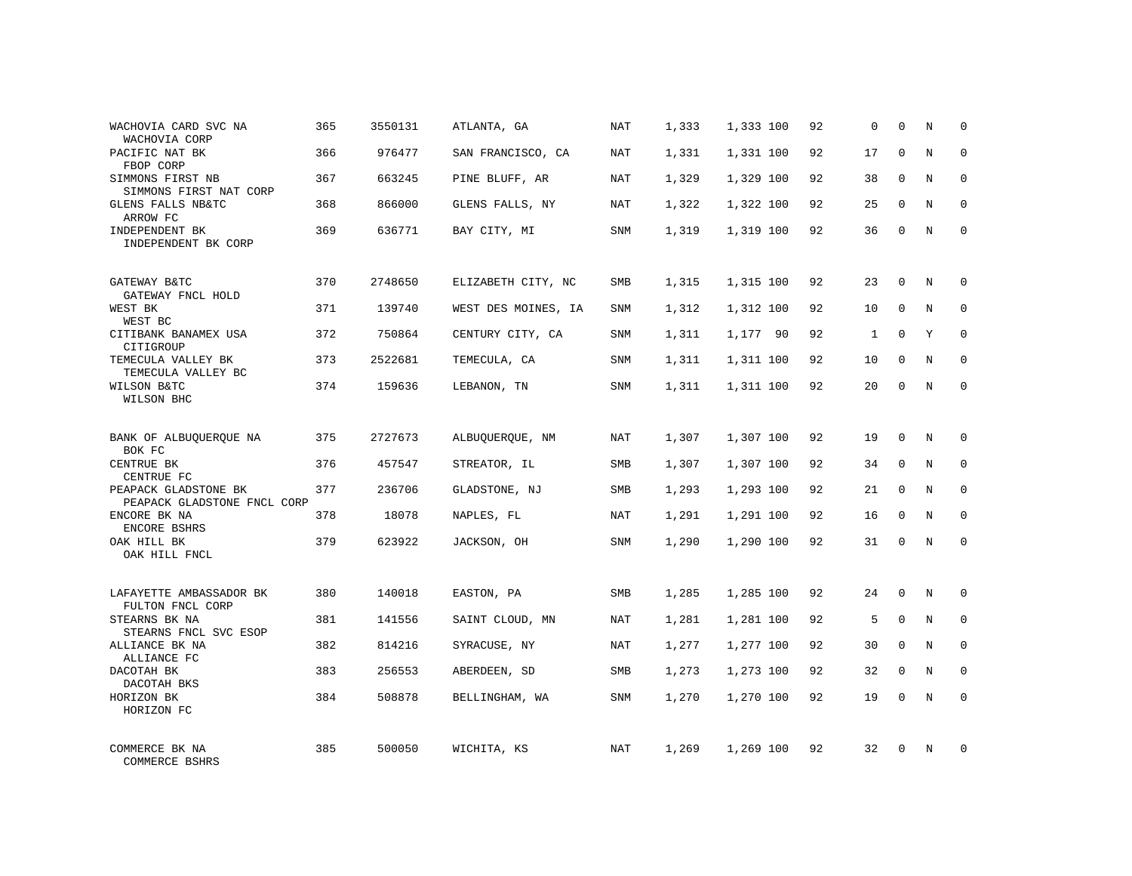| WACHOVIA CARD SVC NA<br>WACHOVIA CORP               | 365 | 3550131 | ATLANTA, GA         | <b>NAT</b> | 1,333 | 1,333 100 | 92 | 0            | $\mathbf 0$ | N | $\mathbf 0$  |
|-----------------------------------------------------|-----|---------|---------------------|------------|-------|-----------|----|--------------|-------------|---|--------------|
| PACIFIC NAT BK<br>FBOP CORP                         | 366 | 976477  | SAN FRANCISCO, CA   | NAT        | 1,331 | 1,331 100 | 92 | 17           | $\Omega$    | N | $\mathbf 0$  |
| SIMMONS FIRST NB<br>SIMMONS FIRST NAT CORP          | 367 | 663245  | PINE BLUFF, AR      | NAT        | 1,329 | 1,329 100 | 92 | 38           | $\mathbf 0$ | N | $\mathbf 0$  |
| GLENS FALLS NB&TC<br>ARROW FC                       | 368 | 866000  | GLENS FALLS, NY     | NAT        | 1,322 | 1,322 100 | 92 | 25           | $\Omega$    | N | $\mathbf 0$  |
| INDEPENDENT BK<br>INDEPENDENT BK CORP               | 369 | 636771  | BAY CITY, MI        | <b>SNM</b> | 1,319 | 1,319 100 | 92 | 36           | $\Omega$    | N | $\Omega$     |
| GATEWAY B&TC<br>GATEWAY FNCL HOLD                   | 370 | 2748650 | ELIZABETH CITY, NC  | <b>SMB</b> | 1,315 | 1,315 100 | 92 | 23           | $\Omega$    | N | $\mathbf 0$  |
| WEST BK<br>WEST BC                                  | 371 | 139740  | WEST DES MOINES, IA | SNM        | 1,312 | 1,312 100 | 92 | 10           | $\mathbf 0$ | N | $\mathbf 0$  |
| CITIBANK BANAMEX USA<br>CITIGROUP                   | 372 | 750864  | CENTURY CITY, CA    | <b>SNM</b> | 1,311 | 1,177 90  | 92 | $\mathbf{1}$ | $\Omega$    | Y | $\mathbf 0$  |
| TEMECULA VALLEY BK<br>TEMECULA VALLEY BC            | 373 | 2522681 | TEMECULA, CA        | SNM        | 1,311 | 1,311 100 | 92 | 10           | $\mathbf 0$ | N | 0            |
| WILSON B&TC<br>WILSON BHC                           | 374 | 159636  | LEBANON, TN         | <b>SNM</b> | 1,311 | 1,311 100 | 92 | 20           | $\Omega$    | N | $\mathbf 0$  |
| BANK OF ALBUQUERQUE NA<br>BOK FC                    | 375 | 2727673 | ALBUQUERQUE, NM     | <b>NAT</b> | 1,307 | 1,307 100 | 92 | 19           | 0           | N | $\mathbf 0$  |
| CENTRUE BK<br>CENTRUE FC                            | 376 | 457547  | STREATOR, IL        | <b>SMB</b> | 1,307 | 1,307 100 | 92 | 34           | $\mathbf 0$ | N | $\mathbf 0$  |
| PEAPACK GLADSTONE BK<br>PEAPACK GLADSTONE FNCL CORP | 377 | 236706  | GLADSTONE, NJ       | SMB        | 1,293 | 1,293 100 | 92 | 21           | 0           | N | $\mathbf 0$  |
| ENCORE BK NA<br>ENCORE BSHRS                        | 378 | 18078   | NAPLES, FL          | NAT        | 1,291 | 1,291 100 | 92 | 16           | $\Omega$    | N | $\mathbf 0$  |
| OAK HILL BK<br>OAK HILL FNCL                        | 379 | 623922  | JACKSON, OH         | SNM        | 1,290 | 1,290 100 | 92 | 31           | 0           | N | $\mathbf 0$  |
| LAFAYETTE AMBASSADOR BK<br>FULTON FNCL CORP         | 380 | 140018  | EASTON, PA          | SMB        | 1,285 | 1,285 100 | 92 | 24           | $\mathbf 0$ | N | 0            |
| STEARNS BK NA<br>STEARNS FNCL SVC ESOP              | 381 | 141556  | SAINT CLOUD, MN     | NAT        | 1,281 | 1,281 100 | 92 | 5            | $\mathbf 0$ | N | 0            |
| ALLIANCE BK NA<br>ALLIANCE FC                       | 382 | 814216  | SYRACUSE, NY        | NAT        | 1,277 | 1,277 100 | 92 | 30           | $\Omega$    | N | $\mathbf{0}$ |
| DACOTAH BK<br>DACOTAH BKS                           | 383 | 256553  | ABERDEEN, SD        | SMB        | 1,273 | 1,273 100 | 92 | 32           | $\mathbf 0$ | N | 0            |
| HORIZON BK<br>HORIZON FC                            | 384 | 508878  | BELLINGHAM, WA      | SNM        | 1,270 | 1,270 100 | 92 | 19           | $\Omega$    | N | $\mathbf 0$  |
| COMMERCE BK NA<br>COMMERCE BSHRS                    | 385 | 500050  | WICHITA, KS         | NAT        | 1,269 | 1,269 100 | 92 | 32           | $\Omega$    | N | $\mathbf 0$  |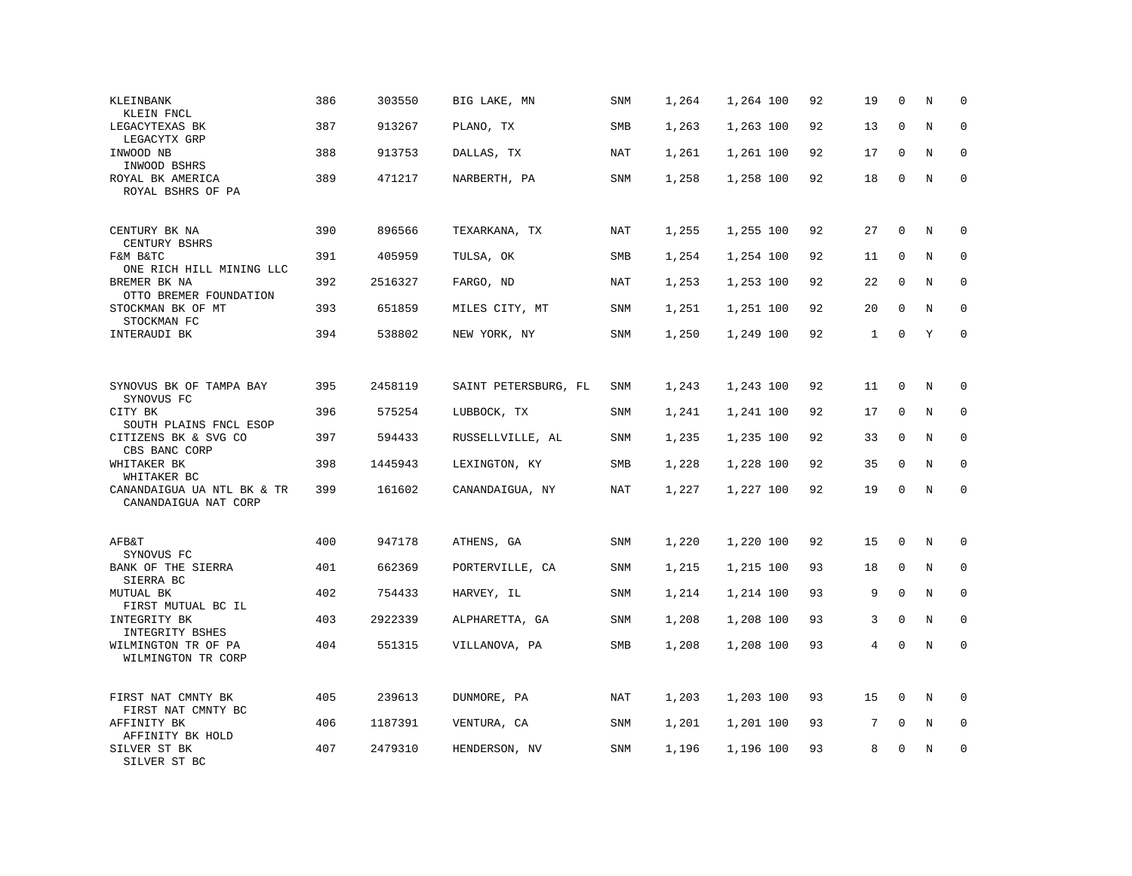| KLEINBANK<br>KLEIN FNCL                               | 386 | 303550  | BIG LAKE, MN         | SNM        | 1,264 | 1,264 100 | 92 | 19           | $\mathbf 0$  | N           | $\mathbf 0$ |
|-------------------------------------------------------|-----|---------|----------------------|------------|-------|-----------|----|--------------|--------------|-------------|-------------|
| LEGACYTEXAS BK<br>LEGACYTX GRP                        | 387 | 913267  | PLANO, TX            | <b>SMB</b> | 1,263 | 1,263 100 | 92 | 13           | $\mathbf 0$  | N           | $\Omega$    |
| INWOOD NB<br>INWOOD BSHRS                             | 388 | 913753  | DALLAS, TX           | NAT        | 1,261 | 1,261 100 | 92 | 17           | $\mathbf 0$  | N           | $\mathbf 0$ |
| ROYAL BK AMERICA<br>ROYAL BSHRS OF PA                 | 389 | 471217  | NARBERTH, PA         | SNM        | 1,258 | 1,258 100 | 92 | 18           | 0            | N           | $\mathbf 0$ |
| CENTURY BK NA<br>CENTURY BSHRS                        | 390 | 896566  | TEXARKANA, TX        | <b>NAT</b> | 1,255 | 1,255 100 | 92 | 27           | 0            | N           | $\mathbf 0$ |
| F&M B&TC<br>ONE RICH HILL MINING LLC                  | 391 | 405959  | TULSA, OK            | SMB        | 1,254 | 1,254 100 | 92 | 11           | $\mathbf{0}$ | $\mathbf N$ | $\mathbf 0$ |
| BREMER BK NA<br>OTTO BREMER FOUNDATION                | 392 | 2516327 | FARGO, ND            | NAT        | 1,253 | 1,253 100 | 92 | 22           | 0            | N           | 0           |
| STOCKMAN BK OF MT<br>STOCKMAN FC                      | 393 | 651859  | MILES CITY, MT       | SNM        | 1,251 | 1,251 100 | 92 | 20           | $\mathbf{0}$ | N           | $\mathbf 0$ |
| INTERAUDI BK                                          | 394 | 538802  | NEW YORK, NY         | SNM        | 1,250 | 1,249 100 | 92 | $\mathbf{1}$ | $\mathbf{0}$ | Y           | $\mathbf 0$ |
|                                                       |     |         |                      |            |       |           |    |              |              |             |             |
| SYNOVUS BK OF TAMPA BAY<br>SYNOVUS FC                 | 395 | 2458119 | SAINT PETERSBURG, FL | SNM        | 1,243 | 1,243 100 | 92 | 11           | 0            | N           | $\mathbf 0$ |
| CITY BK<br>SOUTH PLAINS FNCL ESOP                     | 396 | 575254  | LUBBOCK, TX          | <b>SNM</b> | 1,241 | 1,241 100 | 92 | 17           | $\mathbf{0}$ | N           | $\mathbf 0$ |
| CITIZENS BK & SVG CO<br>CBS BANC CORP                 | 397 | 594433  | RUSSELLVILLE, AL     | SNM        | 1,235 | 1,235 100 | 92 | 33           | $\mathbf{0}$ | N           | 0           |
| WHITAKER BK<br>WHITAKER BC                            | 398 | 1445943 | LEXINGTON, KY        | SMB        | 1,228 | 1,228 100 | 92 | 35           | $\Omega$     | N           | $\mathbf 0$ |
| CANANDAIGUA UA NTL BK & TR<br>CANANDAIGUA NAT CORP    | 399 | 161602  | CANANDAIGUA, NY      | <b>NAT</b> | 1,227 | 1,227 100 | 92 | 19           | $\mathbf 0$  | N           | $\mathbf 0$ |
| AFB&T                                                 | 400 | 947178  | ATHENS, GA           | <b>SNM</b> | 1,220 | 1,220 100 | 92 | 15           | $\mathbf 0$  | $\rm N$     | 0           |
| SYNOVUS FC<br>BANK OF THE SIERRA                      | 401 | 662369  | PORTERVILLE, CA      | <b>SNM</b> | 1,215 | 1,215 100 | 93 | 18           | $\mathbf 0$  | N           | $\mathbf 0$ |
| SIERRA BC<br>MUTUAL BK                                | 402 | 754433  | HARVEY, IL           | <b>SNM</b> | 1,214 | 1,214 100 | 93 | 9            | $\mathbf 0$  | N           | $\mathbf 0$ |
| FIRST MUTUAL BC IL<br>INTEGRITY BK<br>INTEGRITY BSHES | 403 | 2922339 | ALPHARETTA, GA       | SNM        | 1,208 | 1,208 100 | 93 | 3            | $\Omega$     | N           | $\Omega$    |
| WILMINGTON TR OF PA<br>WILMINGTON TR CORP             | 404 | 551315  | VILLANOVA, PA        | SMB        | 1,208 | 1,208 100 | 93 | 4            | $\mathbf 0$  | N           | $\mathbf 0$ |
| FIRST NAT CMNTY BK<br>FIRST NAT CMNTY BC              | 405 | 239613  | DUNMORE, PA          | NAT        | 1,203 | 1,203 100 | 93 | 15           | $\mathbf 0$  | N           | $\mathbf 0$ |
| AFFINITY BK<br>AFFINITY BK HOLD                       | 406 | 1187391 | VENTURA, CA          | SNM        | 1,201 | 1,201 100 | 93 | 7            | $\mathbf 0$  | N           | $\mathbf 0$ |
| SILVER ST BK<br>SILVER ST BC                          | 407 | 2479310 | HENDERSON, NV        | <b>SNM</b> | 1,196 | 1,196 100 | 93 | 8            | $\mathbf 0$  | N           | $\mathbf 0$ |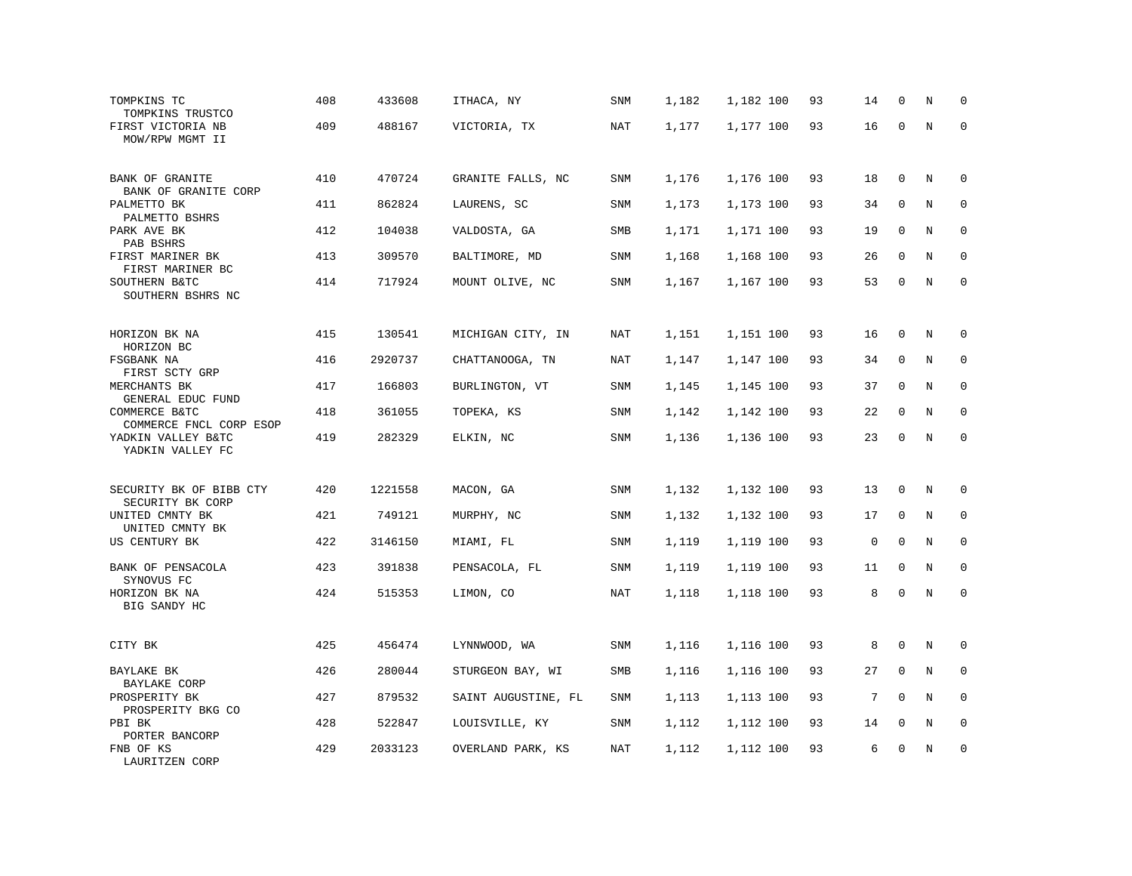| TOMPKINS TC<br>TOMPKINS TRUSTCO                     | 408 | 433608  | ITHACA, NY          | <b>SNM</b> | 1,182 | 1,182 100 | 93 | 14          | $\mathbf 0$  | N       | $\mathbf 0$ |
|-----------------------------------------------------|-----|---------|---------------------|------------|-------|-----------|----|-------------|--------------|---------|-------------|
| FIRST VICTORIA NB<br>MOW/RPW MGMT II                | 409 | 488167  | VICTORIA, TX        | <b>NAT</b> | 1,177 | 1,177 100 | 93 | 16          | $\mathbf 0$  | $\rm N$ | $\mathbf 0$ |
| BANK OF GRANITE<br>BANK OF GRANITE CORP             | 410 | 470724  | GRANITE FALLS, NC   | SNM        | 1,176 | 1,176 100 | 93 | 18          | $\mathbf 0$  | N       | 0           |
| PALMETTO BK<br>PALMETTO BSHRS                       | 411 | 862824  | LAURENS, SC         | SNM        | 1,173 | 1,173 100 | 93 | 34          | $\mathbf 0$  | N       | $\mathbf 0$ |
| PARK AVE BK<br>PAB BSHRS                            | 412 | 104038  | VALDOSTA, GA        | SMB        | 1,171 | 1,171 100 | 93 | 19          | $\mathbf 0$  | N       | $\mathbf 0$ |
| FIRST MARINER BK<br>FIRST MARINER BC                | 413 | 309570  | BALTIMORE, MD       | <b>SNM</b> | 1,168 | 1,168 100 | 93 | 26          | $\mathbf 0$  | N       | $\mathbf 0$ |
| SOUTHERN B&TC<br>SOUTHERN BSHRS NC                  | 414 | 717924  | MOUNT OLIVE, NC     | SNM        | 1,167 | 1,167 100 | 93 | 53          | $\mathbf 0$  | N       | $\mathbf 0$ |
| HORIZON BK NA                                       | 415 | 130541  | MICHIGAN CITY, IN   | NAT        | 1,151 | 1,151 100 | 93 | 16          | $\mathbf 0$  | N       | $\mathbf 0$ |
| HORIZON BC<br>FSGBANK NA                            | 416 | 2920737 | CHATTANOOGA, TN     | NAT        | 1,147 | 1,147 100 | 93 | 34          | 0            | N       | 0           |
| FIRST SCTY GRP<br>MERCHANTS BK<br>GENERAL EDUC FUND | 417 | 166803  | BURLINGTON, VT      | SNM        | 1,145 | 1,145 100 | 93 | 37          | $\mathbf 0$  | N       | $\mathbf 0$ |
| COMMERCE B&TC<br>COMMERCE FNCL CORP ESOP            | 418 | 361055  | TOPEKA, KS          | SNM        | 1,142 | 1,142 100 | 93 | 22          | $\mathbf 0$  | N       | $\mathbf 0$ |
| YADKIN VALLEY B&TC<br>YADKIN VALLEY FC              | 419 | 282329  | ELKIN, NC           | <b>SNM</b> | 1,136 | 1,136 100 | 93 | 23          | $\mathbf 0$  | $\rm N$ | $\mathbf 0$ |
| SECURITY BK OF BIBB CTY                             | 420 | 1221558 | MACON, GA           | SNM        | 1,132 | 1,132 100 | 93 | 13          | $\mathbf 0$  | N       | $\mathbf 0$ |
| SECURITY BK CORP<br>UNITED CMNTY BK                 | 421 | 749121  | MURPHY, NC          | SNM        | 1,132 | 1,132 100 | 93 | 17          | $\mathbf 0$  | N       | $\mathbf 0$ |
| UNITED CMNTY BK<br>US CENTURY BK                    | 422 | 3146150 | MIAMI, FL           | <b>SNM</b> | 1,119 | 1,119 100 | 93 | $\mathsf 0$ | $\mathbf{0}$ | N       | $\mathbf 0$ |
| BANK OF PENSACOLA<br>SYNOVUS FC                     | 423 | 391838  | PENSACOLA, FL       | SNM        | 1,119 | 1,119 100 | 93 | 11          | 0            | N       | 0           |
| HORIZON BK NA<br>BIG SANDY HC                       | 424 | 515353  | LIMON, CO           | NAT        | 1,118 | 1,118 100 | 93 | 8           | $\mathbf 0$  | $\rm N$ | $\mathbf 0$ |
| CITY BK                                             | 425 | 456474  | LYNNWOOD, WA        | <b>SNM</b> | 1,116 | 1,116 100 | 93 | 8           | $\mathbf 0$  | $\rm N$ | 0           |
| BAYLAKE BK                                          | 426 | 280044  | STURGEON BAY, WI    | SMB        | 1,116 | 1,116 100 | 93 | 27          | $\mathbf 0$  | N       | 0           |
| BAYLAKE CORP<br>PROSPERITY BK                       | 427 | 879532  | SAINT AUGUSTINE, FL | SNM        | 1,113 | 1,113 100 | 93 | 7           | $\Omega$     | N       | $\mathbf 0$ |
| PROSPERITY BKG CO<br>PBI BK<br>PORTER BANCORP       | 428 | 522847  | LOUISVILLE, KY      | SNM        | 1,112 | 1,112 100 | 93 | 14          | $\mathbf 0$  | N       | $\mathbf 0$ |
| FNB OF KS<br>LAURITZEN CORP                         | 429 | 2033123 | OVERLAND PARK, KS   | <b>NAT</b> | 1,112 | 1,112 100 | 93 | 6           | $\mathbf 0$  | N       | $\mathbf 0$ |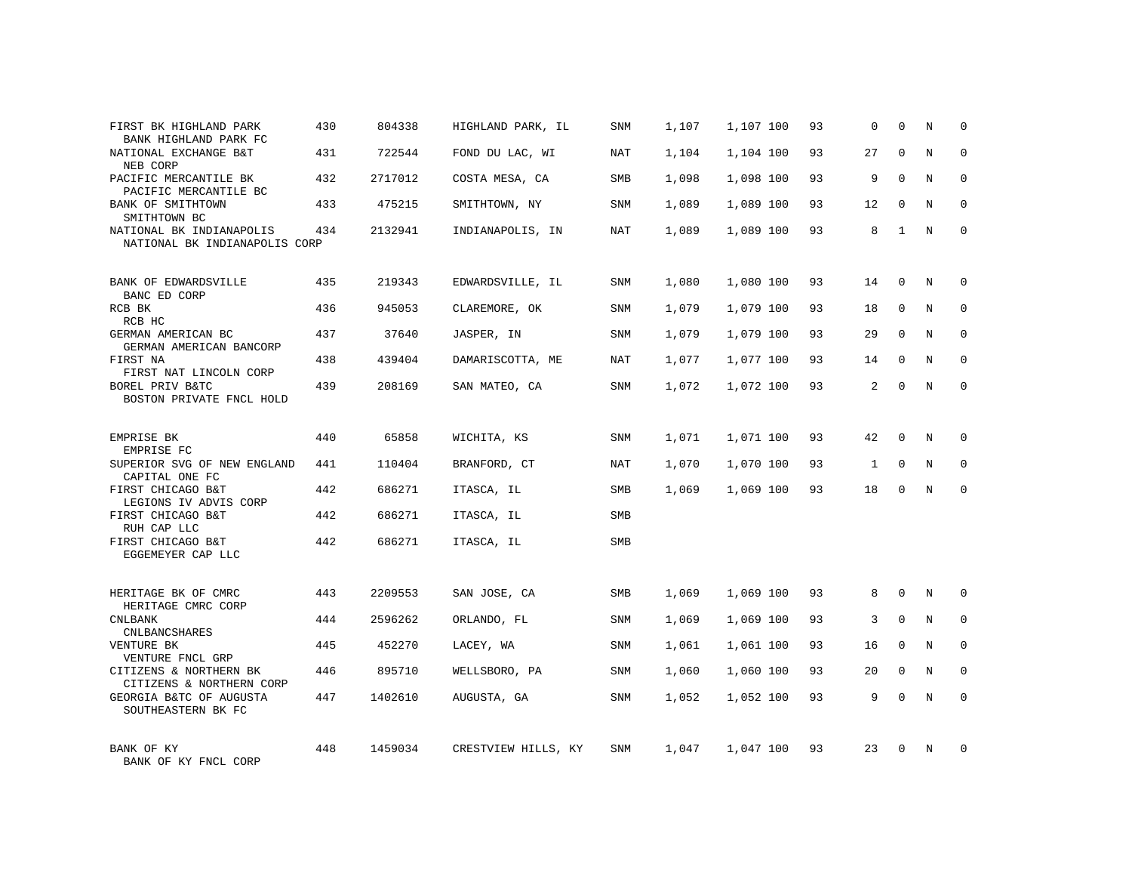| FIRST BK HIGHLAND PARK<br>BANK HIGHLAND PARK FC                           | 430 | 804338  | HIGHLAND PARK, IL   | SNM        | 1,107 | 1,107 100 | 93 | 0            | $\Omega$     | N | $\Omega$    |
|---------------------------------------------------------------------------|-----|---------|---------------------|------------|-------|-----------|----|--------------|--------------|---|-------------|
| NATIONAL EXCHANGE B&T<br>NEB CORP                                         | 431 | 722544  | FOND DU LAC, WI     | NAT        | 1,104 | 1,104 100 | 93 | 27           | $\Omega$     | N | $\Omega$    |
| PACIFIC MERCANTILE BK<br>PACIFIC MERCANTILE BC                            | 432 | 2717012 | COSTA MESA, CA      | SMB        | 1,098 | 1,098 100 | 93 | 9            | $\Omega$     | N | $\Omega$    |
| BANK OF SMITHTOWN<br>SMITHTOWN BC                                         | 433 | 475215  | SMITHTOWN, NY       | <b>SNM</b> | 1,089 | 1,089 100 | 93 | 12           | $\mathbf 0$  | N | $\mathbf 0$ |
| NATIONAL BK INDIANAPOLIS<br>NATIONAL BK INDIANAPOLIS CORP                 | 434 | 2132941 | INDIANAPOLIS, IN    | NAT        | 1,089 | 1,089 100 | 93 | 8            | $\mathbf{1}$ | N | $\Omega$    |
|                                                                           |     |         |                     |            |       |           |    |              |              |   |             |
| BANK OF EDWARDSVILLE<br>BANC ED CORP                                      | 435 | 219343  | EDWARDSVILLE, IL    | <b>SNM</b> | 1,080 | 1,080 100 | 93 | 14           | $\Omega$     | N | $\Omega$    |
| RCB BK<br>RCB HC                                                          | 436 | 945053  | CLAREMORE, OK       | SNM        | 1,079 | 1,079 100 | 93 | 18           | $\mathbf 0$  | N | $\mathbf 0$ |
| GERMAN AMERICAN BC<br>GERMAN AMERICAN BANCORP                             | 437 | 37640   | JASPER, IN          | SNM        | 1,079 | 1,079 100 | 93 | 29           | $\mathbf 0$  | N | $\mathbf 0$ |
| FIRST NA<br>FIRST NAT LINCOLN CORP                                        | 438 | 439404  | DAMARISCOTTA, ME    | NAT        | 1,077 | 1,077 100 | 93 | 14           | $\mathbf 0$  | N | $\mathbf 0$ |
| BOREL PRIV B&TC<br>BOSTON PRIVATE FNCL HOLD                               | 439 | 208169  | SAN MATEO, CA       | SNM        | 1,072 | 1,072 100 | 93 | 2            | $\mathbf 0$  | N | $\mathbf 0$ |
|                                                                           |     |         |                     |            |       |           |    |              |              |   |             |
| EMPRISE BK<br>EMPRISE FC                                                  | 440 | 65858   | WICHITA, KS         | SNM        | 1,071 | 1,071 100 | 93 | 42           | 0            | N | 0           |
| SUPERIOR SVG OF NEW ENGLAND<br>CAPITAL ONE FC                             | 441 | 110404  | BRANFORD, CT        | NAT        | 1,070 | 1,070 100 | 93 | $\mathbf{1}$ | $\mathbf 0$  | N | $\mathbf 0$ |
| FIRST CHICAGO B&T<br>LEGIONS IV ADVIS CORP                                | 442 | 686271  | ITASCA, IL          | SMB        | 1,069 | 1,069 100 | 93 | 18           | $\Omega$     | N | $\mathbf 0$ |
| FIRST CHICAGO B&T<br>RUH CAP LLC                                          | 442 | 686271  | ITASCA, IL          | SMB        |       |           |    |              |              |   |             |
| FIRST CHICAGO B&T<br>EGGEMEYER CAP LLC                                    | 442 | 686271  | ITASCA, IL          | <b>SMB</b> |       |           |    |              |              |   |             |
|                                                                           |     |         |                     |            |       |           |    |              |              |   |             |
| HERITAGE BK OF CMRC<br>HERITAGE CMRC CORP                                 | 443 | 2209553 | SAN JOSE, CA        | SMB        | 1,069 | 1,069 100 | 93 | 8            | $\mathbf 0$  | N | $\mathbf 0$ |
| <b>CNLBANK</b><br><b>CNLBANCSHARES</b>                                    | 444 | 2596262 | ORLANDO, FL         | SNM        | 1,069 | 1,069 100 | 93 | 3            | $\mathbf{0}$ | N | $\mathbf 0$ |
| VENTURE BK<br>VENTURE FNCL GRP                                            | 445 | 452270  | LACEY, WA           | SNM        | 1,061 | 1,061 100 | 93 | 16           | 0            | N | $\mathbf 0$ |
| CITIZENS & NORTHERN BK                                                    | 446 | 895710  | WELLSBORO, PA       | SNM        | 1,060 | 1,060 100 | 93 | 20           | $\mathbf{0}$ | N | $\mathbf 0$ |
| CITIZENS & NORTHERN CORP<br>GEORGIA B&TC OF AUGUSTA<br>SOUTHEASTERN BK FC | 447 | 1402610 | AUGUSTA, GA         | SNM        | 1,052 | 1,052 100 | 93 | 9            | $\mathbf{0}$ | N | $\mathbf 0$ |
|                                                                           | 448 | 1459034 |                     |            |       |           | 93 | 23           | $\Omega$     | N | $\mathbf 0$ |
| BANK OF KY<br>BANK OF KY FNCL CORP                                        |     |         | CRESTVIEW HILLS, KY | <b>SNM</b> | 1,047 | 1,047 100 |    |              |              |   |             |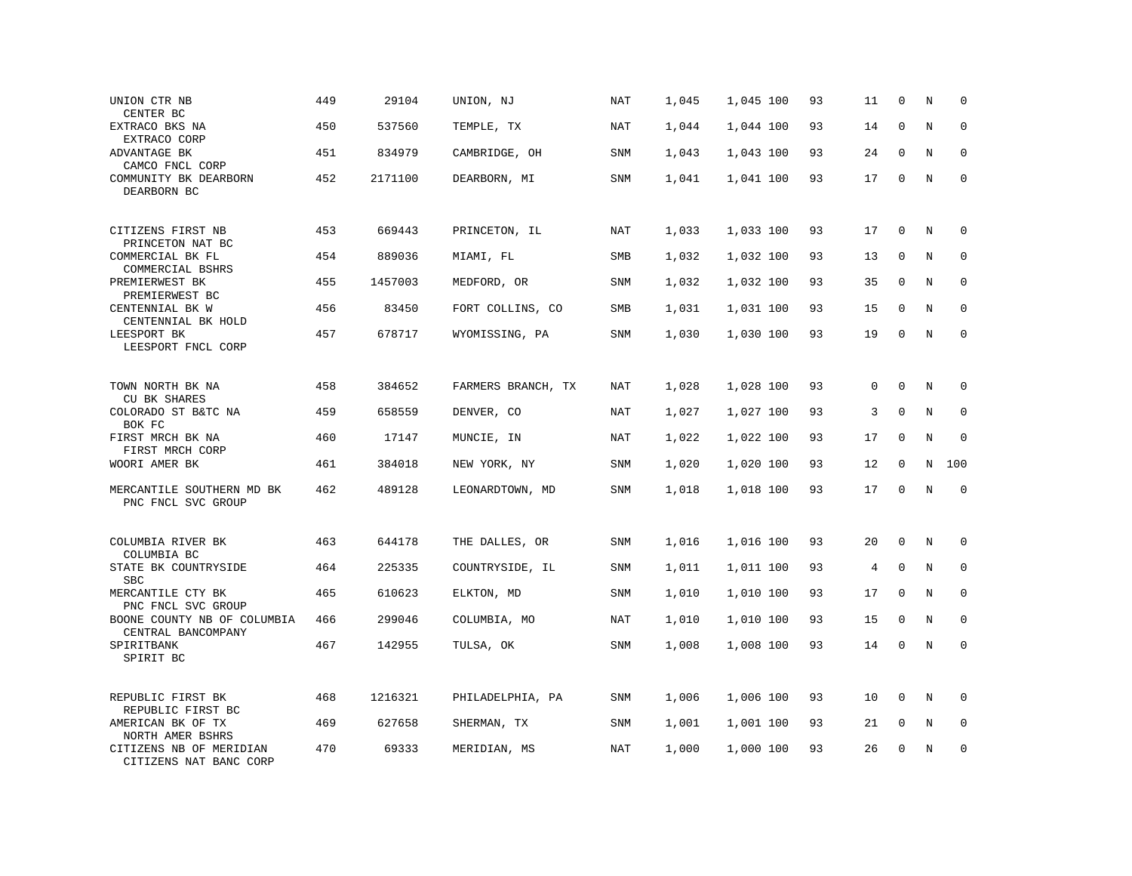| UNION CTR NB<br>CENTER BC                         | 449 | 29104   | UNION, NJ          | <b>NAT</b> | 1,045 | 1,045 100 | 93 | 11 | $\mathbf 0$ | N       | $\mathbf 0$ |
|---------------------------------------------------|-----|---------|--------------------|------------|-------|-----------|----|----|-------------|---------|-------------|
| EXTRACO BKS NA<br>EXTRACO CORP                    | 450 | 537560  | TEMPLE, TX         | NAT        | 1,044 | 1,044 100 | 93 | 14 | $\mathbf 0$ | N       | $\mathbf 0$ |
| ADVANTAGE BK<br>CAMCO FNCL CORP                   | 451 | 834979  | CAMBRIDGE, OH      | SNM        | 1,043 | 1,043 100 | 93 | 24 | $\mathbf 0$ | N       | $\mathbf 0$ |
| COMMUNITY BK DEARBORN<br>DEARBORN BC              | 452 | 2171100 | DEARBORN, MI       | <b>SNM</b> | 1,041 | 1,041 100 | 93 | 17 | $\mathbf 0$ | N       | $\mathbf 0$ |
| CITIZENS FIRST NB<br>PRINCETON NAT BC             | 453 | 669443  | PRINCETON, IL      | <b>NAT</b> | 1,033 | 1,033 100 | 93 | 17 | $\mathbf 0$ | N       | $\mathbf 0$ |
| COMMERCIAL BK FL<br>COMMERCIAL BSHRS              | 454 | 889036  | MIAMI, FL          | <b>SMB</b> | 1,032 | 1,032 100 | 93 | 13 | $\mathbf 0$ | N       | $\mathbf 0$ |
| PREMIERWEST BK<br>PREMIERWEST BC                  | 455 | 1457003 | MEDFORD, OR        | SNM        | 1,032 | 1,032 100 | 93 | 35 | $\mathbf 0$ | N       | $\mathbf 0$ |
| CENTENNIAL BK W<br>CENTENNIAL BK HOLD             | 456 | 83450   | FORT COLLINS, CO   | <b>SMB</b> | 1,031 | 1,031 100 | 93 | 15 | $\Omega$    | N       | $\mathbf 0$ |
| LEESPORT BK<br>LEESPORT FNCL CORP                 | 457 | 678717  | WYOMISSING, PA     | <b>SNM</b> | 1,030 | 1,030 100 | 93 | 19 | $\mathbf 0$ | N       | $\mathbf 0$ |
| TOWN NORTH BK NA<br><b>CU BK SHARES</b>           | 458 | 384652  | FARMERS BRANCH, TX | <b>NAT</b> | 1,028 | 1,028 100 | 93 | 0  | $\mathbf 0$ | N       | 0           |
| COLORADO ST B&TC NA<br>BOK FC                     | 459 | 658559  | DENVER, CO         | <b>NAT</b> | 1,027 | 1,027 100 | 93 | 3  | $\mathbf 0$ | N       | $\mathbf 0$ |
| FIRST MRCH BK NA<br>FIRST MRCH CORP               | 460 | 17147   | MUNCIE, IN         | <b>NAT</b> | 1,022 | 1,022 100 | 93 | 17 | 0           | N       | $\mathbf 0$ |
| WOORI AMER BK                                     | 461 | 384018  | NEW YORK, NY       | SNM        | 1,020 | 1,020 100 | 93 | 12 | $\mathbf 0$ | N       | 100         |
| MERCANTILE SOUTHERN MD BK<br>PNC FNCL SVC GROUP   | 462 | 489128  | LEONARDTOWN, MD    | SNM        | 1,018 | 1,018 100 | 93 | 17 | 0           | $\rm N$ | $\Omega$    |
| COLUMBIA RIVER BK<br>COLUMBIA BC                  | 463 | 644178  | THE DALLES, OR     | SNM        | 1,016 | 1,016 100 | 93 | 20 | $\mathbf 0$ | N       | $\mathbf 0$ |
| STATE BK COUNTRYSIDE<br><b>SBC</b>                | 464 | 225335  | COUNTRYSIDE, IL    | SNM        | 1,011 | 1,011 100 | 93 | 4  | $\mathbf 0$ | N       | 0           |
| MERCANTILE CTY BK<br>PNC FNCL SVC GROUP           | 465 | 610623  | ELKTON, MD         | SNM        | 1,010 | 1,010 100 | 93 | 17 | $\mathbf 0$ | N       | $\mathbf 0$ |
| BOONE COUNTY NB OF COLUMBIA<br>CENTRAL BANCOMPANY | 466 | 299046  | COLUMBIA, MO       | <b>NAT</b> | 1,010 | 1,010 100 | 93 | 15 | $\mathbf 0$ | N       | $\mathbf 0$ |
| SPIRITBANK<br>SPIRIT BC                           | 467 | 142955  | TULSA, OK          | SNM        | 1,008 | 1,008 100 | 93 | 14 | $\mathbf 0$ | N       | $\mathbf 0$ |
| REPUBLIC FIRST BK<br>REPUBLIC FIRST BC            | 468 | 1216321 | PHILADELPHIA, PA   | SNM        | 1,006 | 1,006 100 | 93 | 10 | $\mathbf 0$ | N       | $\mathbf 0$ |
| AMERICAN BK OF TX<br>NORTH AMER BSHRS             | 469 | 627658  | SHERMAN, TX        | SNM        | 1,001 | 1,001 100 | 93 | 21 | 0           | Ν       | 0           |
| CITIZENS NB OF MERIDIAN<br>CITIZENS NAT BANC CORP | 470 | 69333   | MERIDIAN, MS       | NAT        | 1,000 | 1,000 100 | 93 | 26 | $\mathbf 0$ | N       | $\mathbf 0$ |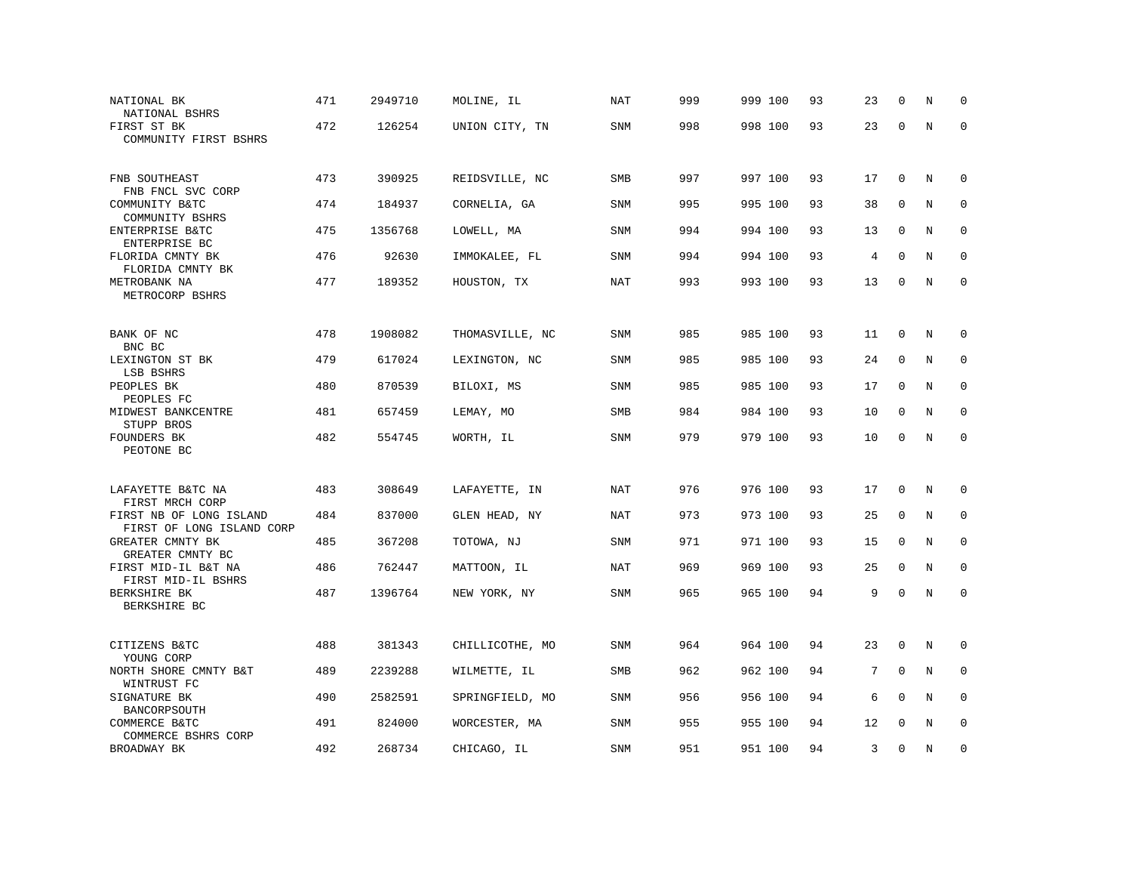| NATIONAL BK<br>NATIONAL BSHRS                        | 471 | 2949710 | MOLINE, IL      | <b>NAT</b> | 999 | 999 100 | 93 | 23 | $\Omega$    | N           | $\Omega$    |
|------------------------------------------------------|-----|---------|-----------------|------------|-----|---------|----|----|-------------|-------------|-------------|
| FIRST ST BK<br>COMMUNITY FIRST BSHRS                 | 472 | 126254  | UNION CITY, TN  | SNM        | 998 | 998 100 | 93 | 23 | $\mathbf 0$ | N           | $\mathbf 0$ |
| FNB SOUTHEAST<br>FNB FNCL SVC CORP                   | 473 | 390925  | REIDSVILLE, NC  | SMB        | 997 | 997 100 | 93 | 17 | $\mathbf 0$ | N           | 0           |
| COMMUNITY B&TC<br>COMMUNITY BSHRS                    | 474 | 184937  | CORNELIA, GA    | SNM        | 995 | 995 100 | 93 | 38 | $\mathbf 0$ | N           | $\mathbf 0$ |
| ENTERPRISE B&TC<br>ENTERPRISE BC                     | 475 | 1356768 | LOWELL, MA      | SNM        | 994 | 994 100 | 93 | 13 | $\mathbf 0$ | N           | 0           |
| FLORIDA CMNTY BK<br>FLORIDA CMNTY BK                 | 476 | 92630   | IMMOKALEE, FL   | SNM        | 994 | 994 100 | 93 | 4  | $\mathbf 0$ | $\mathbf N$ | $\mathbf 0$ |
| METROBANK NA<br>METROCORP BSHRS                      | 477 | 189352  | HOUSTON, TX     | <b>NAT</b> | 993 | 993 100 | 93 | 13 | 0           | N           | $\mathbf 0$ |
| BANK OF NC<br>BNC BC                                 | 478 | 1908082 | THOMASVILLE, NC | SNM        | 985 | 985 100 | 93 | 11 | $\mathbf 0$ | N           | 0           |
| LEXINGTON ST BK<br>LSB BSHRS                         | 479 | 617024  | LEXINGTON, NC   | SNM        | 985 | 985 100 | 93 | 24 | $\mathbf 0$ | N           | 0           |
| PEOPLES BK<br>PEOPLES FC                             | 480 | 870539  | BILOXI, MS      | SNM        | 985 | 985 100 | 93 | 17 | $\mathbf 0$ | N           | 0           |
| MIDWEST BANKCENTRE<br>STUPP BROS                     | 481 | 657459  | LEMAY, MO       | <b>SMB</b> | 984 | 984 100 | 93 | 10 | $\Omega$    | N           | $\mathbf 0$ |
| FOUNDERS BK<br>PEOTONE BC                            | 482 | 554745  | WORTH, IL       | SNM        | 979 | 979 100 | 93 | 10 | $\mathbf 0$ | N           | $\Omega$    |
| LAFAYETTE B&TC NA<br>FIRST MRCH CORP                 | 483 | 308649  | LAFAYETTE, IN   | <b>NAT</b> | 976 | 976 100 | 93 | 17 | 0           | N           | 0           |
| FIRST NB OF LONG ISLAND<br>FIRST OF LONG ISLAND CORP | 484 | 837000  | GLEN HEAD, NY   | NAT        | 973 | 973 100 | 93 | 25 | 0           | N           | 0           |
| GREATER CMNTY BK<br>GREATER CMNTY BC                 | 485 | 367208  | TOTOWA, NJ      | <b>SNM</b> | 971 | 971 100 | 93 | 15 | $\mathbf 0$ | N           | $\mathbf 0$ |
| FIRST MID-IL B&T NA<br>FIRST MID-IL BSHRS            | 486 | 762447  | MATTOON, IL     | <b>NAT</b> | 969 | 969 100 | 93 | 25 | $\mathbf 0$ | N           | $\mathbf 0$ |
| BERKSHIRE BK<br>BERKSHIRE BC                         | 487 | 1396764 | NEW YORK, NY    | <b>SNM</b> | 965 | 965 100 | 94 | 9  | $\mathbf 0$ | N           | $\mathbf 0$ |
| CITIZENS B&TC<br>YOUNG CORP                          | 488 | 381343  | CHILLICOTHE, MO | SNM        | 964 | 964 100 | 94 | 23 | $\mathbf 0$ | N           | 0           |
| NORTH SHORE CMNTY B&T<br>WINTRUST FC                 | 489 | 2239288 | WILMETTE, IL    | SMB        | 962 | 962 100 | 94 | 7  | $\mathbf 0$ | N           | $\mathbf 0$ |
| SIGNATURE BK<br>BANCORPSOUTH                         | 490 | 2582591 | SPRINGFIELD, MO | SNM        | 956 | 956 100 | 94 | 6  | $\mathbf 0$ | N           | $\mathbf 0$ |
| COMMERCE B&TC<br>COMMERCE BSHRS CORP                 | 491 | 824000  | WORCESTER, MA   | <b>SNM</b> | 955 | 955 100 | 94 | 12 | $\Omega$    | N           | $\mathbf 0$ |
| BROADWAY BK                                          | 492 | 268734  | CHICAGO, IL     | SNM        | 951 | 951 100 | 94 | 3  | $\mathbf 0$ | N           | $\mathbf 0$ |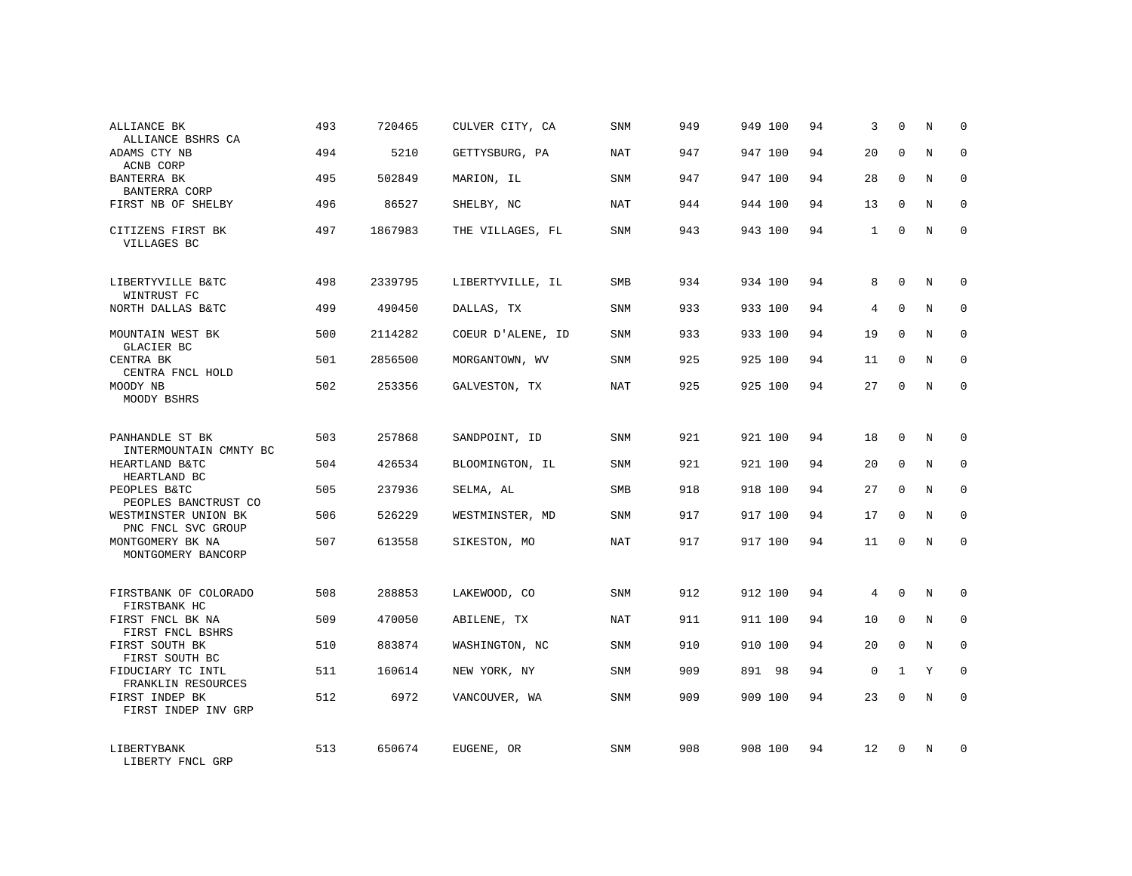| ALLIANCE BK<br>ALLIANCE BSHRS CA           | 493 | 720465  | CULVER CITY, CA   | SNM        | 949 | 949 100 | 94 | 3            | $\mathbf 0$  | N              | $\mathbf 0$ |
|--------------------------------------------|-----|---------|-------------------|------------|-----|---------|----|--------------|--------------|----------------|-------------|
| ADAMS CTY NB<br>ACNB CORP                  | 494 | 5210    | GETTYSBURG, PA    | NAT        | 947 | 947 100 | 94 | 20           | $\Omega$     | N              | $\Omega$    |
| BANTERRA BK<br>BANTERRA CORP               | 495 | 502849  | MARION, IL        | SNM        | 947 | 947 100 | 94 | 28           | $\Omega$     | N              | $\mathbf 0$ |
| FIRST NB OF SHELBY                         | 496 | 86527   | SHELBY, NC        | <b>NAT</b> | 944 | 944 100 | 94 | 13           | $\Omega$     | N              | $\Omega$    |
| CITIZENS FIRST BK<br>VILLAGES BC           | 497 | 1867983 | THE VILLAGES, FL  | SNM        | 943 | 943 100 | 94 | $\mathbf{1}$ | $\Omega$     | N              | $\Omega$    |
| LIBERTYVILLE B&TC                          | 498 | 2339795 | LIBERTYVILLE, IL  | <b>SMB</b> | 934 | 934 100 | 94 | 8            | $\Omega$     | N              | $\Omega$    |
| WINTRUST FC<br>NORTH DALLAS B&TC           | 499 | 490450  | DALLAS, TX        | <b>SNM</b> | 933 | 933 100 | 94 | 4            | $\Omega$     | N              | $\Omega$    |
| MOUNTAIN WEST BK<br>GLACIER BC             | 500 | 2114282 | COEUR D'ALENE, ID | SNM        | 933 | 933 100 | 94 | 19           | $\Omega$     | N              | $\Omega$    |
| CENTRA BK<br>CENTRA FNCL HOLD              | 501 | 2856500 | MORGANTOWN, WV    | <b>SNM</b> | 925 | 925 100 | 94 | 11           | $\Omega$     | N              | $\Omega$    |
| MOODY NB<br>MOODY BSHRS                    | 502 | 253356  | GALVESTON, TX     | NAT        | 925 | 925 100 | 94 | 27           | $\Omega$     | N              | $\Omega$    |
| PANHANDLE ST BK<br>INTERMOUNTAIN CMNTY BC  | 503 | 257868  | SANDPOINT, ID     | <b>SNM</b> | 921 | 921 100 | 94 | 18           | $\mathbf 0$  | N              | $\mathbf 0$ |
| HEARTLAND B&TC<br>HEARTLAND BC             | 504 | 426534  | BLOOMINGTON, IL   | <b>SNM</b> | 921 | 921 100 | 94 | 20           | $\Omega$     | $\overline{N}$ | $\mathbf 0$ |
| PEOPLES B&TC<br>PEOPLES BANCTRUST CO       | 505 | 237936  | SELMA, AL         | <b>SMB</b> | 918 | 918 100 | 94 | 27           | $\Omega$     | N              | $\mathbf 0$ |
| WESTMINSTER UNION BK<br>PNC FNCL SVC GROUP | 506 | 526229  | WESTMINSTER, MD   | SNM        | 917 | 917 100 | 94 | 17           | $\mathbf{0}$ | $\rm N$        | $\mathbf 0$ |
| MONTGOMERY BK NA<br>MONTGOMERY BANCORP     | 507 | 613558  | SIKESTON, MO      | <b>NAT</b> | 917 | 917 100 | 94 | 11           | $\Omega$     | N              | $\mathbf 0$ |
| FIRSTBANK OF COLORADO<br>FIRSTBANK HC      | 508 | 288853  | LAKEWOOD, CO      | <b>SNM</b> | 912 | 912 100 | 94 | 4            | $\Omega$     | N              | $\mathbf 0$ |
| FIRST FNCL BK NA<br>FIRST FNCL BSHRS       | 509 | 470050  | ABILENE, TX       | <b>NAT</b> | 911 | 911 100 | 94 | 10           | $\mathbf 0$  | $\mathbf N$    | $\mathbf 0$ |
| FIRST SOUTH BK<br>FIRST SOUTH BC           | 510 | 883874  | WASHINGTON, NC    | SNM        | 910 | 910 100 | 94 | 20           | $\Omega$     | N              | $\mathbf 0$ |
| FIDUCIARY TC INTL<br>FRANKLIN RESOURCES    | 511 | 160614  | NEW YORK, NY      | SNM        | 909 | 891 98  | 94 | $\mathsf 0$  | $\mathbf{1}$ | Y              | $\mathbf 0$ |
| FIRST INDEP BK<br>FIRST INDEP INV GRP      | 512 | 6972    | VANCOUVER, WA     | SNM        | 909 | 909 100 | 94 | 23           | $\Omega$     | N              | $\mathbf 0$ |
| LIBERTYBANK<br>LIBERTY FNCL GRP            | 513 | 650674  | EUGENE, OR        | <b>SNM</b> | 908 | 908 100 | 94 | 12           | $\Omega$     | N              | $\mathbf 0$ |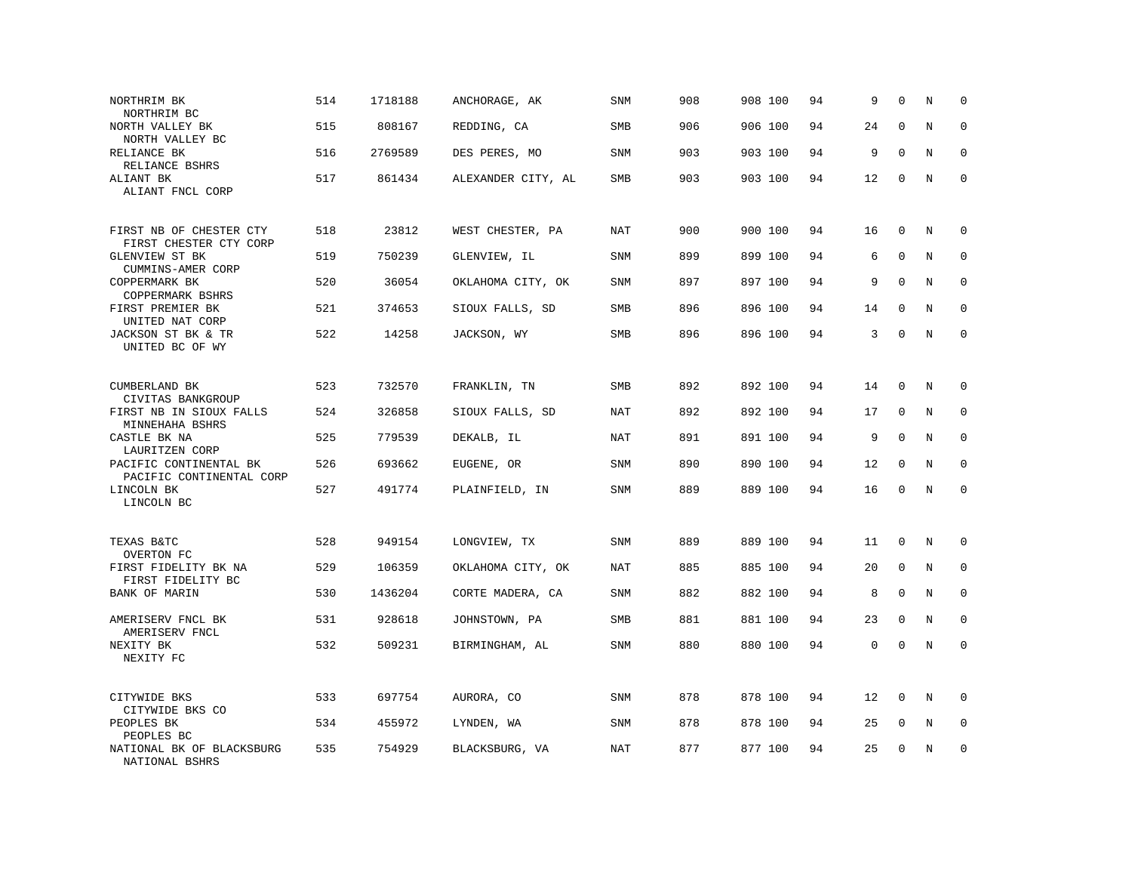| NORTHRIM BK<br>NORTHRIM BC                         | 514 | 1718188 | ANCHORAGE, AK      | SNM        | 908 | 908 100 | 94 | 9  | $\mathbf 0$  | N       | $\mathbf 0$ |
|----------------------------------------------------|-----|---------|--------------------|------------|-----|---------|----|----|--------------|---------|-------------|
| NORTH VALLEY BK<br>NORTH VALLEY BC                 | 515 | 808167  | REDDING, CA        | SMB        | 906 | 906 100 | 94 | 24 | $\mathbf 0$  | $\rm N$ | 0           |
| RELIANCE BK<br>RELIANCE BSHRS                      | 516 | 2769589 | DES PERES, MO      | <b>SNM</b> | 903 | 903 100 | 94 | 9  | $\Omega$     | N       | $\mathbf 0$ |
| ALIANT BK<br>ALIANT FNCL CORP                      | 517 | 861434  | ALEXANDER CITY, AL | SMB        | 903 | 903 100 | 94 | 12 | $\mathbf 0$  | N       | $\mathbf 0$ |
| FIRST NB OF CHESTER CTY<br>FIRST CHESTER CTY CORP  | 518 | 23812   | WEST CHESTER, PA   | <b>NAT</b> | 900 | 900 100 | 94 | 16 | $\mathbf 0$  | N       | 0           |
| GLENVIEW ST BK<br>CUMMINS-AMER CORP                | 519 | 750239  | GLENVIEW, IL       | SNM        | 899 | 899 100 | 94 | 6  | $\mathbf 0$  | N       | $\mathbf 0$ |
| COPPERMARK BK<br>COPPERMARK BSHRS                  | 520 | 36054   | OKLAHOMA CITY, OK  | SNM        | 897 | 897 100 | 94 | 9  | $\Omega$     | N       | $\mathbf 0$ |
| FIRST PREMIER BK<br>UNITED NAT CORP                | 521 | 374653  | SIOUX FALLS, SD    | <b>SMB</b> | 896 | 896 100 | 94 | 14 | $\Omega$     | N       | $\mathbf 0$ |
| JACKSON ST BK & TR<br>UNITED BC OF WY              | 522 | 14258   | JACKSON, WY        | SMB        | 896 | 896 100 | 94 | 3  | $\mathbf 0$  | N       | $\mathbf 0$ |
| CUMBERLAND BK<br>CIVITAS BANKGROUP                 | 523 | 732570  | FRANKLIN, TN       | <b>SMB</b> | 892 | 892 100 | 94 | 14 | $\mathbf 0$  | N       | $\mathbf 0$ |
| FIRST NB IN SIOUX FALLS<br>MINNEHAHA BSHRS         | 524 | 326858  | SIOUX FALLS, SD    | <b>NAT</b> | 892 | 892 100 | 94 | 17 | $\mathbf 0$  | N       | $\mathbf 0$ |
| CASTLE BK NA<br>LAURITZEN CORP                     | 525 | 779539  | DEKALB, IL         | NAT        | 891 | 891 100 | 94 | 9  | $\Omega$     | N       | 0           |
| PACIFIC CONTINENTAL BK<br>PACIFIC CONTINENTAL CORP | 526 | 693662  | EUGENE, OR         | SNM        | 890 | 890 100 | 94 | 12 | $\Omega$     | N       | $\Omega$    |
| LINCOLN BK<br>LINCOLN BC                           | 527 | 491774  | PLAINFIELD, IN     | SNM        | 889 | 889 100 | 94 | 16 | $\mathbf 0$  | N       | $\mathbf 0$ |
| TEXAS B&TC<br>OVERTON FC                           | 528 | 949154  | LONGVIEW, TX       | <b>SNM</b> | 889 | 889 100 | 94 | 11 | $\mathbf{0}$ | N       | $\mathbf 0$ |
| FIRST FIDELITY BK NA<br>FIRST FIDELITY BC          | 529 | 106359  | OKLAHOMA CITY, OK  | NAT        | 885 | 885 100 | 94 | 20 | $\mathbf{0}$ | N       | $\mathbf 0$ |
| BANK OF MARIN                                      | 530 | 1436204 | CORTE MADERA, CA   | SNM        | 882 | 882 100 | 94 | 8  | $\Omega$     | N       | 0           |
| AMERISERV FNCL BK<br>AMERISERV FNCL                | 531 | 928618  | JOHNSTOWN, PA      | <b>SMB</b> | 881 | 881 100 | 94 | 23 | $\mathbf 0$  | N       | $\mathbf 0$ |
| NEXITY BK<br>NEXITY FC                             | 532 | 509231  | BIRMINGHAM, AL     | SNM        | 880 | 880 100 | 94 | 0  | $\Omega$     | N       | $\mathbf 0$ |
| CITYWIDE BKS<br>CITYWIDE BKS CO                    | 533 | 697754  | AURORA, CO         | <b>SNM</b> | 878 | 878 100 | 94 | 12 | $\mathbf 0$  | N       | $\mathbf 0$ |
| PEOPLES BK<br>PEOPLES BC                           | 534 | 455972  | LYNDEN, WA         | SNM        | 878 | 878 100 | 94 | 25 | $\mathbf{0}$ | N       | $\mathbf 0$ |
| NATIONAL BK OF BLACKSBURG<br>NATIONAL BSHRS        | 535 | 754929  | BLACKSBURG, VA     | NAT        | 877 | 877 100 | 94 | 25 | $\Omega$     | Ν       | $\mathbf 0$ |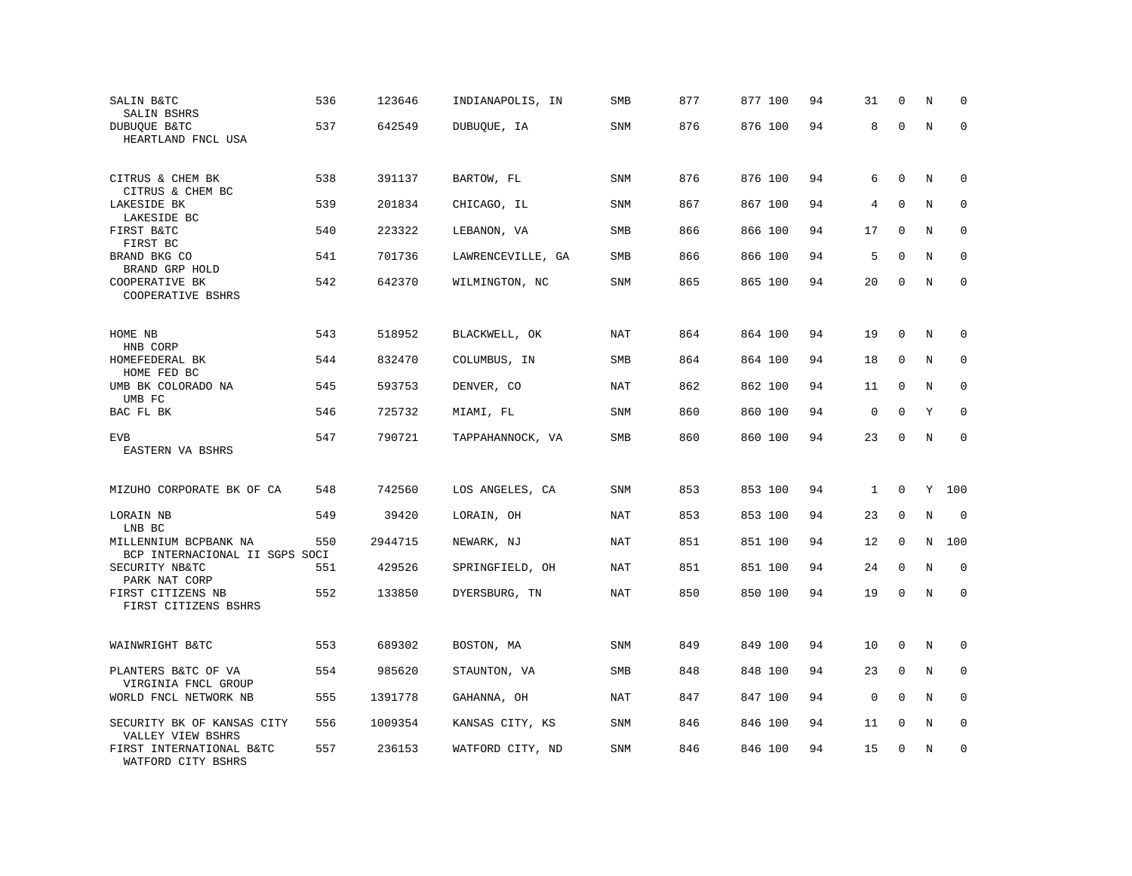| SALIN B&TC<br>SALIN BSHRS<br>DUBUQUE B&TC               | 536<br>537 | 123646<br>642549 | INDIANAPOLIS, IN<br>DUBUQUE, IA | SMB<br>SNM | 877<br>876 | 877 100<br>876 100 | 94<br>94 | 31<br>8     | $\mathbf 0$<br>$\mathbf 0$ | N<br>N | $\mathbf 0$<br>$\mathbf 0$ |
|---------------------------------------------------------|------------|------------------|---------------------------------|------------|------------|--------------------|----------|-------------|----------------------------|--------|----------------------------|
| HEARTLAND FNCL USA                                      |            |                  |                                 |            |            |                    |          |             |                            |        |                            |
| CITRUS & CHEM BK<br>CITRUS & CHEM BC                    | 538        | 391137           | BARTOW, FL                      | <b>SNM</b> | 876        | 876 100            | 94       | 6           | $\mathbf 0$                | N      | 0                          |
| LAKESIDE BK<br>LAKESIDE BC                              | 539        | 201834           | CHICAGO, IL                     | SNM        | 867        | 867 100            | 94       | 4           | $\mathbf 0$                | N      | 0                          |
| FIRST B&TC<br>FIRST BC                                  | 540        | 223322           | LEBANON, VA                     | SMB        | 866        | 866 100            | 94       | 17          | $\mathbf 0$                | N      | $\mathbf 0$                |
| BRAND BKG CO<br>BRAND GRP HOLD                          | 541        | 701736           | LAWRENCEVILLE, GA               | SMB        | 866        | 866 100            | 94       | 5           | $\mathbf 0$                | N      | $\mathbf 0$                |
| COOPERATIVE BK<br>COOPERATIVE BSHRS                     | 542        | 642370           | WILMINGTON, NC                  | SNM        | 865        | 865 100            | 94       | 20          | $\mathbf 0$                | N      | $\mathbf{0}$               |
| HOME NB                                                 | 543        | 518952           | BLACKWELL, OK                   | NAT        | 864        | 864 100            | 94       | 19          | $\mathbf 0$                | N      | 0                          |
| HNB CORP<br>HOMEFEDERAL BK<br>HOME FED BC               | 544        | 832470           | COLUMBUS, IN                    | SMB        | 864        | 864 100            | 94       | 18          | 0                          | N      | 0                          |
| UMB BK COLORADO NA<br>UMB FC                            | 545        | 593753           | DENVER, CO                      | NAT        | 862        | 862 100            | 94       | 11          | $\mathbf 0$                | N      | $\mathbf 0$                |
| BAC FL BK                                               | 546        | 725732           | MIAMI, FL                       | SNM        | 860        | 860 100            | 94       | $\mathsf 0$ | $\mathbf 0$                | Υ      | $\mathbf 0$                |
| <b>EVB</b><br>EASTERN VA BSHRS                          | 547        | 790721           | TAPPAHANNOCK, VA                | SMB        | 860        | 860 100            | 94       | 23          | $\mathbf 0$                | N      | $\mathbf 0$                |
| MIZUHO CORPORATE BK OF CA                               | 548        | 742560           | LOS ANGELES, CA                 | SNM        | 853        | 853 100            | 94       | 1           | $\mathbf 0$                | Y      | 100                        |
| LORAIN NB<br>LNB BC                                     | 549        | 39420            | LORAIN, OH                      | NAT        | 853        | 853 100            | 94       | 23          | $\mathbf 0$                | N      | $\mathbf 0$                |
| MILLENNIUM BCPBANK NA<br>BCP INTERNACIONAL II SGPS SOCI | 550        | 2944715          | NEWARK, NJ                      | <b>NAT</b> | 851        | 851 100            | 94       | 12          | $\mathbf 0$                | N      | 100                        |
| SECURITY NB&TC<br>PARK NAT CORP                         | 551        | 429526           | SPRINGFIELD, OH                 | NAT        | 851        | 851 100            | 94       | 24          | 0                          | Ν      | 0                          |
| FIRST CITIZENS NB<br>FIRST CITIZENS BSHRS               | 552        | 133850           | DYERSBURG, TN                   | <b>NAT</b> | 850        | 850 100            | 94       | 19          | $\mathbf 0$                | N      | $\mathbf 0$                |
| WAINWRIGHT B&TC                                         | 553        | 689302           | BOSTON, MA                      | SNM        | 849        | 849 100            | 94       | 10          | $\mathbf 0$                | N      | $\mathbf 0$                |
| PLANTERS B&TC OF VA<br>VIRGINIA FNCL GROUP              | 554        | 985620           | STAUNTON, VA                    | SMB        | 848        | 848 100            | 94       | 23          | 0                          | Ν      | 0                          |
| WORLD FNCL NETWORK NB                                   | 555        | 1391778          | GAHANNA, OH                     | <b>NAT</b> | 847        | 847 100            | 94       | $\mathbf 0$ | $\Omega$                   | N      | $\mathbf 0$                |
| SECURITY BK OF KANSAS CITY<br>VALLEY VIEW BSHRS         | 556        | 1009354          | KANSAS CITY, KS                 | <b>SNM</b> | 846        | 846 100            | 94       | 11          | $\mathbf 0$                | N      | $\mathbf 0$                |
| FIRST INTERNATIONAL B&TC<br>WATFORD CITY BSHRS          | 557        | 236153           | WATFORD CITY, ND                | <b>SNM</b> | 846        | 846 100            | 94       | 15          | $\mathbf 0$                | N      | $\mathbf 0$                |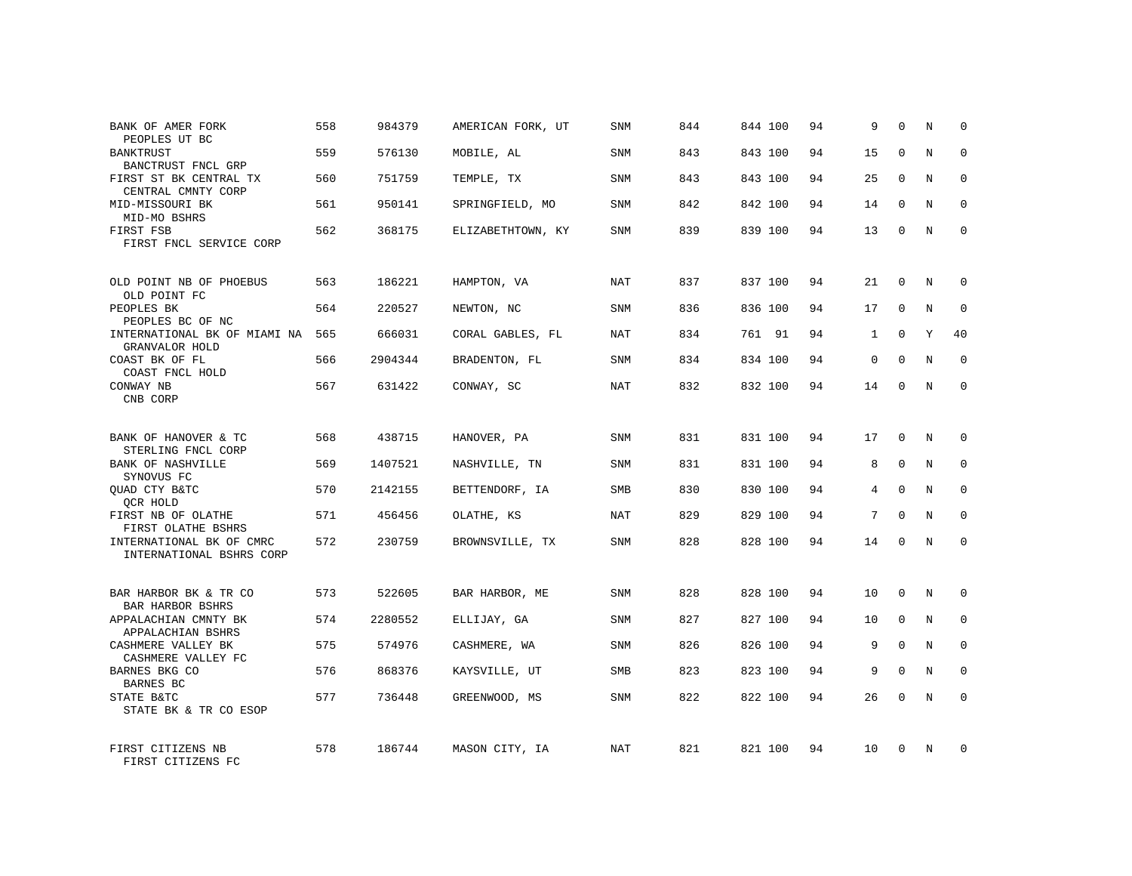| BANK OF AMER FORK<br>PEOPLES UT BC                   | 558 | 984379  | AMERICAN FORK, UT | SNM        | 844 | 844 100 | 94 | 9  | $\Omega$     | N       | $\Omega$    |
|------------------------------------------------------|-----|---------|-------------------|------------|-----|---------|----|----|--------------|---------|-------------|
| BANKTRUST<br>BANCTRUST FNCL GRP                      | 559 | 576130  | MOBILE, AL        | <b>SNM</b> | 843 | 843 100 | 94 | 15 | $\Omega$     | N       | $\Omega$    |
| FIRST ST BK CENTRAL TX<br>CENTRAL CMNTY CORP         | 560 | 751759  | TEMPLE, TX        | SNM        | 843 | 843 100 | 94 | 25 | $\Omega$     | N       | $\mathbf 0$ |
| MID-MISSOURI BK<br>MID-MO BSHRS                      | 561 | 950141  | SPRINGFIELD, MO   | SNM        | 842 | 842 100 | 94 | 14 | $\Omega$     | N       | $\Omega$    |
| FIRST FSB<br>FIRST FNCL SERVICE CORP                 | 562 | 368175  | ELIZABETHTOWN, KY | SNM        | 839 | 839 100 | 94 | 13 | $\Omega$     | N       | $\Omega$    |
| OLD POINT NB OF PHOEBUS                              | 563 | 186221  | HAMPTON, VA       | NAT        | 837 | 837 100 | 94 | 21 | $\mathbf 0$  | N       | $\Omega$    |
| OLD POINT FC<br>PEOPLES BK<br>PEOPLES BC OF NC       | 564 | 220527  | NEWTON, NC        | <b>SNM</b> | 836 | 836 100 | 94 | 17 | $\Omega$     | N       | $\Omega$    |
| INTERNATIONAL BK OF MIAMI NA<br>GRANVALOR HOLD       | 565 | 666031  | CORAL GABLES, FL  | NAT        | 834 | 761 91  | 94 | 1  | $\Omega$     | Υ       | 40          |
| COAST BK OF FL<br>COAST FNCL HOLD                    | 566 | 2904344 | BRADENTON, FL     | <b>SNM</b> | 834 | 834 100 | 94 | 0  | $\Omega$     | N       | $\Omega$    |
| CONWAY NB<br>CNB CORP                                | 567 | 631422  | CONWAY, SC        | NAT        | 832 | 832 100 | 94 | 14 | $\Omega$     | N       | $\Omega$    |
| BANK OF HANOVER & TC<br>STERLING FNCL CORP           | 568 | 438715  | HANOVER, PA       | <b>SNM</b> | 831 | 831 100 | 94 | 17 | $\mathbf 0$  | N       | $\mathbf 0$ |
| <b>BANK OF NASHVILLE</b><br>SYNOVUS FC               | 569 | 1407521 | NASHVILLE, TN     | SNM        | 831 | 831 100 | 94 | 8  | $\Omega$     | N       | $\mathbf 0$ |
| QUAD CTY B&TC<br>QCR HOLD                            | 570 | 2142155 | BETTENDORF, IA    | <b>SMB</b> | 830 | 830 100 | 94 | 4  | $\Omega$     | N       | $\mathbf 0$ |
| FIRST NB OF OLATHE<br>FIRST OLATHE BSHRS             | 571 | 456456  | OLATHE, KS        | <b>NAT</b> | 829 | 829 100 | 94 | 7  | $\mathbf 0$  | $\rm N$ | $\mathbf 0$ |
| INTERNATIONAL BK OF CMRC<br>INTERNATIONAL BSHRS CORP | 572 | 230759  | BROWNSVILLE, TX   | <b>SNM</b> | 828 | 828 100 | 94 | 14 | $\Omega$     | N       | $\mathbf 0$ |
| BAR HARBOR BK & TR CO<br>BAR HARBOR BSHRS            | 573 | 522605  | BAR HARBOR, ME    | <b>SNM</b> | 828 | 828 100 | 94 | 10 | 0            | N       | $\mathbf 0$ |
| APPALACHIAN CMNTY BK<br>APPALACHIAN BSHRS            | 574 | 2280552 | ELLIJAY, GA       | SNM        | 827 | 827 100 | 94 | 10 | $\mathbf 0$  | N       | $\mathbf 0$ |
| CASHMERE VALLEY BK<br>CASHMERE VALLEY FC             | 575 | 574976  | CASHMERE, WA      | <b>SNM</b> | 826 | 826 100 | 94 | 9  | $\Omega$     | N       | $\mathbf 0$ |
| BARNES BKG CO<br><b>BARNES BC</b>                    | 576 | 868376  | KAYSVILLE, UT     | SMB        | 823 | 823 100 | 94 | 9  | $\mathbf{0}$ | N       | $\mathbf 0$ |
| STATE B&TC<br>STATE BK & TR CO ESOP                  | 577 | 736448  | GREENWOOD, MS     | <b>SNM</b> | 822 | 822 100 | 94 | 26 | $\Omega$     | N       | $\mathbf 0$ |
| FIRST CITIZENS NB<br>FIRST CITIZENS FC               | 578 | 186744  | MASON CITY, IA    | NAT        | 821 | 821 100 | 94 | 10 | $\Omega$     | N       | $\mathbf 0$ |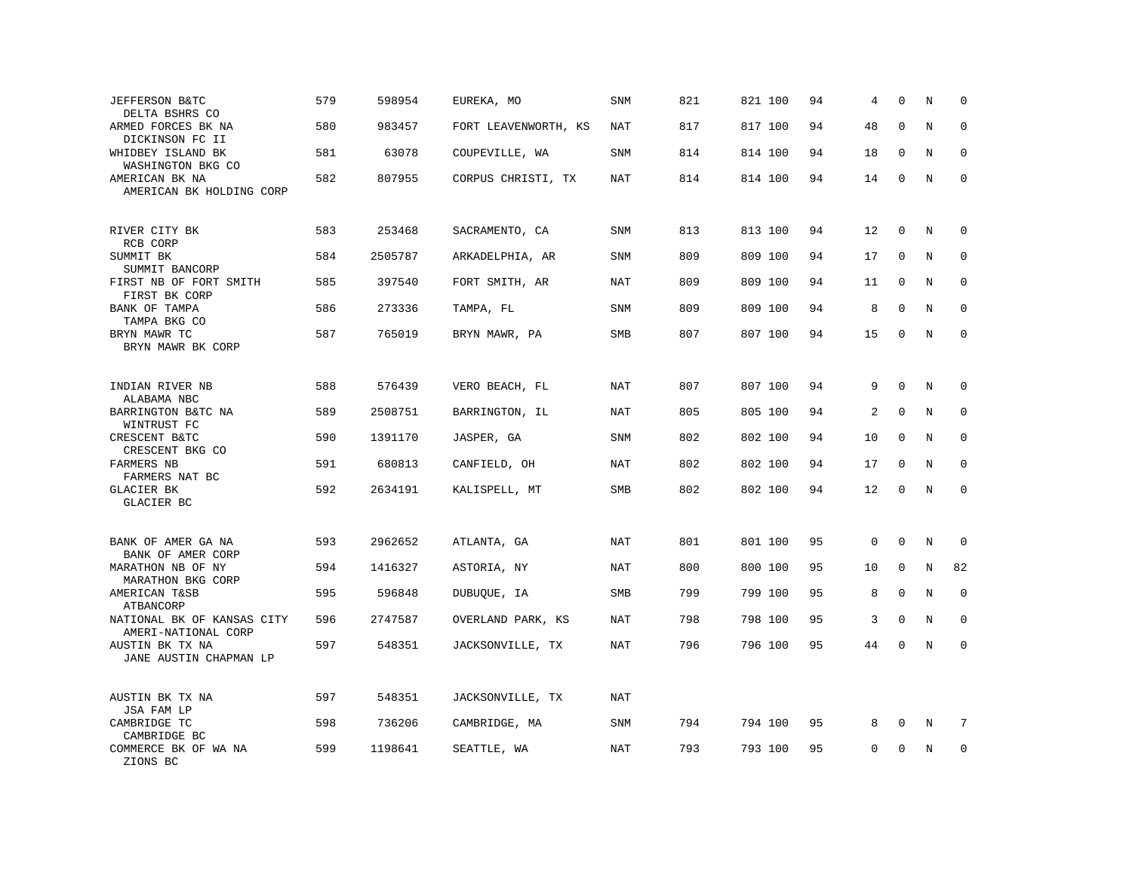| JEFFERSON B&TC<br>DELTA BSHRS CO                  | 579 | 598954  | EUREKA, MO           | SNM        | 821 | 821 100 | 94 | 4           | $\mathbf 0$  | N       | $\mathbf 0$ |
|---------------------------------------------------|-----|---------|----------------------|------------|-----|---------|----|-------------|--------------|---------|-------------|
| ARMED FORCES BK NA<br>DICKINSON FC II             | 580 | 983457  | FORT LEAVENWORTH, KS | NAT        | 817 | 817 100 | 94 | 48          | $\mathbf 0$  | N       | $\mathbf 0$ |
| WHIDBEY ISLAND BK<br>WASHINGTON BKG CO            | 581 | 63078   | COUPEVILLE, WA       | <b>SNM</b> | 814 | 814 100 | 94 | 18          | $\mathbf 0$  | N       | $\mathbf 0$ |
| AMERICAN BK NA<br>AMERICAN BK HOLDING CORP        | 582 | 807955  | CORPUS CHRISTI, TX   | <b>NAT</b> | 814 | 814 100 | 94 | 14          | $\mathbf 0$  | N       | $\mathbf 0$ |
| RIVER CITY BK<br>RCB CORP                         | 583 | 253468  | SACRAMENTO, CA       | <b>SNM</b> | 813 | 813 100 | 94 | 12          | $\mathbf 0$  | N       | $\mathbf 0$ |
| SUMMIT BK<br>SUMMIT BANCORP                       | 584 | 2505787 | ARKADELPHIA, AR      | SNM        | 809 | 809 100 | 94 | 17          | $\mathbf 0$  | N       | $\mathbf 0$ |
| FIRST NB OF FORT SMITH<br>FIRST BK CORP           | 585 | 397540  | FORT SMITH, AR       | <b>NAT</b> | 809 | 809 100 | 94 | 11          | $\Omega$     | N       | $\mathbf 0$ |
| BANK OF TAMPA<br>TAMPA BKG CO                     | 586 | 273336  | TAMPA, FL            | <b>SNM</b> | 809 | 809 100 | 94 | 8           | $\Omega$     | N       | $\Omega$    |
| BRYN MAWR TC<br>BRYN MAWR BK CORP                 | 587 | 765019  | BRYN MAWR, PA        | SMB        | 807 | 807 100 | 94 | 15          | $\mathbf{0}$ | N       | $\mathbf 0$ |
| INDIAN RIVER NB<br>ALABAMA NBC                    | 588 | 576439  | VERO BEACH, FL       | <b>NAT</b> | 807 | 807 100 | 94 | 9           | $\mathbf{0}$ | N       | 0           |
| BARRINGTON B&TC NA<br>WINTRUST FC                 | 589 | 2508751 | BARRINGTON, IL       | NAT        | 805 | 805 100 | 94 | 2           | $\mathbf{0}$ | N       | $\mathbf 0$ |
| CRESCENT B&TC<br>CRESCENT BKG CO                  | 590 | 1391170 | JASPER, GA           | <b>SNM</b> | 802 | 802 100 | 94 | 10          | $\mathbf 0$  | N       | 0           |
| <b>FARMERS NB</b><br>FARMERS NAT BC               | 591 | 680813  | CANFIELD, OH         | NAT        | 802 | 802 100 | 94 | 17          | $\Omega$     | N       | $\mathbf 0$ |
| GLACIER BK<br>GLACIER BC                          | 592 | 2634191 | KALISPELL, MT        | SMB        | 802 | 802 100 | 94 | 12          | $\Omega$     | $\rm N$ | 0           |
| BANK OF AMER GA NA<br>BANK OF AMER CORP           | 593 | 2962652 | ATLANTA, GA          | NAT        | 801 | 801 100 | 95 | $\mathbf 0$ | $\mathbf 0$  | N       | $\mathbf 0$ |
| MARATHON NB OF NY<br>MARATHON BKG CORP            | 594 | 1416327 | ASTORIA, NY          | NAT        | 800 | 800 100 | 95 | 10          | $\mathbf 0$  | N       | 82          |
| AMERICAN T&SB<br>ATBANCORP                        | 595 | 596848  | DUBUQUE, IA          | SMB        | 799 | 799 100 | 95 | 8           | $\mathbf 0$  | N       | $\mathbf 0$ |
| NATIONAL BK OF KANSAS CITY<br>AMERI-NATIONAL CORP | 596 | 2747587 | OVERLAND PARK, KS    | NAT        | 798 | 798 100 | 95 | 3           | $\mathbf 0$  | N       | $\mathbf 0$ |
| AUSTIN BK TX NA<br>JANE AUSTIN CHAPMAN LP         | 597 | 548351  | JACKSONVILLE, TX     | NAT        | 796 | 796 100 | 95 | 44          | $\mathbf{0}$ | N       | $\mathbf 0$ |
| AUSTIN BK TX NA<br>JSA FAM LP                     | 597 | 548351  | JACKSONVILLE, TX     | <b>NAT</b> |     |         |    |             |              |         |             |
| CAMBRIDGE TC<br>CAMBRIDGE BC                      | 598 | 736206  | CAMBRIDGE, MA        | SNM        | 794 | 794 100 | 95 | 8           | 0            | Ν       | 7           |
| COMMERCE BK OF WA NA<br>ZIONS BC                  | 599 | 1198641 | SEATTLE, WA          | NAT        | 793 | 793 100 | 95 | 0           | $\mathbf 0$  | N       | $\mathbf 0$ |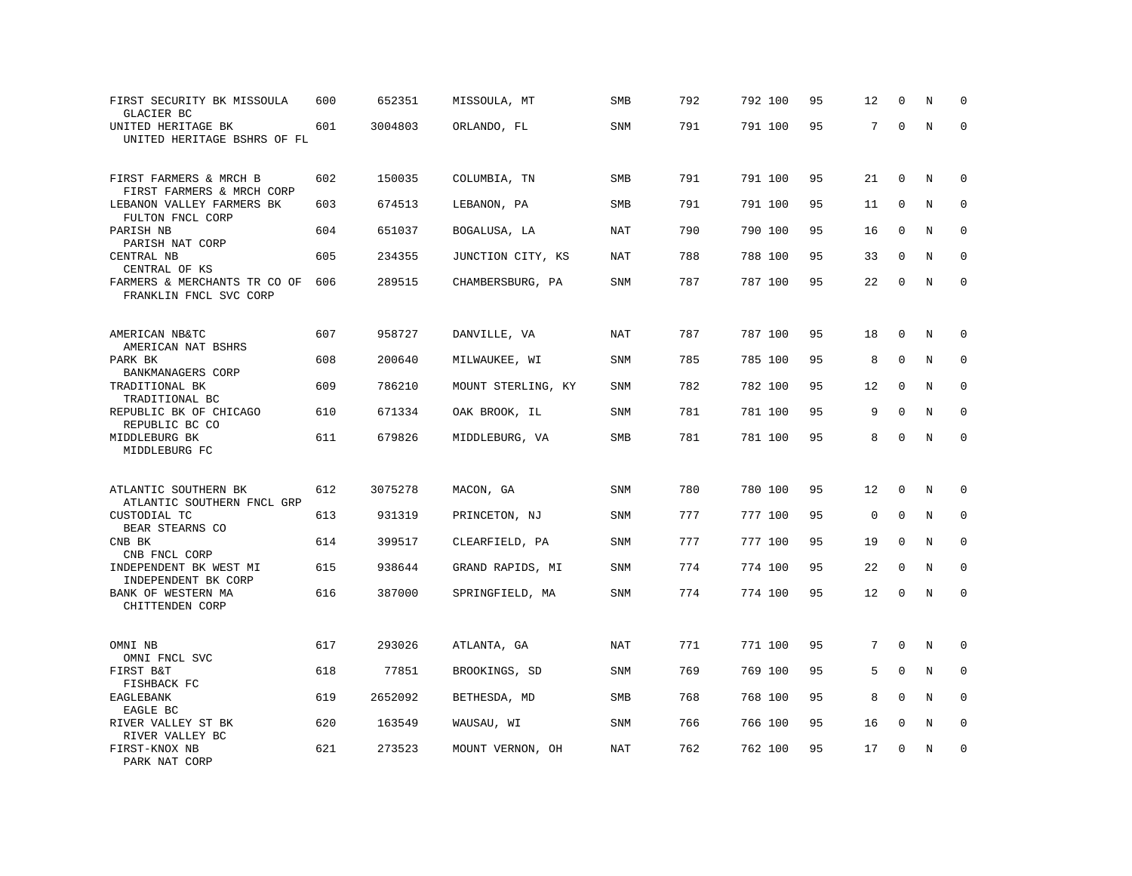| FIRST SECURITY BK MISSOULA<br>GLACIER BC               | 600 | 652351  | MISSOULA, MT       | SMB        | 792 | 792 100 | 95 | 12          | 0            | N       | $\Omega$    |
|--------------------------------------------------------|-----|---------|--------------------|------------|-----|---------|----|-------------|--------------|---------|-------------|
| UNITED HERITAGE BK<br>UNITED HERITAGE BSHRS OF FL      | 601 | 3004803 | ORLANDO, FL        | SNM        | 791 | 791 100 | 95 | 7           | $\mathbf 0$  | $\rm N$ | $\mathbf 0$ |
| FIRST FARMERS & MRCH B<br>FIRST FARMERS & MRCH CORP    | 602 | 150035  | COLUMBIA, TN       | SMB        | 791 | 791 100 | 95 | 21          | $\mathbf 0$  | N       | 0           |
| LEBANON VALLEY FARMERS BK                              | 603 | 674513  | LEBANON, PA        | SMB        | 791 | 791 100 | 95 | 11          | $\mathbf{0}$ | N       | $\mathbf 0$ |
| FULTON FNCL CORP<br>PARISH NB<br>PARISH NAT CORP       | 604 | 651037  | BOGALUSA, LA       | NAT        | 790 | 790 100 | 95 | 16          | $\Omega$     | N       | $\mathbf 0$ |
| CENTRAL NB<br>CENTRAL OF KS                            | 605 | 234355  | JUNCTION CITY, KS  | NAT        | 788 | 788 100 | 95 | 33          | $\mathbf 0$  | N       | 0           |
| FARMERS & MERCHANTS TR CO OF<br>FRANKLIN FNCL SVC CORP | 606 | 289515  | CHAMBERSBURG, PA   | SNM        | 787 | 787 100 | 95 | 22          | $\mathbf 0$  | N       | $\mathbf 0$ |
|                                                        |     |         |                    |            |     |         |    |             |              |         |             |
| AMERICAN NB&TC<br>AMERICAN NAT BSHRS                   | 607 | 958727  | DANVILLE, VA       | NAT        | 787 | 787 100 | 95 | 18          | 0            | N       | $\mathbf 0$ |
| PARK BK<br>BANKMANAGERS CORP                           | 608 | 200640  | MILWAUKEE, WI      | SNM        | 785 | 785 100 | 95 | 8           | $\mathbf{0}$ | N       | 0           |
| TRADITIONAL BK<br>TRADITIONAL BC                       | 609 | 786210  | MOUNT STERLING, KY | <b>SNM</b> | 782 | 782 100 | 95 | 12          | $\mathbf 0$  | N       | $\mathbf 0$ |
| REPUBLIC BK OF CHICAGO<br>REPUBLIC BC CO               | 610 | 671334  | OAK BROOK, IL      | SNM        | 781 | 781 100 | 95 | 9           | $\mathbf{0}$ | N       | $\mathbf 0$ |
| MIDDLEBURG BK<br>MIDDLEBURG FC                         | 611 | 679826  | MIDDLEBURG, VA     | SMB        | 781 | 781 100 | 95 | 8           | $\Omega$     | $\rm N$ | $\mathbf 0$ |
|                                                        |     |         |                    |            |     |         |    |             |              |         |             |
| ATLANTIC SOUTHERN BK<br>ATLANTIC SOUTHERN FNCL GRP     | 612 | 3075278 | MACON, GA          | SNM        | 780 | 780 100 | 95 | 12          | $\mathbf 0$  | N       | $\mathbf 0$ |
| CUSTODIAL TC<br>BEAR STEARNS CO                        | 613 | 931319  | PRINCETON, NJ      | SNM        | 777 | 777 100 | 95 | $\mathbf 0$ | $\Omega$     | N       | $\mathbf 0$ |
| CNB BK<br>CNB FNCL CORP                                | 614 | 399517  | CLEARFIELD, PA     | <b>SNM</b> | 777 | 777 100 | 95 | 19          | $\mathbf{0}$ | N       | $\mathbf 0$ |
| INDEPENDENT BK WEST MI<br>INDEPENDENT BK CORP          | 615 | 938644  | GRAND RAPIDS, MI   | SNM        | 774 | 774 100 | 95 | 22          | $\mathbf 0$  | N       | $\mathbf 0$ |
| BANK OF WESTERN MA<br>CHITTENDEN CORP                  | 616 | 387000  | SPRINGFIELD, MA    | SNM        | 774 | 774 100 | 95 | 12          | $\mathbf 0$  | N       | $\mathbf 0$ |
| OMNI NB                                                | 617 | 293026  | ATLANTA, GA        | <b>NAT</b> | 771 | 771 100 | 95 | 7           | $\mathbf{0}$ | N       | $\mathbf 0$ |
| OMNI FNCL SVC                                          |     |         |                    |            |     |         |    |             |              |         |             |
| FIRST B&T<br>FISHBACK FC                               | 618 | 77851   | BROOKINGS, SD      | SNM        | 769 | 769 100 | 95 | 5           | $\mathbf{0}$ | N       | $\mathbf 0$ |
| EAGLEBANK<br>EAGLE BC                                  | 619 | 2652092 | BETHESDA, MD       | SMB        | 768 | 768 100 | 95 | 8           | $\Omega$     | N       | 0           |
| RIVER VALLEY ST BK<br>RIVER VALLEY BC                  | 620 | 163549  | WAUSAU, WI         | <b>SNM</b> | 766 | 766 100 | 95 | 16          | $\mathbf 0$  | N       | $\mathbf 0$ |
| FIRST-KNOX NB<br>PARK NAT CORP                         | 621 | 273523  | MOUNT VERNON, OH   | <b>NAT</b> | 762 | 762 100 | 95 | 17          | $\mathbf{0}$ | N       | $\mathbf 0$ |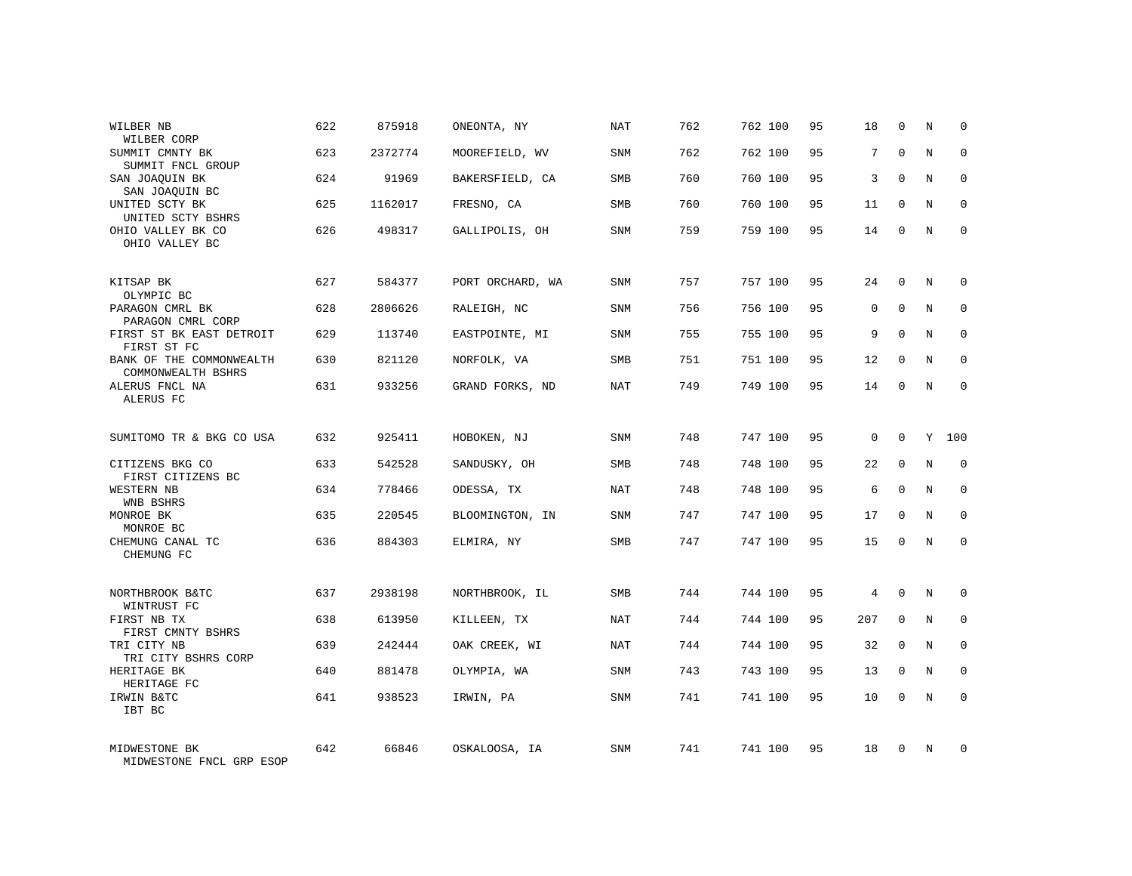| WILBER NB<br>WILBER CORP                       | 622 | 875918  | ONEONTA, NY      | NAT        | 762 | 762 100 | 95 | 18          | $\mathbf 0$  | N          | $\Omega$     |
|------------------------------------------------|-----|---------|------------------|------------|-----|---------|----|-------------|--------------|------------|--------------|
| SUMMIT CMNTY BK<br>SUMMIT FNCL GROUP           | 623 | 2372774 | MOOREFIELD, WV   | <b>SNM</b> | 762 | 762 100 | 95 | 7           | $\Omega$     | N          | $\Omega$     |
| SAN JOAQUIN BK<br>SAN JOAQUIN BC               | 624 | 91969   | BAKERSFIELD, CA  | SMB        | 760 | 760 100 | 95 | 3           | $\Omega$     | N          | $\mathbf 0$  |
| UNITED SCTY BK<br>UNITED SCTY BSHRS            | 625 | 1162017 | FRESNO, CA       | <b>SMB</b> | 760 | 760 100 | 95 | 11          | $\Omega$     | N          | $\mathbf 0$  |
| OHIO VALLEY BK CO<br>OHIO VALLEY BC            | 626 | 498317  | GALLIPOLIS, OH   | SNM        | 759 | 759 100 | 95 | 14          | $\mathbf 0$  | N          | $\mathbf 0$  |
| KITSAP BK<br>OLYMPIC BC                        | 627 | 584377  | PORT ORCHARD, WA | <b>SNM</b> | 757 | 757 100 | 95 | 24          | $\mathbf 0$  | N          | $\mathbf 0$  |
| PARAGON CMRL BK<br>PARAGON CMRL CORP           | 628 | 2806626 | RALEIGH, NC      | <b>SNM</b> | 756 | 756 100 | 95 | 0           | $\mathbf{0}$ | N          | $\mathbf 0$  |
| FIRST ST BK EAST DETROIT<br>FIRST ST FC        | 629 | 113740  | EASTPOINTE, MI   | <b>SNM</b> | 755 | 755 100 | 95 | 9           | $\mathbf 0$  | N          | $\mathbf 0$  |
| BANK OF THE COMMONWEALTH<br>COMMONWEALTH BSHRS | 630 | 821120  | NORFOLK, VA      | <b>SMB</b> | 751 | 751 100 | 95 | 12          | $\mathbf{0}$ | N          | $\mathbf 0$  |
| ALERUS FNCL NA<br>ALERUS FC                    | 631 | 933256  | GRAND FORKS, ND  | <b>NAT</b> | 749 | 749 100 | 95 | 14          | $\mathbf 0$  | N          | $\mathbf 0$  |
| SUMITOMO TR & BKG CO USA                       | 632 | 925411  | HOBOKEN, NJ      | SNM        | 748 | 747 100 | 95 | $\mathbf 0$ | $\Omega$     | Y          | 100          |
| CITIZENS BKG CO<br>FIRST CITIZENS BC           | 633 | 542528  | SANDUSKY, OH     | <b>SMB</b> | 748 | 748 100 | 95 | 22          | $\mathbf{0}$ | N          | $\mathbf 0$  |
| WESTERN NB<br>WNB BSHRS                        | 634 | 778466  | ODESSA, TX       | NAT        | 748 | 748 100 | 95 | 6           | $\Omega$     | N          | $\mathbf 0$  |
| MONROE BK<br>MONROE BC                         | 635 | 220545  | BLOOMINGTON, IN  | SNM        | 747 | 747 100 | 95 | 17          | $\mathbf 0$  | N          | 0            |
| CHEMUNG CANAL TC<br>CHEMUNG FC                 | 636 | 884303  | ELMIRA, NY       | SMB        | 747 | 747 100 | 95 | 15          | $\Omega$     | $_{\rm N}$ | $\mathbf 0$  |
| NORTHBROOK B&TC<br>WINTRUST FC                 | 637 | 2938198 | NORTHBROOK, IL   | <b>SMB</b> | 744 | 744 100 | 95 | 4           | $\Omega$     | N          | $\mathbf 0$  |
| FIRST NB TX<br>FIRST CMNTY BSHRS               | 638 | 613950  | KILLEEN, TX      | NAT        | 744 | 744 100 | 95 | 207         | $\mathbf 0$  | N          | 0            |
| TRI CITY NB<br>TRI CITY BSHRS CORP             | 639 | 242444  | OAK CREEK, WI    | NAT        | 744 | 744 100 | 95 | 32          | $\Omega$     | N          | $\mathbf{0}$ |
| HERITAGE BK<br>HERITAGE FC                     | 640 | 881478  | OLYMPIA, WA      | SNM        | 743 | 743 100 | 95 | 13          | $\mathbf 0$  | N          | 0            |
| IRWIN B&TC<br>IBT BC                           | 641 | 938523  | IRWIN, PA        | SNM        | 741 | 741 100 | 95 | 10          | $\Omega$     | N          | $\mathbf 0$  |
| MIDWESTONE BK<br>MIDWESTONE FNCL GRP ESOP      | 642 | 66846   | OSKALOOSA, IA    | <b>SNM</b> | 741 | 741 100 | 95 | 18          | $\Omega$     | N          | $\mathbf 0$  |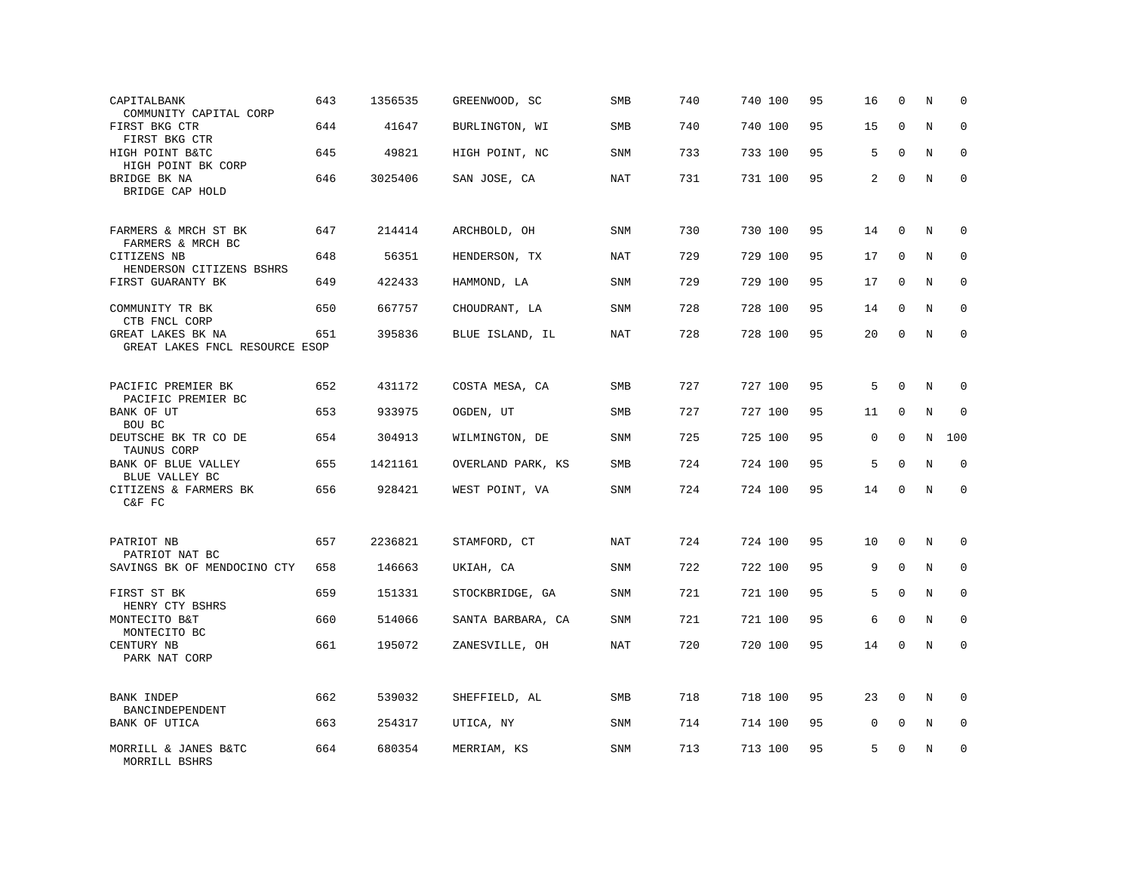| CAPITALBANK<br>COMMUNITY CAPITAL CORP               | 643 | 1356535 | GREENWOOD, SC     | SMB        | 740 | 740 100 | 95 | 16          | $\mathbf 0$  | N | $\mathbf 0$  |
|-----------------------------------------------------|-----|---------|-------------------|------------|-----|---------|----|-------------|--------------|---|--------------|
| FIRST BKG CTR<br>FIRST BKG CTR                      | 644 | 41647   | BURLINGTON, WI    | <b>SMB</b> | 740 | 740 100 | 95 | 15          | $\mathbf 0$  | N | $\mathbf 0$  |
| HIGH POINT B&TC<br>HIGH POINT BK CORP               | 645 | 49821   | HIGH POINT, NC    | SNM        | 733 | 733 100 | 95 | 5           | $\mathbf 0$  | N | $\mathbf 0$  |
| BRIDGE BK NA<br>BRIDGE CAP HOLD                     | 646 | 3025406 | SAN JOSE, CA      | NAT        | 731 | 731 100 | 95 | 2           | $\Omega$     | N | $\mathbf 0$  |
| FARMERS & MRCH ST BK<br>FARMERS & MRCH BC           | 647 | 214414  | ARCHBOLD, OH      | <b>SNM</b> | 730 | 730 100 | 95 | 14          | $\mathbf 0$  | N | $\Omega$     |
| CITIZENS NB<br>HENDERSON CITIZENS BSHRS             | 648 | 56351   | HENDERSON, TX     | <b>NAT</b> | 729 | 729 100 | 95 | 17          | $\mathbf{0}$ | N | $\mathbf 0$  |
| FIRST GUARANTY BK                                   | 649 | 422433  | HAMMOND, LA       | <b>SNM</b> | 729 | 729 100 | 95 | 17          | $\Omega$     | N | $\mathbf{0}$ |
| COMMUNITY TR BK<br>CTB FNCL CORP                    | 650 | 667757  | CHOUDRANT, LA     | SNM        | 728 | 728 100 | 95 | 14          | $\mathbf 0$  | N | $\mathbf 0$  |
| GREAT LAKES BK NA<br>GREAT LAKES FNCL RESOURCE ESOP | 651 | 395836  | BLUE ISLAND, IL   | NAT        | 728 | 728 100 | 95 | 20          | $\mathbf 0$  | N | $\mathbf 0$  |
| PACIFIC PREMIER BK<br>PACIFIC PREMIER BC            | 652 | 431172  | COSTA MESA, CA    | <b>SMB</b> | 727 | 727 100 | 95 | 5           | $\mathbf 0$  | N | 0            |
| BANK OF UT<br>BOU BC                                | 653 | 933975  | OGDEN, UT         | SMB        | 727 | 727 100 | 95 | 11          | 0            | N | $\mathbf 0$  |
| DEUTSCHE BK TR CO DE<br>TAUNUS CORP                 | 654 | 304913  | WILMINGTON, DE    | SNM        | 725 | 725 100 | 95 | $\mathbf 0$ | $\mathbf{0}$ | N | 100          |
| BANK OF BLUE VALLEY<br>BLUE VALLEY BC               | 655 | 1421161 | OVERLAND PARK, KS | SMB        | 724 | 724 100 | 95 | 5           | $\mathbf 0$  | N | $\mathbf 0$  |
| CITIZENS & FARMERS BK<br>C&F FC                     | 656 | 928421  | WEST POINT, VA    | SNM        | 724 | 724 100 | 95 | 14          | $\mathbf 0$  | N | $\mathbf 0$  |
| PATRIOT NB<br>PATRIOT NAT BC                        | 657 | 2236821 | STAMFORD, CT      | NAT        | 724 | 724 100 | 95 | 10          | $\mathbf{0}$ | N | 0            |
| SAVINGS BK OF MENDOCINO CTY                         | 658 | 146663  | UKIAH, CA         | SNM        | 722 | 722 100 | 95 | 9           | $\mathbf{0}$ | N | 0            |
| FIRST ST BK<br>HENRY CTY BSHRS                      | 659 | 151331  | STOCKBRIDGE, GA   | SNM        | 721 | 721 100 | 95 | 5           | $\mathbf{0}$ | N | $\mathbf 0$  |
| MONTECITO B&T<br>MONTECITO BC                       | 660 | 514066  | SANTA BARBARA, CA | SNM        | 721 | 721 100 | 95 | 6           | $\mathbf{0}$ | N | $\mathbf 0$  |
| CENTURY NB<br>PARK NAT CORP                         | 661 | 195072  | ZANESVILLE, OH    | <b>NAT</b> | 720 | 720 100 | 95 | 14          | $\mathbf{0}$ | N | $\mathbf 0$  |
| <b>BANK INDEP</b><br>BANCINDEPENDENT                | 662 | 539032  | SHEFFIELD, AL     | SMB        | 718 | 718 100 | 95 | 23          | $\mathbf 0$  | N | $\mathbf 0$  |
| BANK OF UTICA                                       | 663 | 254317  | UTICA, NY         | <b>SNM</b> | 714 | 714 100 | 95 | $\mathbf 0$ | $\mathbf{0}$ | N | $\mathbf 0$  |
| MORRILL & JANES B&TC<br>MORRILL BSHRS               | 664 | 680354  | MERRIAM, KS       | <b>SNM</b> | 713 | 713 100 | 95 | 5           | $\mathbf{0}$ | N | $\mathbf 0$  |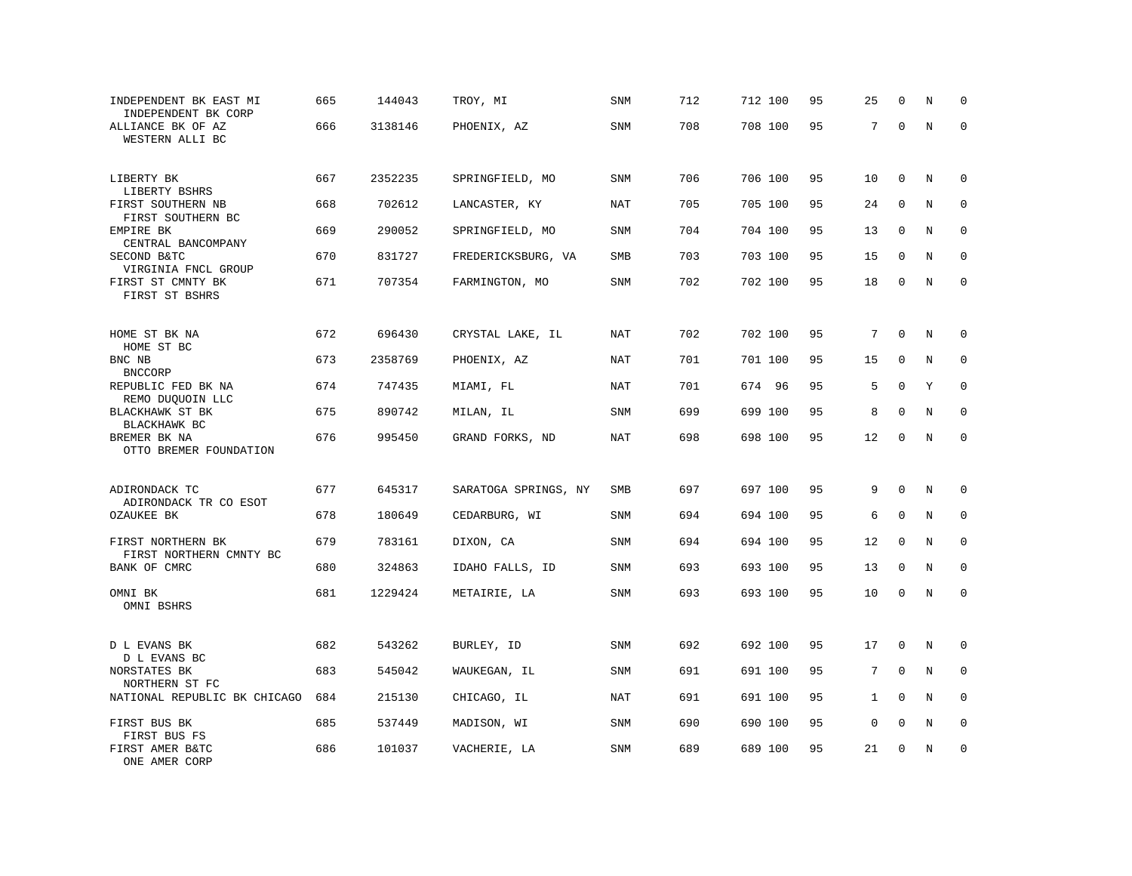| INDEPENDENT BK EAST MI<br>INDEPENDENT BK CORP  | 665 | 144043  | TROY, MI             | SNM        | 712 | 712 100 | 95 | 25           | 0            | N       | $\Omega$     |
|------------------------------------------------|-----|---------|----------------------|------------|-----|---------|----|--------------|--------------|---------|--------------|
| ALLIANCE BK OF AZ<br>WESTERN ALLI BC           | 666 | 3138146 | PHOENIX, AZ          | SNM        | 708 | 708 100 | 95 | 7            | $\mathbf 0$  | $\rm N$ | $\mathbf 0$  |
| LIBERTY BK<br>LIBERTY BSHRS                    | 667 | 2352235 | SPRINGFIELD, MO      | SNM        | 706 | 706 100 | 95 | 10           | $\mathbf 0$  | N       | 0            |
| FIRST SOUTHERN NB<br>FIRST SOUTHERN BC         | 668 | 702612  | LANCASTER, KY        | NAT        | 705 | 705 100 | 95 | 24           | $\Omega$     | N       | $\mathbf 0$  |
| EMPIRE BK<br>CENTRAL BANCOMPANY                | 669 | 290052  | SPRINGFIELD, MO      | SNM        | 704 | 704 100 | 95 | 13           | $\mathbf 0$  | N       | 0            |
| SECOND B&TC<br>VIRGINIA FNCL GROUP             | 670 | 831727  | FREDERICKSBURG, VA   | <b>SMB</b> | 703 | 703 100 | 95 | 15           | 0            | N       | $\mathbf 0$  |
| FIRST ST CMNTY BK<br>FIRST ST BSHRS            | 671 | 707354  | FARMINGTON, MO       | SNM        | 702 | 702 100 | 95 | 18           | $\mathbf 0$  | N       | $\mathbf 0$  |
| HOME ST BK NA                                  | 672 | 696430  | CRYSTAL LAKE, IL     | NAT        | 702 | 702 100 | 95 | 7            | $\Omega$     | N       | $\mathbf 0$  |
| HOME ST BC<br>BNC NB<br><b>BNCCORP</b>         | 673 | 2358769 | PHOENIX, AZ          | NAT        | 701 | 701 100 | 95 | 15           | 0            | N       | 0            |
| REPUBLIC FED BK NA<br>REMO DUQUOIN LLC         | 674 | 747435  | MIAMI, FL            | NAT        | 701 | 674 96  | 95 | 5            | $\mathbf 0$  | Y       | $\mathbf 0$  |
| BLACKHAWK ST BK<br>BLACKHAWK BC                | 675 | 890742  | MILAN, IL            | SNM        | 699 | 699 100 | 95 | 8            | $\mathbf{0}$ | N       | $\mathbf 0$  |
| BREMER BK NA<br>OTTO BREMER FOUNDATION         | 676 | 995450  | GRAND FORKS, ND      | <b>NAT</b> | 698 | 698 100 | 95 | 12           | $\mathbf 0$  | N       | $\mathbf 0$  |
| ADIRONDACK TC                                  | 677 | 645317  | SARATOGA SPRINGS, NY | SMB        | 697 | 697 100 | 95 | 9            | $\Omega$     | N       | $\mathbf 0$  |
| ADIRONDACK TR CO ESOT<br>OZAUKEE BK            | 678 | 180649  | CEDARBURG, WI        | <b>SNM</b> | 694 | 694 100 | 95 | 6            | $\Omega$     | N       | $\mathbf 0$  |
| FIRST NORTHERN BK<br>FIRST NORTHERN CMNTY BC   | 679 | 783161  | DIXON, CA            | SNM        | 694 | 694 100 | 95 | 12           | $\mathbf{0}$ | N       | 0            |
| BANK OF CMRC                                   | 680 | 324863  | IDAHO FALLS, ID      | <b>SNM</b> | 693 | 693 100 | 95 | 13           | $\mathbf 0$  | N       | $\mathbf{0}$ |
| OMNI BK<br>OMNI BSHRS                          | 681 | 1229424 | METAIRIE, LA         | SNM        | 693 | 693 100 | 95 | 10           | 0            | N       | $\Omega$     |
| D L EVANS BK                                   | 682 | 543262  | BURLEY, ID           | SNM        | 692 | 692 100 | 95 | 17           | 0            | N       | 0            |
| D L EVANS BC<br>NORSTATES BK<br>NORTHERN ST FC | 683 | 545042  | WAUKEGAN, IL         | SNM        | 691 | 691 100 | 95 | 7            | $\mathbf{0}$ | N       | 0            |
| NATIONAL REPUBLIC BK CHICAGO                   | 684 | 215130  | CHICAGO, IL          | NAT        | 691 | 691 100 | 95 | $\mathbf{1}$ | $\Omega$     | N       | $\mathbf 0$  |
| FIRST BUS BK<br>FIRST BUS FS                   | 685 | 537449  | MADISON, WI          | SNM        | 690 | 690 100 | 95 | $\mathsf 0$  | $\mathbf{0}$ | $\rm N$ | 0            |
| FIRST AMER B&TC<br>ONE AMER CORP               | 686 | 101037  | VACHERIE, LA         | SNM        | 689 | 689 100 | 95 | 21           | $\mathbf 0$  | N       | $\mathbf 0$  |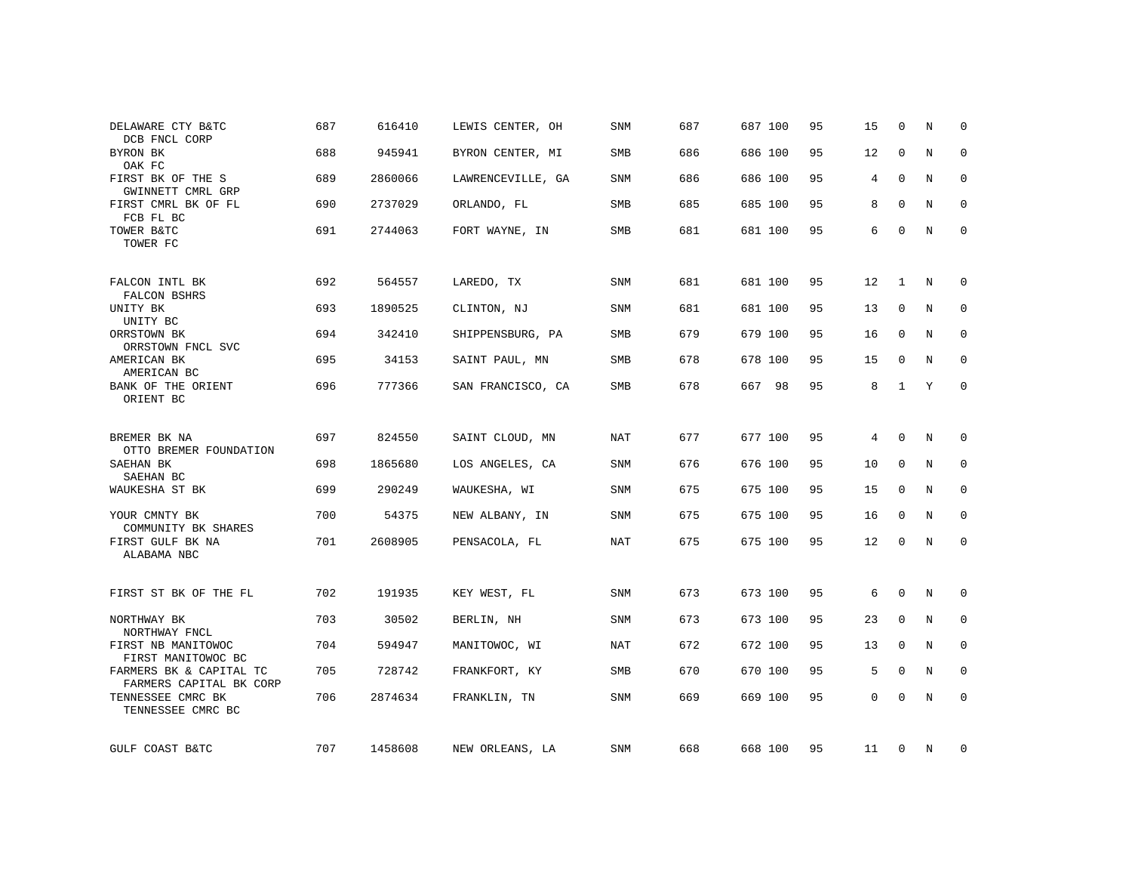| DELAWARE CTY B&TC<br>DCB FNCL CORP                 | 687 | 616410  | LEWIS CENTER, OH  | SNM        | 687 | 687 100 | 95 | 15       | $\mathbf 0$  | N | $\Omega$    |
|----------------------------------------------------|-----|---------|-------------------|------------|-----|---------|----|----------|--------------|---|-------------|
| BYRON BK<br>OAK FC                                 | 688 | 945941  | BYRON CENTER, MI  | SMB        | 686 | 686 100 | 95 | 12       | $\mathbf 0$  | N | $\mathbf 0$ |
| FIRST BK OF THE S<br>GWINNETT CMRL GRP             | 689 | 2860066 | LAWRENCEVILLE, GA | SNM        | 686 | 686 100 | 95 | 4        | $\mathbf 0$  | N | $\mathbf 0$ |
| FIRST CMRL BK OF FL<br>FCB FL BC                   | 690 | 2737029 | ORLANDO, FL       | SMB        | 685 | 685 100 | 95 | 8        | $\mathbf{0}$ | N | $\mathbf 0$ |
| TOWER B&TC<br>TOWER FC                             | 691 | 2744063 | FORT WAYNE, IN    | SMB        | 681 | 681 100 | 95 | 6        | $\mathbf 0$  | N | $\mathbf 0$ |
| FALCON INTL BK<br>FALCON BSHRS                     | 692 | 564557  | LAREDO, TX        | SNM        | 681 | 681 100 | 95 | 12       | $\mathbf{1}$ | N | $\mathbf 0$ |
| UNITY BK<br>UNITY BC                               | 693 | 1890525 | CLINTON, NJ       | <b>SNM</b> | 681 | 681 100 | 95 | 13       | $\mathbf 0$  | N | $\mathbf 0$ |
| ORRSTOWN BK<br>ORRSTOWN FNCL SVC                   | 694 | 342410  | SHIPPENSBURG, PA  | <b>SMB</b> | 679 | 679 100 | 95 | 16       | 0            | N | $\mathbf 0$ |
| AMERICAN BK<br>AMERICAN BC                         | 695 | 34153   | SAINT PAUL, MN    | SMB        | 678 | 678 100 | 95 | 15       | $\mathbf 0$  | N | $\mathbf 0$ |
| BANK OF THE ORIENT<br>ORIENT BC                    | 696 | 777366  | SAN FRANCISCO, CA | SMB        | 678 | 667 98  | 95 | 8        | $\mathbf{1}$ | Υ | $\mathbf 0$ |
| BREMER BK NA                                       | 697 | 824550  | SAINT CLOUD, MN   | <b>NAT</b> | 677 | 677 100 | 95 | 4        | 0            | N | 0           |
| OTTO BREMER FOUNDATION<br>SAEHAN BK                | 698 | 1865680 | LOS ANGELES, CA   | SNM        | 676 | 676 100 | 95 | 10       | 0            | N | 0           |
| SAEHAN BC<br>WAUKESHA ST BK                        | 699 | 290249  | WAUKESHA, WI      | <b>SNM</b> | 675 | 675 100 | 95 | 15       | $\mathbf 0$  | N | 0           |
| YOUR CMNTY BK<br>COMMUNITY BK SHARES               | 700 | 54375   | NEW ALBANY, IN    | SNM        | 675 | 675 100 | 95 | 16       | 0            | N | 0           |
| FIRST GULF BK NA<br>ALABAMA NBC                    | 701 | 2608905 | PENSACOLA, FL     | NAT        | 675 | 675 100 | 95 | 12       | $\Omega$     | N | $\mathbf 0$ |
| FIRST ST BK OF THE FL                              | 702 | 191935  | KEY WEST, FL      | SNM        | 673 | 673 100 | 95 | 6        | $\mathbf 0$  | Ν | 0           |
| NORTHWAY BK<br>NORTHWAY FNCL                       | 703 | 30502   | BERLIN, NH        | <b>SNM</b> | 673 | 673 100 | 95 | 23       | $\Omega$     | N | $\mathbf 0$ |
| FIRST NB MANITOWOC<br>FIRST MANITOWOC BC           | 704 | 594947  | MANITOWOC, WI     | <b>NAT</b> | 672 | 672 100 | 95 | 13       | $\mathbf 0$  | N | $\mathbf 0$ |
| FARMERS BK & CAPITAL TC<br>FARMERS CAPITAL BK CORP | 705 | 728742  | FRANKFORT, KY     | SMB        | 670 | 670 100 | 95 | 5        | $\mathbf 0$  | N | $\mathbf 0$ |
| TENNESSEE CMRC BK<br>TENNESSEE CMRC BC             | 706 | 2874634 | FRANKLIN, TN      | SNM        | 669 | 669 100 | 95 | $\Omega$ | $\Omega$     | N | $\mathbf 0$ |
| GULF COAST B&TC                                    | 707 | 1458608 | NEW ORLEANS, LA   | SNM        | 668 | 668 100 | 95 | 11       | $\mathbf 0$  | N | 0           |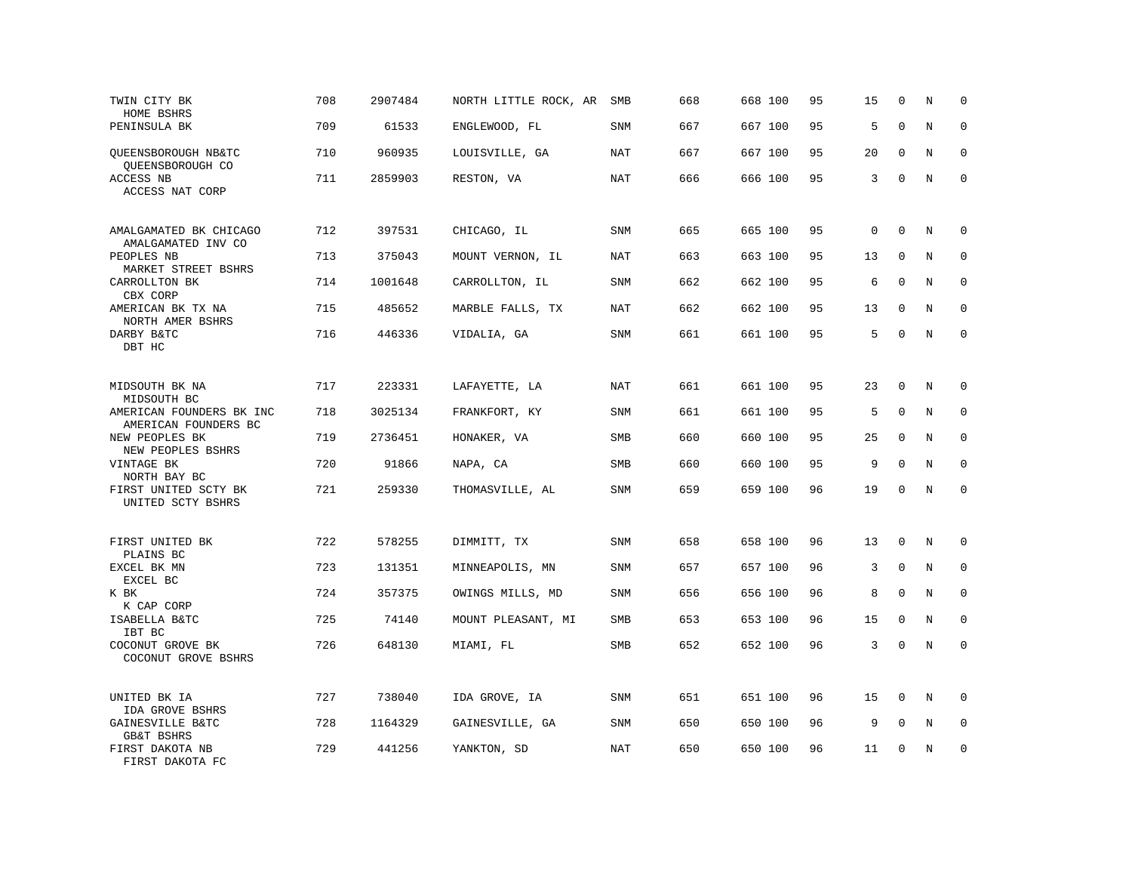| TWIN CITY BK<br>HOME BSHRS                       | 708 | 2907484 | NORTH LITTLE ROCK, AR | SMB        | 668 | 668 100 | 95 | 15          | $\mathbf 0$  | N           | $\mathbf 0$  |
|--------------------------------------------------|-----|---------|-----------------------|------------|-----|---------|----|-------------|--------------|-------------|--------------|
| PENINSULA BK                                     | 709 | 61533   | ENGLEWOOD, FL         | <b>SNM</b> | 667 | 667 100 | 95 | 5           | $\mathbf 0$  | N           | $\mathbf 0$  |
| QUEENSBOROUGH NB&TC<br>QUEENSBOROUGH CO          | 710 | 960935  | LOUISVILLE, GA        | <b>NAT</b> | 667 | 667 100 | 95 | 20          | $\mathbf 0$  | N           | $\mathbf 0$  |
| ACCESS NB<br>ACCESS NAT CORP                     | 711 | 2859903 | RESTON, VA            | NAT        | 666 | 666 100 | 95 | 3           | $\mathbf 0$  | N           | $\mathbf 0$  |
| AMALGAMATED BK CHICAGO<br>AMALGAMATED INV CO     | 712 | 397531  | CHICAGO, IL           | <b>SNM</b> | 665 | 665 100 | 95 | $\mathbf 0$ | $\mathbf 0$  | N           | 0            |
| PEOPLES NB<br>MARKET STREET BSHRS                | 713 | 375043  | MOUNT VERNON, IL      | <b>NAT</b> | 663 | 663 100 | 95 | 13          | $\mathbf{0}$ | N           | $\mathbf 0$  |
| CARROLLTON BK<br>CBX CORP                        | 714 | 1001648 | CARROLLTON, IL        | <b>SNM</b> | 662 | 662 100 | 95 | 6           | $\Omega$     | N           | $\mathbf{0}$ |
| AMERICAN BK TX NA<br>NORTH AMER BSHRS            | 715 | 485652  | MARBLE FALLS, TX      | <b>NAT</b> | 662 | 662 100 | 95 | 13          | $\mathbf 0$  | N           | $\mathbf 0$  |
| DARBY B&TC<br>DBT HC                             | 716 | 446336  | VIDALIA, GA           | <b>SNM</b> | 661 | 661 100 | 95 | 5           | $\mathbf 0$  | N           | $\mathbf 0$  |
| MIDSOUTH BK NA<br>MIDSOUTH BC                    | 717 | 223331  | LAFAYETTE, LA         | NAT        | 661 | 661 100 | 95 | 23          | $\mathbf{0}$ | N           | 0            |
| AMERICAN FOUNDERS BK INC<br>AMERICAN FOUNDERS BC | 718 | 3025134 | FRANKFORT, KY         | SNM        | 661 | 661 100 | 95 | 5           | $\mathbf 0$  | N           | 0            |
| NEW PEOPLES BK<br>NEW PEOPLES BSHRS              | 719 | 2736451 | HONAKER, VA           | SMB        | 660 | 660 100 | 95 | 25          | $\mathbf 0$  | $\mathbf N$ | $\mathbf 0$  |
| VINTAGE BK<br>NORTH BAY BC                       | 720 | 91866   | NAPA, CA              | SMB        | 660 | 660 100 | 95 | 9           | $\mathbf 0$  | N           | 0            |
| FIRST UNITED SCTY BK<br>UNITED SCTY BSHRS        | 721 | 259330  | THOMASVILLE, AL       | SNM        | 659 | 659 100 | 96 | 19          | $\mathbf 0$  | $\rm N$     | $\mathbf 0$  |
| FIRST UNITED BK<br>PLAINS BC                     | 722 | 578255  | DIMMITT, TX           | SNM        | 658 | 658 100 | 96 | 13          | $\mathbf{0}$ | N           | 0            |
| EXCEL BK MN<br>EXCEL BC                          | 723 | 131351  | MINNEAPOLIS, MN       | SNM        | 657 | 657 100 | 96 | 3           | $\mathbf 0$  | N           | 0            |
| K BK<br>K CAP CORP                               | 724 | 357375  | OWINGS MILLS, MD      | SNM        | 656 | 656 100 | 96 | 8           | $\mathbf 0$  | N           | $\mathbf 0$  |
| ISABELLA B&TC<br>IBT BC                          | 725 | 74140   | MOUNT PLEASANT, MI    | SMB        | 653 | 653 100 | 96 | 15          | $\mathbf 0$  | N           | $\mathbf 0$  |
| COCONUT GROVE BK<br>COCONUT GROVE BSHRS          | 726 | 648130  | MIAMI, FL             | SMB        | 652 | 652 100 | 96 | 3           | $\mathbf{0}$ | N           | $\mathbf 0$  |
| UNITED BK IA<br>IDA GROVE BSHRS                  | 727 | 738040  | IDA GROVE, IA         | SNM        | 651 | 651 100 | 96 | 15          | $\mathbf 0$  | N           | $\mathbf 0$  |
| GAINESVILLE B&TC<br><b>GB&amp;T BSHRS</b>        | 728 | 1164329 | GAINESVILLE, GA       | <b>SNM</b> | 650 | 650 100 | 96 | 9           | $\mathbf 0$  | N           | $\mathbf 0$  |
| FIRST DAKOTA NB<br>FIRST DAKOTA FC               | 729 | 441256  | YANKTON, SD           | <b>NAT</b> | 650 | 650 100 | 96 | 11          | $\mathbf 0$  | N           | $\mathbf 0$  |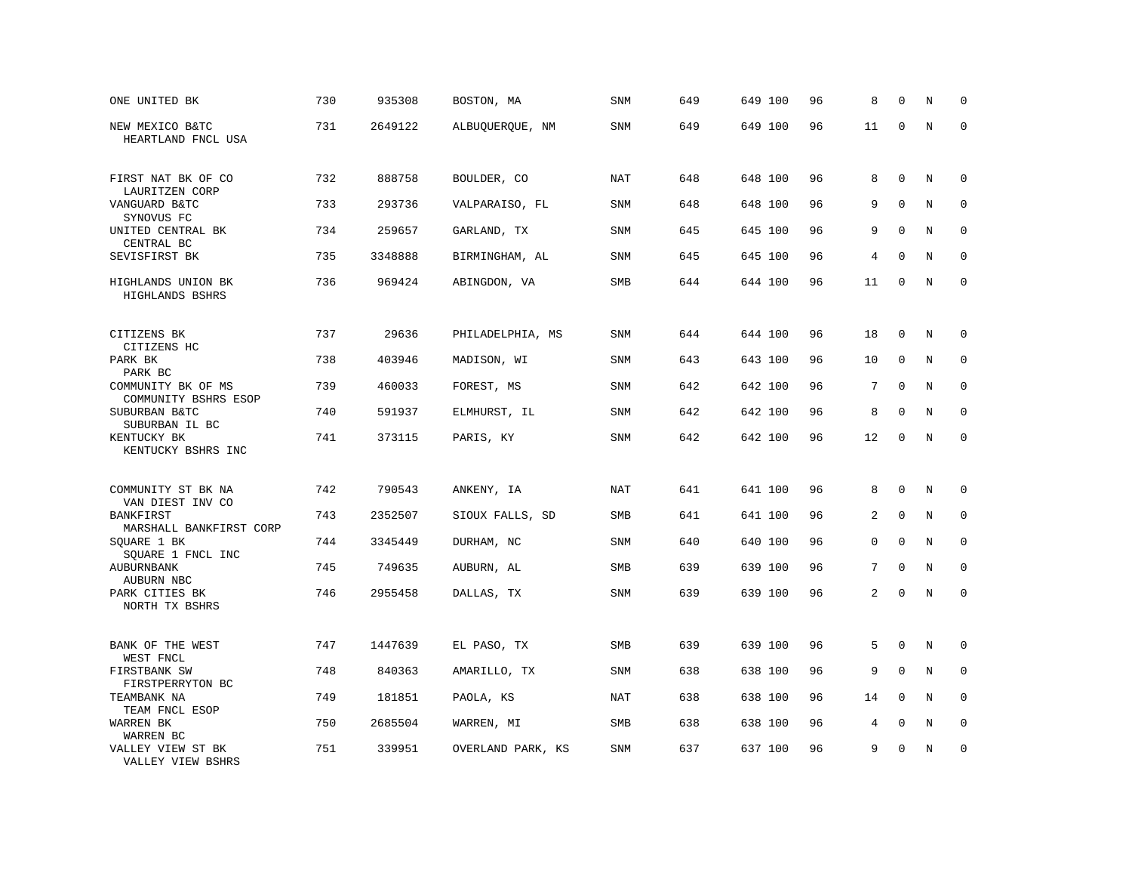| ONE UNITED BK                                         | 730 | 935308  | BOSTON, MA        | SNM        | 649 | 649 100 | 96 | 8  | $\mathbf 0$  | N       | $\mathbf 0$ |
|-------------------------------------------------------|-----|---------|-------------------|------------|-----|---------|----|----|--------------|---------|-------------|
| NEW MEXICO B&TC<br>HEARTLAND FNCL USA                 | 731 | 2649122 | ALBUQUERQUE, NM   | SNM        | 649 | 649 100 | 96 | 11 | $\mathbf 0$  | N       | $\mathbf 0$ |
| FIRST NAT BK OF CO                                    | 732 | 888758  | BOULDER, CO       | <b>NAT</b> | 648 | 648 100 | 96 | 8  | $\mathbf 0$  | N       | 0           |
| LAURITZEN CORP<br>VANGUARD B&TC                       | 733 | 293736  | VALPARAISO, FL    | SNM        | 648 | 648 100 | 96 | 9  | $\mathbf{0}$ | N       | $\mathbf 0$ |
| SYNOVUS FC<br>UNITED CENTRAL BK<br>CENTRAL BC         | 734 | 259657  | GARLAND, TX       | <b>SNM</b> | 645 | 645 100 | 96 | 9  | $\mathbf 0$  | N       | $\mathbf 0$ |
| SEVISFIRST BK                                         | 735 | 3348888 | BIRMINGHAM, AL    | SNM        | 645 | 645 100 | 96 | 4  | $\mathbf 0$  | N       | $\mathbf 0$ |
| HIGHLANDS UNION BK<br>HIGHLANDS BSHRS                 | 736 | 969424  | ABINGDON, VA      | SMB        | 644 | 644 100 | 96 | 11 | $\Omega$     | N       | $\mathbf 0$ |
| CITIZENS BK                                           | 737 | 29636   | PHILADELPHIA, MS  | <b>SNM</b> | 644 | 644 100 | 96 | 18 | $\mathbf 0$  | N       | $\mathbf 0$ |
| CITIZENS HC<br>PARK BK                                | 738 | 403946  | MADISON, WI       | SNM        | 643 | 643 100 | 96 | 10 | 0            | N       | 0           |
| PARK BC<br>COMMUNITY BK OF MS<br>COMMUNITY BSHRS ESOP | 739 | 460033  | FOREST, MS        | <b>SNM</b> | 642 | 642 100 | 96 | 7  | $\mathbf 0$  | N       | $\mathbf 0$ |
| SUBURBAN B&TC<br>SUBURBAN IL BC                       | 740 | 591937  | ELMHURST, IL      | SNM        | 642 | 642 100 | 96 | 8  | $\mathbf 0$  | N       | $\mathbf 0$ |
| KENTUCKY BK<br>KENTUCKY BSHRS INC                     | 741 | 373115  | PARIS, KY         | <b>SNM</b> | 642 | 642 100 | 96 | 12 | $\mathbf 0$  | $\rm N$ | $\mathbf 0$ |
| COMMUNITY ST BK NA                                    | 742 | 790543  | ANKENY, IA        | NAT        | 641 | 641 100 | 96 | 8  | $\mathbf 0$  | N       | $\mathbf 0$ |
| VAN DIEST INV CO<br><b>BANKFIRST</b>                  | 743 | 2352507 | SIOUX FALLS, SD   | SMB        | 641 | 641 100 | 96 | 2  | $\Omega$     | N       | $\mathbf 0$ |
| MARSHALL BANKFIRST CORP<br>SQUARE 1 BK                | 744 | 3345449 | DURHAM, NC        | <b>SNM</b> | 640 | 640 100 | 96 | 0  | $\mathbf{0}$ | N       | $\mathbf 0$ |
| SQUARE 1 FNCL INC<br>AUBURNBANK<br>AUBURN NBC         | 745 | 749635  | AUBURN, AL        | SMB        | 639 | 639 100 | 96 | 7  | $\Omega$     | N       | 0           |
| PARK CITIES BK<br>NORTH TX BSHRS                      | 746 | 2955458 | DALLAS, TX        | SNM        | 639 | 639 100 | 96 | 2  | $\mathbf 0$  | $\rm N$ | $\mathbf 0$ |
| BANK OF THE WEST<br>WEST FNCL                         | 747 | 1447639 | EL PASO, TX       | SMB        | 639 | 639 100 | 96 | 5  | $\mathbf 0$  | $\rm N$ | 0           |
| FIRSTBANK SW<br>FIRSTPERRYTON BC                      | 748 | 840363  | AMARILLO, TX      | <b>SNM</b> | 638 | 638 100 | 96 | 9  | $\mathbf 0$  | N       | $\mathbf 0$ |
| TEAMBANK NA<br>TEAM FNCL ESOP                         | 749 | 181851  | PAOLA, KS         | NAT        | 638 | 638 100 | 96 | 14 | $\mathbf 0$  | N       | $\mathbf 0$ |
| WARREN BK<br>WARREN BC                                | 750 | 2685504 | WARREN, MI        | SMB        | 638 | 638 100 | 96 | 4  | $\mathbf 0$  | N       | $\mathbf 0$ |
| VALLEY VIEW ST BK<br>VALLEY VIEW BSHRS                | 751 | 339951  | OVERLAND PARK, KS | SNM        | 637 | 637 100 | 96 | 9  | $\mathbf 0$  | N       | $\mathbf 0$ |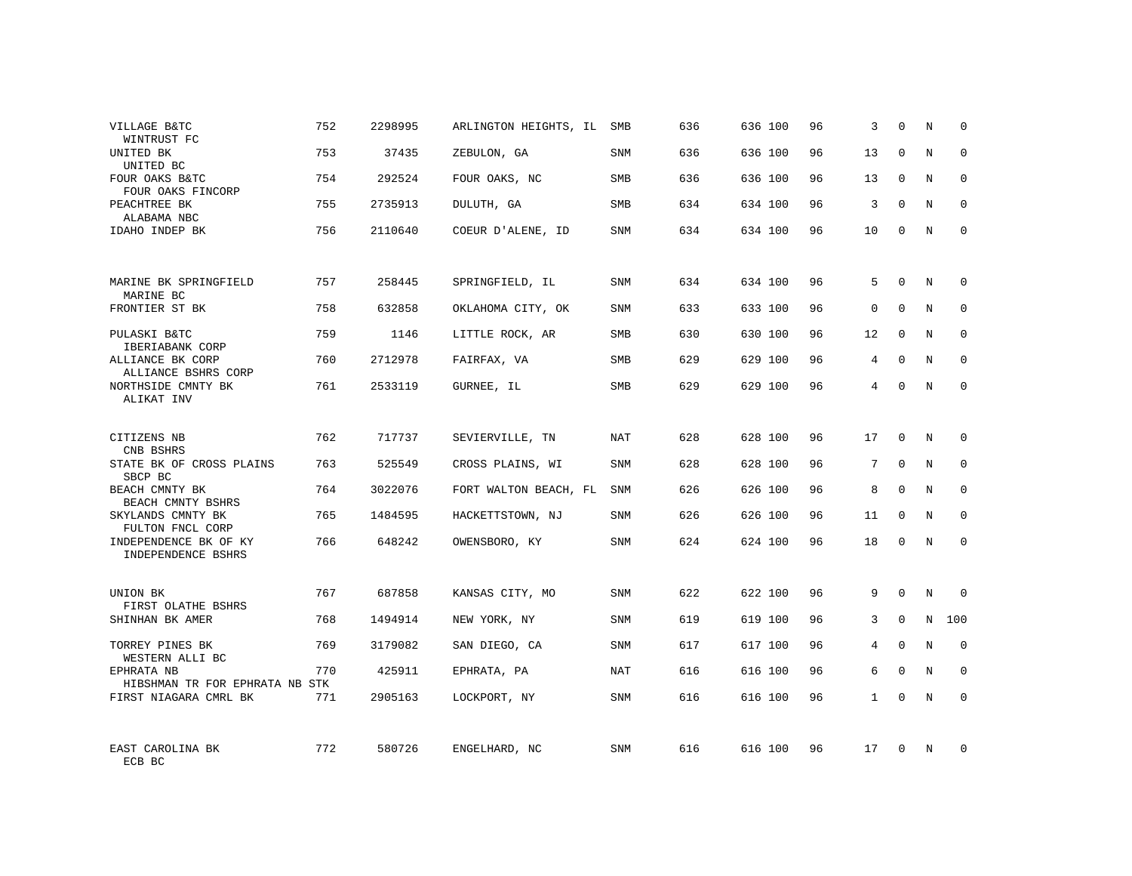| VILLAGE B&TC<br>WINTRUST FC                  | 752 | 2298995 | ARLINGTON HEIGHTS, IL | SMB        | 636 | 636 100 | 96 | 3            | $\Omega$     | N       | $\Omega$    |
|----------------------------------------------|-----|---------|-----------------------|------------|-----|---------|----|--------------|--------------|---------|-------------|
| UNITED BK<br>UNITED BC                       | 753 | 37435   | ZEBULON, GA           | <b>SNM</b> | 636 | 636 100 | 96 | 13           | $\Omega$     | N       | $\Omega$    |
| FOUR OAKS B&TC<br>FOUR OAKS FINCORP          | 754 | 292524  | FOUR OAKS, NC         | SMB        | 636 | 636 100 | 96 | 13           | $\Omega$     | N       | $\mathbf 0$ |
| PEACHTREE BK<br>ALABAMA NBC                  | 755 | 2735913 | DULUTH, GA            | <b>SMB</b> | 634 | 634 100 | 96 | 3            | $\Omega$     | N       | $\Omega$    |
| IDAHO INDEP BK                               | 756 | 2110640 | COEUR D'ALENE, ID     | SNM        | 634 | 634 100 | 96 | 10           | $\Omega$     | N       | $\Omega$    |
|                                              |     |         |                       |            |     |         |    |              |              |         |             |
| MARINE BK SPRINGFIELD<br>MARINE BC           | 757 | 258445  | SPRINGFIELD, IL       | SNM        | 634 | 634 100 | 96 | 5            | $\Omega$     | N       | $\Omega$    |
| FRONTIER ST BK                               | 758 | 632858  | OKLAHOMA CITY, OK     | <b>SNM</b> | 633 | 633 100 | 96 | $\Omega$     | $\Omega$     | N       | $\Omega$    |
| PULASKI B&TC<br>IBERIABANK CORP              | 759 | 1146    | LITTLE ROCK, AR       | <b>SMB</b> | 630 | 630 100 | 96 | 12           | $\Omega$     | N       | $\Omega$    |
| ALLIANCE BK CORP<br>ALLIANCE BSHRS CORP      | 760 | 2712978 | FAIRFAX, VA           | <b>SMB</b> | 629 | 629 100 | 96 | 4            | $\Omega$     | N       | $\Omega$    |
| NORTHSIDE CMNTY BK<br>ALIKAT INV             | 761 | 2533119 | GURNEE, IL            | <b>SMB</b> | 629 | 629 100 | 96 | 4            | $\Omega$     | N       | $\Omega$    |
|                                              |     |         |                       |            |     |         |    |              |              |         |             |
| CITIZENS NB<br>CNB BSHRS                     | 762 | 717737  | SEVIERVILLE, TN       | NAT        | 628 | 628 100 | 96 | 17           | $\mathbf 0$  | N       | $\mathbf 0$ |
| STATE BK OF CROSS PLAINS<br>SBCP BC          | 763 | 525549  | CROSS PLAINS, WI      | SNM        | 628 | 628 100 | 96 | 7            | $\Omega$     | N       | $\mathbf 0$ |
| BEACH CMNTY BK<br>BEACH CMNTY BSHRS          | 764 | 3022076 | FORT WALTON BEACH, FL | <b>SNM</b> | 626 | 626 100 | 96 | 8            | $\Omega$     | N       | $\mathbf 0$ |
| SKYLANDS CMNTY BK<br>FULTON FNCL CORP        | 765 | 1484595 | HACKETTSTOWN, NJ      | SNM        | 626 | 626 100 | 96 | 11           | $\mathbf{0}$ | N       | $\mathbf 0$ |
| INDEPENDENCE BK OF KY<br>INDEPENDENCE BSHRS  | 766 | 648242  | OWENSBORO, KY         | <b>SNM</b> | 624 | 624 100 | 96 | 18           | $\Omega$     | N       | $\mathbf 0$ |
|                                              |     |         |                       |            |     |         |    |              |              |         |             |
| UNION BK<br>FIRST OLATHE BSHRS               | 767 | 687858  | KANSAS CITY, MO       | SNM        | 622 | 622 100 | 96 | 9            | $\Omega$     | N       | 0           |
| SHINHAN BK AMER                              | 768 | 1494914 | NEW YORK, NY          | <b>SNM</b> | 619 | 619 100 | 96 | 3            | $\mathbf{0}$ | $\rm N$ | 100         |
| TORREY PINES BK<br>WESTERN ALLI BC           | 769 | 3179082 | SAN DIEGO, CA         | <b>SNM</b> | 617 | 617 100 | 96 | 4            | $\Omega$     | N       | $\mathbf 0$ |
| EPHRATA NB<br>HIBSHMAN TR FOR EPHRATA NB STK | 770 | 425911  | EPHRATA, PA           | <b>NAT</b> | 616 | 616 100 | 96 | 6            | $\mathbf{0}$ | N       | $\mathbf 0$ |
| FIRST NIAGARA CMRL BK                        | 771 | 2905163 | LOCKPORT, NY          | <b>SNM</b> | 616 | 616 100 | 96 | $\mathbf{1}$ | $\Omega$     | N       | $\mathbf 0$ |
| EAST CAROLINA BK                             | 772 | 580726  | ENGELHARD, NC         | SNM        | 616 | 616 100 | 96 | 17           | $\Omega$     | N       | $\mathbf 0$ |
| ECB BC                                       |     |         |                       |            |     |         |    |              |              |         |             |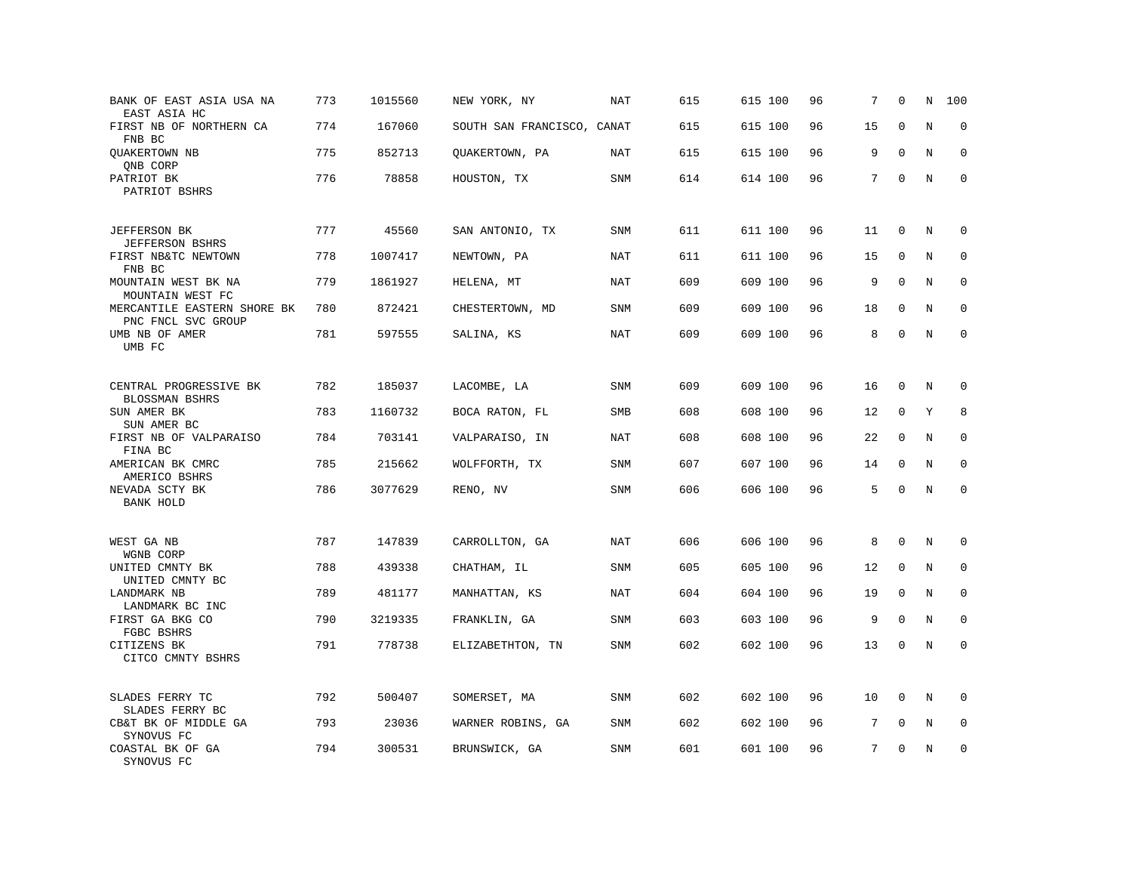| BANK OF EAST ASIA USA NA<br>EAST ASIA HC          | 773 | 1015560 | NEW YORK, NY               | NAT        | 615 | 615 100 | 96 | 7  | 0            | N       | 100         |
|---------------------------------------------------|-----|---------|----------------------------|------------|-----|---------|----|----|--------------|---------|-------------|
| FIRST NB OF NORTHERN CA<br>FNB BC                 | 774 | 167060  | SOUTH SAN FRANCISCO, CANAT |            | 615 | 615 100 | 96 | 15 | $\mathbf{0}$ | $\rm N$ | $\mathbf 0$ |
| QUAKERTOWN NB<br>QNB CORP                         | 775 | 852713  | QUAKERTOWN, PA             | NAT        | 615 | 615 100 | 96 | 9  | $\mathbf{0}$ | N       | $\mathbf 0$ |
| PATRIOT BK<br>PATRIOT BSHRS                       | 776 | 78858   | HOUSTON, TX                | SNM        | 614 | 614 100 | 96 | 7  | $\mathbf{0}$ | N       | $\mathbf 0$ |
| <b>JEFFERSON BK</b><br><b>JEFFERSON BSHRS</b>     | 777 | 45560   | SAN ANTONIO, TX            | <b>SNM</b> | 611 | 611 100 | 96 | 11 | $\mathbf 0$  | N       | $\mathbf 0$ |
| FIRST NB&TC NEWTOWN<br>FNB BC                     | 778 | 1007417 | NEWTOWN, PA                | NAT        | 611 | 611 100 | 96 | 15 | $\mathbf 0$  | N       | $\mathbf 0$ |
| MOUNTAIN WEST BK NA<br>MOUNTAIN WEST FC           | 779 | 1861927 | HELENA, MT                 | NAT        | 609 | 609 100 | 96 | 9  | $\Omega$     | N       | $\mathbf 0$ |
| MERCANTILE EASTERN SHORE BK<br>PNC FNCL SVC GROUP | 780 | 872421  | CHESTERTOWN, MD            | <b>SNM</b> | 609 | 609 100 | 96 | 18 | $\Omega$     | N       | $\Omega$    |
| UMB NB OF AMER<br>UMB FC                          | 781 | 597555  | SALINA, KS                 | <b>NAT</b> | 609 | 609 100 | 96 | 8  | $\mathbf{0}$ | N       | $\mathbf 0$ |
| CENTRAL PROGRESSIVE BK<br>BLOSSMAN BSHRS          | 782 | 185037  | LACOMBE, LA                | SNM        | 609 | 609 100 | 96 | 16 | $\mathbf 0$  | N       | 0           |
| SUN AMER BK<br>SUN AMER BC                        | 783 | 1160732 | BOCA RATON, FL             | <b>SMB</b> | 608 | 608 100 | 96 | 12 | $\mathbf{0}$ | Υ       | 8           |
| FIRST NB OF VALPARAISO<br>FINA BC                 | 784 | 703141  | VALPARAISO, IN             | NAT        | 608 | 608 100 | 96 | 22 | $\mathbf 0$  | N       | 0           |
| AMERICAN BK CMRC<br>AMERICO BSHRS                 | 785 | 215662  | WOLFFORTH, TX              | <b>SNM</b> | 607 | 607 100 | 96 | 14 | $\Omega$     | N       | $\mathbf 0$ |
| NEVADA SCTY BK<br><b>BANK HOLD</b>                | 786 | 3077629 | RENO, NV                   | SNM        | 606 | 606 100 | 96 | 5  | $\Omega$     | $\rm N$ | 0           |
| WEST GA NB<br>WGNB CORP                           | 787 | 147839  | CARROLLTON, GA             | NAT        | 606 | 606 100 | 96 | 8  | $\mathbf 0$  | N       | $\mathbf 0$ |
| UNITED CMNTY BK<br>UNITED CMNTY BC                | 788 | 439338  | CHATHAM, IL                | <b>SNM</b> | 605 | 605 100 | 96 | 12 | 0            | N       | $\mathbf 0$ |
| LANDMARK NB<br>LANDMARK BC INC                    | 789 | 481177  | MANHATTAN, KS              | <b>NAT</b> | 604 | 604 100 | 96 | 19 | $\mathbf 0$  | N       | $\mathbf 0$ |
| FIRST GA BKG CO<br>FGBC BSHRS                     | 790 | 3219335 | FRANKLIN, GA               | SNM        | 603 | 603 100 | 96 | 9  | $\mathbf{0}$ | N       | $\mathbf 0$ |
| CITIZENS BK<br>CITCO CMNTY BSHRS                  | 791 | 778738  | ELIZABETHTON, TN           | SNM        | 602 | 602 100 | 96 | 13 | 0            | N       | $\mathbf 0$ |
| SLADES FERRY TC<br>SLADES FERRY BC                | 792 | 500407  | SOMERSET, MA               | <b>SNM</b> | 602 | 602 100 | 96 | 10 | $\mathbf 0$  | N       | $\Omega$    |
| CB&T BK OF MIDDLE GA<br>SYNOVUS FC                | 793 | 23036   | WARNER ROBINS, GA          | <b>SNM</b> | 602 | 602 100 | 96 | 7  | $\mathbf 0$  | Ν       | 0           |
| COASTAL BK OF GA<br>SYNOVUS FC                    | 794 | 300531  | BRUNSWICK, GA              | <b>SNM</b> | 601 | 601 100 | 96 | 7  | $\mathbf 0$  | N       | $\mathbf 0$ |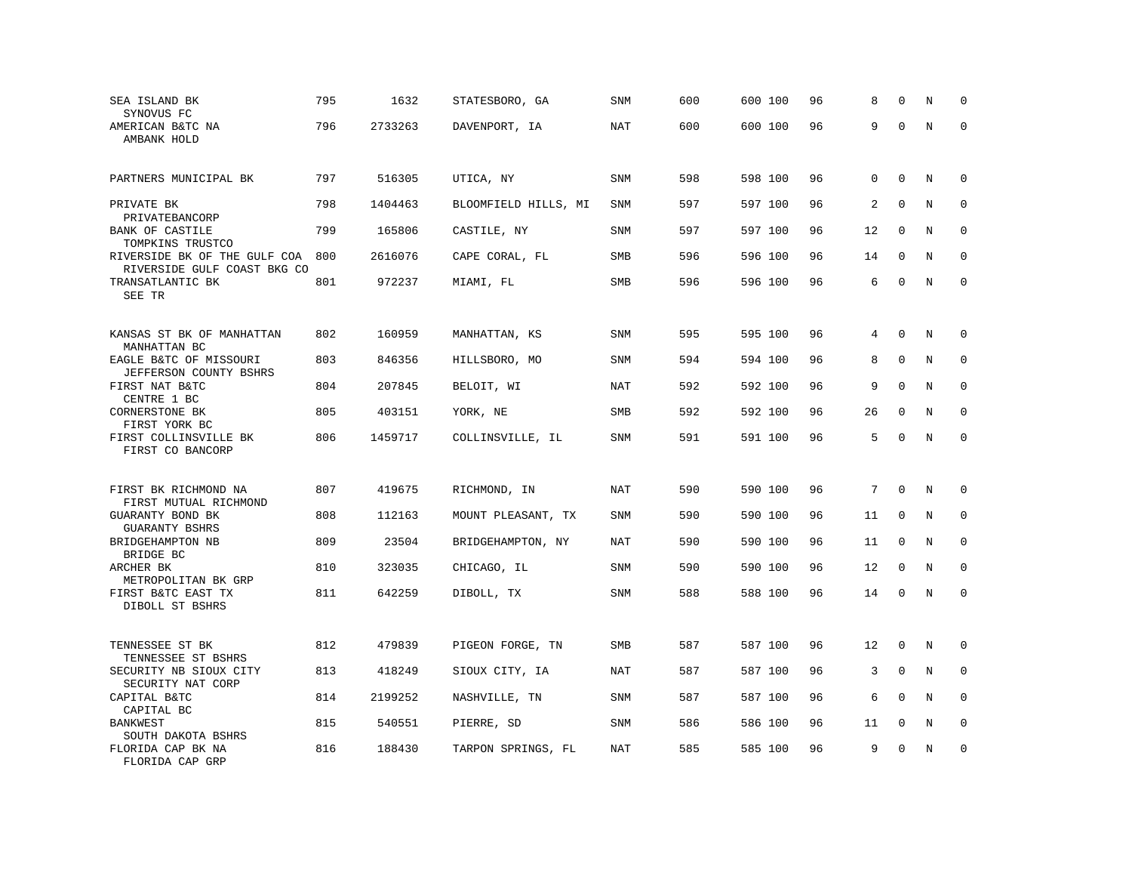| SEA ISLAND BK<br>SYNOVUS FC                                        | 795 | 1632    | STATESBORO, GA       | <b>SNM</b> | 600 | 600 100 | 96 | 8  | $\Omega$     | N       | $\mathbf 0$ |
|--------------------------------------------------------------------|-----|---------|----------------------|------------|-----|---------|----|----|--------------|---------|-------------|
| AMERICAN B&TC NA<br>AMBANK HOLD                                    | 796 | 2733263 | DAVENPORT, IA        | <b>NAT</b> | 600 | 600 100 | 96 | 9  | $\Omega$     | $\rm N$ | $\mathbf 0$ |
| PARTNERS MUNICIPAL BK                                              | 797 | 516305  | UTICA, NY            | <b>SNM</b> | 598 | 598 100 | 96 | 0  | $\mathbf 0$  | N       | 0           |
| PRIVATE BK<br>PRIVATEBANCORP                                       | 798 | 1404463 | BLOOMFIELD HILLS, MI | SNM        | 597 | 597 100 | 96 | 2  | $\mathbf 0$  | N       | $\mathbf 0$ |
| BANK OF CASTILE<br>TOMPKINS TRUSTCO                                | 799 | 165806  | CASTILE, NY          | SNM        | 597 | 597 100 | 96 | 12 | $\mathbf{0}$ | N       | $\mathbf 0$ |
| RIVERSIDE BK OF THE GULF COA<br>RIVERSIDE GULF COAST BKG CO        | 800 | 2616076 | CAPE CORAL, FL       | SMB        | 596 | 596 100 | 96 | 14 | $\mathbf 0$  | N       | $\mathbf 0$ |
| TRANSATLANTIC BK<br>SEE TR                                         | 801 | 972237  | MIAMI, FL            | <b>SMB</b> | 596 | 596 100 | 96 | 6  | $\Omega$     | N       | $\Omega$    |
| KANSAS ST BK OF MANHATTAN                                          | 802 | 160959  | MANHATTAN, KS        | SNM        | 595 | 595 100 | 96 | 4  | $\mathbf{0}$ | N       | $\mathbf 0$ |
| MANHATTAN BC<br>EAGLE B&TC OF MISSOURI<br>JEFFERSON COUNTY BSHRS   | 803 | 846356  | HILLSBORO, MO        | SNM        | 594 | 594 100 | 96 | 8  | 0            | N       | 0           |
| FIRST NAT B&TC<br>CENTRE 1 BC                                      | 804 | 207845  | BELOIT, WI           | NAT        | 592 | 592 100 | 96 | 9  | $\mathbf 0$  | N       | $\mathbf 0$ |
| CORNERSTONE BK<br>FIRST YORK BC                                    | 805 | 403151  | YORK, NE             | <b>SMB</b> | 592 | 592 100 | 96 | 26 | $\Omega$     | N       | $\Omega$    |
| FIRST COLLINSVILLE BK<br>FIRST CO BANCORP                          | 806 | 1459717 | COLLINSVILLE, IL     | <b>SNM</b> | 591 | 591 100 | 96 | 5  | $\mathbf 0$  | N       | $\mathbf 0$ |
| FIRST BK RICHMOND NA                                               | 807 | 419675  | RICHMOND, IN         | NAT        | 590 | 590 100 | 96 | 7  | $\Omega$     | N       | $\mathbf 0$ |
| FIRST MUTUAL RICHMOND<br>GUARANTY BOND BK<br><b>GUARANTY BSHRS</b> | 808 | 112163  | MOUNT PLEASANT, TX   | <b>SNM</b> | 590 | 590 100 | 96 | 11 | $\mathbf 0$  | N       | $\mathbf 0$ |
| BRIDGEHAMPTON NB<br>BRIDGE BC                                      | 809 | 23504   | BRIDGEHAMPTON, NY    | <b>NAT</b> | 590 | 590 100 | 96 | 11 | $\mathbf 0$  | N       | $\mathbf 0$ |
| ARCHER BK<br>METROPOLITAN BK GRP                                   | 810 | 323035  | CHICAGO, IL          | SNM        | 590 | 590 100 | 96 | 12 | $\Omega$     | N       | 0           |
| FIRST B&TC EAST TX<br>DIBOLL ST BSHRS                              | 811 | 642259  | DIBOLL, TX           | <b>SNM</b> | 588 | 588 100 | 96 | 14 | $\mathbf 0$  | N       | $\mathbf 0$ |
| TENNESSEE ST BK<br>TENNESSEE ST BSHRS                              | 812 | 479839  | PIGEON FORGE, TN     | SMB        | 587 | 587 100 | 96 | 12 | $\mathbf 0$  | N       | 0           |
| SECURITY NB SIOUX CITY<br>SECURITY NAT CORP                        | 813 | 418249  | SIOUX CITY, IA       | <b>NAT</b> | 587 | 587 100 | 96 | 3  | $\mathbf 0$  | N       | 0           |
| CAPITAL B&TC<br>CAPITAL BC                                         | 814 | 2199252 | NASHVILLE, TN        | <b>SNM</b> | 587 | 587 100 | 96 | 6  | $\Omega$     | N       | $\mathbf 0$ |
| <b>BANKWEST</b><br>SOUTH DAKOTA BSHRS                              | 815 | 540551  | PIERRE, SD           | <b>SNM</b> | 586 | 586 100 | 96 | 11 | $\mathbf 0$  | N       | $\mathbf 0$ |
| FLORIDA CAP BK NA<br>FLORIDA CAP GRP                               | 816 | 188430  | TARPON SPRINGS, FL   | <b>NAT</b> | 585 | 585 100 | 96 | 9  | $\Omega$     | N       | $\mathbf 0$ |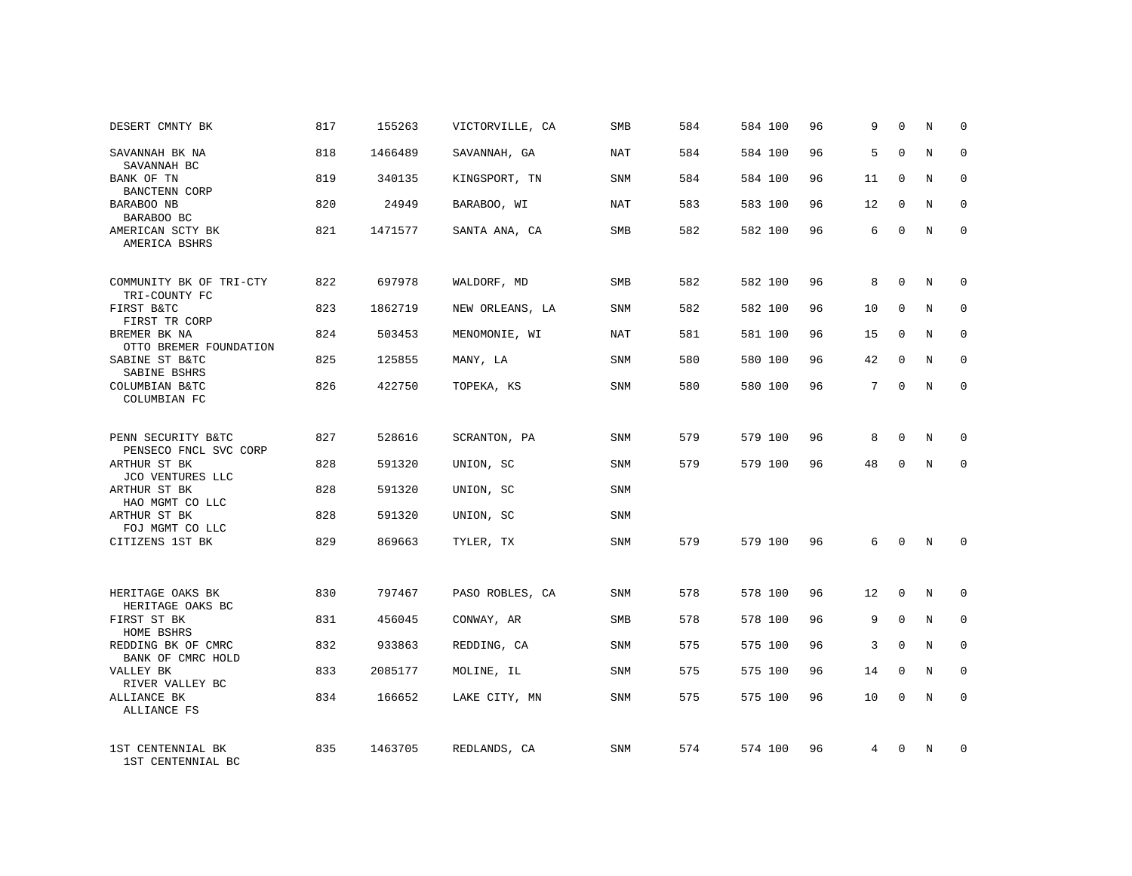| DESERT CMNTY BK                             | 817 | 155263  | VICTORVILLE, CA | SMB        | 584 | 584 100 | 96 | 9  | $\mathbf 0$  | N | $\mathbf 0$ |
|---------------------------------------------|-----|---------|-----------------|------------|-----|---------|----|----|--------------|---|-------------|
| SAVANNAH BK NA<br>SAVANNAH BC               | 818 | 1466489 | SAVANNAH, GA    | <b>NAT</b> | 584 | 584 100 | 96 | 5  | $\Omega$     | N | $\mathbf 0$ |
| BANK OF TN<br><b>BANCTENN CORP</b>          | 819 | 340135  | KINGSPORT, TN   | <b>SNM</b> | 584 | 584 100 | 96 | 11 | $\mathbf 0$  | N | $\mathbf 0$ |
| BARABOO NB<br>BARABOO BC                    | 820 | 24949   | BARABOO, WI     | NAT        | 583 | 583 100 | 96 | 12 | $\mathbf 0$  | N | $\mathbf 0$ |
| AMERICAN SCTY BK<br>AMERICA BSHRS           | 821 | 1471577 | SANTA ANA, CA   | <b>SMB</b> | 582 | 582 100 | 96 | 6  | $\Omega$     | N | $\Omega$    |
| COMMUNITY BK OF TRI-CTY<br>TRI-COUNTY FC    | 822 | 697978  | WALDORF, MD     | <b>SMB</b> | 582 | 582 100 | 96 | 8  | $\Omega$     | N | $\mathbf 0$ |
| FIRST B&TC<br>FIRST TR CORP                 | 823 | 1862719 | NEW ORLEANS, LA | SNM        | 582 | 582 100 | 96 | 10 | $\mathbf 0$  | N | 0           |
| BREMER BK NA<br>OTTO BREMER FOUNDATION      | 824 | 503453  | MENOMONIE, WI   | NAT        | 581 | 581 100 | 96 | 15 | $\Omega$     | N | $\mathbf 0$ |
| SABINE ST B&TC<br>SABINE BSHRS              | 825 | 125855  | MANY, LA        | <b>SNM</b> | 580 | 580 100 | 96 | 42 | $\mathbf 0$  | N | 0           |
| COLUMBIAN B&TC<br>COLUMBIAN FC              | 826 | 422750  | TOPEKA, KS      | SNM        | 580 | 580 100 | 96 | 7  | $\mathbf 0$  | N | $\mathbf 0$ |
| PENN SECURITY B&TC<br>PENSECO FNCL SVC CORP | 827 | 528616  | SCRANTON, PA    | <b>SNM</b> | 579 | 579 100 | 96 | 8  | $\mathbf 0$  | N | $\mathbf 0$ |
| ARTHUR ST BK<br>JCO VENTURES LLC            | 828 | 591320  | UNION, SC       | SNM        | 579 | 579 100 | 96 | 48 | $\Omega$     | N | $\mathbf 0$ |
| ARTHUR ST BK<br>HAO MGMT CO LLC             | 828 | 591320  | UNION, SC       | <b>SNM</b> |     |         |    |    |              |   |             |
| ARTHUR ST BK<br>FOJ MGMT CO LLC             | 828 | 591320  | UNION, SC       | <b>SNM</b> |     |         |    |    |              |   |             |
| CITIZENS 1ST BK                             | 829 | 869663  | TYLER, TX       | <b>SNM</b> | 579 | 579 100 | 96 | 6  | $\mathbf 0$  | N | 0           |
| HERITAGE OAKS BK<br>HERITAGE OAKS BC        | 830 | 797467  | PASO ROBLES, CA | <b>SNM</b> | 578 | 578 100 | 96 | 12 | $\mathbf 0$  | N | 0           |
| FIRST ST BK<br>HOME BSHRS                   | 831 | 456045  | CONWAY, AR      | SMB        | 578 | 578 100 | 96 | 9  | $\mathbf{0}$ | N | 0           |
| REDDING BK OF CMRC<br>BANK OF CMRC HOLD     | 832 | 933863  | REDDING, CA     | SNM        | 575 | 575 100 | 96 | 3  | $\Omega$     | N | $\mathbf 0$ |
| VALLEY BK<br>RIVER VALLEY BC                | 833 | 2085177 | MOLINE, IL      | <b>SNM</b> | 575 | 575 100 | 96 | 14 | $\mathbf 0$  | N | 0           |
| ALLIANCE BK<br>ALLIANCE FS                  | 834 | 166652  | LAKE CITY, MN   | <b>SNM</b> | 575 | 575 100 | 96 | 10 | $\Omega$     | N | $\mathbf 0$ |
| 1ST CENTENNIAL BK<br>1ST CENTENNIAL BC      | 835 | 1463705 | REDLANDS, CA    | <b>SNM</b> | 574 | 574 100 | 96 | 4  | $\Omega$     | N | $\mathbf 0$ |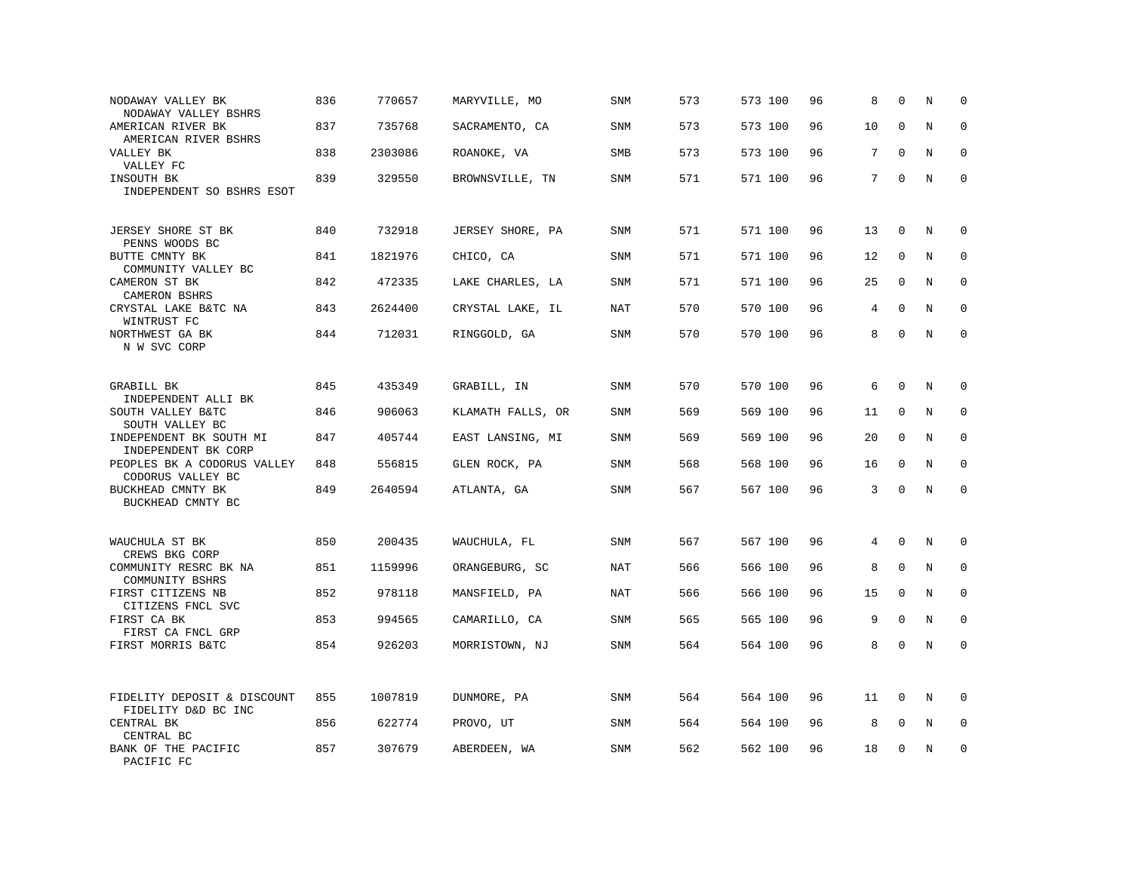| NODAWAY VALLEY BK<br>NODAWAY VALLEY BSHRS          | 836 | 770657  | MARYVILLE, MO     | SNM        | 573 | 573 100 | 96 | 8  | $\Omega$     | N          | $\mathbf 0$ |
|----------------------------------------------------|-----|---------|-------------------|------------|-----|---------|----|----|--------------|------------|-------------|
| AMERICAN RIVER BK<br>AMERICAN RIVER BSHRS          | 837 | 735768  | SACRAMENTO, CA    | SNM        | 573 | 573 100 | 96 | 10 | $\mathbf 0$  | N          | $\mathbf 0$ |
| VALLEY BK<br>VALLEY FC                             | 838 | 2303086 | ROANOKE, VA       | <b>SMB</b> | 573 | 573 100 | 96 | 7  | $\Omega$     | N          | $\mathbf 0$ |
| INSOUTH BK<br>INDEPENDENT SO BSHRS ESOT            | 839 | 329550  | BROWNSVILLE, TN   | <b>SNM</b> | 571 | 571 100 | 96 | 7  | $\mathbf{0}$ | N          | $\mathbf 0$ |
| JERSEY SHORE ST BK<br>PENNS WOODS BC               | 840 | 732918  | JERSEY SHORE, PA  | SNM        | 571 | 571 100 | 96 | 13 | $\Omega$     | Ν          | 0           |
| BUTTE CMNTY BK<br>COMMUNITY VALLEY BC              | 841 | 1821976 | CHICO, CA         | SNM        | 571 | 571 100 | 96 | 12 | $\mathbf 0$  | N          | $\mathbf 0$ |
| CAMERON ST BK<br>CAMERON BSHRS                     | 842 | 472335  | LAKE CHARLES, LA  | SNM        | 571 | 571 100 | 96 | 25 | $\Omega$     | N          | $\mathbf 0$ |
| CRYSTAL LAKE B&TC NA<br>WINTRUST FC                | 843 | 2624400 | CRYSTAL LAKE, IL  | NAT        | 570 | 570 100 | 96 | 4  | $\mathbf{0}$ | N          | $\mathbf 0$ |
| NORTHWEST GA BK<br>N W SVC CORP                    | 844 | 712031  | RINGGOLD, GA      | SNM        | 570 | 570 100 | 96 | 8  | $\Omega$     | $_{\rm N}$ | $\mathbf 0$ |
| GRABILL BK<br>INDEPENDENT ALLI BK                  | 845 | 435349  | GRABILL, IN       | SNM        | 570 | 570 100 | 96 | 6  | $\mathbf 0$  | N          | $\mathbf 0$ |
| SOUTH VALLEY B&TC<br>SOUTH VALLEY BC               | 846 | 906063  | KLAMATH FALLS, OR | SNM        | 569 | 569 100 | 96 | 11 | $\mathbf 0$  | N          | $\mathbf 0$ |
| INDEPENDENT BK SOUTH MI<br>INDEPENDENT BK CORP     | 847 | 405744  | EAST LANSING, MI  | <b>SNM</b> | 569 | 569 100 | 96 | 20 | $\mathbf 0$  | N          | $\mathbf 0$ |
| PEOPLES BK A CODORUS VALLEY<br>CODORUS VALLEY BC   | 848 | 556815  | GLEN ROCK, PA     | SNM        | 568 | 568 100 | 96 | 16 | $\Omega$     | N          | $\mathbf 0$ |
| BUCKHEAD CMNTY BK<br>BUCKHEAD CMNTY BC             | 849 | 2640594 | ATLANTA, GA       | SNM        | 567 | 567 100 | 96 | 3  | $\Omega$     | $\rm N$    | $\mathbf 0$ |
| WAUCHULA ST BK<br>CREWS BKG CORP                   | 850 | 200435  | WAUCHULA, FL      | SNM        | 567 | 567 100 | 96 | 4  | $\mathbf{0}$ | N          | 0           |
| COMMUNITY RESRC BK NA<br>COMMUNITY BSHRS           | 851 | 1159996 | ORANGEBURG, SC    | NAT        | 566 | 566 100 | 96 | 8  | $\mathbf{0}$ | N          | $\mathbf 0$ |
| FIRST CITIZENS NB<br>CITIZENS FNCL SVC             | 852 | 978118  | MANSFIELD, PA     | NAT        | 566 | 566 100 | 96 | 15 | $\Omega$     | N          | $\mathbf 0$ |
| FIRST CA BK<br>FIRST CA FNCL GRP                   | 853 | 994565  | CAMARILLO, CA     | <b>SNM</b> | 565 | 565 100 | 96 | 9  | $\mathbf 0$  | N          | $\mathbf 0$ |
| FIRST MORRIS B&TC                                  | 854 | 926203  | MORRISTOWN, NJ    | SNM        | 564 | 564 100 | 96 | 8  | $\mathbf 0$  | N          | $\mathbf 0$ |
| FIDELITY DEPOSIT & DISCOUNT<br>FIDELITY D&D BC INC | 855 | 1007819 | DUNMORE, PA       | <b>SNM</b> | 564 | 564 100 | 96 | 11 | $\mathbf 0$  | N          | $\mathbf 0$ |
| CENTRAL BK<br>CENTRAL BC                           | 856 | 622774  | PROVO, UT         | SNM        | 564 | 564 100 | 96 | 8  | $\mathbf{0}$ | N          | $\mathbf 0$ |
| BANK OF THE PACIFIC<br>PACIFIC FC                  | 857 | 307679  | ABERDEEN, WA      | <b>SNM</b> | 562 | 562 100 | 96 | 18 | $\Omega$     | N          | $\mathbf 0$ |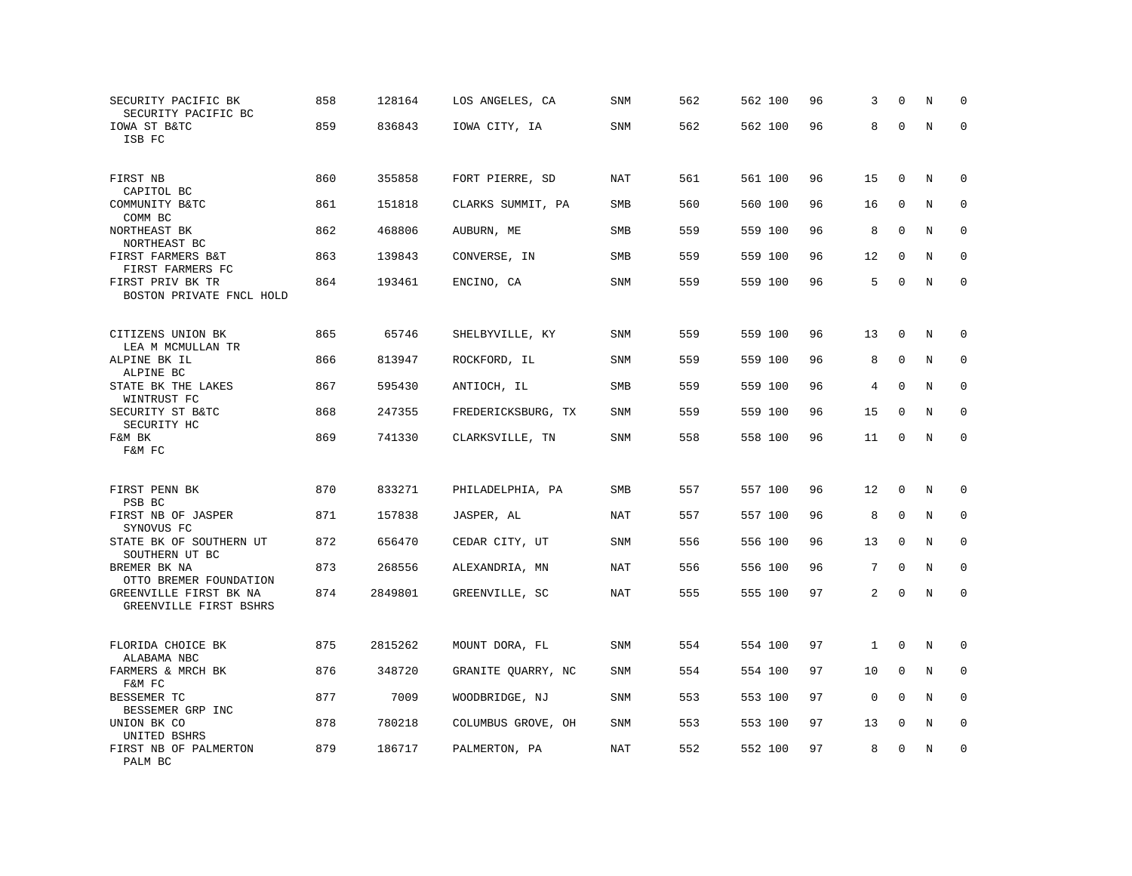| SECURITY PACIFIC BK<br>SECURITY PACIFIC BC              | 858 | 128164  | LOS ANGELES, CA    | SNM        | 562 | 562 100 | 96 | 3           | $\Omega$     | N       | $\mathbf 0$  |
|---------------------------------------------------------|-----|---------|--------------------|------------|-----|---------|----|-------------|--------------|---------|--------------|
| IOWA ST B&TC<br>ISB FC                                  | 859 | 836843  | IOWA CITY, IA      | <b>SNM</b> | 562 | 562 100 | 96 | 8           | $\mathbf 0$  | $\rm N$ | $\mathbf 0$  |
| FIRST NB<br>CAPITOL BC                                  | 860 | 355858  | FORT PIERRE, SD    | NAT        | 561 | 561 100 | 96 | 15          | $\mathbf 0$  | N       | $\mathbf 0$  |
| COMMUNITY B&TC<br>COMM BC                               | 861 | 151818  | CLARKS SUMMIT, PA  | SMB        | 560 | 560 100 | 96 | 16          | $\mathbf 0$  | N       | $\mathbf 0$  |
| NORTHEAST BK<br>NORTHEAST BC                            | 862 | 468806  | AUBURN, ME         | <b>SMB</b> | 559 | 559 100 | 96 | 8           | $\mathbf 0$  | N       | $\mathbf 0$  |
| FIRST FARMERS B&T<br>FIRST FARMERS FC                   | 863 | 139843  | CONVERSE, IN       | <b>SMB</b> | 559 | 559 100 | 96 | 12          | $\Omega$     | N       | $\mathbf 0$  |
| FIRST PRIV BK TR<br>BOSTON PRIVATE FNCL HOLD            | 864 | 193461  | ENCINO, CA         | SNM        | 559 | 559 100 | 96 | 5           | $\Omega$     | N       | $\mathbf 0$  |
| CITIZENS UNION BK                                       | 865 | 65746   | SHELBYVILLE, KY    | SNM        | 559 | 559 100 | 96 | 13          | $\mathbf 0$  | N       | 0            |
| LEA M MCMULLAN TR<br>ALPINE BK IL                       | 866 | 813947  | ROCKFORD, IL       | <b>SNM</b> | 559 | 559 100 | 96 | 8           | $\mathbf 0$  | N       | 0            |
| ALPINE BC<br>STATE BK THE LAKES<br>WINTRUST FC          | 867 | 595430  | ANTIOCH, IL        | SMB        | 559 | 559 100 | 96 | 4           | $\mathbf 0$  | N       | $\mathbf 0$  |
| SECURITY ST B&TC<br>SECURITY HC                         | 868 | 247355  | FREDERICKSBURG, TX | SNM        | 559 | 559 100 | 96 | 15          | $\mathbf{0}$ | N       | $\Omega$     |
| F&M BK<br>F&M FC                                        | 869 | 741330  | CLARKSVILLE, TN    | SNM        | 558 | 558 100 | 96 | 11          | $\mathbf 0$  | N       | $\mathbf 0$  |
| FIRST PENN BK                                           | 870 | 833271  | PHILADELPHIA, PA   | SMB        | 557 | 557 100 | 96 | 12          | 0            | N       | 0            |
| PSB BC<br>FIRST NB OF JASPER                            | 871 | 157838  | JASPER, AL         | NAT        | 557 | 557 100 | 96 | 8           | $\mathbf 0$  | N       | $\mathbf 0$  |
| SYNOVUS FC<br>STATE BK OF SOUTHERN UT<br>SOUTHERN UT BC | 872 | 656470  | CEDAR CITY, UT     | SNM        | 556 | 556 100 | 96 | 13          | $\mathbf 0$  | N       | $\mathbf 0$  |
| BREMER BK NA<br>OTTO BREMER FOUNDATION                  | 873 | 268556  | ALEXANDRIA, MN     | NAT        | 556 | 556 100 | 96 | 7           | $\mathbf 0$  | N       | $\mathbf{0}$ |
| GREENVILLE FIRST BK NA<br>GREENVILLE FIRST BSHRS        | 874 | 2849801 | GREENVILLE, SC     | <b>NAT</b> | 555 | 555 100 | 97 | 2           | $\mathbf 0$  | N       | $\mathbf 0$  |
| FLORIDA CHOICE BK                                       | 875 | 2815262 | MOUNT DORA, FL     | SNM        | 554 | 554 100 | 97 | 1           | 0            | N       | 0            |
| ALABAMA NBC<br>FARMERS & MRCH BK<br>F&M FC              | 876 | 348720  | GRANITE QUARRY, NC | SNM        | 554 | 554 100 | 97 | 10          | $\mathbf 0$  | N       | 0            |
| BESSEMER TC<br>BESSEMER GRP INC                         | 877 | 7009    | WOODBRIDGE, NJ     | SNM        | 553 | 553 100 | 97 | $\mathbf 0$ | $\Omega$     | N       | $\mathbf 0$  |
| UNION BK CO<br>UNITED BSHRS                             | 878 | 780218  | COLUMBUS GROVE, OH | SNM        | 553 | 553 100 | 97 | 13          | 0            | Ν       | 0            |
| FIRST NB OF PALMERTON<br>PALM BC                        | 879 | 186717  | PALMERTON, PA      | NAT        | 552 | 552 100 | 97 | 8           | $\mathbf 0$  | N       | $\mathbf 0$  |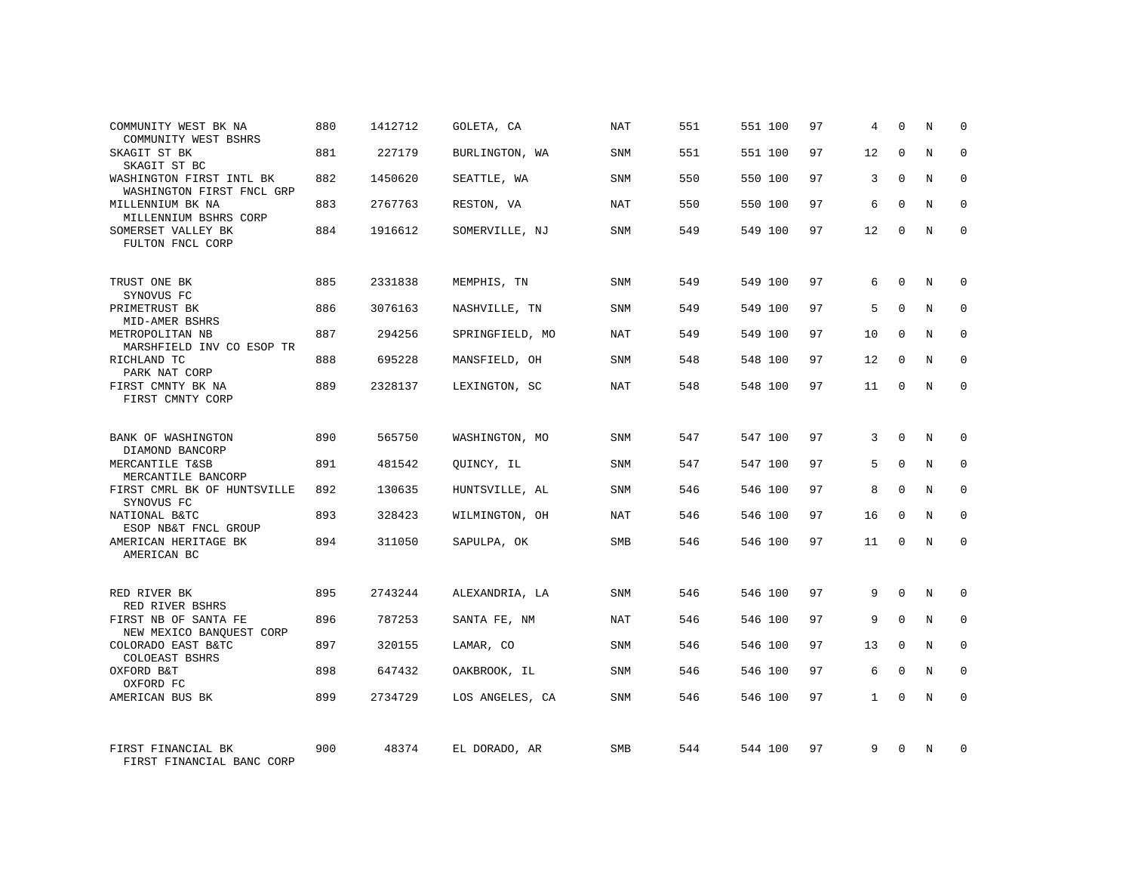| COMMUNITY WEST BK NA<br>COMMUNITY WEST BSHRS          | 880 | 1412712 | GOLETA, CA      | <b>NAT</b> | 551 | 551 100 | 97 | 4            | $\mathbf 0$  | Ν              | $\mathbf 0$ |
|-------------------------------------------------------|-----|---------|-----------------|------------|-----|---------|----|--------------|--------------|----------------|-------------|
| SKAGIT ST BK<br>SKAGIT ST BC                          | 881 | 227179  | BURLINGTON, WA  | <b>SNM</b> | 551 | 551 100 | 97 | 12           | $\mathbf{0}$ | N              | $\mathbf 0$ |
| WASHINGTON FIRST INTL BK<br>WASHINGTON FIRST FNCL GRP | 882 | 1450620 | SEATTLE, WA     | <b>SNM</b> | 550 | 550 100 | 97 | 3            | $\Omega$     | N              | $\mathbf 0$ |
| MILLENNIUM BK NA<br>MILLENNIUM BSHRS CORP             | 883 | 2767763 | RESTON, VA      | <b>NAT</b> | 550 | 550 100 | 97 | 6            | $\mathbf{0}$ | N              | $\mathbf 0$ |
| SOMERSET VALLEY BK<br>FULTON FNCL CORP                | 884 | 1916612 | SOMERVILLE, NJ  | <b>SNM</b> | 549 | 549 100 | 97 | 12           | $\Omega$     | N              | $\Omega$    |
| TRUST ONE BK                                          | 885 | 2331838 | MEMPHIS, TN     | SNM        | 549 | 549 100 | 97 | 6            | 0            | N              | $\mathbf 0$ |
| SYNOVUS FC<br>PRIMETRUST BK<br>MID-AMER BSHRS         | 886 | 3076163 | NASHVILLE, TN   | <b>SNM</b> | 549 | 549 100 | 97 | 5            | $\Omega$     | $\overline{N}$ | $\mathbf 0$ |
| METROPOLITAN NB<br>MARSHFIELD INV CO ESOP TR          | 887 | 294256  | SPRINGFIELD, MO | <b>NAT</b> | 549 | 549 100 | 97 | 10           | $\Omega$     | N              | $\mathbf 0$ |
| RICHLAND TC<br>PARK NAT CORP                          | 888 | 695228  | MANSFIELD, OH   | SNM        | 548 | 548 100 | 97 | 12           | $\Omega$     | N              | $\mathbf 0$ |
| FIRST CMNTY BK NA<br>FIRST CMNTY CORP                 | 889 | 2328137 | LEXINGTON, SC   | <b>NAT</b> | 548 | 548 100 | 97 | 11           | 0            | N              | $\mathbf 0$ |
| BANK OF WASHINGTON<br>DIAMOND BANCORP                 | 890 | 565750  | WASHINGTON, MO  | <b>SNM</b> | 547 | 547 100 | 97 | 3            | $\Omega$     | N              | $\Omega$    |
| MERCANTILE T&SB<br>MERCANTILE BANCORP                 | 891 | 481542  | QUINCY, IL      | SNM        | 547 | 547 100 | 97 | 5            | $\mathbf 0$  | N              | 0           |
| FIRST CMRL BK OF HUNTSVILLE<br>SYNOVUS FC             | 892 | 130635  | HUNTSVILLE, AL  | <b>SNM</b> | 546 | 546 100 | 97 | 8            | $\Omega$     | N              | $\mathbf 0$ |
| NATIONAL B&TC<br>ESOP NB&T FNCL GROUP                 | 893 | 328423  | WILMINGTON, OH  | NAT        | 546 | 546 100 | 97 | 16           | $\mathbf 0$  | N              | 0           |
| AMERICAN HERITAGE BK<br>AMERICAN BC                   | 894 | 311050  | SAPULPA, OK     | SMB        | 546 | 546 100 | 97 | 11           | $\Omega$     | N              | $\mathbf 0$ |
| RED RIVER BK<br>RED RIVER BSHRS                       | 895 | 2743244 | ALEXANDRIA, LA  | SNM        | 546 | 546 100 | 97 | 9            | $\Omega$     | N              | $\mathbf 0$ |
| FIRST NB OF SANTA FE<br>NEW MEXICO BANOUEST CORP      | 896 | 787253  | SANTA FE, NM    | <b>NAT</b> | 546 | 546 100 | 97 | 9            | $\mathbf 0$  | N              | $\mathbf 0$ |
| COLORADO EAST B&TC<br>COLOEAST BSHRS                  | 897 | 320155  | LAMAR, CO       | SNM        | 546 | 546 100 | 97 | 13           | $\mathbf 0$  | N              | $\mathbf 0$ |
| OXFORD B&T<br>OXFORD FC                               | 898 | 647432  | OAKBROOK, IL    | SNM        | 546 | 546 100 | 97 | 6            | $\mathbf{0}$ | N              | $\mathbf 0$ |
| AMERICAN BUS BK                                       | 899 | 2734729 | LOS ANGELES, CA | SNM        | 546 | 546 100 | 97 | $\mathbf{1}$ | $\Omega$     | N              | $\mathbf 0$ |
| FIRST FINANCIAL BK<br>FIRST FINANCIAL BANC CORP       | 900 | 48374   | EL DORADO, AR   | <b>SMB</b> | 544 | 544 100 | 97 | 9            | $\Omega$     | N              | $\mathbf 0$ |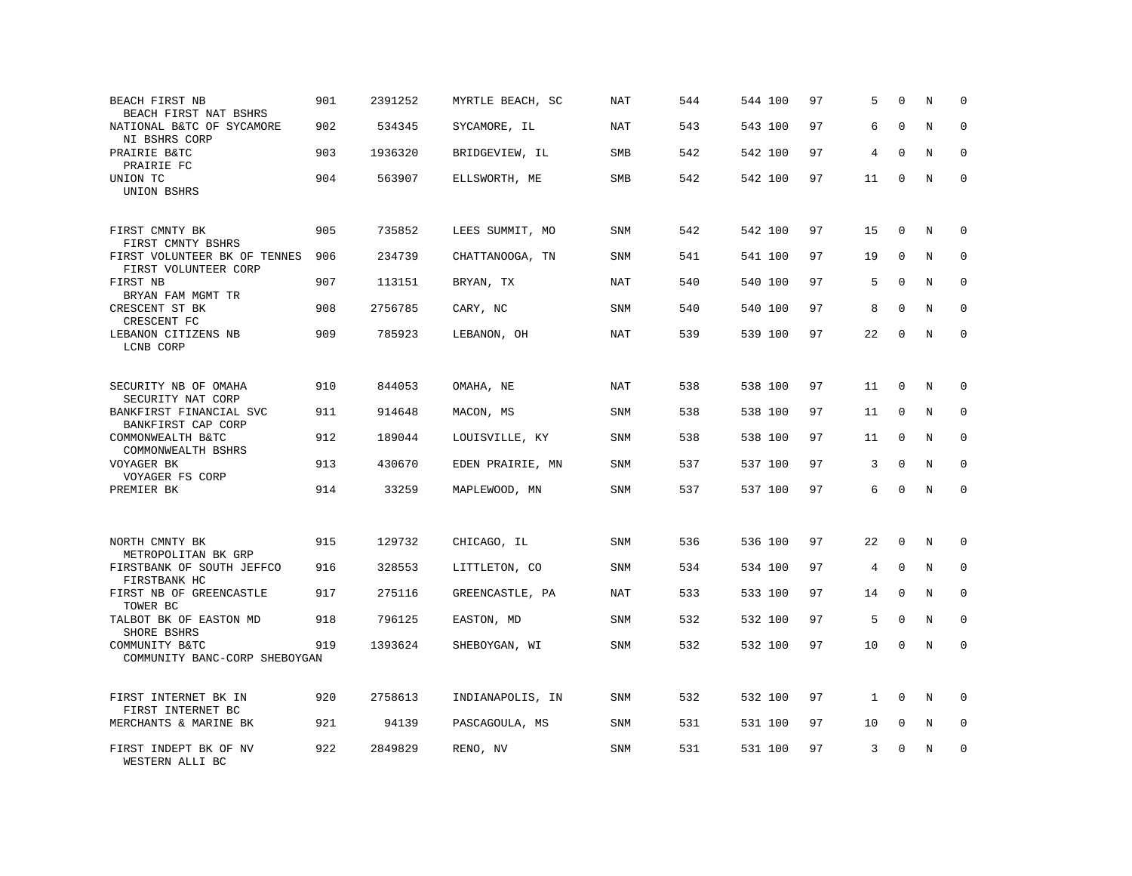| BEACH FIRST NB<br>BEACH FIRST NAT BSHRS              | 901 | 2391252 | MYRTLE BEACH, SC | <b>NAT</b> | 544 | 544 100 | 97 | 5  | $\Omega$     | N           | $\mathbf 0$  |
|------------------------------------------------------|-----|---------|------------------|------------|-----|---------|----|----|--------------|-------------|--------------|
| NATIONAL B&TC OF SYCAMORE<br>NI BSHRS CORP           | 902 | 534345  | SYCAMORE, IL     | NAT        | 543 | 543 100 | 97 | 6  | $\Omega$     | N           | $\Omega$     |
| PRAIRIE B&TC<br>PRAIRIE FC                           | 903 | 1936320 | BRIDGEVIEW, IL   | SMB        | 542 | 542 100 | 97 | 4  | $\Omega$     | N           | $\mathbf 0$  |
| UNION TC<br>UNION BSHRS                              | 904 | 563907  | ELLSWORTH, ME    | <b>SMB</b> | 542 | 542 100 | 97 | 11 | $\mathbf 0$  | N           | $\mathbf 0$  |
| FIRST CMNTY BK<br>FIRST CMNTY BSHRS                  | 905 | 735852  | LEES SUMMIT, MO  | <b>SNM</b> | 542 | 542 100 | 97 | 15 | $\mathbf 0$  | N           | $\Omega$     |
| FIRST VOLUNTEER BK OF TENNES<br>FIRST VOLUNTEER CORP | 906 | 234739  | CHATTANOOGA, TN  | SNM        | 541 | 541 100 | 97 | 19 | $\mathbf{0}$ | N           | 0            |
| FIRST NB<br>BRYAN FAM MGMT TR                        | 907 | 113151  | BRYAN, TX        | NAT        | 540 | 540 100 | 97 | 5  | $\Omega$     | N           | $\mathbf{0}$ |
| CRESCENT ST BK<br>CRESCENT FC                        | 908 | 2756785 | CARY, NC         | SNM        | 540 | 540 100 | 97 | 8  | $\mathbf{0}$ | N           | $\mathbf 0$  |
| LEBANON CITIZENS NB<br>LCNB CORP                     | 909 | 785923  | LEBANON, OH      | NAT        | 539 | 539 100 | 97 | 22 | $\Omega$     | N           | $\mathbf 0$  |
| SECURITY NB OF OMAHA<br>SECURITY NAT CORP            | 910 | 844053  | OMAHA, NE        | NAT        | 538 | 538 100 | 97 | 11 | $\mathbf 0$  | N           | 0            |
| BANKFIRST FINANCIAL SVC<br>BANKFIRST CAP CORP        | 911 | 914648  | MACON, MS        | SNM        | 538 | 538 100 | 97 | 11 | $\mathbf 0$  | N           | $\mathbf 0$  |
| COMMONWEALTH B&TC<br>COMMONWEALTH BSHRS              | 912 | 189044  | LOUISVILLE, KY   | SNM        | 538 | 538 100 | 97 | 11 | $\Omega$     | $\mathbf N$ | $\mathbf 0$  |
| VOYAGER BK<br>VOYAGER FS CORP                        | 913 | 430670  | EDEN PRAIRIE, MN | SNM        | 537 | 537 100 | 97 | 3  | $\Omega$     | N           | $\mathbf 0$  |
| PREMIER BK                                           | 914 | 33259   | MAPLEWOOD, MN    | SNM        | 537 | 537 100 | 97 | 6  | $\Omega$     | $\rm N$     | $\mathbf 0$  |
| NORTH CMNTY BK<br>METROPOLITAN BK GRP                | 915 | 129732  | CHICAGO, IL      | SNM        | 536 | 536 100 | 97 | 22 | $\mathbf 0$  | N           | $\mathbf 0$  |
| FIRSTBANK OF SOUTH JEFFCO<br>FIRSTBANK HC            | 916 | 328553  | LITTLETON, CO    | SNM        | 534 | 534 100 | 97 | 4  | $\mathbf 0$  | N           | 0            |
| FIRST NB OF GREENCASTLE<br>TOWER BC                  | 917 | 275116  | GREENCASTLE, PA  | <b>NAT</b> | 533 | 533 100 | 97 | 14 | $\mathbf{0}$ | N           | $\mathbf 0$  |
| TALBOT BK OF EASTON MD<br>SHORE BSHRS                | 918 | 796125  | EASTON, MD       | SNM        | 532 | 532 100 | 97 | 5  | $\mathbf{0}$ | N           | $\mathbf 0$  |
| COMMUNITY B&TC<br>COMMUNITY BANC-CORP SHEBOYGAN      | 919 | 1393624 | SHEBOYGAN, WI    | SNM        | 532 | 532 100 | 97 | 10 | $\mathbf 0$  | N           | $\mathbf 0$  |
| FIRST INTERNET BK IN<br>FIRST INTERNET BC            | 920 | 2758613 | INDIANAPOLIS, IN | SNM        | 532 | 532 100 | 97 | 1  | $\Omega$     | N           | $\Omega$     |
| MERCHANTS & MARINE BK                                | 921 | 94139   | PASCAGOULA, MS   | <b>SNM</b> | 531 | 531 100 | 97 | 10 | $\mathbf 0$  | N           | $\mathbf 0$  |
| FIRST INDEPT BK OF NV<br>WESTERN ALLI BC             | 922 | 2849829 | RENO, NV         | SNM        | 531 | 531 100 | 97 | 3  | $\mathbf 0$  | N           | $\mathbf 0$  |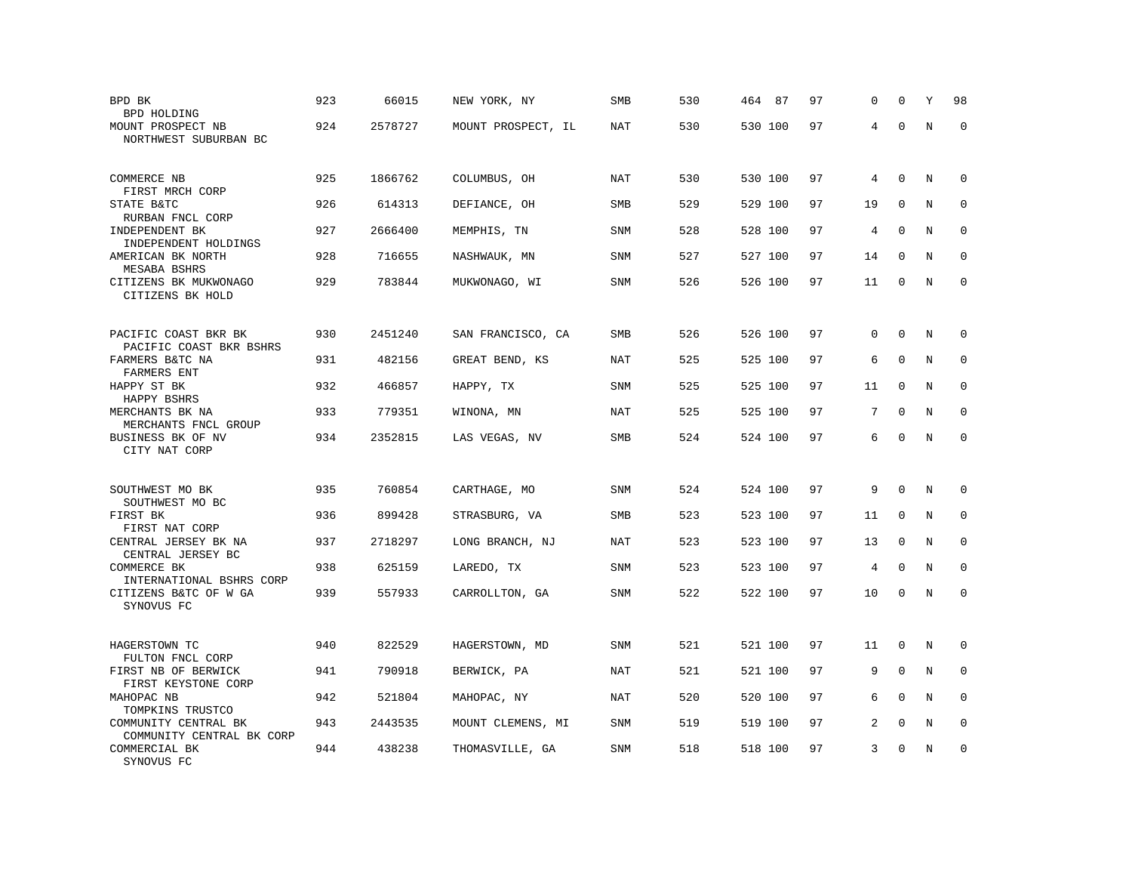| BPD BK<br><b>BPD HOLDING</b>                                   | 923 | 66015   | NEW YORK, NY       | SMB        | 530 | 464 87  | 97 | $\Omega$ | $\Omega$     | Υ       | 98          |
|----------------------------------------------------------------|-----|---------|--------------------|------------|-----|---------|----|----------|--------------|---------|-------------|
| MOUNT PROSPECT NB<br>NORTHWEST SUBURBAN BC                     | 924 | 2578727 | MOUNT PROSPECT, IL | NAT        | 530 | 530 100 | 97 | 4        | $\Omega$     | N       | $\Omega$    |
| COMMERCE NB<br>FIRST MRCH CORP                                 | 925 | 1866762 | COLUMBUS, OH       | NAT        | 530 | 530 100 | 97 | 4        | $\Omega$     | Ν       | 0           |
| STATE B&TC<br>RURBAN FNCL CORP                                 | 926 | 614313  | DEFIANCE, OH       | SMB        | 529 | 529 100 | 97 | 19       | $\mathbf 0$  | N       | $\mathbf 0$ |
| INDEPENDENT BK<br>INDEPENDENT HOLDINGS                         | 927 | 2666400 | MEMPHIS, TN        | SNM        | 528 | 528 100 | 97 | 4        | $\mathbf 0$  | N       | $\mathbf 0$ |
| AMERICAN BK NORTH<br>MESABA BSHRS                              | 928 | 716655  | NASHWAUK, MN       | SNM        | 527 | 527 100 | 97 | 14       | $\Omega$     | $\rm N$ | $\mathbf 0$ |
| CITIZENS BK MUKWONAGO<br>CITIZENS BK HOLD                      | 929 | 783844  | MUKWONAGO, WI      | SNM        | 526 | 526 100 | 97 | 11       | 0            | N       | $\mathbf 0$ |
| PACIFIC COAST BKR BK<br>PACIFIC COAST BKR BSHRS                | 930 | 2451240 | SAN FRANCISCO, CA  | <b>SMB</b> | 526 | 526 100 | 97 | 0        | $\mathbf 0$  | N       | $\mathbf 0$ |
| FARMERS B&TC NA<br><b>FARMERS ENT</b>                          | 931 | 482156  | GREAT BEND, KS     | <b>NAT</b> | 525 | 525 100 | 97 | 6        | $\mathbf 0$  | N       | $\mathbf 0$ |
| HAPPY ST BK<br>HAPPY BSHRS                                     | 932 | 466857  | HAPPY, TX          | <b>SNM</b> | 525 | 525 100 | 97 | 11       | $\mathbf 0$  | N       | $\mathbf 0$ |
| MERCHANTS BK NA<br>MERCHANTS FNCL GROUP                        | 933 | 779351  | WINONA, MN         | <b>NAT</b> | 525 | 525 100 | 97 | 7        | $\Omega$     | N       | $\Omega$    |
| BUSINESS BK OF NV<br>CITY NAT CORP                             | 934 | 2352815 | LAS VEGAS, NV      | SMB        | 524 | 524 100 | 97 | 6        | $\mathbf 0$  | $\rm N$ | $\mathbf 0$ |
| SOUTHWEST MO BK                                                | 935 | 760854  | CARTHAGE, MO       | SNM        | 524 | 524 100 | 97 | 9        | $\mathbf 0$  | N       | $\mathbf 0$ |
| SOUTHWEST MO BC<br>FIRST BK                                    | 936 | 899428  | STRASBURG, VA      | <b>SMB</b> | 523 | 523 100 | 97 | 11       | $\Omega$     | N       | $\Omega$    |
| FIRST NAT CORP<br>CENTRAL JERSEY BK NA<br>CENTRAL JERSEY BC    | 937 | 2718297 | LONG BRANCH, NJ    | <b>NAT</b> | 523 | 523 100 | 97 | 13       | $\mathbf{0}$ | N       | $\mathbf 0$ |
| COMMERCE BK<br>INTERNATIONAL BSHRS CORP                        | 938 | 625159  | LAREDO, TX         | <b>SNM</b> | 523 | 523 100 | 97 | 4        | $\Omega$     | N       | $\mathbf 0$ |
| CITIZENS B&TC OF W GA<br>SYNOVUS FC                            | 939 | 557933  | CARROLLTON, GA     | SNM        | 522 | 522 100 | 97 | 10       | $\mathbf{0}$ | N       | $\mathbf 0$ |
| HAGERSTOWN TC                                                  | 940 | 822529  | HAGERSTOWN, MD     | <b>SNM</b> | 521 | 521 100 | 97 | 11       | $\mathbf 0$  | N       | $\mathbf 0$ |
| FULTON FNCL CORP<br>FIRST NB OF BERWICK<br>FIRST KEYSTONE CORP | 941 | 790918  | BERWICK, PA        | NAT        | 521 | 521 100 | 97 | 9        | $\Omega$     | N       | $\mathbf 0$ |
| MAHOPAC NB<br>TOMPKINS TRUSTCO                                 | 942 | 521804  | MAHOPAC, NY        | <b>NAT</b> | 520 | 520 100 | 97 | 6        | $\Omega$     | N       | $\mathbf 0$ |
| COMMUNITY CENTRAL BK<br>COMMUNITY CENTRAL BK CORP              | 943 | 2443535 | MOUNT CLEMENS, MI  | <b>SNM</b> | 519 | 519 100 | 97 | 2        | $\mathbf 0$  | N       | $\mathbf 0$ |
| COMMERCIAL BK<br>SYNOVUS FC                                    | 944 | 438238  | THOMASVILLE, GA    | SNM        | 518 | 518 100 | 97 | 3        | $\mathbf 0$  | N       | $\mathbf 0$ |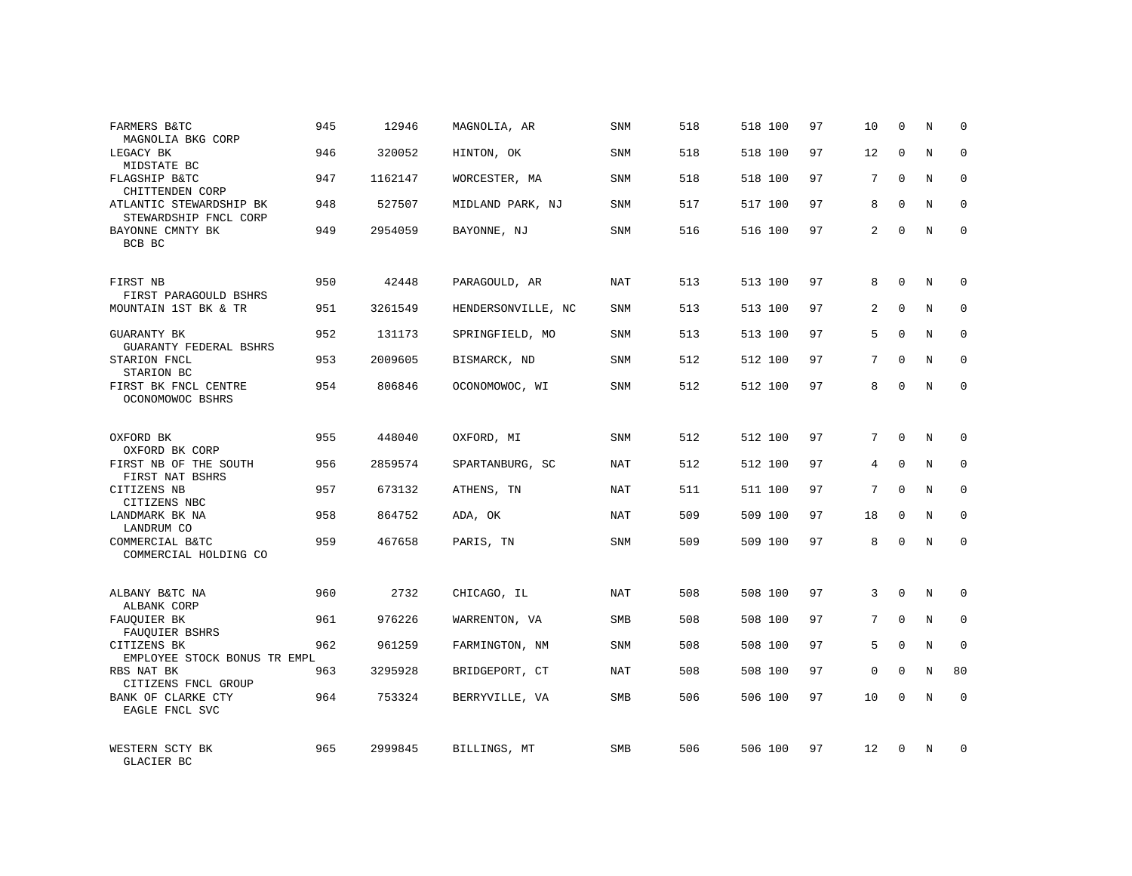| FARMERS B&TC<br>MAGNOLIA BKG CORP                | 945 | 12946   | MAGNOLIA, AR       | <b>SNM</b> | 518 | 518 100 | 97 | 10             | $\mathbf{0}$ | N | $\mathbf 0$ |
|--------------------------------------------------|-----|---------|--------------------|------------|-----|---------|----|----------------|--------------|---|-------------|
| LEGACY BK<br>MIDSTATE BC                         | 946 | 320052  | HINTON, OK         | <b>SNM</b> | 518 | 518 100 | 97 | 12             | $\Omega$     | N | $\mathbf 0$ |
| FLAGSHIP B&TC<br>CHITTENDEN CORP                 | 947 | 1162147 | WORCESTER, MA      | SNM        | 518 | 518 100 | 97 | 7              | $\mathbf 0$  | N | $\mathbf 0$ |
| ATLANTIC STEWARDSHIP BK<br>STEWARDSHIP FNCL CORP | 948 | 527507  | MIDLAND PARK, NJ   | <b>SNM</b> | 517 | 517 100 | 97 | 8              | $\mathbf{0}$ | N | $\mathbf 0$ |
| BAYONNE CMNTY BK<br>BCB BC                       | 949 | 2954059 | BAYONNE, NJ        | <b>SNM</b> | 516 | 516 100 | 97 | $\overline{2}$ | $\Omega$     | N | $\Omega$    |
| FIRST NB                                         | 950 | 42448   | PARAGOULD, AR      | NAT        | 513 | 513 100 | 97 | 8              | $\Omega$     | N | $\mathbf 0$ |
| FIRST PARAGOULD BSHRS<br>MOUNTAIN 1ST BK & TR    | 951 | 3261549 | HENDERSONVILLE, NC | SNM        | 513 | 513 100 | 97 | 2              | $\mathbf{0}$ | N | $\mathbf 0$ |
| <b>GUARANTY BK</b><br>GUARANTY FEDERAL BSHRS     | 952 | 131173  | SPRINGFIELD, MO    | <b>SNM</b> | 513 | 513 100 | 97 | 5              | $\Omega$     | N | $\mathbf 0$ |
| STARION FNCL<br>STARION BC                       | 953 | 2009605 | BISMARCK, ND       | SNM        | 512 | 512 100 | 97 | 7              | $\mathbf{0}$ | N | 0           |
| FIRST BK FNCL CENTRE<br>OCONOMOWOC BSHRS         | 954 | 806846  | OCONOMOWOC, WI     | <b>SNM</b> | 512 | 512 100 | 97 | 8              | $\Omega$     | N | $\mathbf 0$ |
| OXFORD BK<br>OXFORD BK CORP                      | 955 | 448040  | OXFORD, MI         | SNM        | 512 | 512 100 | 97 | 7              | $\Omega$     | N | $\mathbf 0$ |
| FIRST NB OF THE SOUTH<br>FIRST NAT BSHRS         | 956 | 2859574 | SPARTANBURG, SC    | NAT        | 512 | 512 100 | 97 | 4              | $\Omega$     | N | $\mathbf 0$ |
| CITIZENS NB<br>CITIZENS NBC                      | 957 | 673132  | ATHENS, TN         | <b>NAT</b> | 511 | 511 100 | 97 | 7              | $\Omega$     | N | $\mathbf 0$ |
| LANDMARK BK NA<br>LANDRUM CO                     | 958 | 864752  | ADA, OK            | NAT        | 509 | 509 100 | 97 | 18             | $\Omega$     | N | $\mathbf 0$ |
| COMMERCIAL B&TC<br>COMMERCIAL HOLDING CO         | 959 | 467658  | PARIS, TN          | SNM        | 509 | 509 100 | 97 | 8              | $\mathbf 0$  | N | $\mathbf 0$ |
| ALBANY B&TC NA<br>ALBANK CORP                    | 960 | 2732    | CHICAGO, IL        | <b>NAT</b> | 508 | 508 100 | 97 | 3              | $\mathbf{0}$ | N | 0           |
| FAUQUIER BK<br>FAUQUIER BSHRS                    | 961 | 976226  | WARRENTON, VA      | SMB        | 508 | 508 100 | 97 | 7              | $\mathbf{0}$ | N | 0           |
| CITIZENS BK<br>EMPLOYEE STOCK BONUS TR EMPL      | 962 | 961259  | FARMINGTON, NM     | <b>SNM</b> | 508 | 508 100 | 97 | 5              | $\Omega$     | N | $\mathbf 0$ |
| RBS NAT BK<br>CITIZENS FNCL GROUP                | 963 | 3295928 | BRIDGEPORT, CT     | NAT        | 508 | 508 100 | 97 | $\mathsf 0$    | $\mathbf 0$  | N | 80          |
| BANK OF CLARKE CTY<br>EAGLE FNCL SVC             | 964 | 753324  | BERRYVILLE, VA     | <b>SMB</b> | 506 | 506 100 | 97 | 10             | $\Omega$     | N | $\mathbf 0$ |
| WESTERN SCTY BK<br>GLACIER BC                    | 965 | 2999845 | BILLINGS, MT       | <b>SMB</b> | 506 | 506 100 | 97 | 12             | $\Omega$     | N | $\mathbf 0$ |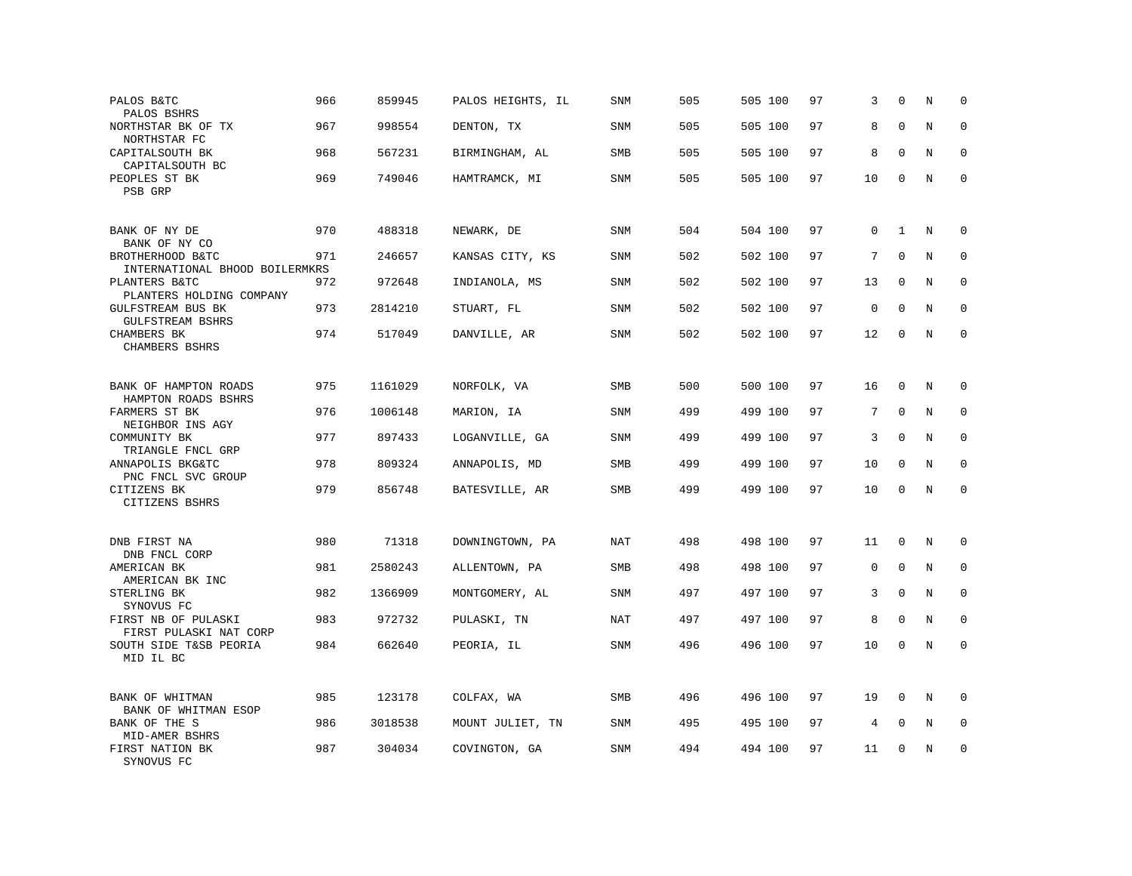| PALOS B&TC<br>PALOS BSHRS                          | 966 | 859945  | PALOS HEIGHTS, IL | <b>SNM</b> | 505 | 505 100 | 97 | 3           | $\mathbf 0$ | N | $\mathbf 0$ |
|----------------------------------------------------|-----|---------|-------------------|------------|-----|---------|----|-------------|-------------|---|-------------|
| NORTHSTAR BK OF TX<br>NORTHSTAR FC                 | 967 | 998554  | DENTON, TX        | <b>SNM</b> | 505 | 505 100 | 97 | 8           | $\mathbf 0$ | N | $\mathbf 0$ |
| CAPITALSOUTH BK<br>CAPITALSOUTH BC                 | 968 | 567231  | BIRMINGHAM, AL    | SMB        | 505 | 505 100 | 97 | 8           | $\mathbf 0$ | N | $\mathbf 0$ |
| PEOPLES ST BK<br>PSB GRP                           | 969 | 749046  | HAMTRAMCK, MI     | <b>SNM</b> | 505 | 505 100 | 97 | 10          | $\mathbf 0$ | N | $\mathbf 0$ |
| BANK OF NY DE<br>BANK OF NY CO                     | 970 | 488318  | NEWARK, DE        | <b>SNM</b> | 504 | 504 100 | 97 | 0           | 1           | N | 0           |
| BROTHERHOOD B&TC<br>INTERNATIONAL BHOOD BOILERMKRS | 971 | 246657  | KANSAS CITY, KS   | <b>SNM</b> | 502 | 502 100 | 97 | 7           | $\mathbf 0$ | N | $\mathbf 0$ |
| PLANTERS B&TC<br>PLANTERS HOLDING COMPANY          | 972 | 972648  | INDIANOLA, MS     | <b>SNM</b> | 502 | 502 100 | 97 | 13          | $\Omega$    | N | $\mathbf 0$ |
| GULFSTREAM BUS BK<br><b>GULFSTREAM BSHRS</b>       | 973 | 2814210 | STUART, FL        | <b>SNM</b> | 502 | 502 100 | 97 | $\mathbf 0$ | $\mathbf 0$ | N | $\mathbf 0$ |
| CHAMBERS BK<br>CHAMBERS BSHRS                      | 974 | 517049  | DANVILLE, AR      | <b>SNM</b> | 502 | 502 100 | 97 | 12          | $\mathbf 0$ | N | $\mathbf 0$ |
| BANK OF HAMPTON ROADS<br>HAMPTON ROADS BSHRS       | 975 | 1161029 | NORFOLK, VA       | SMB        | 500 | 500 100 | 97 | 16          | $\mathbf 0$ | N | 0           |
| FARMERS ST BK<br>NEIGHBOR INS AGY                  | 976 | 1006148 | MARION, IA        | <b>SNM</b> | 499 | 499 100 | 97 | 7           | $\mathbf 0$ | N | $\mathbf 0$ |
| COMMUNITY BK<br>TRIANGLE FNCL GRP                  | 977 | 897433  | LOGANVILLE, GA    | SNM        | 499 | 499 100 | 97 | 3           | $\mathbf 0$ | N | $\mathbf 0$ |
| ANNAPOLIS BKG&TC<br>PNC FNCL SVC GROUP             | 978 | 809324  | ANNAPOLIS, MD     | SMB        | 499 | 499 100 | 97 | 10          | $\mathbf 0$ | N | 0           |
| CITIZENS BK<br>CITIZENS BSHRS                      | 979 | 856748  | BATESVILLE, AR    | SMB        | 499 | 499 100 | 97 | 10          | $\mathbf 0$ | N | $\mathbf 0$ |
| DNB FIRST NA<br>DNB FNCL CORP                      | 980 | 71318   | DOWNINGTOWN, PA   | <b>NAT</b> | 498 | 498 100 | 97 | 11          | $\mathbf 0$ | N | 0           |
| AMERICAN BK<br>AMERICAN BK INC                     | 981 | 2580243 | ALLENTOWN, PA     | SMB        | 498 | 498 100 | 97 | 0           | $\mathbf 0$ | N | 0           |
| STERLING BK<br>SYNOVUS FC                          | 982 | 1366909 | MONTGOMERY, AL    | <b>SNM</b> | 497 | 497 100 | 97 | 3           | $\mathbf 0$ | N | $\mathbf 0$ |
| FIRST NB OF PULASKI<br>FIRST PULASKI NAT CORP      | 983 | 972732  | PULASKI, TN       | NAT        | 497 | 497 100 | 97 | 8           | $\mathbf 0$ | N | $\mathbf 0$ |
| SOUTH SIDE T&SB PEORIA<br>MID IL BC                | 984 | 662640  | PEORIA, IL        | <b>SNM</b> | 496 | 496 100 | 97 | 10          | $\mathbf 0$ | N | $\mathbf 0$ |
| BANK OF WHITMAN<br>BANK OF WHITMAN ESOP            | 985 | 123178  | COLFAX, WA        | SMB        | 496 | 496 100 | 97 | 19          | $\mathbf 0$ | N | $\mathbf 0$ |
| BANK OF THE S<br>MID-AMER BSHRS                    | 986 | 3018538 | MOUNT JULIET, TN  | <b>SNM</b> | 495 | 495 100 | 97 | 4           | $\mathbf 0$ | N | $\mathbf 0$ |
| FIRST NATION BK<br>SYNOVUS FC                      | 987 | 304034  | COVINGTON, GA     | <b>SNM</b> | 494 | 494 100 | 97 | 11          | $\mathbf 0$ | N | $\mathbf 0$ |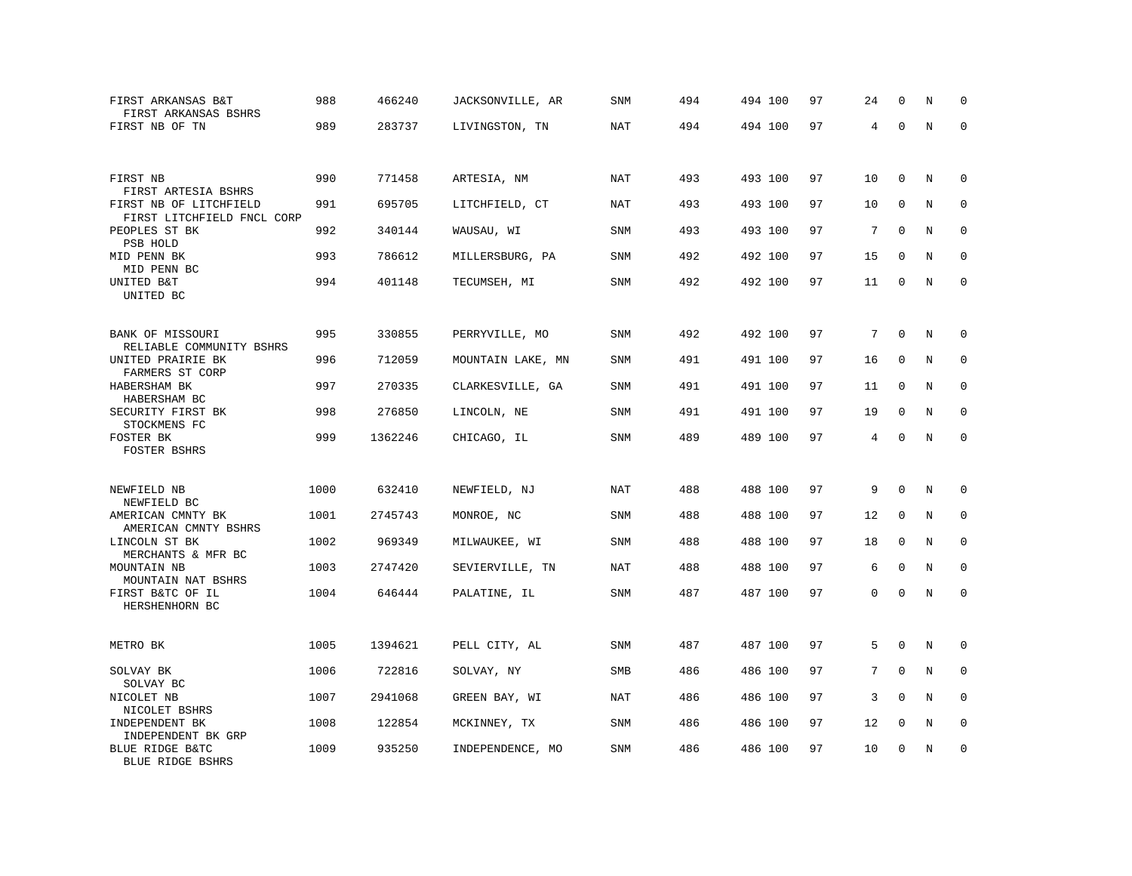| FIRST ARKANSAS B&T<br>FIRST ARKANSAS BSHRS           | 988  | 466240  | JACKSONVILLE, AR  | SNM        | 494 | 494 100 | 97 | 24 | $\mathbf 0$  | N       | $\Omega$    |
|------------------------------------------------------|------|---------|-------------------|------------|-----|---------|----|----|--------------|---------|-------------|
| FIRST NB OF TN                                       | 989  | 283737  | LIVINGSTON, TN    | <b>NAT</b> | 494 | 494 100 | 97 | 4  | $\mathbf 0$  | $\rm N$ | $\mathbf 0$ |
|                                                      |      |         |                   |            |     |         |    |    |              |         |             |
| FIRST NB<br>FIRST ARTESIA BSHRS                      | 990  | 771458  | ARTESIA, NM       | <b>NAT</b> | 493 | 493 100 | 97 | 10 | $\mathbf 0$  | N       | 0           |
| FIRST NB OF LITCHFIELD<br>FIRST LITCHFIELD FNCL CORP | 991  | 695705  | LITCHFIELD, CT    | <b>NAT</b> | 493 | 493 100 | 97 | 10 | $\mathbf 0$  | N       | $\mathbf 0$ |
| PEOPLES ST BK<br>PSB HOLD                            | 992  | 340144  | WAUSAU, WI        | SNM        | 493 | 493 100 | 97 | 7  | $\Omega$     | N       | $\mathbf 0$ |
| MID PENN BK<br>MID PENN BC                           | 993  | 786612  | MILLERSBURG, PA   | SNM        | 492 | 492 100 | 97 | 15 | $\mathbf 0$  | N       | $\mathbf 0$ |
| UNITED B&T<br>UNITED BC                              | 994  | 401148  | TECUMSEH, MI      | SNM        | 492 | 492 100 | 97 | 11 | $\mathbf 0$  | N       | $\mathbf 0$ |
|                                                      |      |         |                   |            |     |         |    |    |              |         |             |
| BANK OF MISSOURI<br>RELIABLE COMMUNITY BSHRS         | 995  | 330855  | PERRYVILLE, MO    | <b>SNM</b> | 492 | 492 100 | 97 | 7  | $\mathbf 0$  | N       | 0           |
| UNITED PRAIRIE BK<br>FARMERS ST CORP                 | 996  | 712059  | MOUNTAIN LAKE, MN | <b>SNM</b> | 491 | 491 100 | 97 | 16 | $\mathbf 0$  | N       | $\mathbf 0$ |
| HABERSHAM BK<br>HABERSHAM BC                         | 997  | 270335  | CLARKESVILLE, GA  | <b>SNM</b> | 491 | 491 100 | 97 | 11 | 0            | N       | $\mathbf 0$ |
| SECURITY FIRST BK<br>STOCKMENS FC                    | 998  | 276850  | LINCOLN, NE       | <b>SNM</b> | 491 | 491 100 | 97 | 19 | $\mathbf 0$  | N       | $\mathbf 0$ |
| FOSTER BK<br>FOSTER BSHRS                            | 999  | 1362246 | CHICAGO, IL       | SNM        | 489 | 489 100 | 97 | 4  | $\Omega$     | $\rm N$ | $\mathbf 0$ |
|                                                      |      |         |                   |            |     |         |    |    |              |         |             |
| NEWFIELD NB<br>NEWFIELD BC                           | 1000 | 632410  | NEWFIELD, NJ      | NAT        | 488 | 488 100 | 97 | 9  | $\mathbf 0$  | N       | $\mathbf 0$ |
| AMERICAN CMNTY BK<br>AMERICAN CMNTY BSHRS            | 1001 | 2745743 | MONROE, NC        | <b>SNM</b> | 488 | 488 100 | 97 | 12 | $\Omega$     | N       | $\mathbf 0$ |
| LINCOLN ST BK<br>MERCHANTS & MFR BC                  | 1002 | 969349  | MILWAUKEE, WI     | SNM        | 488 | 488 100 | 97 | 18 | $\mathbf 0$  | N       | $\mathbf 0$ |
| MOUNTAIN NB<br>MOUNTAIN NAT BSHRS                    | 1003 | 2747420 | SEVIERVILLE, TN   | <b>NAT</b> | 488 | 488 100 | 97 | 6  | $\mathbf 0$  | N       | 0           |
| FIRST B&TC OF IL<br>HERSHENHORN BC                   | 1004 | 646444  | PALATINE, IL      | SNM        | 487 | 487 100 | 97 | 0  | $\mathbf 0$  | N       | $\mathbf 0$ |
|                                                      |      |         |                   |            |     |         |    |    |              |         |             |
| METRO BK                                             | 1005 | 1394621 | PELL CITY, AL     | <b>SNM</b> | 487 | 487 100 | 97 | 5  | $\mathbf 0$  | N       | $\mathbf 0$ |
| SOLVAY BK<br>SOLVAY BC                               | 1006 | 722816  | SOLVAY, NY        | <b>SMB</b> | 486 | 486 100 | 97 | 7  | $\mathbf 0$  | N       | $\mathbf 0$ |
| NICOLET NB<br>NICOLET BSHRS                          | 1007 | 2941068 | GREEN BAY, WI     | NAT        | 486 | 486 100 | 97 | 3  | $\Omega$     | N       | 0           |
| INDEPENDENT BK<br>INDEPENDENT BK GRP                 | 1008 | 122854  | MCKINNEY, TX      | <b>SNM</b> | 486 | 486 100 | 97 | 12 | $\mathbf 0$  | N       | $\mathbf 0$ |
| BLUE RIDGE B&TC<br>BLUE RIDGE BSHRS                  | 1009 | 935250  | INDEPENDENCE, MO  | <b>SNM</b> | 486 | 486 100 | 97 | 10 | $\mathbf{0}$ | N       | $\mathbf 0$ |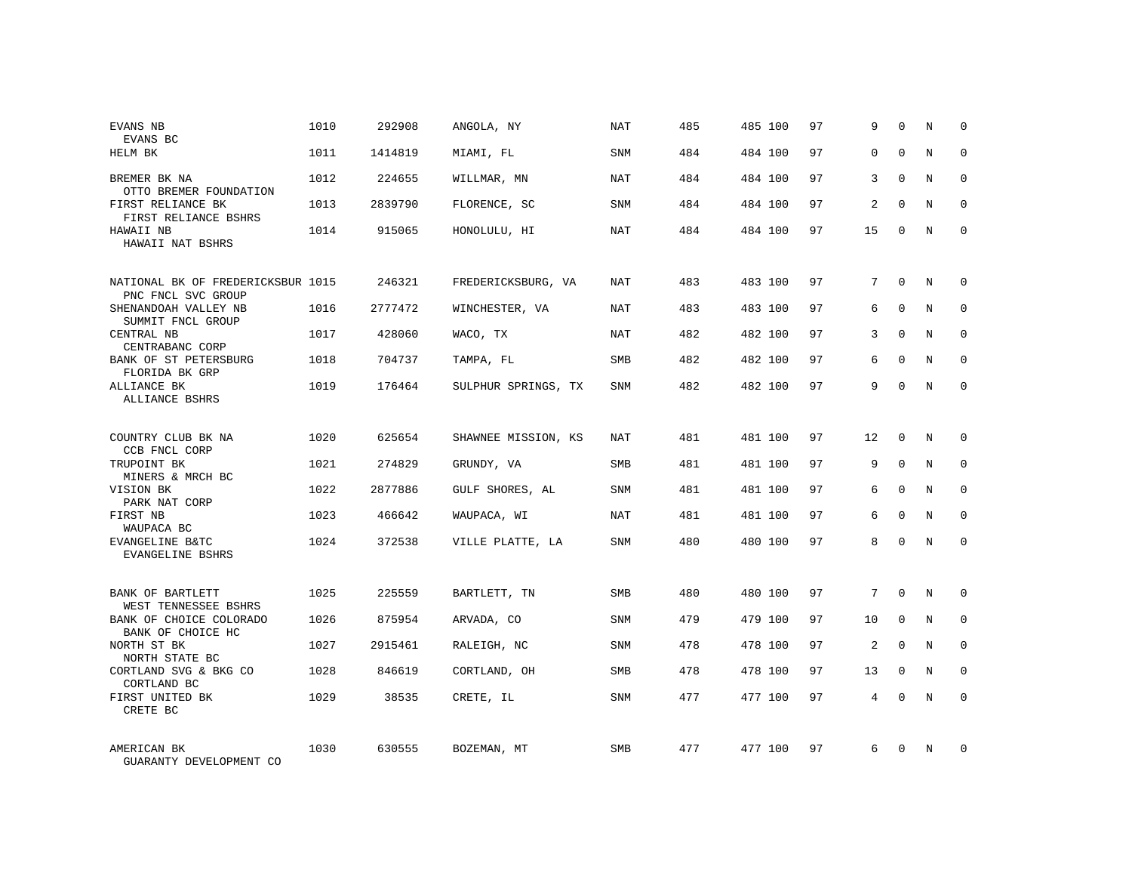| EVANS NB<br>EVANS BC                                    | 1010 | 292908  | ANGOLA, NY          | NAT        | 485 | 485 100 | 97 | 9              | $\Omega$     | N | $\Omega$    |
|---------------------------------------------------------|------|---------|---------------------|------------|-----|---------|----|----------------|--------------|---|-------------|
| HELM BK                                                 | 1011 | 1414819 | MIAMI, FL           | SNM        | 484 | 484 100 | 97 | $\Omega$       | $\Omega$     | N | $\Omega$    |
| BREMER BK NA<br>OTTO BREMER FOUNDATION                  | 1012 | 224655  | WILLMAR, MN         | NAT        | 484 | 484 100 | 97 | 3              | $\Omega$     | N | $\Omega$    |
| FIRST RELIANCE BK<br>FIRST RELIANCE BSHRS               | 1013 | 2839790 | FLORENCE, SC        | SNM        | 484 | 484 100 | 97 | 2              | $\Omega$     | N | $\Omega$    |
| HAWAII NB<br>HAWAII NAT BSHRS                           | 1014 | 915065  | HONOLULU, HI        | NAT        | 484 | 484 100 | 97 | 15             | $\Omega$     | N | $\Omega$    |
| NATIONAL BK OF FREDERICKSBUR 1015<br>PNC FNCL SVC GROUP |      | 246321  | FREDERICKSBURG, VA  | NAT        | 483 | 483 100 | 97 | 7              | $\mathbf 0$  | N | $\mathbf 0$ |
| SHENANDOAH VALLEY NB<br>SUMMIT FNCL GROUP               | 1016 | 2777472 | WINCHESTER, VA      | NAT        | 483 | 483 100 | 97 | 6              | $\Omega$     | N | $\mathbf 0$ |
| CENTRAL NB<br>CENTRABANC CORP                           | 1017 | 428060  | WACO, TX            | <b>NAT</b> | 482 | 482 100 | 97 | 3              | $\Omega$     | N | $\mathbf 0$ |
| BANK OF ST PETERSBURG<br>FLORIDA BK GRP                 | 1018 | 704737  | TAMPA, FL           | <b>SMB</b> | 482 | 482 100 | 97 | 6              | $\Omega$     | N | $\mathbf 0$ |
| ALLIANCE BK<br>ALLIANCE BSHRS                           | 1019 | 176464  | SULPHUR SPRINGS, TX | <b>SNM</b> | 482 | 482 100 | 97 | 9              | $\mathbf 0$  | N | $\mathbf 0$ |
| COUNTRY CLUB BK NA<br>CCB FNCL CORP                     | 1020 | 625654  | SHAWNEE MISSION, KS | <b>NAT</b> | 481 | 481 100 | 97 | 12             | $\Omega$     | N | $\Omega$    |
| TRUPOINT BK<br>MINERS & MRCH BC                         | 1021 | 274829  | GRUNDY, VA          | <b>SMB</b> | 481 | 481 100 | 97 | 9              | $\mathbf{0}$ | N | 0           |
| VISION BK<br>PARK NAT CORP                              | 1022 | 2877886 | GULF SHORES, AL     | SNM        | 481 | 481 100 | 97 | 6              | $\Omega$     | N | $\Omega$    |
| FIRST NB<br>WAUPACA BC                                  | 1023 | 466642  | WAUPACA, WI         | <b>NAT</b> | 481 | 481 100 | 97 | 6              | $\mathbf{0}$ | N | 0           |
| EVANGELINE B&TC<br>EVANGELINE BSHRS                     | 1024 | 372538  | VILLE PLATTE, LA    | SNM        | 480 | 480 100 | 97 | 8              | $\Omega$     | N | $\Omega$    |
| BANK OF BARTLETT<br>WEST TENNESSEE BSHRS                | 1025 | 225559  | BARTLETT, TN        | <b>SMB</b> | 480 | 480 100 | 97 | 7              | $\Omega$     | N | 0           |
| BANK OF CHOICE COLORADO<br>BANK OF CHOICE HC            | 1026 | 875954  | ARVADA, CO          | <b>SNM</b> | 479 | 479 100 | 97 | 10             | $\mathbf 0$  | N | 0           |
| NORTH ST BK<br>NORTH STATE BC                           | 1027 | 2915461 | RALEIGH, NC         | SNM        | 478 | 478 100 | 97 | $\overline{2}$ | $\Omega$     | N | $\mathbf 0$ |
| CORTLAND SVG & BKG CO<br>CORTLAND BC                    | 1028 | 846619  | CORTLAND, OH        | SMB        | 478 | 478 100 | 97 | 13             | $\mathbf 0$  | N | 0           |
| FIRST UNITED BK<br>CRETE BC                             | 1029 | 38535   | CRETE, IL           | SNM        | 477 | 477 100 | 97 | 4              | $\Omega$     | N | $\mathbf 0$ |
| AMERICAN BK<br>GUARANTY DEVELOPMENT CO                  | 1030 | 630555  | BOZEMAN, MT         | <b>SMB</b> | 477 | 477 100 | 97 | 6              | $\Omega$     | N | 0           |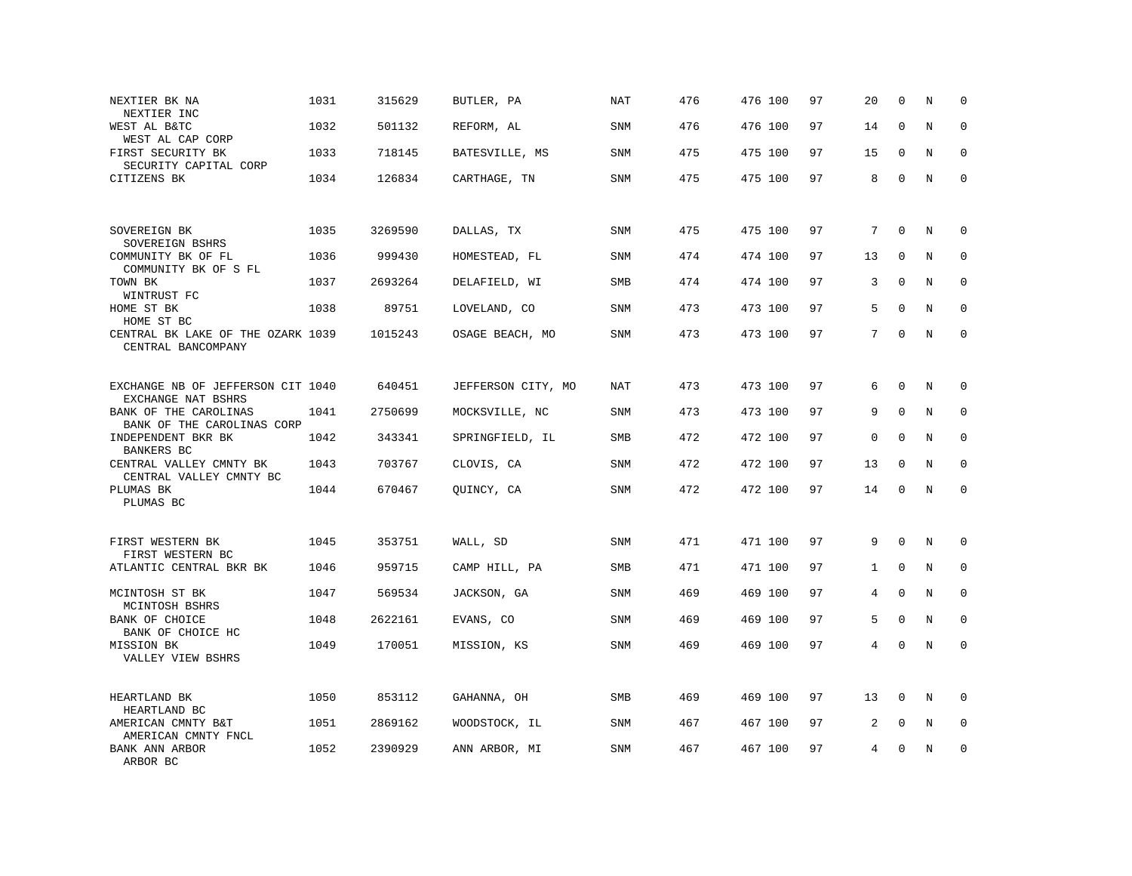| NEXTIER BK NA<br>NEXTIER INC                            | 1031 | 315629  | BUTLER, PA         | NAT        | 476 | 476 100 | 97 | 20          | $\mathbf 0$  | N       | 0           |
|---------------------------------------------------------|------|---------|--------------------|------------|-----|---------|----|-------------|--------------|---------|-------------|
| WEST AL B&TC<br>WEST AL CAP CORP                        | 1032 | 501132  | REFORM, AL         | SNM        | 476 | 476 100 | 97 | 14          | $\Omega$     | N       | $\Omega$    |
| FIRST SECURITY BK<br>SECURITY CAPITAL CORP              | 1033 | 718145  | BATESVILLE, MS     | SNM        | 475 | 475 100 | 97 | 15          | $\mathbf 0$  | N       | $\mathbf 0$ |
| CITIZENS BK                                             | 1034 | 126834  | CARTHAGE, TN       | SNM        | 475 | 475 100 | 97 | 8           | $\Omega$     | N       | $\mathbf 0$ |
|                                                         |      |         |                    |            |     |         |    |             |              |         |             |
| SOVEREIGN BK<br>SOVEREIGN BSHRS                         | 1035 | 3269590 | DALLAS, TX         | SNM        | 475 | 475 100 | 97 | 7           | $\mathbf 0$  | N       | 0           |
| COMMUNITY BK OF FL<br>COMMUNITY BK OF S FL              | 1036 | 999430  | HOMESTEAD, FL      | SNM        | 474 | 474 100 | 97 | 13          | $\mathbf 0$  | $\rm N$ | $\mathbf 0$ |
| TOWN BK<br>WINTRUST FC                                  | 1037 | 2693264 | DELAFIELD, WI      | SMB        | 474 | 474 100 | 97 | 3           | $\mathbf 0$  | N       | $\mathbf 0$ |
| HOME ST BK<br>HOME ST BC                                | 1038 | 89751   | LOVELAND, CO       | SNM        | 473 | 473 100 | 97 | 5           | $\Omega$     | N       | $\mathbf 0$ |
| CENTRAL BK LAKE OF THE OZARK 1039<br>CENTRAL BANCOMPANY |      | 1015243 | OSAGE BEACH, MO    | SNM        | 473 | 473 100 | 97 | 7           | $\mathbf{0}$ | N       | $\mathbf 0$ |
|                                                         |      |         |                    |            |     |         |    |             |              |         |             |
| EXCHANGE NB OF JEFFERSON CIT 1040<br>EXCHANGE NAT BSHRS |      | 640451  | JEFFERSON CITY, MO | NAT        | 473 | 473 100 | 97 | 6           | $\mathbf 0$  | N       | 0           |
| BANK OF THE CAROLINAS<br>BANK OF THE CAROLINAS CORP     | 1041 | 2750699 | MOCKSVILLE, NC     | SNM        | 473 | 473 100 | 97 | 9           | $\mathbf 0$  | N       | $\mathbf 0$ |
| INDEPENDENT BKR BK<br>BANKERS BC                        | 1042 | 343341  | SPRINGFIELD, IL    | SMB        | 472 | 472 100 | 97 | $\mathsf 0$ | $\mathbf 0$  | N       | 0           |
| CENTRAL VALLEY CMNTY BK<br>CENTRAL VALLEY CMNTY BC      | 1043 | 703767  | CLOVIS, CA         | SNM        | 472 | 472 100 | 97 | 13          | $\Omega$     | N       | $\mathbf 0$ |
| PLUMAS BK<br>PLUMAS BC                                  | 1044 | 670467  | QUINCY, CA         | <b>SNM</b> | 472 | 472 100 | 97 | 14          | $\mathbf 0$  | N       | $\mathbf 0$ |
|                                                         |      |         |                    |            |     |         |    |             |              |         |             |
| FIRST WESTERN BK<br>FIRST WESTERN BC                    | 1045 | 353751  | WALL, SD           | SNM        | 471 | 471 100 | 97 | 9           | $\mathbf 0$  | N       | 0           |
| ATLANTIC CENTRAL BKR BK                                 | 1046 | 959715  | CAMP HILL, PA      | <b>SMB</b> | 471 | 471 100 | 97 | 1           | $\Omega$     | N       | $\mathbf 0$ |
| MCINTOSH ST BK<br>MCINTOSH BSHRS                        | 1047 | 569534  | JACKSON, GA        | SNM        | 469 | 469 100 | 97 | 4           | $\mathbf{0}$ | N       | $\mathbf 0$ |
| BANK OF CHOICE<br>BANK OF CHOICE HC                     | 1048 | 2622161 | EVANS, CO          | <b>SNM</b> | 469 | 469 100 | 97 | 5           | $\Omega$     | N       | $\Omega$    |
| MISSION BK<br>VALLEY VIEW BSHRS                         | 1049 | 170051  | MISSION, KS        | SNM        | 469 | 469 100 | 97 | 4           | $\mathbf 0$  | N       | $\mathbf 0$ |
|                                                         |      |         |                    |            |     |         |    |             |              |         |             |
| HEARTLAND BK<br>HEARTLAND BC                            | 1050 | 853112  | GAHANNA, OH        | SMB        | 469 | 469 100 | 97 | 13          | $\mathbf 0$  | N       | $\Omega$    |
| AMERICAN CMNTY B&T<br>AMERICAN CMNTY FNCL               | 1051 | 2869162 | WOODSTOCK, IL      | <b>SNM</b> | 467 | 467 100 | 97 | 2           | $\mathbf{0}$ | N       | $\mathbf 0$ |
| BANK ANN ARBOR<br>ARBOR BC                              | 1052 | 2390929 | ANN ARBOR, MI      | SNM        | 467 | 467 100 | 97 | 4           | $\mathbf 0$  | N       | $\mathbf 0$ |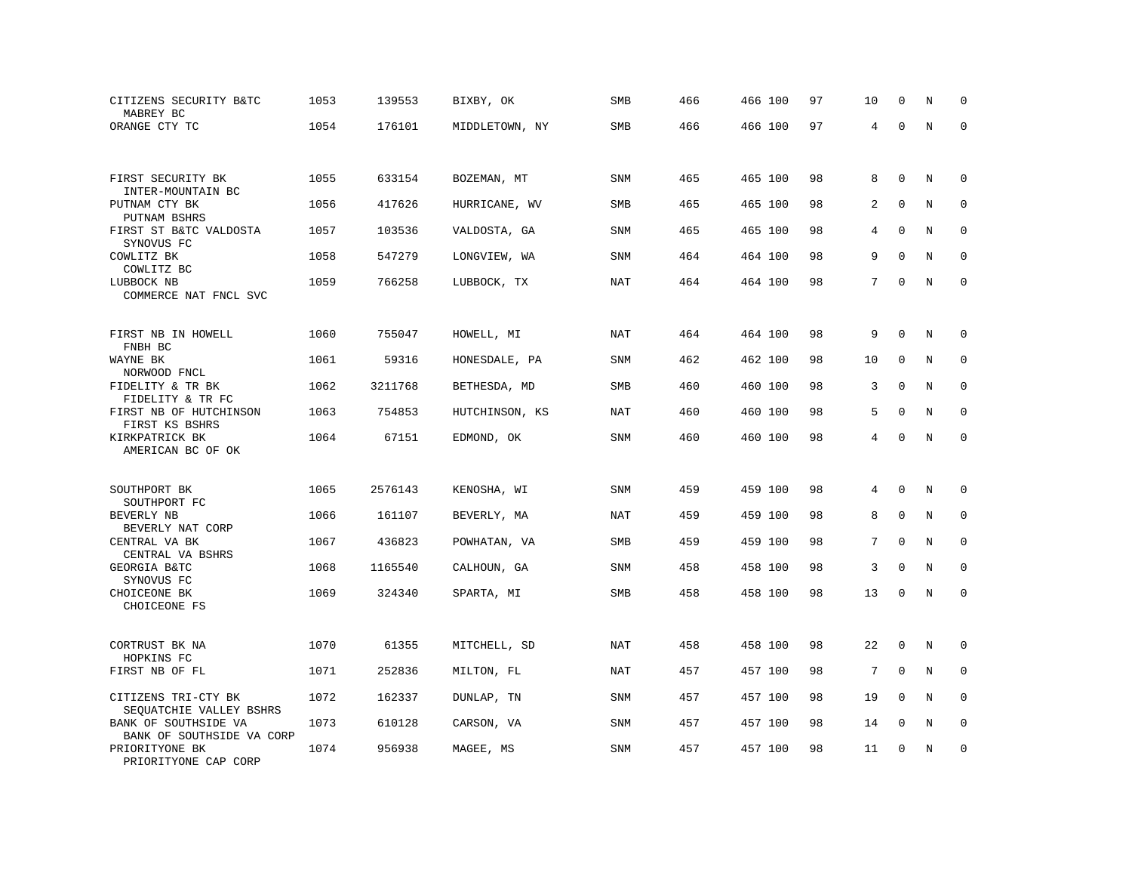| CITIZENS SECURITY B&TC<br>MABREY BC               | 1053 | 139553  | BIXBY, OK      | SMB        | 466 | 466 100 | 97 | 10             | $\mathbf 0$ | N       | $\mathbf 0$ |
|---------------------------------------------------|------|---------|----------------|------------|-----|---------|----|----------------|-------------|---------|-------------|
| ORANGE CTY TC                                     | 1054 | 176101  | MIDDLETOWN, NY | SMB        | 466 | 466 100 | 97 | $\overline{4}$ | $\mathbf 0$ | $\rm N$ | $\mathbf 0$ |
| FIRST SECURITY BK<br>INTER-MOUNTAIN BC            | 1055 | 633154  | BOZEMAN, MT    | SNM        | 465 | 465 100 | 98 | 8              | $\mathbf 0$ | N       | 0           |
| PUTNAM CTY BK<br>PUTNAM BSHRS                     | 1056 | 417626  | HURRICANE, WV  | <b>SMB</b> | 465 | 465 100 | 98 | 2              | $\Omega$    | N       | $\mathbf 0$ |
| FIRST ST B&TC VALDOSTA<br>SYNOVUS FC              | 1057 | 103536  | VALDOSTA, GA   | SNM        | 465 | 465 100 | 98 | 4              | $\mathbf 0$ | N       | 0           |
| COWLITZ BK<br>COWLITZ BC                          | 1058 | 547279  | LONGVIEW, WA   | SNM        | 464 | 464 100 | 98 | 9              | $\Omega$    | N       | $\mathbf 0$ |
| LUBBOCK NB<br>COMMERCE NAT FNCL SVC               | 1059 | 766258  | LUBBOCK, TX    | <b>NAT</b> | 464 | 464 100 | 98 | 7              | $\mathbf 0$ | N       | $\mathbf 0$ |
| FIRST NB IN HOWELL                                | 1060 | 755047  | HOWELL, MI     | NAT        | 464 | 464 100 | 98 | 9              | $\Omega$    | N       | $\mathbf 0$ |
| FNBH BC<br>WAYNE BK<br>NORWOOD FNCL               | 1061 | 59316   | HONESDALE, PA  | SNM        | 462 | 462 100 | 98 | 10             | 0           | N       | $\mathbf 0$ |
| FIDELITY & TR BK<br>FIDELITY & TR FC              | 1062 | 3211768 | BETHESDA, MD   | SMB        | 460 | 460 100 | 98 | 3              | $\mathbf 0$ | N       | $\mathbf 0$ |
| FIRST NB OF HUTCHINSON<br>FIRST KS BSHRS          | 1063 | 754853  | HUTCHINSON, KS | <b>NAT</b> | 460 | 460 100 | 98 | 5              | $\mathbf 0$ | N       | $\mathbf 0$ |
| KIRKPATRICK BK<br>AMERICAN BC OF OK               | 1064 | 67151   | EDMOND, OK     | SNM        | 460 | 460 100 | 98 | 4              | $\mathbf 0$ | N       | $\mathbf 0$ |
| SOUTHPORT BK<br>SOUTHPORT FC                      | 1065 | 2576143 | KENOSHA, WI    | SNM        | 459 | 459 100 | 98 | 4              | $\mathbf 0$ | N       | $\mathbf 0$ |
| BEVERLY NB<br>BEVERLY NAT CORP                    | 1066 | 161107  | BEVERLY, MA    | NAT        | 459 | 459 100 | 98 | 8              | $\Omega$    | N       | $\mathbf 0$ |
| CENTRAL VA BK<br>CENTRAL VA BSHRS                 | 1067 | 436823  | POWHATAN, VA   | SMB        | 459 | 459 100 | 98 | 7              | $\mathbf 0$ | N       | 0           |
| GEORGIA B&TC<br>SYNOVUS FC                        | 1068 | 1165540 | CALHOUN, GA    | <b>SNM</b> | 458 | 458 100 | 98 | 3              | $\mathbf 0$ | N       | $\mathbf 0$ |
| CHOICEONE BK<br>CHOICEONE FS                      | 1069 | 324340  | SPARTA, MI     | SMB        | 458 | 458 100 | 98 | 13             | 0           | N       | $\mathbf 0$ |
| CORTRUST BK NA<br>HOPKINS FC                      | 1070 | 61355   | MITCHELL, SD   | NAT        | 458 | 458 100 | 98 | 22             | $\mathbf 0$ | N       | 0           |
| FIRST NB OF FL                                    | 1071 | 252836  | MILTON, FL     | NAT        | 457 | 457 100 | 98 | 7              | $\mathbf 0$ | N       | 0           |
| CITIZENS TRI-CTY BK<br>SEQUATCHIE VALLEY BSHRS    | 1072 | 162337  | DUNLAP, TN     | SNM        | 457 | 457 100 | 98 | 19             | $\Omega$    | N       | $\mathbf 0$ |
| BANK OF SOUTHSIDE VA<br>BANK OF SOUTHSIDE VA CORP | 1073 | 610128  | CARSON, VA     | SNM        | 457 | 457 100 | 98 | 14             | $\mathbf 0$ | Ν       | 0           |
| PRIORITYONE BK<br>PRIORITYONE CAP CORP            | 1074 | 956938  | MAGEE, MS      | SNM        | 457 | 457 100 | 98 | 11             | $\mathbf 0$ | N       | $\mathbf 0$ |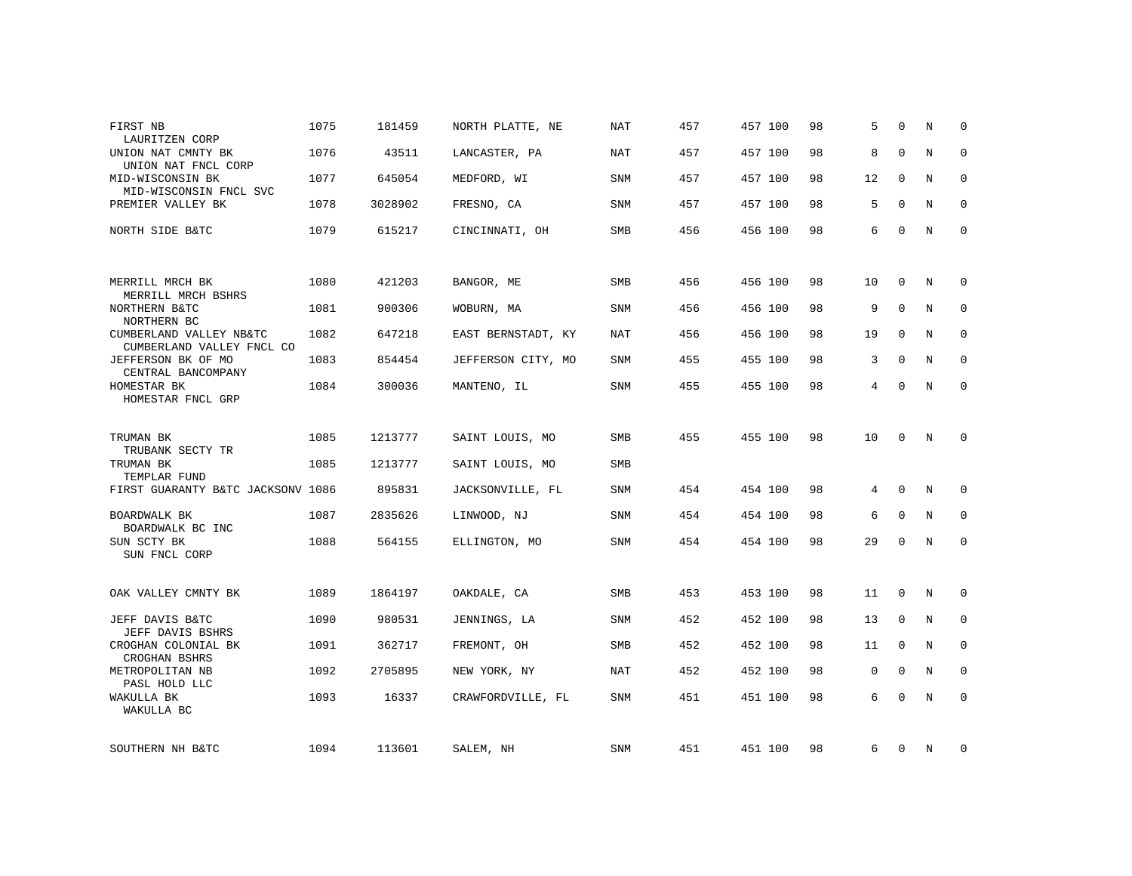| LAURITZEN CORP<br>1076<br>43511<br>LANCASTER, PA<br><b>NAT</b><br>457<br>457 100<br>98<br>UNION NAT CMNTY BK<br>UNION NAT FNCL CORP<br>1077<br>645054<br>457<br>98<br>MID-WISCONSIN BK<br>MEDFORD, WI<br>SNM<br>457 100 | 8           | $\mathbf 0$  | N | $\mathbf 0$ |
|-------------------------------------------------------------------------------------------------------------------------------------------------------------------------------------------------------------------------|-------------|--------------|---|-------------|
|                                                                                                                                                                                                                         |             |              |   |             |
| MID-WISCONSIN FNCL SVC                                                                                                                                                                                                  | 12          | $\mathbf 0$  | N | $\mathbf 0$ |
| 98<br>PREMIER VALLEY BK<br>1078<br>3028902<br>FRESNO, CA<br>SNM<br>457<br>457 100                                                                                                                                       | 5           | $\mathbf 0$  | N | 0           |
| 1079<br>456<br>98<br>NORTH SIDE B&TC<br>615217<br>SMB<br>456 100<br>CINCINNATI, OH                                                                                                                                      | 6           | $\Omega$     | N | $\mathbf 0$ |
|                                                                                                                                                                                                                         |             |              |   |             |
| 1080<br>421203<br>BANGOR, ME<br>SMB<br>456<br>456 100<br>98<br>MERRILL MRCH BK<br>MERRILL MRCH BSHRS                                                                                                                    | 10          | 0            | N | 0           |
| 1081<br>900306<br>SNM<br>456<br>456 100<br>98<br>NORTHERN B&TC<br>WOBURN, MA<br>NORTHERN BC                                                                                                                             | 9           | $\mathbf{0}$ | N | $\mathbf 0$ |
| 1082<br>456<br>98<br>CUMBERLAND VALLEY NB&TC<br>647218<br>EAST BERNSTADT, KY<br><b>NAT</b><br>456 100<br>CUMBERLAND VALLEY FNCL CO                                                                                      | 19          | $\Omega$     | N | $\mathbf 0$ |
| 98<br>JEFFERSON BK OF MO<br>1083<br>JEFFERSON CITY, MO<br><b>SNM</b><br>455<br>455 100<br>854454<br>CENTRAL BANCOMPANY                                                                                                  | 3           | $\mathbf 0$  | N | $\mathbf 0$ |
| 1084<br>300036<br><b>SNM</b><br>455<br>455 100<br>98<br>HOMESTAR BK<br>MANTENO, IL<br>HOMESTAR FNCL GRP                                                                                                                 | 4           | $\mathbf{0}$ | N | $\mathbf 0$ |
|                                                                                                                                                                                                                         |             |              |   |             |
| 1085<br>1213777<br>455<br>455 100<br>98<br>TRUMAN BK<br>SAINT LOUIS, MO<br><b>SMB</b><br>TRUBANK SECTY TR                                                                                                               | 10          | $\Omega$     | N | $\mathbf 0$ |
| 1085<br>TRUMAN BK<br>1213777<br>SAINT LOUIS, MO<br><b>SMB</b><br>TEMPLAR FUND                                                                                                                                           |             |              |   |             |
| 454<br>FIRST GUARANTY B&TC JACKSONV 1086<br>895831<br>454 100<br>98<br>JACKSONVILLE, FL<br>SNM                                                                                                                          | 4           | $\mathbf 0$  | N | 0           |
| 1087<br>2835626<br>454<br>98<br>BOARDWALK BK<br>LINWOOD, NJ<br><b>SNM</b><br>454 100<br>BOARDWALK BC INC                                                                                                                | 6           | $\mathbf 0$  | N | $\mathbf 0$ |
| 454<br>98<br>SUN SCTY BK<br>1088<br>564155<br>ELLINGTON, MO<br>SNM<br>454 100<br>SUN FNCL CORP                                                                                                                          | 29          | $\Omega$     | N | $\mathbf 0$ |
|                                                                                                                                                                                                                         |             |              |   |             |
| OAK VALLEY CMNTY BK<br>1089<br>1864197<br>OAKDALE, CA<br>SMB<br>453<br>453 100<br>98                                                                                                                                    | 11          | 0            | N | 0           |
| 1090<br>980531<br><b>SNM</b><br>452<br>452 100<br>98<br>JEFF DAVIS B&TC<br>JENNINGS, LA<br>JEFF DAVIS BSHRS                                                                                                             | 13          | 0            | N | 0           |
| 1091<br>362717<br>452<br>452 100<br>98<br>CROGHAN COLONIAL BK<br>FREMONT, OH<br>SMB<br>CROGHAN BSHRS                                                                                                                    | 11          | 0            | N | 0           |
| 452<br>METROPOLITAN NB<br>1092<br>2705895<br>NEW YORK, NY<br>NAT<br>452 100<br>98<br>PASL HOLD LLC                                                                                                                      | $\mathbf 0$ | $\Omega$     | N | $\mathbf 0$ |
| WAKULLA BK<br>16337<br>451<br>98<br>1093<br>CRAWFORDVILLE, FL<br>SNM<br>451 100<br>WAKULLA BC                                                                                                                           | 6           | $\mathbf 0$  | N | $\mathbf 0$ |
| SOUTHERN NH B&TC<br>1094<br>113601<br>SALEM, NH<br>SNM<br>451<br>451 100<br>98                                                                                                                                          | 6           | 0            | N | 0           |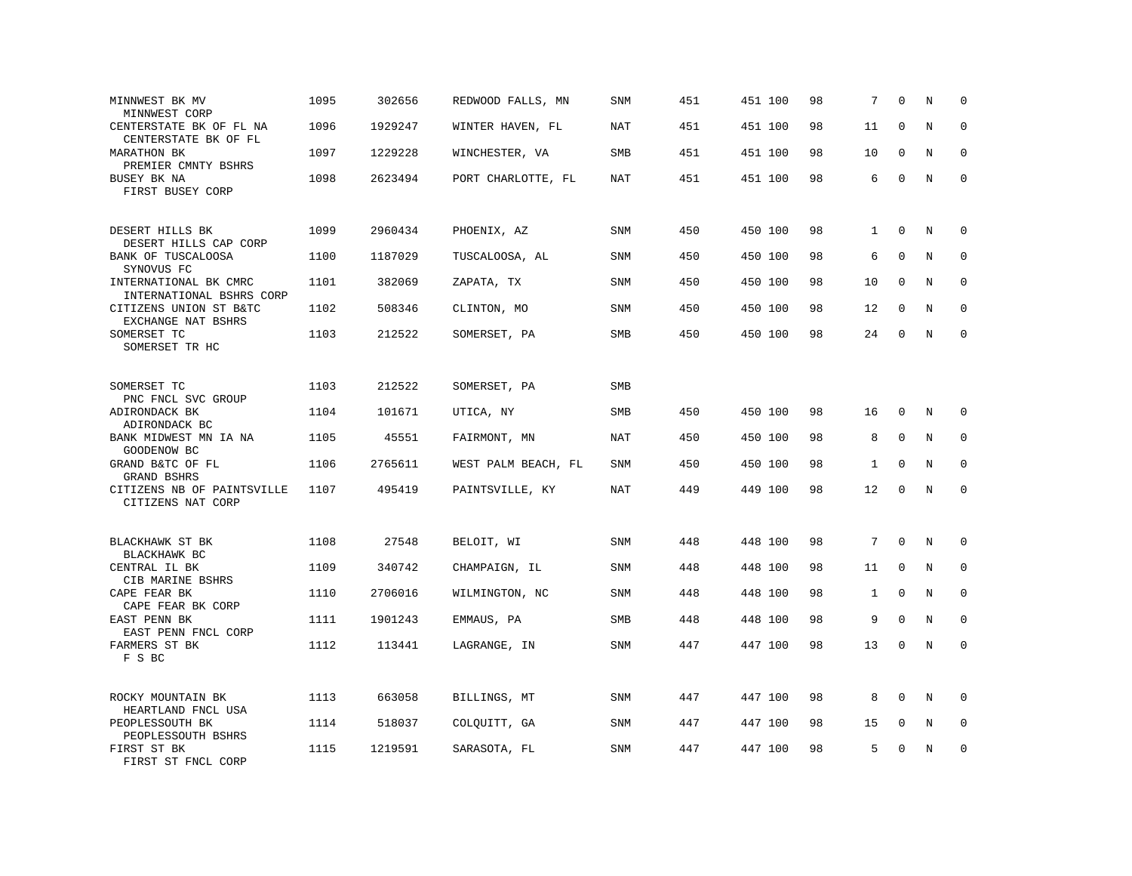| MINNWEST BK MV<br>MINNWEST CORP                   | 1095 | 302656  | REDWOOD FALLS, MN   | SNM        | 451 | 451 100 | 98 | 7            | $\Omega$     | N       | $\mathbf 0$  |
|---------------------------------------------------|------|---------|---------------------|------------|-----|---------|----|--------------|--------------|---------|--------------|
| CENTERSTATE BK OF FL NA<br>CENTERSTATE BK OF FL   | 1096 | 1929247 | WINTER HAVEN, FL    | NAT        | 451 | 451 100 | 98 | 11           | $\Omega$     | N       | $\Omega$     |
| <b>MARATHON BK</b><br>PREMIER CMNTY BSHRS         | 1097 | 1229228 | WINCHESTER, VA      | SMB        | 451 | 451 100 | 98 | 10           | $\mathbf 0$  | N       | $\mathbf 0$  |
| BUSEY BK NA<br>FIRST BUSEY CORP                   | 1098 | 2623494 | PORT CHARLOTTE, FL  | NAT        | 451 | 451 100 | 98 | 6            | $\Omega$     | N       | $\mathbf 0$  |
| DESERT HILLS BK<br>DESERT HILLS CAP CORP          | 1099 | 2960434 | PHOENIX, AZ         | SNM        | 450 | 450 100 | 98 | $\mathbf{1}$ | $\mathbf{0}$ | N       | $\Omega$     |
| BANK OF TUSCALOOSA<br>SYNOVUS FC                  | 1100 | 1187029 | TUSCALOOSA, AL      | <b>SNM</b> | 450 | 450 100 | 98 | 6            | $\mathbf 0$  | N       | 0            |
| INTERNATIONAL BK CMRC<br>INTERNATIONAL BSHRS CORP | 1101 | 382069  | ZAPATA, TX          | <b>SNM</b> | 450 | 450 100 | 98 | 10           | $\Omega$     | N       | $\mathbf{0}$ |
| CITIZENS UNION ST B&TC<br>EXCHANGE NAT BSHRS      | 1102 | 508346  | CLINTON, MO         | <b>SNM</b> | 450 | 450 100 | 98 | 12           | $\mathbf 0$  | N       | $\mathbf 0$  |
| SOMERSET TC<br>SOMERSET TR HC                     | 1103 | 212522  | SOMERSET, PA        | <b>SMB</b> | 450 | 450 100 | 98 | 24           | $\Omega$     | N       | $\mathbf 0$  |
| SOMERSET TC<br>PNC FNCL SVC GROUP                 | 1103 | 212522  | SOMERSET, PA        | <b>SMB</b> |     |         |    |              |              |         |              |
| ADIRONDACK BK<br>ADIRONDACK BC                    | 1104 | 101671  | UTICA, NY           | SMB        | 450 | 450 100 | 98 | 16           | 0            | N       | $\mathbf 0$  |
| BANK MIDWEST MN IA NA<br>GOODENOW BC              | 1105 | 45551   | FAIRMONT, MN        | <b>NAT</b> | 450 | 450 100 | 98 | 8            | $\mathbf{0}$ | N       | $\mathbf 0$  |
| GRAND B&TC OF FL<br>GRAND BSHRS                   | 1106 | 2765611 | WEST PALM BEACH, FL | SNM        | 450 | 450 100 | 98 | 1            | $\mathbf 0$  | N       | $\mathbf 0$  |
| CITIZENS NB OF PAINTSVILLE<br>CITIZENS NAT CORP   | 1107 | 495419  | PAINTSVILLE, KY     | <b>NAT</b> | 449 | 449 100 | 98 | 12           | $\mathbf 0$  | $\rm N$ | $\mathbf 0$  |
| BLACKHAWK ST BK<br>BLACKHAWK BC                   | 1108 | 27548   | BELOIT, WI          | <b>SNM</b> | 448 | 448 100 | 98 | 7            | $\mathbf{0}$ | $\rm N$ | 0            |
| CENTRAL IL BK<br>CIB MARINE BSHRS                 | 1109 | 340742  | CHAMPAIGN, IL       | SNM        | 448 | 448 100 | 98 | 11           | $\mathbf 0$  | N       | 0            |
| CAPE FEAR BK<br>CAPE FEAR BK CORP                 | 1110 | 2706016 | WILMINGTON, NC      | <b>SNM</b> | 448 | 448 100 | 98 | $\mathbf{1}$ | $\mathbf{0}$ | N       | $\mathbf 0$  |
| EAST PENN BK<br>EAST PENN FNCL CORP               | 1111 | 1901243 | EMMAUS, PA          | SMB        | 448 | 448 100 | 98 | 9            | $\mathbf 0$  | N       | $\mathbf 0$  |
| FARMERS ST BK<br>F S BC                           | 1112 | 113441  | LAGRANGE, IN        | <b>SNM</b> | 447 | 447 100 | 98 | 13           | $\mathbf 0$  | N       | $\mathbf 0$  |
| ROCKY MOUNTAIN BK<br>HEARTLAND FNCL USA           | 1113 | 663058  | BILLINGS, MT        | <b>SNM</b> | 447 | 447 100 | 98 | 8            | $\Omega$     | N       | $\mathbf 0$  |
| PEOPLESSOUTH BK<br>PEOPLESSOUTH BSHRS             | 1114 | 518037  | COLQUITT, GA        | SNM        | 447 | 447 100 | 98 | 15           | $\mathbf 0$  | N       | $\mathbf 0$  |
| FIRST ST BK<br>FIRST ST FNCL CORP                 | 1115 | 1219591 | SARASOTA, FL        | SNM        | 447 | 447 100 | 98 | 5            | $\mathbf 0$  | N       | $\mathbf 0$  |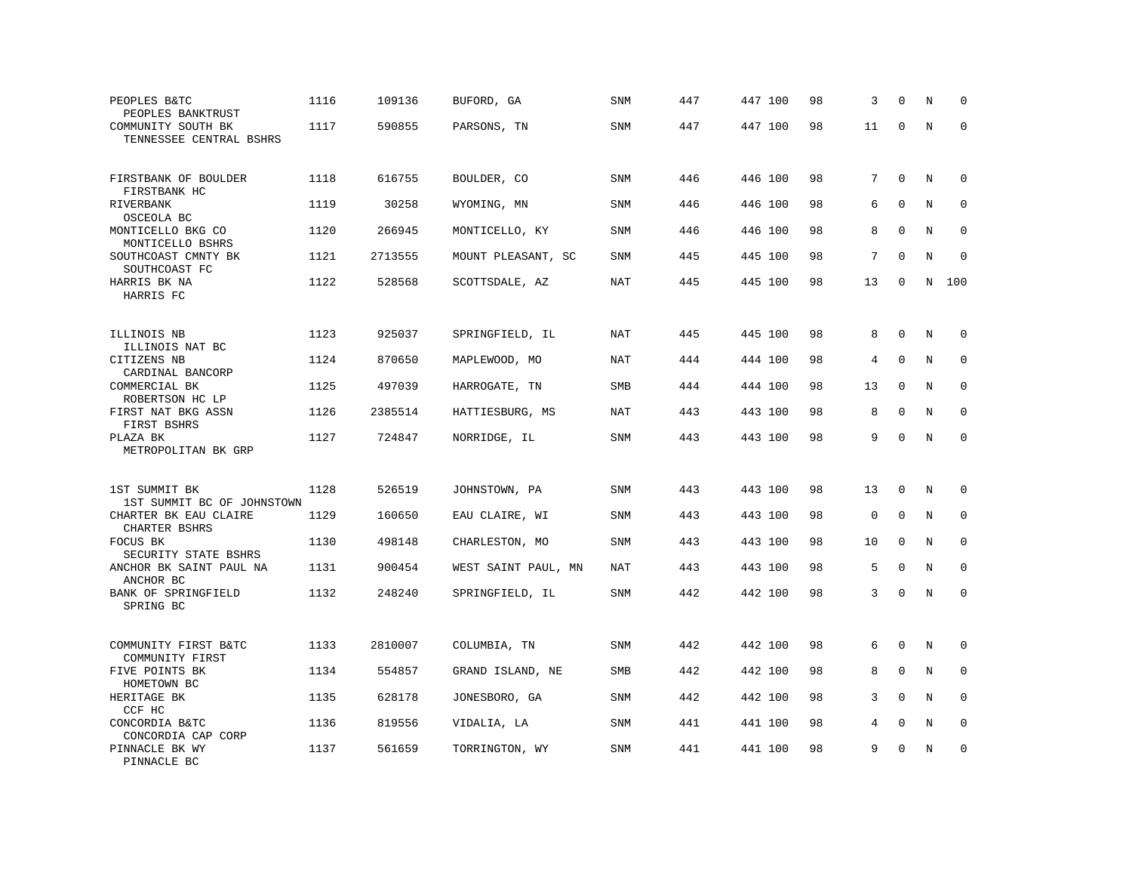| PEOPLES B&TC<br>PEOPLES BANKTRUST                    | 1116 | 109136  | BUFORD, GA          | SNM        | 447 | 447 100 | 98 | 3           | $\mathbf 0$  | N       | $\Omega$    |
|------------------------------------------------------|------|---------|---------------------|------------|-----|---------|----|-------------|--------------|---------|-------------|
| COMMUNITY SOUTH BK<br>TENNESSEE CENTRAL BSHRS        | 1117 | 590855  | PARSONS, TN         | SNM        | 447 | 447 100 | 98 | 11          | $\Omega$     | $\rm N$ | $\mathbf 0$ |
| FIRSTBANK OF BOULDER                                 | 1118 | 616755  | BOULDER, CO         | <b>SNM</b> | 446 | 446 100 | 98 | 7           | $\mathbf 0$  | N       | $\mathbf 0$ |
| FIRSTBANK HC<br>RIVERBANK                            | 1119 | 30258   | WYOMING, MN         | <b>SNM</b> | 446 | 446 100 | 98 | 6           | $\mathbf 0$  | N       | $\Omega$    |
| OSCEOLA BC<br>MONTICELLO BKG CO<br>MONTICELLO BSHRS  | 1120 | 266945  | MONTICELLO, KY      | SNM        | 446 | 446 100 | 98 | 8           | $\mathbf 0$  | N       | $\mathbf 0$ |
| SOUTHCOAST CMNTY BK<br>SOUTHCOAST FC                 | 1121 | 2713555 | MOUNT PLEASANT, SC  | <b>SNM</b> | 445 | 445 100 | 98 | 7           | $\Omega$     | N       | $\mathbf 0$ |
| HARRIS BK NA<br>HARRIS FC                            | 1122 | 528568  | SCOTTSDALE, AZ      | <b>NAT</b> | 445 | 445 100 | 98 | 13          | $\mathbf 0$  | N       | 100         |
| ILLINOIS NB                                          | 1123 | 925037  | SPRINGFIELD, IL     | NAT        | 445 | 445 100 | 98 | 8           | $\Omega$     | N       | $\mathbf 0$ |
| ILLINOIS NAT BC<br>CITIZENS NB                       | 1124 | 870650  | MAPLEWOOD, MO       | <b>NAT</b> | 444 | 444 100 | 98 | 4           | $\mathbf 0$  | N       | $\mathbf 0$ |
| CARDINAL BANCORP<br>COMMERCIAL BK<br>ROBERTSON HC LP | 1125 | 497039  | HARROGATE, TN       | <b>SMB</b> | 444 | 444 100 | 98 | 13          | $\mathbf 0$  | N       | $\mathbf 0$ |
| FIRST NAT BKG ASSN<br>FIRST BSHRS                    | 1126 | 2385514 | HATTIESBURG, MS     | <b>NAT</b> | 443 | 443 100 | 98 | 8           | $\mathbf 0$  | N       | $\mathbf 0$ |
| PLAZA BK<br>METROPOLITAN BK GRP                      | 1127 | 724847  | NORRIDGE, IL        | SNM        | 443 | 443 100 | 98 | 9           | $\Omega$     | N       | $\mathbf 0$ |
| 1ST SUMMIT BK<br>1ST SUMMIT BC OF JOHNSTOWN          | 1128 | 526519  | JOHNSTOWN, PA       | <b>SNM</b> | 443 | 443 100 | 98 | 13          | $\mathbf 0$  | N       | $\mathbf 0$ |
| CHARTER BK EAU CLAIRE<br>CHARTER BSHRS               | 1129 | 160650  | EAU CLAIRE, WI      | <b>SNM</b> | 443 | 443 100 | 98 | $\mathbf 0$ | $\Omega$     | N       | $\mathbf 0$ |
| FOCUS BK<br>SECURITY STATE BSHRS                     | 1130 | 498148  | CHARLESTON, MO      | <b>SNM</b> | 443 | 443 100 | 98 | 10          | $\mathbf 0$  | N       | $\mathbf 0$ |
| ANCHOR BK SAINT PAUL NA<br>ANCHOR BC                 | 1131 | 900454  | WEST SAINT PAUL, MN | <b>NAT</b> | 443 | 443 100 | 98 | 5           | $\mathbf 0$  | N       | $\mathbf 0$ |
| BANK OF SPRINGFIELD<br>SPRING BC                     | 1132 | 248240  | SPRINGFIELD, IL     | <b>SNM</b> | 442 | 442 100 | 98 | 3           | $\mathbf 0$  | N       | $\Omega$    |
| COMMUNITY FIRST B&TC<br>COMMUNITY FIRST              | 1133 | 2810007 | COLUMBIA, TN        | <b>SNM</b> | 442 | 442 100 | 98 | 6           | $\Omega$     | N       | 0           |
| FIVE POINTS BK<br>HOMETOWN BC                        | 1134 | 554857  | GRAND ISLAND, NE    | SMB        | 442 | 442 100 | 98 | 8           | $\mathbf{0}$ | N       | $\mathbf 0$ |
| HERITAGE BK<br>CCF HC                                | 1135 | 628178  | JONESBORO, GA       | SNM        | 442 | 442 100 | 98 | 3           | $\Omega$     | N       | $\Omega$    |
| CONCORDIA B&TC<br>CONCORDIA CAP CORP                 | 1136 | 819556  | VIDALIA, LA         | <b>SNM</b> | 441 | 441 100 | 98 | 4           | $\mathbf{0}$ | $\rm N$ | 0           |
| PINNACLE BK WY<br>PINNACLE BC                        | 1137 | 561659  | TORRINGTON, WY      | SNM        | 441 | 441 100 | 98 | 9           | $\mathbf 0$  | N       | $\mathbf 0$ |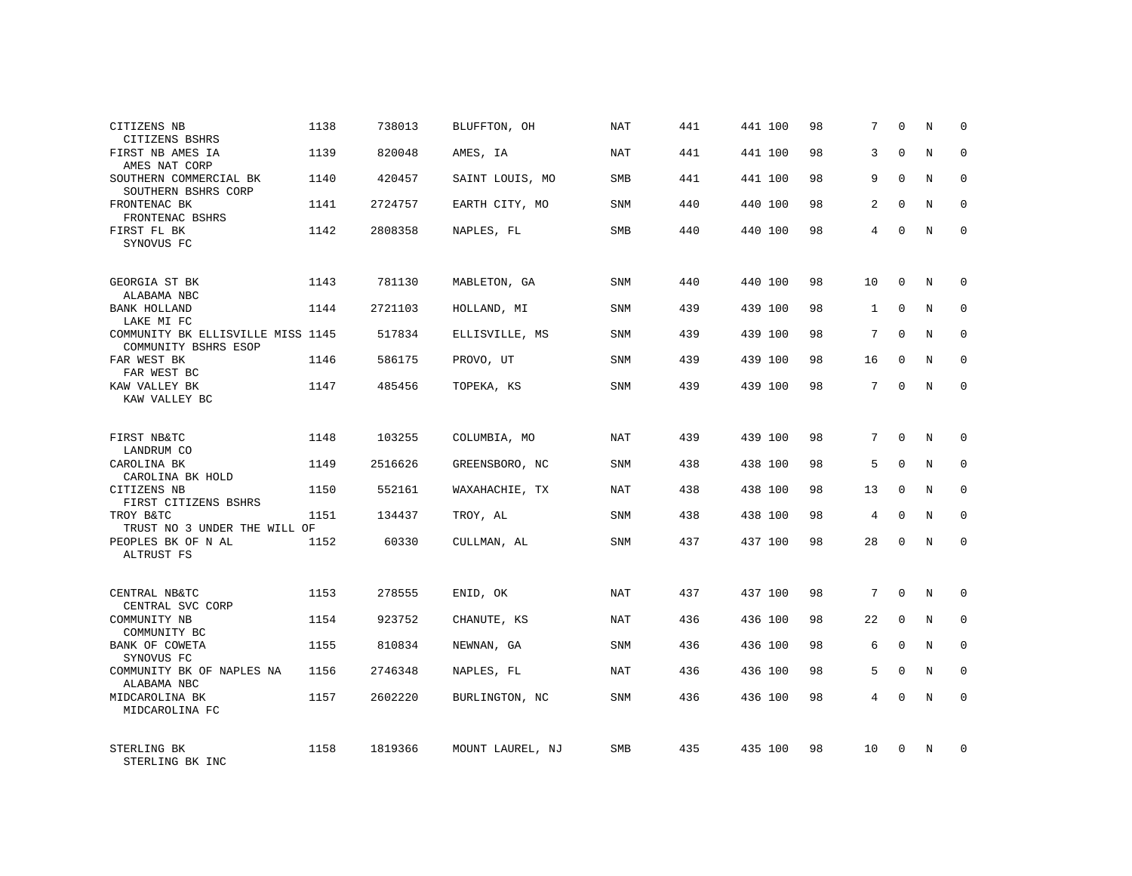| CITIZENS NB<br>CITIZENS BSHRS                             | 1138 | 738013  | BLUFFTON, OH     | <b>NAT</b> | 441 | 441 100 | 98 | 7            | $\mathbf 0$  | N | $\mathbf 0$ |
|-----------------------------------------------------------|------|---------|------------------|------------|-----|---------|----|--------------|--------------|---|-------------|
| FIRST NB AMES IA<br>AMES NAT CORP                         | 1139 | 820048  | AMES, IA         | NAT        | 441 | 441 100 | 98 | 3            | $\Omega$     | N | $\Omega$    |
| SOUTHERN COMMERCIAL BK<br>SOUTHERN BSHRS CORP             | 1140 | 420457  | SAINT LOUIS, MO  | SMB        | 441 | 441 100 | 98 | 9            | $\Omega$     | N | $\mathbf 0$ |
| FRONTENAC BK<br>FRONTENAC BSHRS                           | 1141 | 2724757 | EARTH CITY, MO   | SNM        | 440 | 440 100 | 98 | 2            | $\Omega$     | N | $\mathbf 0$ |
| FIRST FL BK<br>SYNOVUS FC                                 | 1142 | 2808358 | NAPLES, FL       | <b>SMB</b> | 440 | 440 100 | 98 | 4            | $\Omega$     | N | $\Omega$    |
| GEORGIA ST BK<br>ALABAMA NBC                              | 1143 | 781130  | MABLETON, GA     | SNM        | 440 | 440 100 | 98 | 10           | $\Omega$     | N | $\mathbf 0$ |
| <b>BANK HOLLAND</b><br>LAKE MI FC                         | 1144 | 2721103 | HOLLAND, MI      | <b>SNM</b> | 439 | 439 100 | 98 | $\mathbf{1}$ | $\mathbf{0}$ | N | $\mathbf 0$ |
| COMMUNITY BK ELLISVILLE MISS 1145<br>COMMUNITY BSHRS ESOP |      | 517834  | ELLISVILLE, MS   | SNM        | 439 | 439 100 | 98 | 7            | $\Omega$     | N | $\mathbf 0$ |
| FAR WEST BK<br>FAR WEST BC                                | 1146 | 586175  | PROVO, UT        | <b>SNM</b> | 439 | 439 100 | 98 | 16           | $\mathbf 0$  | N | 0           |
| KAW VALLEY BK<br>KAW VALLEY BC                            | 1147 | 485456  | TOPEKA, KS       | SNM        | 439 | 439 100 | 98 | 7            | $\Omega$     | N | $\mathbf 0$ |
| FIRST NB&TC<br>LANDRUM CO                                 | 1148 | 103255  | COLUMBIA, MO     | <b>NAT</b> | 439 | 439 100 | 98 | 7            | $\Omega$     | N | $\mathbf 0$ |
| CAROLINA BK<br>CAROLINA BK HOLD                           | 1149 | 2516626 | GREENSBORO, NC   | SNM        | 438 | 438 100 | 98 | 5            | $\Omega$     | N | $\mathbf 0$ |
| CITIZENS NB<br>FIRST CITIZENS BSHRS                       | 1150 | 552161  | WAXAHACHIE, TX   | <b>NAT</b> | 438 | 438 100 | 98 | 13           | $\Omega$     | N | $\mathbf 0$ |
| TROY B&TC<br>TRUST NO 3 UNDER THE WILL OF                 | 1151 | 134437  | TROY, AL         | SNM        | 438 | 438 100 | 98 | 4            | $\Omega$     | N | $\mathbf 0$ |
| PEOPLES BK OF N AL<br>ALTRUST FS                          | 1152 | 60330   | CULLMAN, AL      | <b>SNM</b> | 437 | 437 100 | 98 | 28           | $\mathbf 0$  | N | $\mathbf 0$ |
| CENTRAL NB&TC                                             | 1153 | 278555  | ENID, OK         | <b>NAT</b> | 437 | 437 100 | 98 | 7            | $\mathbf 0$  | N | 0           |
| CENTRAL SVC CORP<br>COMMUNITY NB<br>COMMUNITY BC          | 1154 | 923752  | CHANUTE, KS      | NAT        | 436 | 436 100 | 98 | 22           | $\mathbf 0$  | N | 0           |
| BANK OF COWETA<br>SYNOVUS FC                              | 1155 | 810834  | NEWNAN, GA       | SNM        | 436 | 436 100 | 98 | 6            | $\Omega$     | N | $\mathbf 0$ |
| COMMUNITY BK OF NAPLES NA<br>ALABAMA NBC                  | 1156 | 2746348 | NAPLES, FL       | NAT        | 436 | 436 100 | 98 | 5            | $\mathbf{0}$ | N | 0           |
| MIDCAROLINA BK<br>MIDCAROLINA FC                          | 1157 | 2602220 | BURLINGTON, NC   | <b>SNM</b> | 436 | 436 100 | 98 | 4            | $\Omega$     | N | $\mathbf 0$ |
| STERLING BK<br>STERLING BK INC                            | 1158 | 1819366 | MOUNT LAUREL, NJ | <b>SMB</b> | 435 | 435 100 | 98 | 10           | $\Omega$     | N | $\mathbf 0$ |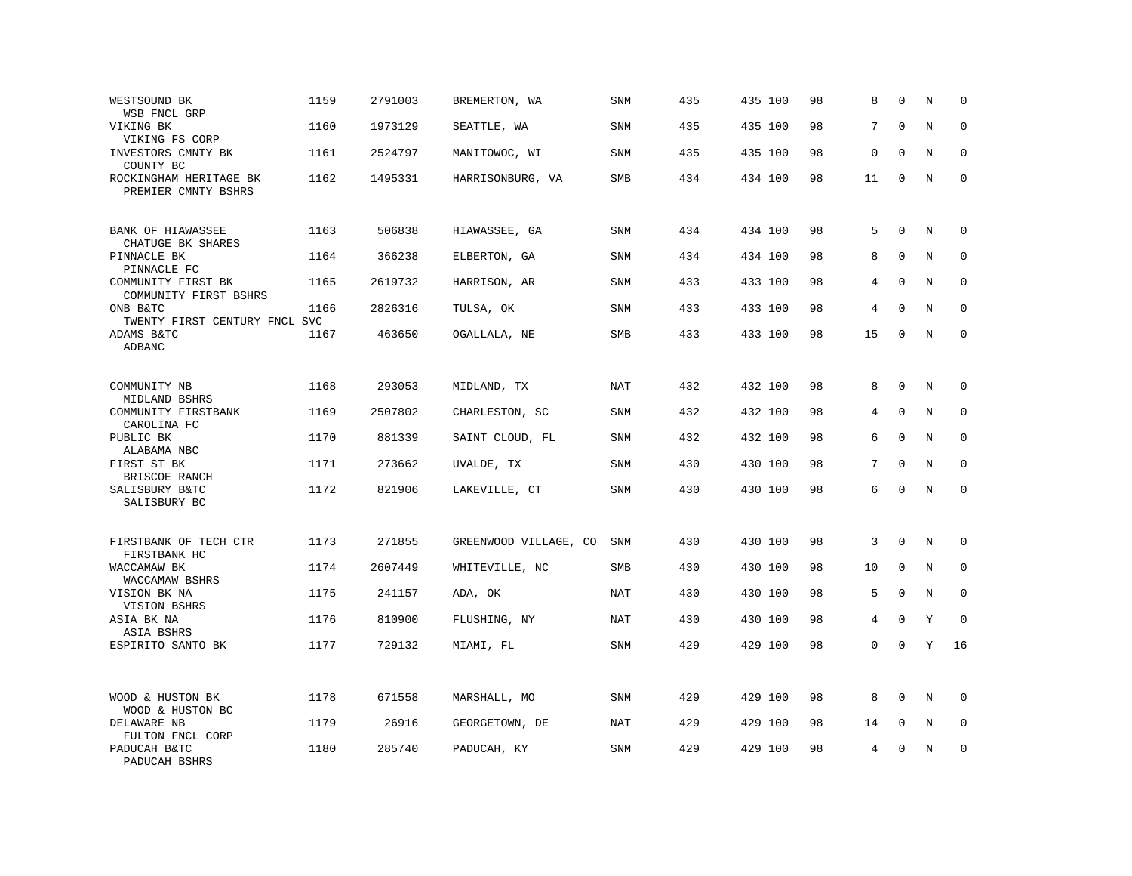| WESTSOUND BK<br>WSB FNCL GRP                  | 1159 | 2791003 | BREMERTON, WA         | SNM        | 435 | 435 100 | 98 | 8           | $\mathbf 0$  | N       | $\mathbf 0$  |
|-----------------------------------------------|------|---------|-----------------------|------------|-----|---------|----|-------------|--------------|---------|--------------|
| VIKING BK<br>VIKING FS CORP                   | 1160 | 1973129 | SEATTLE, WA           | <b>SNM</b> | 435 | 435 100 | 98 | 7           | $\Omega$     | N       | $\mathbf 0$  |
| INVESTORS CMNTY BK<br>COUNTY BC               | 1161 | 2524797 | MANITOWOC, WI         | <b>SNM</b> | 435 | 435 100 | 98 | $\mathbf 0$ | $\mathbf 0$  | N       | $\mathbf 0$  |
| ROCKINGHAM HERITAGE BK<br>PREMIER CMNTY BSHRS | 1162 | 1495331 | HARRISONBURG, VA      | <b>SMB</b> | 434 | 434 100 | 98 | 11          | $\mathbf 0$  | N       | $\mathbf 0$  |
| BANK OF HIAWASSEE<br>CHATUGE BK SHARES        | 1163 | 506838  | HIAWASSEE, GA         | <b>SNM</b> | 434 | 434 100 | 98 | 5           | $\Omega$     | N       | 0            |
| PINNACLE BK<br>PINNACLE FC                    | 1164 | 366238  | ELBERTON, GA          | <b>SNM</b> | 434 | 434 100 | 98 | 8           | $\mathbf{0}$ | N       | $\mathbf 0$  |
| COMMUNITY FIRST BK<br>COMMUNITY FIRST BSHRS   | 1165 | 2619732 | HARRISON, AR          | <b>SNM</b> | 433 | 433 100 | 98 | 4           | $\Omega$     | N       | $\mathbf{0}$ |
| ONB B&TC<br>TWENTY FIRST CENTURY FNCL SVC     | 1166 | 2826316 | TULSA, OK             | <b>SNM</b> | 433 | 433 100 | 98 | 4           | $\mathbf 0$  | N       | $\mathbf 0$  |
| ADAMS B&TC<br>ADBANC                          | 1167 | 463650  | OGALLALA, NE          | <b>SMB</b> | 433 | 433 100 | 98 | 15          | $\mathbf 0$  | N       | $\mathbf 0$  |
| COMMUNITY NB<br>MIDLAND BSHRS                 | 1168 | 293053  | MIDLAND, TX           | NAT        | 432 | 432 100 | 98 | 8           | $\mathbf 0$  | N       | $\mathbf 0$  |
| COMMUNITY FIRSTBANK<br>CAROLINA FC            | 1169 | 2507802 | CHARLESTON, SC        | <b>SNM</b> | 432 | 432 100 | 98 | 4           | $\mathbf 0$  | N       | $\mathbf 0$  |
| PUBLIC BK<br>ALABAMA NBC                      | 1170 | 881339  | SAINT CLOUD, FL       | SNM        | 432 | 432 100 | 98 | 6           | $\mathbf{0}$ | $\rm N$ | $\mathbf 0$  |
| FIRST ST BK<br>BRISCOE RANCH                  | 1171 | 273662  | UVALDE, TX            | <b>SNM</b> | 430 | 430 100 | 98 | 7           | $\Omega$     | N       | $\mathbf 0$  |
| SALISBURY B&TC<br>SALISBURY BC                | 1172 | 821906  | LAKEVILLE, CT         | <b>SNM</b> | 430 | 430 100 | 98 | 6           | $\Omega$     | $\rm N$ | $\mathbf 0$  |
| FIRSTBANK OF TECH CTR<br>FIRSTBANK HC         | 1173 | 271855  | GREENWOOD VILLAGE, CO | <b>SNM</b> | 430 | 430 100 | 98 | 3           | $\mathbf 0$  | N       | 0            |
| WACCAMAW BK<br>WACCAMAW BSHRS                 | 1174 | 2607449 | WHITEVILLE, NC        | SMB        | 430 | 430 100 | 98 | 10          | $\mathbf 0$  | N       | 0            |
| VISION BK NA<br>VISION BSHRS                  | 1175 | 241157  | ADA, OK               | <b>NAT</b> | 430 | 430 100 | 98 | 5           | $\mathbf{0}$ | N       | $\mathbf 0$  |
| ASIA BK NA<br>ASIA BSHRS                      | 1176 | 810900  | FLUSHING, NY          | NAT        | 430 | 430 100 | 98 | 4           | $\mathbf 0$  | Y       | $\mathbf 0$  |
| ESPIRITO SANTO BK                             | 1177 | 729132  | MIAMI, FL             | <b>SNM</b> | 429 | 429 100 | 98 | 0           | $\mathbf{0}$ | Y       | 16           |
| WOOD & HUSTON BK<br>WOOD & HUSTON BC          | 1178 | 671558  | MARSHALL, MO          | <b>SNM</b> | 429 | 429 100 | 98 | 8           | $\Omega$     | N       | 0            |
| DELAWARE NB<br>FULTON FNCL CORP               | 1179 | 26916   | GEORGETOWN, DE        | NAT        | 429 | 429 100 | 98 | 14          | $\mathbf 0$  | N       | 0            |
| PADUCAH B&TC<br>PADUCAH BSHRS                 | 1180 | 285740  | PADUCAH, KY           | <b>SNM</b> | 429 | 429 100 | 98 | 4           | $\mathbf 0$  | N       | $\mathbf 0$  |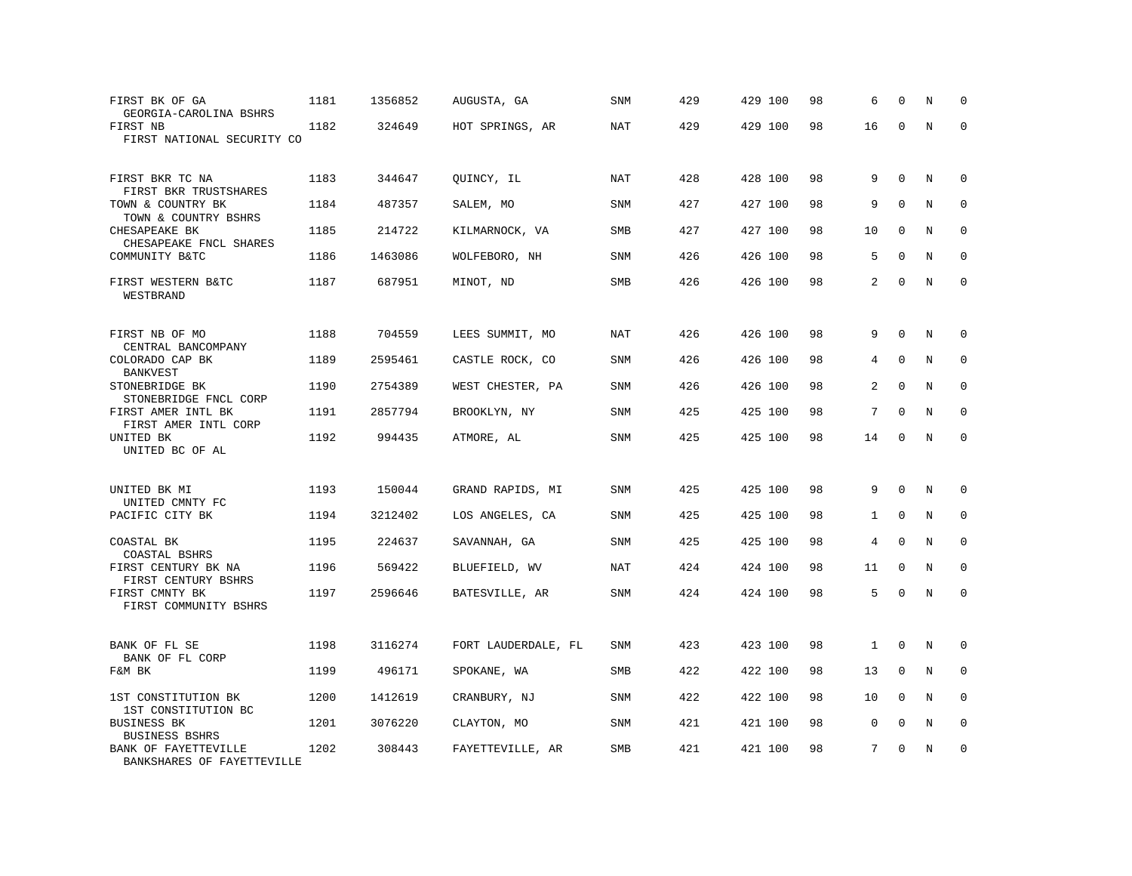| FIRST BK OF GA<br>GEORGIA-CAROLINA BSHRS                        | 1181 | 1356852 | AUGUSTA, GA         | <b>SNM</b> | 429 | 429 100 | 98 | 6            | $\mathbf 0$  | N              | 0           |
|-----------------------------------------------------------------|------|---------|---------------------|------------|-----|---------|----|--------------|--------------|----------------|-------------|
| FIRST NB<br>FIRST NATIONAL SECURITY CO                          | 1182 | 324649  | HOT SPRINGS, AR     | <b>NAT</b> | 429 | 429 100 | 98 | 16           | $\Omega$     | N              | $\mathbf 0$ |
| FIRST BKR TC NA                                                 | 1183 | 344647  | QUINCY, IL          | <b>NAT</b> | 428 | 428 100 | 98 | 9            | $\mathbf{0}$ | N              | 0           |
| FIRST BKR TRUSTSHARES<br>TOWN & COUNTRY BK                      | 1184 | 487357  | SALEM, MO           | SNM        | 427 | 427 100 | 98 | 9            | $\mathbf 0$  | $\rm N$        | $\mathbf 0$ |
| TOWN & COUNTRY BSHRS<br>CHESAPEAKE BK<br>CHESAPEAKE FNCL SHARES | 1185 | 214722  | KILMARNOCK, VA      | SMB        | 427 | 427 100 | 98 | 10           | $\mathbf 0$  | N              | 0           |
| COMMUNITY B&TC                                                  | 1186 | 1463086 | WOLFEBORO, NH       | <b>SNM</b> | 426 | 426 100 | 98 | 5            | $\mathbf 0$  | N              | $\mathbf 0$ |
| FIRST WESTERN B&TC<br>WESTBRAND                                 | 1187 | 687951  | MINOT, ND           | <b>SMB</b> | 426 | 426 100 | 98 | 2            | $\Omega$     | N              | $\Omega$    |
| FIRST NB OF MO                                                  | 1188 | 704559  | LEES SUMMIT, MO     | <b>NAT</b> | 426 | 426 100 | 98 | 9            | $\Omega$     | N              | 0           |
| CENTRAL BANCOMPANY<br>COLORADO CAP BK                           | 1189 | 2595461 | CASTLE ROCK, CO     | <b>SNM</b> | 426 | 426 100 | 98 | 4            | $\mathbf 0$  | N              | 0           |
| <b>BANKVEST</b><br>STONEBRIDGE BK<br>STONEBRIDGE FNCL CORP      | 1190 | 2754389 | WEST CHESTER, PA    | <b>SNM</b> | 426 | 426 100 | 98 | 2            | $\mathbf{0}$ | N              | $\mathbf 0$ |
| FIRST AMER INTL BK<br>FIRST AMER INTL CORP                      | 1191 | 2857794 | BROOKLYN, NY        | SNM        | 425 | 425 100 | 98 | 7            | $\Omega$     | $\overline{N}$ | $\mathbf 0$ |
| UNITED BK<br>UNITED BC OF AL                                    | 1192 | 994435  | ATMORE, AL          | SNM        | 425 | 425 100 | 98 | 14           | $\Omega$     | N              | $\Omega$    |
| UNITED BK MI                                                    | 1193 | 150044  | GRAND RAPIDS, MI    | SNM        | 425 | 425 100 | 98 | 9            | $\Omega$     | N              | $\Omega$    |
| UNITED CMNTY FC<br>PACIFIC CITY BK                              | 1194 | 3212402 | LOS ANGELES, CA     | SNM        | 425 | 425 100 | 98 | $\mathbf{1}$ | $\mathbf{0}$ | N              | 0           |
| COASTAL BK<br>COASTAL BSHRS                                     | 1195 | 224637  | SAVANNAH, GA        | <b>SNM</b> | 425 | 425 100 | 98 | 4            | $\mathbf{0}$ | N              | $\mathbf 0$ |
| FIRST CENTURY BK NA<br>FIRST CENTURY BSHRS                      | 1196 | 569422  | BLUEFIELD, WV       | NAT        | 424 | 424 100 | 98 | 11           | 0            | N              | $\mathbf 0$ |
| FIRST CMNTY BK<br>FIRST COMMUNITY BSHRS                         | 1197 | 2596646 | BATESVILLE, AR      | <b>SNM</b> | 424 | 424 100 | 98 | 5            | $\mathbf{0}$ | N              | $\mathbf 0$ |
| BANK OF FL SE<br>BANK OF FL CORP                                | 1198 | 3116274 | FORT LAUDERDALE, FL | SNM        | 423 | 423 100 | 98 | 1            | $\Omega$     | N              | 0           |
| F&M BK                                                          | 1199 | 496171  | SPOKANE, WA         | SMB        | 422 | 422 100 | 98 | 13           | $\mathbf 0$  | N              | $\mathbf 0$ |
| 1ST CONSTITUTION BK<br>1ST CONSTITUTION BC                      | 1200 | 1412619 | CRANBURY, NJ        | SNM        | 422 | 422 100 | 98 | 10           | $\Omega$     | N              | $\Omega$    |
| BUSINESS BK<br><b>BUSINESS BSHRS</b>                            | 1201 | 3076220 | CLAYTON, MO         | <b>SNM</b> | 421 | 421 100 | 98 | $\mathsf 0$  | $\mathbf 0$  | N              | 0           |
| BANK OF FAYETTEVILLE<br>BANKSHARES OF FAYETTEVILLE              | 1202 | 308443  | FAYETTEVILLE, AR    | <b>SMB</b> | 421 | 421 100 | 98 | 7            | $\mathbf 0$  | N              | $\mathbf 0$ |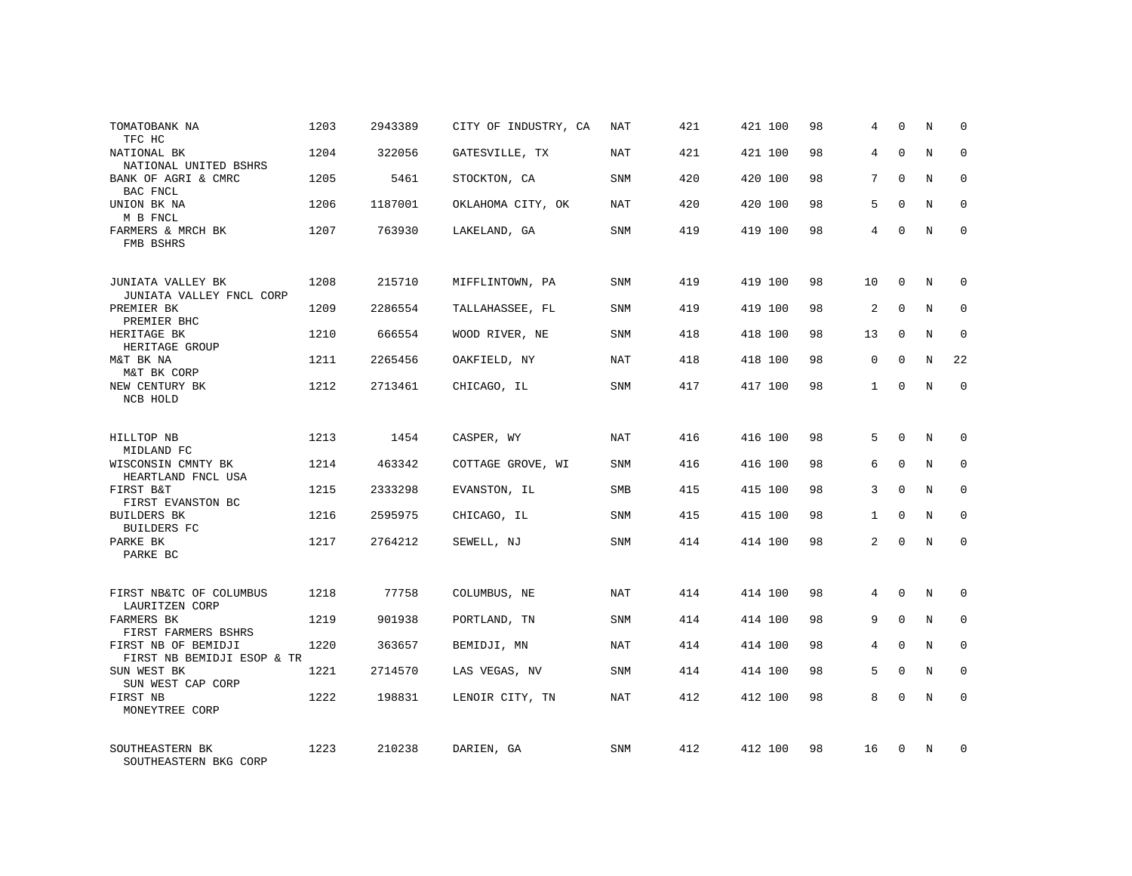| TOMATOBANK NA<br>TFC HC                           | 1203 | 2943389 | CITY OF INDUSTRY, CA | NAT        | 421 | 421 100 | 98 | 4              | $\mathbf 0$ | N          | $\Omega$     |
|---------------------------------------------------|------|---------|----------------------|------------|-----|---------|----|----------------|-------------|------------|--------------|
| NATIONAL BK<br>NATIONAL UNITED BSHRS              | 1204 | 322056  | GATESVILLE, TX       | NAT        | 421 | 421 100 | 98 | 4              | $\Omega$    | N          | $\Omega$     |
| BANK OF AGRI & CMRC<br>BAC FNCL                   | 1205 | 5461    | STOCKTON, CA         | SNM        | 420 | 420 100 | 98 | 7              | $\Omega$    | N          | $\mathbf 0$  |
| UNION BK NA<br>M B FNCL                           | 1206 | 1187001 | OKLAHOMA CITY, OK    | NAT        | 420 | 420 100 | 98 | 5              | $\Omega$    | N          | $\Omega$     |
| FARMERS & MRCH BK<br>FMB BSHRS                    | 1207 | 763930  | LAKELAND, GA         | SNM        | 419 | 419 100 | 98 | 4              | $\Omega$    | N          | $\Omega$     |
| JUNIATA VALLEY BK<br>JUNIATA VALLEY FNCL CORP     | 1208 | 215710  | MIFFLINTOWN, PA      | SNM        | 419 | 419 100 | 98 | 10             | $\mathbf 0$ | N          | $\mathbf 0$  |
| PREMIER BK<br>PREMIER BHC                         | 1209 | 2286554 | TALLAHASSEE, FL      | <b>SNM</b> | 419 | 419 100 | 98 | 2              | $\Omega$    | N          | $\mathbf 0$  |
| HERITAGE BK<br>HERITAGE GROUP                     | 1210 | 666554  | WOOD RIVER, NE       | SNM        | 418 | 418 100 | 98 | 13             | $\mathbf 0$ | N          | $\mathbf 0$  |
| M&T BK NA<br>M&T BK CORP                          | 1211 | 2265456 | OAKFIELD, NY         | NAT        | 418 | 418 100 | 98 | 0              | $\Omega$    | N          | 22           |
| NEW CENTURY BK<br>NCB HOLD                        | 1212 | 2713461 | CHICAGO, IL          | SNM        | 417 | 417 100 | 98 | $\mathbf{1}$   | $\mathbf 0$ | N          | $\mathbf 0$  |
| HILLTOP NB<br>MIDLAND FC                          | 1213 | 1454    | CASPER, WY           | <b>NAT</b> | 416 | 416 100 | 98 | 5              | $\Omega$    | $_{\rm N}$ | $\mathbf 0$  |
| WISCONSIN CMNTY BK<br>HEARTLAND FNCL USA          | 1214 | 463342  | COTTAGE GROVE, WI    | <b>SNM</b> | 416 | 416 100 | 98 | 6              | $\mathbf 0$ | N          | $\mathbf 0$  |
| FIRST B&T<br>FIRST EVANSTON BC                    | 1215 | 2333298 | EVANSTON, IL         | <b>SMB</b> | 415 | 415 100 | 98 | 3              | $\Omega$    | N          | $\mathbf 0$  |
| <b>BUILDERS BK</b><br><b>BUILDERS FC</b>          | 1216 | 2595975 | CHICAGO, IL          | SNM        | 415 | 415 100 | 98 | $\mathbf{1}$   | $\mathbf 0$ | N          | 0            |
| PARKE BK<br>PARKE BC                              | 1217 | 2764212 | SEWELL, NJ           | SNM        | 414 | 414 100 | 98 | $\overline{2}$ | $\Omega$    | $_{\rm N}$ | $\Omega$     |
| FIRST NB&TC OF COLUMBUS<br>LAURITZEN CORP         | 1218 | 77758   | COLUMBUS, NE         | NAT        | 414 | 414 100 | 98 | 4              | $\Omega$    | N          | $\mathbf 0$  |
| FARMERS BK<br>FIRST FARMERS BSHRS                 | 1219 | 901938  | PORTLAND, TN         | SNM        | 414 | 414 100 | 98 | 9              | $\mathbf 0$ | N          | 0            |
| FIRST NB OF BEMIDJI<br>FIRST NB BEMIDJI ESOP & TR | 1220 | 363657  | BEMIDJI, MN          | NAT        | 414 | 414 100 | 98 | 4              | $\Omega$    | N          | $\mathbf{0}$ |
| SUN WEST BK<br>SUN WEST CAP CORP                  | 1221 | 2714570 | LAS VEGAS, NV        | SNM        | 414 | 414 100 | 98 | 5              | $\mathbf 0$ | N          | 0            |
| FIRST NB<br>MONEYTREE CORP                        | 1222 | 198831  | LENOIR CITY, TN      | <b>NAT</b> | 412 | 412 100 | 98 | 8              | $\Omega$    | N          | $\mathbf 0$  |
| SOUTHEASTERN BK<br>SOUTHEASTERN BKG CORP          | 1223 | 210238  | DARIEN, GA           | <b>SNM</b> | 412 | 412 100 | 98 | 16             | $\Omega$    | N          | $\mathbf 0$  |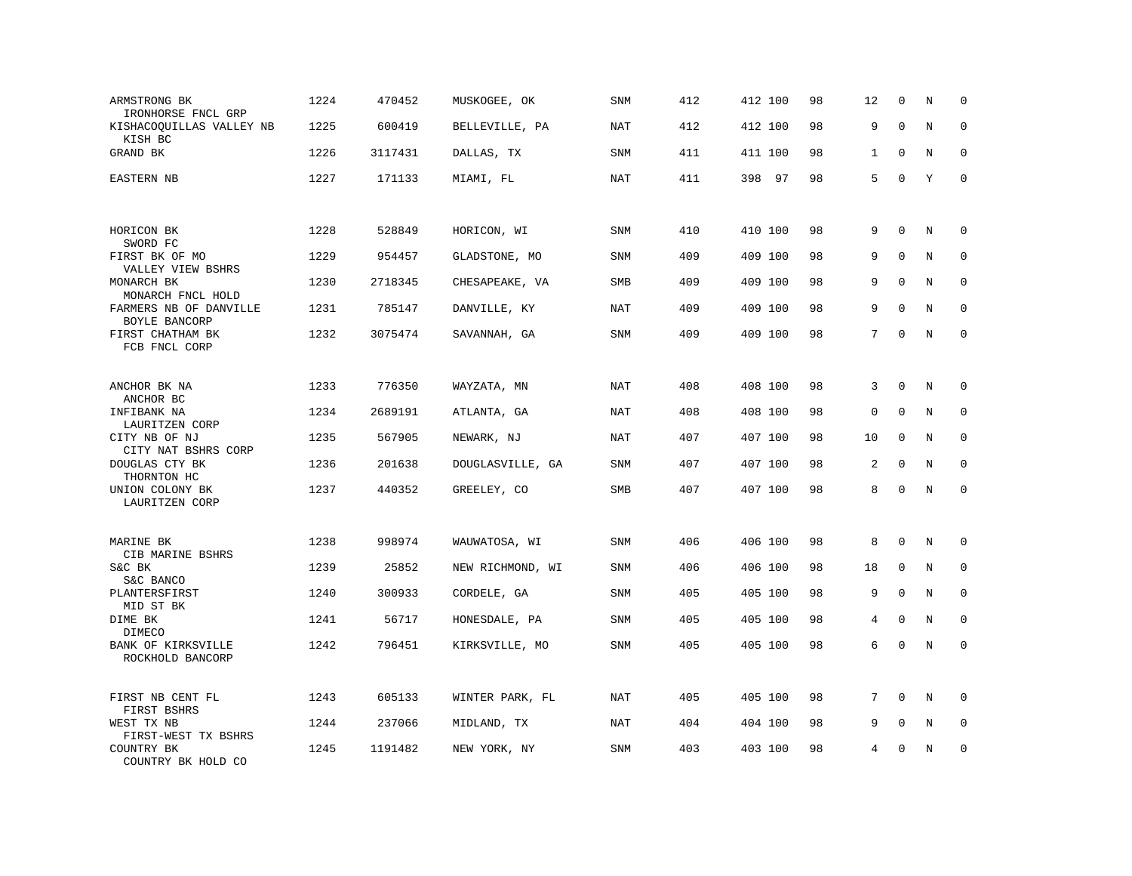| ARMSTRONG BK<br>IRONHORSE FNCL GRP      | 1224 | 470452  | MUSKOGEE, OK     | <b>SNM</b> | 412 | 412 100 | 98 | 12           | $\mathbf 0$  | N       | $\mathbf 0$  |
|-----------------------------------------|------|---------|------------------|------------|-----|---------|----|--------------|--------------|---------|--------------|
| KISHACOQUILLAS VALLEY NB<br>KISH BC     | 1225 | 600419  | BELLEVILLE, PA   | <b>NAT</b> | 412 | 412 100 | 98 | 9            | $\mathbf 0$  | N       | $\mathbf 0$  |
| GRAND BK                                | 1226 | 3117431 | DALLAS, TX       | SNM        | 411 | 411 100 | 98 | $\mathbf{1}$ | $\Omega$     | N       | $\Omega$     |
| EASTERN NB                              | 1227 | 171133  | MIAMI, FL        | NAT        | 411 | 398 97  | 98 | 5            | $\mathbf 0$  | Y       | $\mathbf 0$  |
|                                         |      |         |                  |            |     |         |    |              |              |         |              |
| HORICON BK<br>SWORD FC                  | 1228 | 528849  | HORICON, WI      | SNM        | 410 | 410 100 | 98 | 9            | $\mathbf 0$  | N       | 0            |
| FIRST BK OF MO<br>VALLEY VIEW BSHRS     | 1229 | 954457  | GLADSTONE, MO    | SNM        | 409 | 409 100 | 98 | 9            | $\mathbf 0$  | N       | $\mathbf 0$  |
| MONARCH BK<br>MONARCH FNCL HOLD         | 1230 | 2718345 | CHESAPEAKE, VA   | SMB        | 409 | 409 100 | 98 | 9            | $\mathbf 0$  | N       | 0            |
| FARMERS NB OF DANVILLE<br>BOYLE BANCORP | 1231 | 785147  | DANVILLE, KY     | NAT        | 409 | 409 100 | 98 | 9            | $\Omega$     | N       | $\mathbf 0$  |
| FIRST CHATHAM BK<br>FCB FNCL CORP       | 1232 | 3075474 | SAVANNAH, GA     | SNM        | 409 | 409 100 | 98 | 7            | $\Omega$     | N       | $\Omega$     |
|                                         |      |         |                  |            |     |         |    |              |              |         |              |
| ANCHOR BK NA<br>ANCHOR BC               | 1233 | 776350  | WAYZATA, MN      | <b>NAT</b> | 408 | 408 100 | 98 | 3            | $\mathbf 0$  | N       | $\mathbf 0$  |
| INFIBANK NA<br>LAURITZEN CORP           | 1234 | 2689191 | ATLANTA, GA      | <b>NAT</b> | 408 | 408 100 | 98 | 0            | $\mathbf 0$  | N       | $\mathbf 0$  |
| CITY NB OF NJ<br>CITY NAT BSHRS CORP    | 1235 | 567905  | NEWARK, NJ       | NAT        | 407 | 407 100 | 98 | 10           | $\mathbf{0}$ | N       | $\mathbf 0$  |
| DOUGLAS CTY BK<br>THORNTON HC           | 1236 | 201638  | DOUGLASVILLE, GA | SNM        | 407 | 407 100 | 98 | 2            | $\mathbf 0$  | N       | $\mathbf{0}$ |
| UNION COLONY BK<br>LAURITZEN CORP       | 1237 | 440352  | GREELEY, CO      | <b>SMB</b> | 407 | 407 100 | 98 | 8            | $\mathbf 0$  | N       | $\mathbf 0$  |
|                                         |      |         |                  |            |     |         |    |              |              |         |              |
| MARINE BK<br>CIB MARINE BSHRS           | 1238 | 998974  | WAUWATOSA, WI    | SNM        | 406 | 406 100 | 98 | 8            | $\mathbf 0$  | Ν       | 0            |
| S&C BK<br>S&C BANCO                     | 1239 | 25852   | NEW RICHMOND, WI | SNM        | 406 | 406 100 | 98 | 18           | $\mathbf 0$  | N       | 0            |
| PLANTERSFIRST<br>MID ST BK              | 1240 | 300933  | CORDELE, GA      | SNM        | 405 | 405 100 | 98 | 9            | $\mathbf 0$  | N       | 0            |
| DIME BK<br>DIMECO                       | 1241 | 56717   | HONESDALE, PA    | SNM        | 405 | 405 100 | 98 | 4            | $\mathbf 0$  | N       | $\mathbf 0$  |
| BANK OF KIRKSVILLE<br>ROCKHOLD BANCORP  | 1242 | 796451  | KIRKSVILLE, MO   | SNM        | 405 | 405 100 | 98 | 6            | $\mathbf 0$  | $\rm N$ | $\mathbf 0$  |
|                                         |      |         |                  |            |     |         |    |              |              |         |              |
| FIRST NB CENT FL<br>FIRST BSHRS         | 1243 | 605133  | WINTER PARK, FL  | <b>NAT</b> | 405 | 405 100 | 98 | 7            | $\Omega$     | N       | $\mathbf 0$  |
| WEST TX NB<br>FIRST-WEST TX BSHRS       | 1244 | 237066  | MIDLAND, TX      | NAT        | 404 | 404 100 | 98 | 9            | $\mathbf 0$  | N       | $\mathbf 0$  |
| COUNTRY BK<br>COUNTRY BK HOLD CO        | 1245 | 1191482 | NEW YORK, NY     | SNM        | 403 | 403 100 | 98 | 4            | $\mathbf 0$  | N       | $\mathbf 0$  |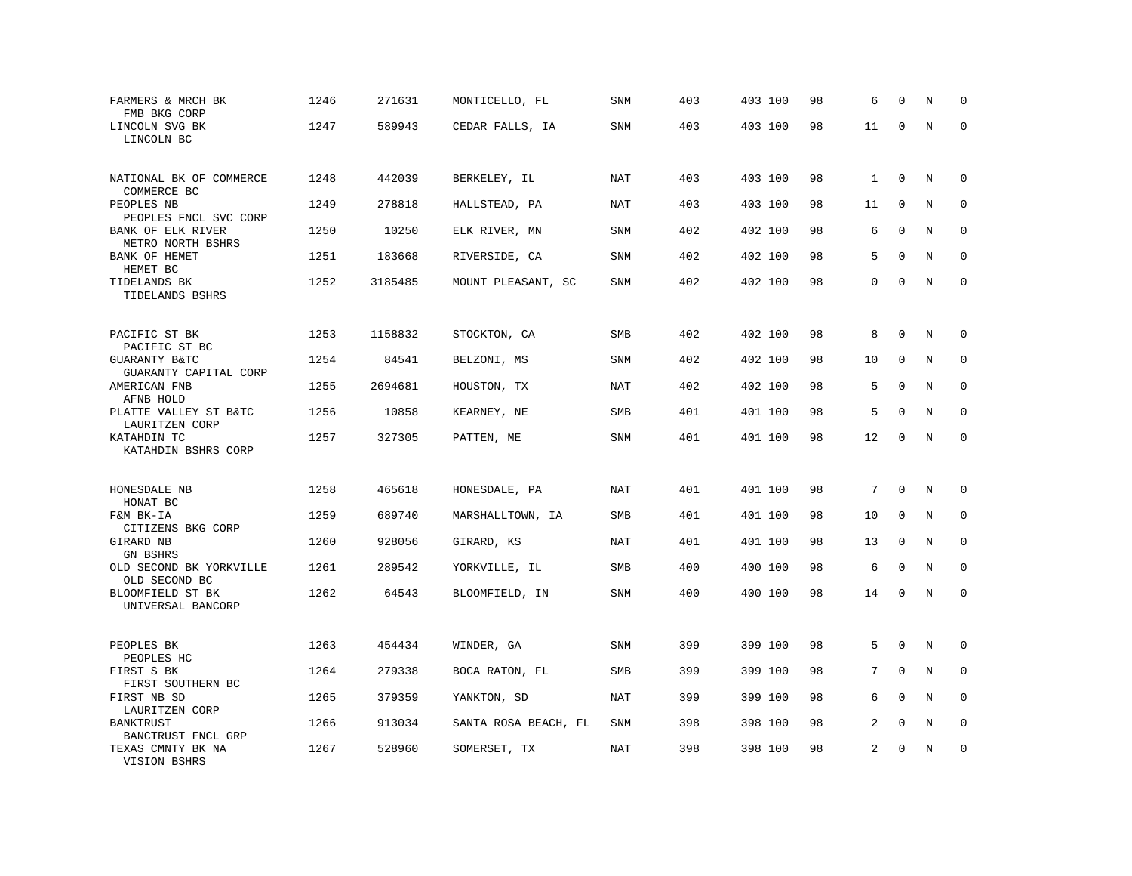| FARMERS & MRCH BK<br>FMB BKG CORP                  | 1246 | 271631  | MONTICELLO, FL       | <b>SNM</b> | 403 | 403 100 | 98 | 6              | $\Omega$    | N           | $\mathbf 0$  |
|----------------------------------------------------|------|---------|----------------------|------------|-----|---------|----|----------------|-------------|-------------|--------------|
| LINCOLN SVG BK<br>LINCOLN BC                       | 1247 | 589943  | CEDAR FALLS, IA      | SNM        | 403 | 403 100 | 98 | 11             | $\mathbf 0$ | $\mathbf N$ | $\mathbf 0$  |
| NATIONAL BK OF COMMERCE                            | 1248 | 442039  | BERKELEY, IL         | NAT        | 403 | 403 100 | 98 | $\mathbf{1}$   | $\mathbf 0$ | N           | $\mathbf 0$  |
| COMMERCE BC<br>PEOPLES NB<br>PEOPLES FNCL SVC CORP | 1249 | 278818  | HALLSTEAD, PA        | <b>NAT</b> | 403 | 403 100 | 98 | 11             | $\mathbf 0$ | N           | $\mathbf 0$  |
| BANK OF ELK RIVER<br>METRO NORTH BSHRS             | 1250 | 10250   | ELK RIVER, MN        | <b>SNM</b> | 402 | 402 100 | 98 | 6              | $\mathbf 0$ | N           | $\mathbf 0$  |
| BANK OF HEMET<br>HEMET BC                          | 1251 | 183668  | RIVERSIDE, CA        | SNM        | 402 | 402 100 | 98 | 5              | $\Omega$    | N           | $\mathbf 0$  |
| TIDELANDS BK<br>TIDELANDS BSHRS                    | 1252 | 3185485 | MOUNT PLEASANT, SC   | SNM        | 402 | 402 100 | 98 | 0              | $\Omega$    | N           | $\mathbf 0$  |
| PACIFIC ST BK                                      | 1253 | 1158832 | STOCKTON, CA         | SMB        | 402 | 402 100 | 98 | 8              | $\mathbf 0$ | N           | 0            |
| PACIFIC ST BC<br>GUARANTY B&TC                     | 1254 | 84541   | BELZONI, MS          | <b>SNM</b> | 402 | 402 100 | 98 | 10             | $\mathbf 0$ | N           | $\mathbf 0$  |
| GUARANTY CAPITAL CORP<br>AMERICAN FNB<br>AFNB HOLD | 1255 | 2694681 | HOUSTON, TX          | NAT        | 402 | 402 100 | 98 | 5              | $\mathbf 0$ | N           | $\mathbf 0$  |
| PLATTE VALLEY ST B&TC<br>LAURITZEN CORP            | 1256 | 10858   | KEARNEY, NE          | <b>SMB</b> | 401 | 401 100 | 98 | 5              | $\mathbf 0$ | N           | $\Omega$     |
| KATAHDIN TC<br>KATAHDIN BSHRS CORP                 | 1257 | 327305  | PATTEN, ME           | SNM        | 401 | 401 100 | 98 | 12             | $\mathbf 0$ | N           | $\mathbf 0$  |
| HONESDALE NB                                       | 1258 | 465618  | HONESDALE, PA        | NAT        | 401 | 401 100 | 98 | 7              | $\Omega$    | N           | 0            |
| HONAT BC<br>F&M BK-IA                              | 1259 | 689740  | MARSHALLTOWN, IA     | <b>SMB</b> | 401 | 401 100 | 98 | 10             | $\mathbf 0$ | N           | $\mathbf 0$  |
| CITIZENS BKG CORP<br>GIRARD NB<br>GN BSHRS         | 1260 | 928056  | GIRARD, KS           | NAT        | 401 | 401 100 | 98 | 13             | $\mathbf 0$ | N           | $\mathbf 0$  |
| OLD SECOND BK YORKVILLE<br>OLD SECOND BC           | 1261 | 289542  | YORKVILLE, IL        | <b>SMB</b> | 400 | 400 100 | 98 | 6              | 0           | N           | $\mathbf{0}$ |
| BLOOMFIELD ST BK<br>UNIVERSAL BANCORP              | 1262 | 64543   | BLOOMFIELD, IN       | SNM        | 400 | 400 100 | 98 | 14             | $\mathbf 0$ | N           | $\mathbf 0$  |
| PEOPLES BK<br>PEOPLES HC                           | 1263 | 454434  | WINDER, GA           | SNM        | 399 | 399 100 | 98 | 5              | $\Omega$    | N           | 0            |
| FIRST S BK<br>FIRST SOUTHERN BC                    | 1264 | 279338  | BOCA RATON, FL       | SMB        | 399 | 399 100 | 98 | 7              | $\mathbf 0$ | N           | 0            |
| FIRST NB SD<br>LAURITZEN CORP                      | 1265 | 379359  | YANKTON, SD          | <b>NAT</b> | 399 | 399 100 | 98 | 6              | $\Omega$    | N           | $\Omega$     |
| BANKTRUST<br>BANCTRUST FNCL GRP                    | 1266 | 913034  | SANTA ROSA BEACH, FL | SNM        | 398 | 398 100 | 98 | 2              | $\mathbf 0$ | $\rm N$     | 0            |
| TEXAS CMNTY BK NA<br>VISION BSHRS                  | 1267 | 528960  | SOMERSET, TX         | NAT        | 398 | 398 100 | 98 | $\overline{a}$ | $\mathbf 0$ | N           | $\mathbf 0$  |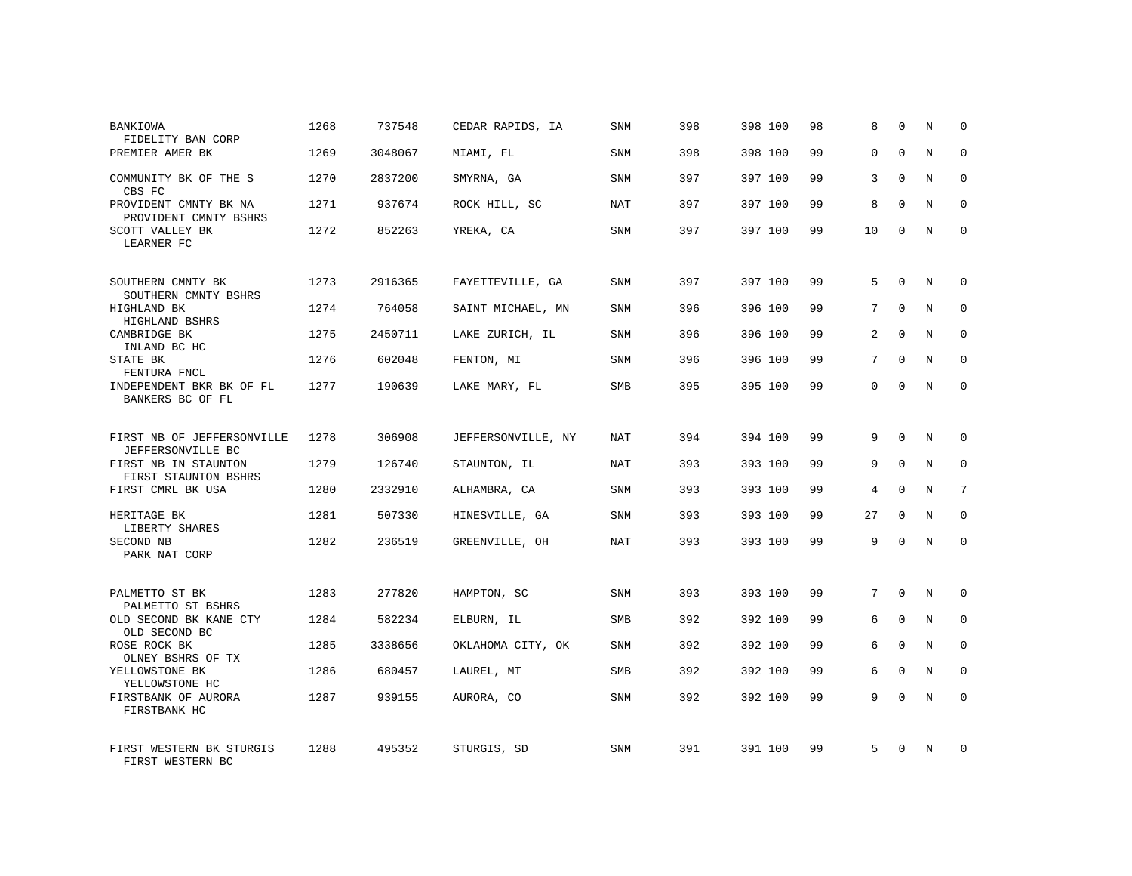| BANKIOWA<br>FIDELITY BAN CORP                         | 1268 | 737548  | CEDAR RAPIDS, IA   | SNM        | 398 | 398 100 | 98 | 8              | $\Omega$     | N           | $\Omega$    |
|-------------------------------------------------------|------|---------|--------------------|------------|-----|---------|----|----------------|--------------|-------------|-------------|
| PREMIER AMER BK                                       | 1269 | 3048067 | MIAMI, FL          | <b>SNM</b> | 398 | 398 100 | 99 | $\Omega$       | $\Omega$     | N           | $\Omega$    |
| COMMUNITY BK OF THE S<br>CBS FC                       | 1270 | 2837200 | SMYRNA, GA         | SNM        | 397 | 397 100 | 99 | 3              | $\Omega$     | N           | $\Omega$    |
| PROVIDENT CMNTY BK NA<br>PROVIDENT CMNTY BSHRS        | 1271 | 937674  | ROCK HILL, SC      | NAT        | 397 | 397 100 | 99 | 8              | $\Omega$     | N           | $\Omega$    |
| SCOTT VALLEY BK<br>LEARNER FC                         | 1272 | 852263  | YREKA, CA          | SNM        | 397 | 397 100 | 99 | 10             | $\Omega$     | N           | $\Omega$    |
| SOUTHERN CMNTY BK                                     | 1273 | 2916365 | FAYETTEVILLE, GA   | <b>SNM</b> | 397 | 397 100 | 99 | 5              | $\mathbf 0$  | $\mathbf N$ | $\mathbf 0$ |
| SOUTHERN CMNTY BSHRS<br>HIGHLAND BK<br>HIGHLAND BSHRS | 1274 | 764058  | SAINT MICHAEL, MN  | <b>SNM</b> | 396 | 396 100 | 99 | 7              | $\Omega$     | N           | $\mathbf 0$ |
| CAMBRIDGE BK<br>INLAND BC HC                          | 1275 | 2450711 | LAKE ZURICH, IL    | SNM        | 396 | 396 100 | 99 | $\overline{a}$ | $\Omega$     | N           | $\mathbf 0$ |
| STATE BK<br>FENTURA FNCL                              | 1276 | 602048  | FENTON, MI         | <b>SNM</b> | 396 | 396 100 | 99 | 7              | $\Omega$     | N           | $\mathbf 0$ |
| INDEPENDENT BKR BK OF FL<br>BANKERS BC OF FL          | 1277 | 190639  | LAKE MARY, FL      | SMB        | 395 | 395 100 | 99 | 0              | $\mathbf 0$  | $\mathbf N$ | $\mathbf 0$ |
| FIRST NB OF JEFFERSONVILLE<br>JEFFERSONVILLE BC       | 1278 | 306908  | JEFFERSONVILLE, NY | NAT        | 394 | 394 100 | 99 | 9              | $\Omega$     | $_{\rm N}$  | $\Omega$    |
| FIRST NB IN STAUNTON<br>FIRST STAUNTON BSHRS          | 1279 | 126740  | STAUNTON, IL       | <b>NAT</b> | 393 | 393 100 | 99 | 9              | $\mathbf{0}$ | N           | $\mathbf 0$ |
| FIRST CMRL BK USA                                     | 1280 | 2332910 | ALHAMBRA, CA       | <b>SNM</b> | 393 | 393 100 | 99 | $\overline{4}$ | $\Omega$     | N           | 7           |
| HERITAGE BK<br>LIBERTY SHARES                         | 1281 | 507330  | HINESVILLE, GA     | SNM        | 393 | 393 100 | 99 | 27             | $\mathbf{0}$ | N           | 0           |
| SECOND NB<br>PARK NAT CORP                            | 1282 | 236519  | GREENVILLE, OH     | <b>NAT</b> | 393 | 393 100 | 99 | 9              | $\Omega$     | $_{\rm N}$  | $\Omega$    |
| PALMETTO ST BK<br>PALMETTO ST BSHRS                   | 1283 | 277820  | HAMPTON, SC        | <b>SNM</b> | 393 | 393 100 | 99 | 7              | $\Omega$     | N           | $\mathbf 0$ |
| OLD SECOND BK KANE CTY<br>OLD SECOND BC               | 1284 | 582234  | ELBURN, IL         | SMB        | 392 | 392 100 | 99 | 6              | $\mathbf{0}$ | N           | 0           |
| ROSE ROCK BK<br>OLNEY BSHRS OF TX                     | 1285 | 3338656 | OKLAHOMA CITY, OK  | <b>SNM</b> | 392 | 392 100 | 99 | 6              | $\Omega$     | N           | $\mathbf 0$ |
| YELLOWSTONE BK<br>YELLOWSTONE HC                      | 1286 | 680457  | LAUREL, MT         | SMB        | 392 | 392 100 | 99 | 6              | $\mathbf 0$  | N           | 0           |
| FIRSTBANK OF AURORA<br>FIRSTBANK HC                   | 1287 | 939155  | AURORA, CO         | SNM        | 392 | 392 100 | 99 | 9              | $\Omega$     | N           | $\mathbf 0$ |
| FIRST WESTERN BK STURGIS<br>FIRST WESTERN BC          | 1288 | 495352  | STURGIS, SD        | <b>SNM</b> | 391 | 391 100 | 99 | 5              | $\Omega$     | N           | $\mathbf 0$ |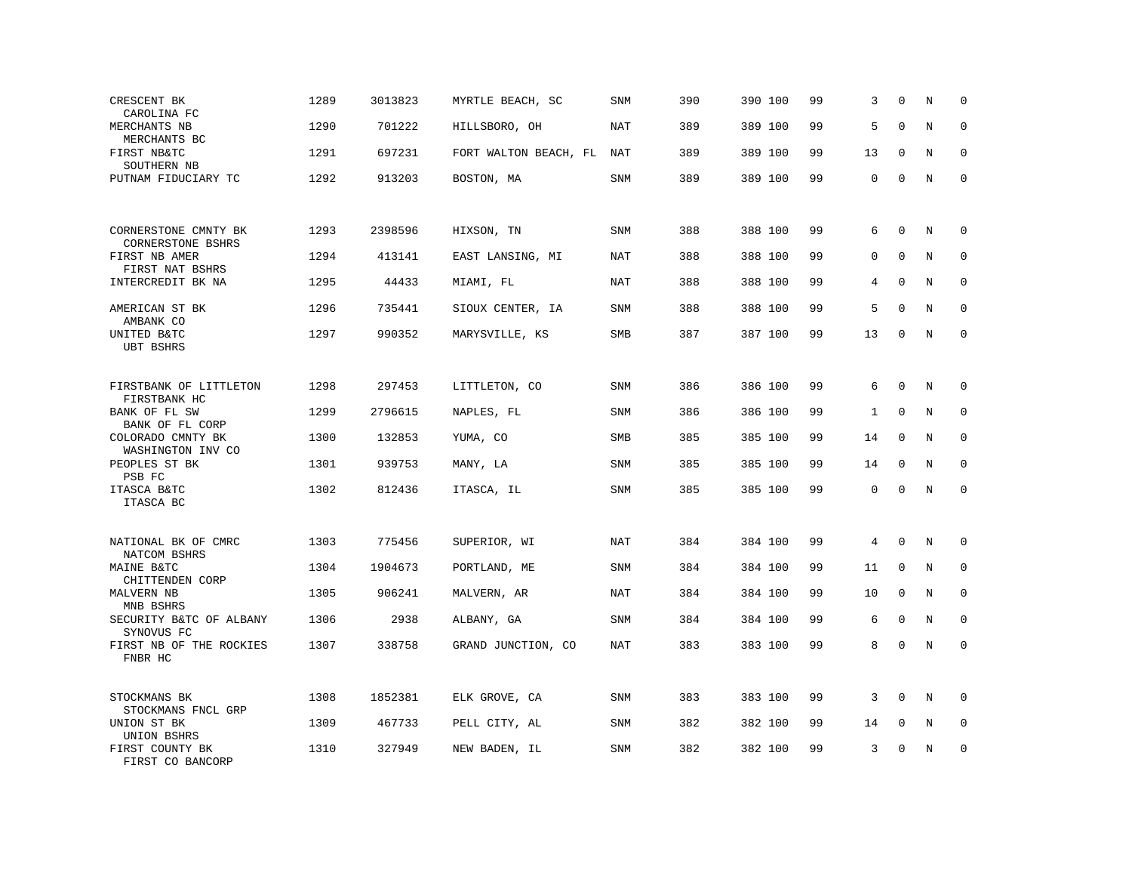| CRESCENT BK<br>CAROLINA FC                       | 1289 | 3013823 | MYRTLE BEACH, SC      | <b>SNM</b> | 390 | 390 100 | 99 | 3            | $\Omega$    | N       | $\mathbf 0$ |
|--------------------------------------------------|------|---------|-----------------------|------------|-----|---------|----|--------------|-------------|---------|-------------|
| MERCHANTS NB<br>MERCHANTS BC                     | 1290 | 701222  | HILLSBORO, OH         | <b>NAT</b> | 389 | 389 100 | 99 | 5            | $\mathbf 0$ | N       | $\mathbf 0$ |
| FIRST NB&TC<br>SOUTHERN NB                       | 1291 | 697231  | FORT WALTON BEACH, FL | NAT        | 389 | 389 100 | 99 | 13           | $\Omega$    | N       | $\Omega$    |
| PUTNAM FIDUCIARY TC                              | 1292 | 913203  | BOSTON, MA            | SNM        | 389 | 389 100 | 99 | $\mathbf 0$  | $\mathbf 0$ | N       | $\mathbf 0$ |
| CORNERSTONE CMNTY BK<br><b>CORNERSTONE BSHRS</b> | 1293 | 2398596 | HIXSON, TN            | SNM        | 388 | 388 100 | 99 | 6            | $\mathbf 0$ | N       | 0           |
| FIRST NB AMER<br>FIRST NAT BSHRS                 | 1294 | 413141  | EAST LANSING, MI      | NAT        | 388 | 388 100 | 99 | 0            | $\Omega$    | N       | $\mathbf 0$ |
| INTERCREDIT BK NA                                | 1295 | 44433   | MIAMI, FL             | <b>NAT</b> | 388 | 388 100 | 99 | 4            | $\mathbf 0$ | N       | $\mathbf 0$ |
| AMERICAN ST BK<br>AMBANK CO                      | 1296 | 735441  | SIOUX CENTER, IA      | <b>SNM</b> | 388 | 388 100 | 99 | 5            | $\Omega$    | N       | $\mathbf 0$ |
| UNITED B&TC<br><b>UBT BSHRS</b>                  | 1297 | 990352  | MARYSVILLE, KS        | <b>SMB</b> | 387 | 387 100 | 99 | 13           | $\Omega$    | N       | $\Omega$    |
| FIRSTBANK OF LITTLETON<br>FIRSTBANK HC           | 1298 | 297453  | LITTLETON, CO         | <b>SNM</b> | 386 | 386 100 | 99 | 6            | $\mathbf 0$ | N       | $\mathbf 0$ |
| BANK OF FL SW<br>BANK OF FL CORP                 | 1299 | 2796615 | NAPLES, FL            | SNM        | 386 | 386 100 | 99 | $\mathbf{1}$ | $\mathbf 0$ | N       | $\mathbf 0$ |
| COLORADO CMNTY BK<br>WASHINGTON INV CO           | 1300 | 132853  | YUMA, CO              | <b>SMB</b> | 385 | 385 100 | 99 | 14           | $\mathbf 0$ | N       | $\mathbf 0$ |
| PEOPLES ST BK<br>PSB FC                          | 1301 | 939753  | MANY, LA              | <b>SNM</b> | 385 | 385 100 | 99 | 14           | $\mathbf 0$ | N       | 0           |
| ITASCA B&TC<br>ITASCA BC                         | 1302 | 812436  | ITASCA, IL            | <b>SNM</b> | 385 | 385 100 | 99 | 0            | $\Omega$    | N       | $\mathbf 0$ |
| NATIONAL BK OF CMRC<br>NATCOM BSHRS              | 1303 | 775456  | SUPERIOR, WI          | NAT        | 384 | 384 100 | 99 | 4            | $\mathbf 0$ | Ν       | 0           |
| MAINE B&TC<br>CHITTENDEN CORP                    | 1304 | 1904673 | PORTLAND, ME          | SNM        | 384 | 384 100 | 99 | 11           | $\mathbf 0$ | N       | $\mathbf 0$ |
| MALVERN NB<br>MNB BSHRS                          | 1305 | 906241  | MALVERN, AR           | <b>NAT</b> | 384 | 384 100 | 99 | 10           | 0           | N       | 0           |
| SECURITY B&TC OF ALBANY<br>SYNOVUS FC            | 1306 | 2938    | ALBANY, GA            | <b>SNM</b> | 384 | 384 100 | 99 | 6            | $\Omega$    | N       | $\Omega$    |
| FIRST NB OF THE ROCKIES<br>FNBR HC               | 1307 | 338758  | GRAND JUNCTION, CO    | <b>NAT</b> | 383 | 383 100 | 99 | 8            | $\mathbf 0$ | $\rm N$ | $\mathbf 0$ |
| STOCKMANS BK<br>STOCKMANS FNCL GRP               | 1308 | 1852381 | ELK GROVE, CA         | SNM        | 383 | 383 100 | 99 | 3            | $\Omega$    | N       | 0           |
| UNION ST BK<br>UNION BSHRS                       | 1309 | 467733  | PELL CITY, AL         | <b>SNM</b> | 382 | 382 100 | 99 | 14           | $\mathbf 0$ | N       | 0           |
| FIRST COUNTY BK<br>FIRST CO BANCORP              | 1310 | 327949  | NEW BADEN, IL         | <b>SNM</b> | 382 | 382 100 | 99 | 3            | $\mathbf 0$ | N       | $\mathbf 0$ |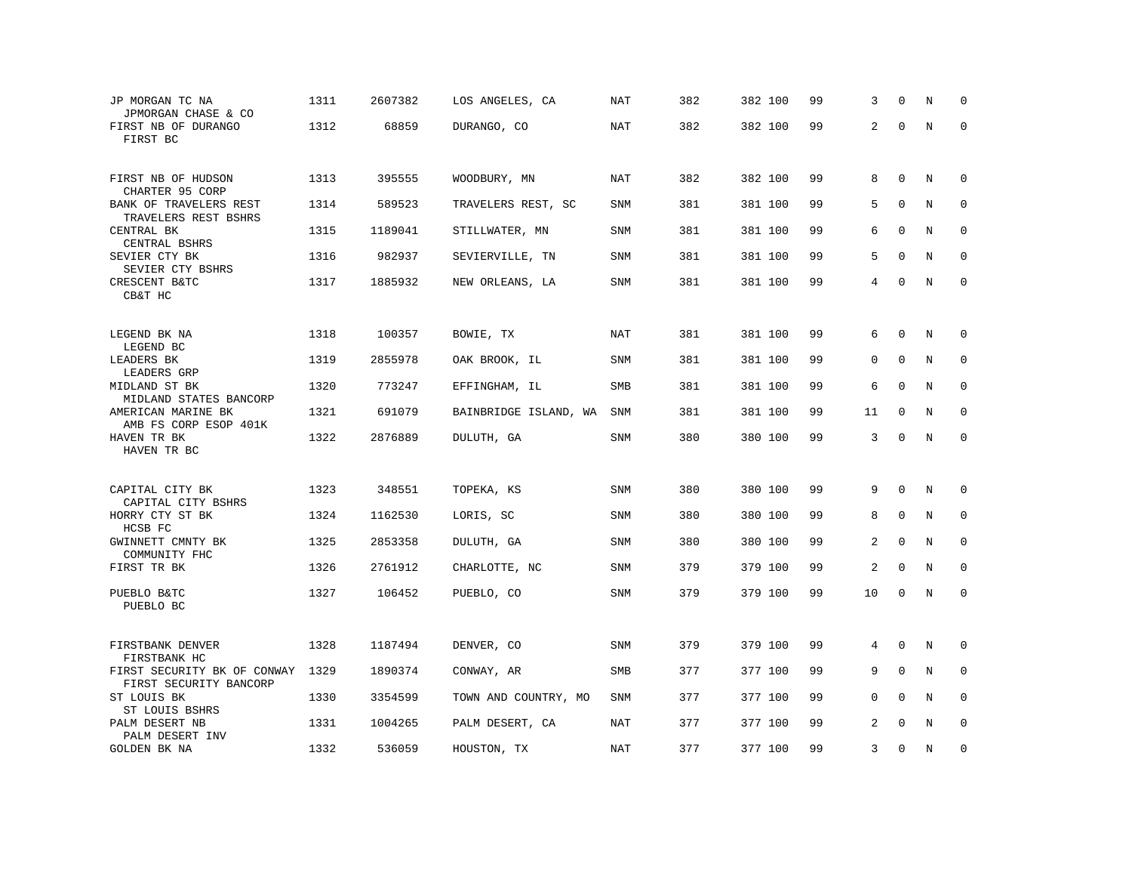| JP MORGAN TC NA<br>JPMORGAN CHASE & CO                                | 1311 | 2607382 | LOS ANGELES, CA       | NAT        | 382 | 382 100 | 99 | 3  | $\Omega$     | N | $\Omega$    |
|-----------------------------------------------------------------------|------|---------|-----------------------|------------|-----|---------|----|----|--------------|---|-------------|
| FIRST NB OF DURANGO<br>FIRST BC                                       | 1312 | 68859   | DURANGO, CO           | NAT        | 382 | 382 100 | 99 | 2  | $\mathbf 0$  | N | $\mathbf 0$ |
| FIRST NB OF HUDSON                                                    | 1313 | 395555  | WOODBURY, MN          | NAT        | 382 | 382 100 | 99 | 8  | $\mathbf 0$  | N | 0           |
| CHARTER 95 CORP<br>BANK OF TRAVELERS REST                             | 1314 | 589523  | TRAVELERS REST, SC    | <b>SNM</b> | 381 | 381 100 | 99 | 5  | $\mathbf 0$  | N | 0           |
| TRAVELERS REST BSHRS<br>CENTRAL BK<br>CENTRAL BSHRS                   | 1315 | 1189041 | STILLWATER, MN        | <b>SNM</b> | 381 | 381 100 | 99 | 6  | $\mathbf{0}$ | N | $\mathbf 0$ |
| SEVIER CTY BK<br>SEVIER CTY BSHRS                                     | 1316 | 982937  | SEVIERVILLE, TN       | <b>SNM</b> | 381 | 381 100 | 99 | 5  | $\Omega$     | N | $\Omega$    |
| CRESCENT B&TC<br>CB&T HC                                              | 1317 | 1885932 | NEW ORLEANS, LA       | <b>SNM</b> | 381 | 381 100 | 99 | 4  | $\mathbf{0}$ | N | $\mathbf 0$ |
|                                                                       |      |         |                       |            |     |         |    |    |              |   |             |
| LEGEND BK NA<br>LEGEND BC                                             | 1318 | 100357  | BOWIE, TX             | NAT        | 381 | 381 100 | 99 | 6  | $\Omega$     | N | 0           |
| LEADERS BK<br>LEADERS GRP                                             | 1319 | 2855978 | OAK BROOK, IL         | SNM        | 381 | 381 100 | 99 | 0  | $\mathbf 0$  | N | 0           |
| MIDLAND ST BK                                                         | 1320 | 773247  | EFFINGHAM, IL         | SMB        | 381 | 381 100 | 99 | 6  | $\Omega$     | N | 0           |
| MIDLAND STATES BANCORP<br>AMERICAN MARINE BK<br>AMB FS CORP ESOP 401K | 1321 | 691079  | BAINBRIDGE ISLAND, WA | SNM        | 381 | 381 100 | 99 | 11 | $\Omega$     | N | $\Omega$    |
| HAVEN TR BK<br>HAVEN TR BC                                            | 1322 | 2876889 | DULUTH, GA            | SNM        | 380 | 380 100 | 99 | 3  | $\mathbf 0$  | N | $\mathbf 0$ |
|                                                                       |      |         |                       |            |     |         |    |    |              |   |             |
| CAPITAL CITY BK<br>CAPITAL CITY BSHRS                                 | 1323 | 348551  | TOPEKA, KS            | <b>SNM</b> | 380 | 380 100 | 99 | 9  | $\Omega$     | N | 0           |
| HORRY CTY ST BK<br>HCSB FC                                            | 1324 | 1162530 | LORIS, SC             | SNM        | 380 | 380 100 | 99 | 8  | $\mathbf{0}$ | N | 0           |
| GWINNETT CMNTY BK<br>COMMUNITY FHC                                    | 1325 | 2853358 | DULUTH, GA            | <b>SNM</b> | 380 | 380 100 | 99 | 2  | $\mathbf{0}$ | N | $\mathbf 0$ |
| FIRST TR BK                                                           | 1326 | 2761912 | CHARLOTTE, NC         | <b>SNM</b> | 379 | 379 100 | 99 | 2  | $\Omega$     | N | $\Omega$    |
| PUEBLO B&TC<br>PUEBLO BC                                              | 1327 | 106452  | PUEBLO, CO            | <b>SNM</b> | 379 | 379 100 | 99 | 10 | $\mathbf 0$  | N | $\mathbf 0$ |
| FIRSTBANK DENVER                                                      | 1328 | 1187494 | DENVER, CO            | SNM        | 379 | 379 100 | 99 | 4  | $\Omega$     | N | $\mathbf 0$ |
| FIRSTBANK HC<br>FIRST SECURITY BK OF CONWAY                           | 1329 | 1890374 | CONWAY, AR            | <b>SMB</b> | 377 | 377 100 | 99 | 9  | $\mathbf 0$  | N | $\mathbf 0$ |
| FIRST SECURITY BANCORP<br>ST LOUIS BK                                 | 1330 | 3354599 | TOWN AND COUNTRY, MO  | <b>SNM</b> | 377 | 377 100 | 99 | 0  | $\mathbf 0$  | N | $\mathbf 0$ |
| ST LOUIS BSHRS<br>PALM DESERT NB<br>PALM DESERT INV                   | 1331 | 1004265 | PALM DESERT, CA       | NAT        | 377 | 377 100 | 99 | 2  | $\Omega$     | N | $\Omega$    |
| GOLDEN BK NA                                                          | 1332 | 536059  | HOUSTON, TX           | NAT        | 377 | 377 100 | 99 | 3  | $\mathbf 0$  | N | $\mathbf 0$ |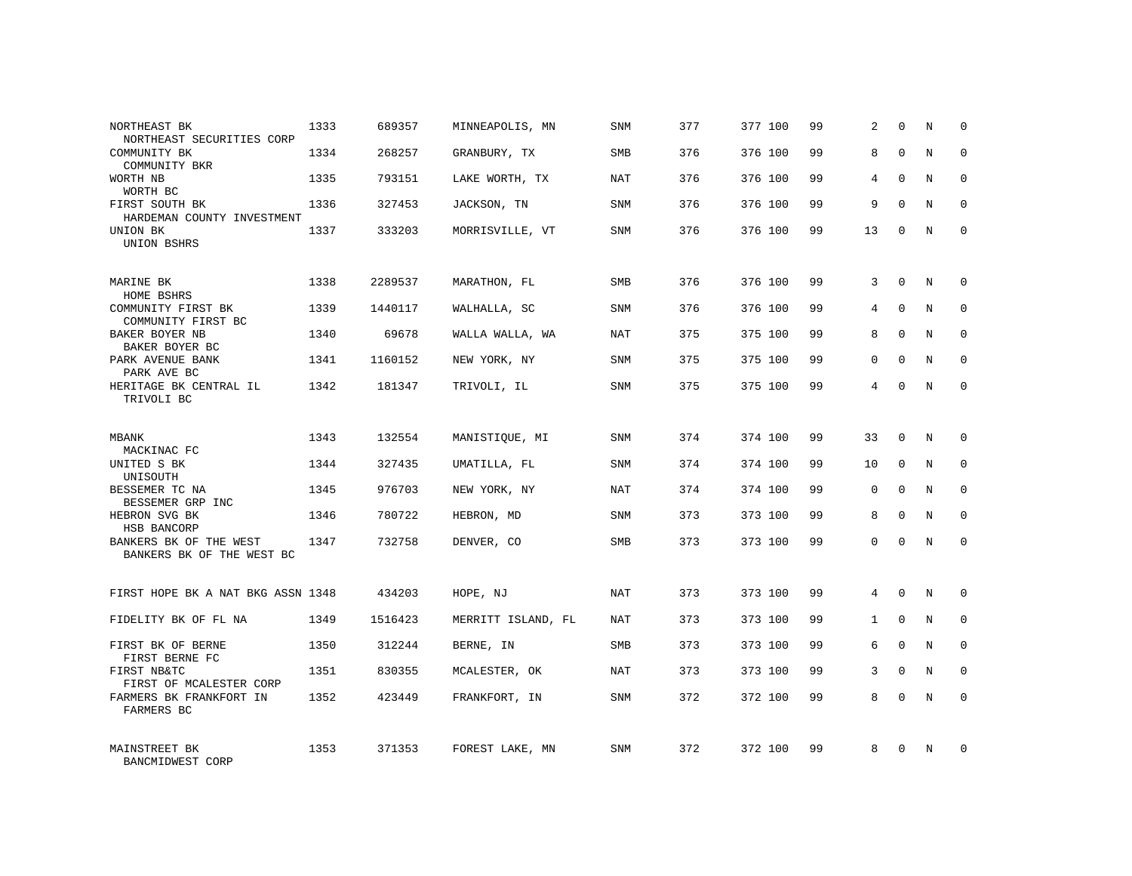| NORTHEAST BK<br>NORTHEAST SECURITIES CORP              | 1333 | 689357  | MINNEAPOLIS, MN    | SNM        | 377 | 377 100 | 99 | 2            | $\Omega$     | N              | $\Omega$    |
|--------------------------------------------------------|------|---------|--------------------|------------|-----|---------|----|--------------|--------------|----------------|-------------|
| COMMUNITY BK<br>COMMUNITY BKR                          | 1334 | 268257  | GRANBURY, TX       | <b>SMB</b> | 376 | 376 100 | 99 | 8            | $\Omega$     | N              | $\Omega$    |
| WORTH NB<br>WORTH BC                                   | 1335 | 793151  | LAKE WORTH, TX     | NAT        | 376 | 376 100 | 99 | 4            | $\Omega$     | N              | $\Omega$    |
| FIRST SOUTH BK<br>HARDEMAN COUNTY INVESTMENT           | 1336 | 327453  | JACKSON, TN        | <b>SNM</b> | 376 | 376 100 | 99 | 9            | $\Omega$     | N              | $\Omega$    |
| UNION BK<br>UNION BSHRS                                | 1337 | 333203  | MORRISVILLE, VT    | SNM        | 376 | 376 100 | 99 | 13           | $\Omega$     | N              | $\Omega$    |
| MARINE BK                                              | 1338 | 2289537 | MARATHON, FL       | <b>SMB</b> | 376 | 376 100 | 99 | 3            | $\mathbf 0$  | N              | $\mathbf 0$ |
| HOME BSHRS<br>COMMUNITY FIRST BK<br>COMMUNITY FIRST BC | 1339 | 1440117 | WALHALLA, SC       | <b>SNM</b> | 376 | 376 100 | 99 | 4            | $\Omega$     | N              | $\mathbf 0$ |
| BAKER BOYER NB<br>BAKER BOYER BC                       | 1340 | 69678   | WALLA WALLA, WA    | <b>NAT</b> | 375 | 375 100 | 99 | 8            | $\Omega$     | N              | $\mathbf 0$ |
| PARK AVENUE BANK<br>PARK AVE BC                        | 1341 | 1160152 | NEW YORK, NY       | <b>SNM</b> | 375 | 375 100 | 99 | 0            | $\Omega$     | N              | $\mathbf 0$ |
| HERITAGE BK CENTRAL IL<br>TRIVOLI BC                   | 1342 | 181347  | TRIVOLI, IL        | <b>SNM</b> | 375 | 375 100 | 99 | 4            | $\mathbf 0$  | N              | $\mathbf 0$ |
| <b>MBANK</b><br>MACKINAC FC                            | 1343 | 132554  | MANISTIOUE, MI     | <b>SNM</b> | 374 | 374 100 | 99 | 33           | $\Omega$     | $_{\rm N}$     | $\Omega$    |
| UNITED S BK<br>UNISOUTH                                | 1344 | 327435  | UMATILLA, FL       | <b>SNM</b> | 374 | 374 100 | 99 | 10           | $\mathbf 0$  | N              | $\mathbf 0$ |
| BESSEMER TC NA<br>BESSEMER GRP INC                     | 1345 | 976703  | NEW YORK, NY       | NAT        | 374 | 374 100 | 99 | $\Omega$     | $\Omega$     | N              | $\Omega$    |
| HEBRON SVG BK<br>HSB BANCORP                           | 1346 | 780722  | HEBRON, MD         | <b>SNM</b> | 373 | 373 100 | 99 | 8            | $\mathbf 0$  | N              | $\mathbf 0$ |
| BANKERS BK OF THE WEST<br>BANKERS BK OF THE WEST BC    | 1347 | 732758  | DENVER, CO         | SMB        | 373 | 373 100 | 99 | $\Omega$     | $\Omega$     | $\overline{N}$ | $\Omega$    |
| FIRST HOPE BK A NAT BKG ASSN 1348                      |      | 434203  | HOPE, NJ           | NAT        | 373 | 373 100 | 99 | 4            | $\Omega$     | N              | $\mathbf 0$ |
| FIDELITY BK OF FL NA                                   | 1349 | 1516423 | MERRITT ISLAND, FL | NAT        | 373 | 373 100 | 99 | $\mathbf{1}$ | $\mathbf 0$  | N              | 0           |
| FIRST BK OF BERNE<br>FIRST BERNE FC                    | 1350 | 312244  | BERNE, IN          | <b>SMB</b> | 373 | 373 100 | 99 | 6            | $\Omega$     | N              | $\mathbf 0$ |
| FIRST NB&TC<br>FIRST OF MCALESTER CORP                 | 1351 | 830355  | MCALESTER, OK      | NAT        | 373 | 373 100 | 99 | 3            | $\mathbf{0}$ | N              | 0           |
| FARMERS BK FRANKFORT IN<br>FARMERS BC                  | 1352 | 423449  | FRANKFORT, IN      | <b>SNM</b> | 372 | 372 100 | 99 | 8            | $\Omega$     | N              | $\mathbf 0$ |
| MAINSTREET BK<br>BANCMIDWEST CORP                      | 1353 | 371353  | FOREST LAKE, MN    | <b>SNM</b> | 372 | 372 100 | 99 | 8            | $\Omega$     | N              | $\Omega$    |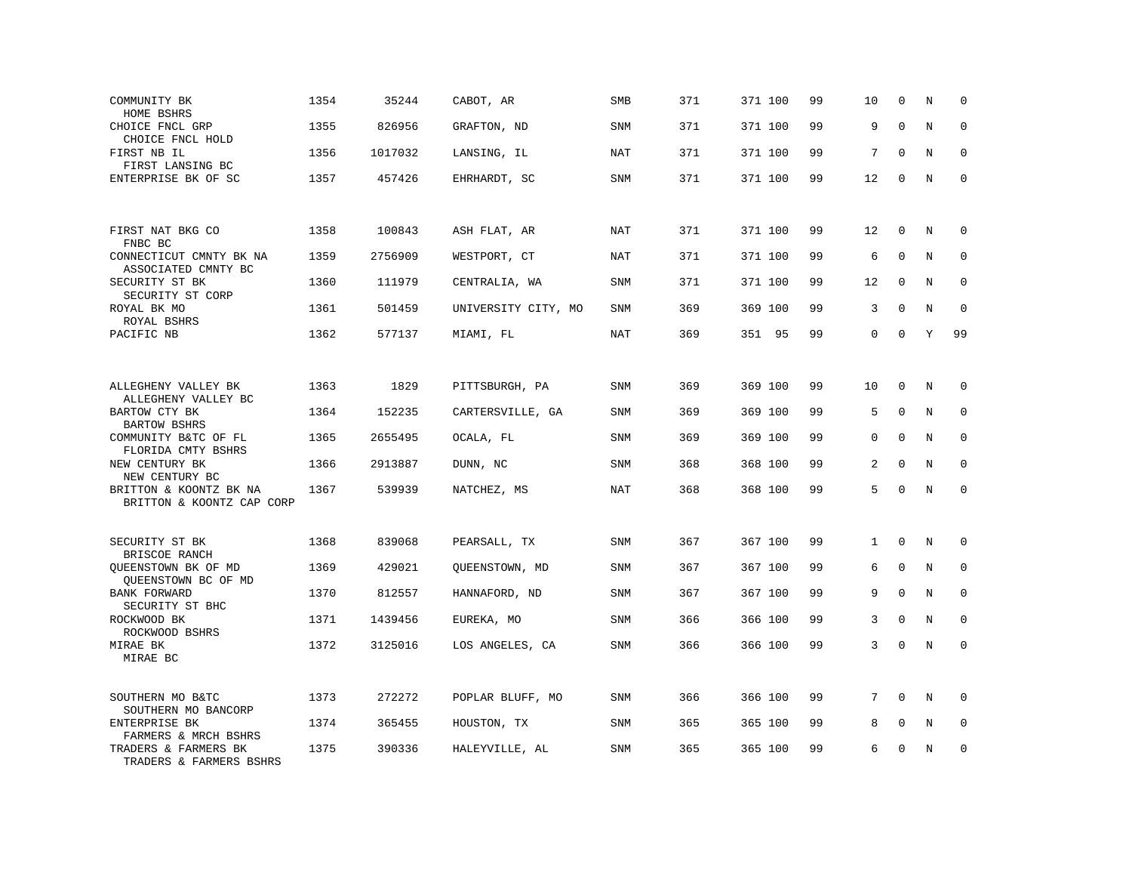| COMMUNITY BK<br>HOME BSHRS                                              | 1354 | 35244   | CABOT, AR           | SMB        | 371 | 371 100 | 99 | 10           | $\mathbf 0$  | N       | $\mathbf 0$ |
|-------------------------------------------------------------------------|------|---------|---------------------|------------|-----|---------|----|--------------|--------------|---------|-------------|
| CHOICE FNCL GRP<br>CHOICE FNCL HOLD                                     | 1355 | 826956  | GRAFTON, ND         | SNM        | 371 | 371 100 | 99 | 9            | $\Omega$     | N       | $\Omega$    |
| FIRST NB IL<br>FIRST LANSING BC                                         | 1356 | 1017032 | LANSING, IL         | NAT        | 371 | 371 100 | 99 | 7            | $\Omega$     | N       | $\mathbf 0$ |
| ENTERPRISE BK OF SC                                                     | 1357 | 457426  | EHRHARDT, SC        | SNM        | 371 | 371 100 | 99 | 12           | $\Omega$     | N       | $\mathbf 0$ |
| FIRST NAT BKG CO<br>FNBC BC                                             | 1358 | 100843  | ASH FLAT, AR        | NAT        | 371 | 371 100 | 99 | 12           | 0            | N       | $\mathbf 0$ |
| CONNECTICUT CMNTY BK NA<br>ASSOCIATED CMNTY BC                          | 1359 | 2756909 | WESTPORT, CT        | <b>NAT</b> | 371 | 371 100 | 99 | 6            | $\mathbf{0}$ | $\rm N$ | $\mathbf 0$ |
| SECURITY ST BK<br>SECURITY ST CORP                                      | 1360 | 111979  | CENTRALIA, WA       | SNM        | 371 | 371 100 | 99 | 12           | 0            | N       | $\mathbf 0$ |
| ROYAL BK MO<br>ROYAL BSHRS                                              | 1361 | 501459  | UNIVERSITY CITY, MO | <b>SNM</b> | 369 | 369 100 | 99 | 3            | $\Omega$     | N       | $\mathbf 0$ |
| PACIFIC NB                                                              | 1362 | 577137  | MIAMI, FL           | NAT        | 369 | 351 95  | 99 | 0            | $\mathbf{0}$ | Y       | 99          |
|                                                                         |      |         |                     |            |     |         |    |              |              |         |             |
| ALLEGHENY VALLEY BK<br>ALLEGHENY VALLEY BC                              | 1363 | 1829    | PITTSBURGH, PA      | SNM        | 369 | 369 100 | 99 | 10           | $\mathbf 0$  | N       | $\mathbf 0$ |
| BARTOW CTY BK<br><b>BARTOW BSHRS</b>                                    | 1364 | 152235  | CARTERSVILLE, GA    | <b>SNM</b> | 369 | 369 100 | 99 | 5            | $\mathbf{0}$ | N       | $\mathbf 0$ |
| COMMUNITY B&TC OF FL<br>FLORIDA CMTY BSHRS                              | 1365 | 2655495 | OCALA, FL           | <b>SNM</b> | 369 | 369 100 | 99 | 0            | $\mathbf 0$  | N       | $\mathbf 0$ |
| NEW CENTURY BK<br>NEW CENTURY BC                                        | 1366 | 2913887 | DUNN, NC            | SNM        | 368 | 368 100 | 99 | 2            | $\Omega$     | N       | $\mathbf 0$ |
| BRITTON & KOONTZ BK NA<br>BRITTON & KOONTZ CAP CORP                     | 1367 | 539939  | NATCHEZ, MS         | <b>NAT</b> | 368 | 368 100 | 99 | 5            | $\mathbf 0$  | N       | $\mathbf 0$ |
|                                                                         |      |         |                     |            |     |         |    |              |              |         |             |
| SECURITY ST BK<br>BRISCOE RANCH                                         | 1368 | 839068  | PEARSALL, TX        | <b>SNM</b> | 367 | 367 100 | 99 | $\mathbf{1}$ | $\mathbf{0}$ | N       | 0           |
| QUEENSTOWN BK OF MD<br>QUEENSTOWN BC OF MD                              | 1369 | 429021  | QUEENSTOWN, MD      | <b>SNM</b> | 367 | 367 100 | 99 | 6            | $\Omega$     | N       | $\mathbf 0$ |
| BANK FORWARD<br>SECURITY ST BHC                                         | 1370 | 812557  | HANNAFORD, ND       | <b>SNM</b> | 367 | 367 100 | 99 | 9            | $\mathbf{0}$ | N       | $\mathbf 0$ |
| ROCKWOOD BK<br>ROCKWOOD BSHRS                                           | 1371 | 1439456 | EUREKA, MO          | <b>SNM</b> | 366 | 366 100 | 99 | 3            | $\Omega$     | N       | $\Omega$    |
| MIRAE BK<br>MIRAE BC                                                    | 1372 | 3125016 | LOS ANGELES, CA     | <b>SNM</b> | 366 | 366 100 | 99 | 3            | $\mathbf{0}$ | N       | $\mathbf 0$ |
| SOUTHERN MO B&TC                                                        | 1373 | 272272  | POPLAR BLUFF, MO    | <b>SNM</b> | 366 | 366 100 | 99 | 7            | $\Omega$     | N       | $\Omega$    |
| SOUTHERN MO BANCORP<br>ENTERPRISE BK                                    | 1374 | 365455  | HOUSTON, TX         | <b>SNM</b> | 365 | 365 100 | 99 | 8            | $\mathbf{0}$ | N       | $\mathbf 0$ |
| FARMERS & MRCH BSHRS<br>TRADERS & FARMERS BK<br>TRADERS & FARMERS BSHRS | 1375 | 390336  | HALEYVILLE, AL      | <b>SNM</b> | 365 | 365 100 | 99 | 6            | $\mathbf 0$  | N       | $\mathbf 0$ |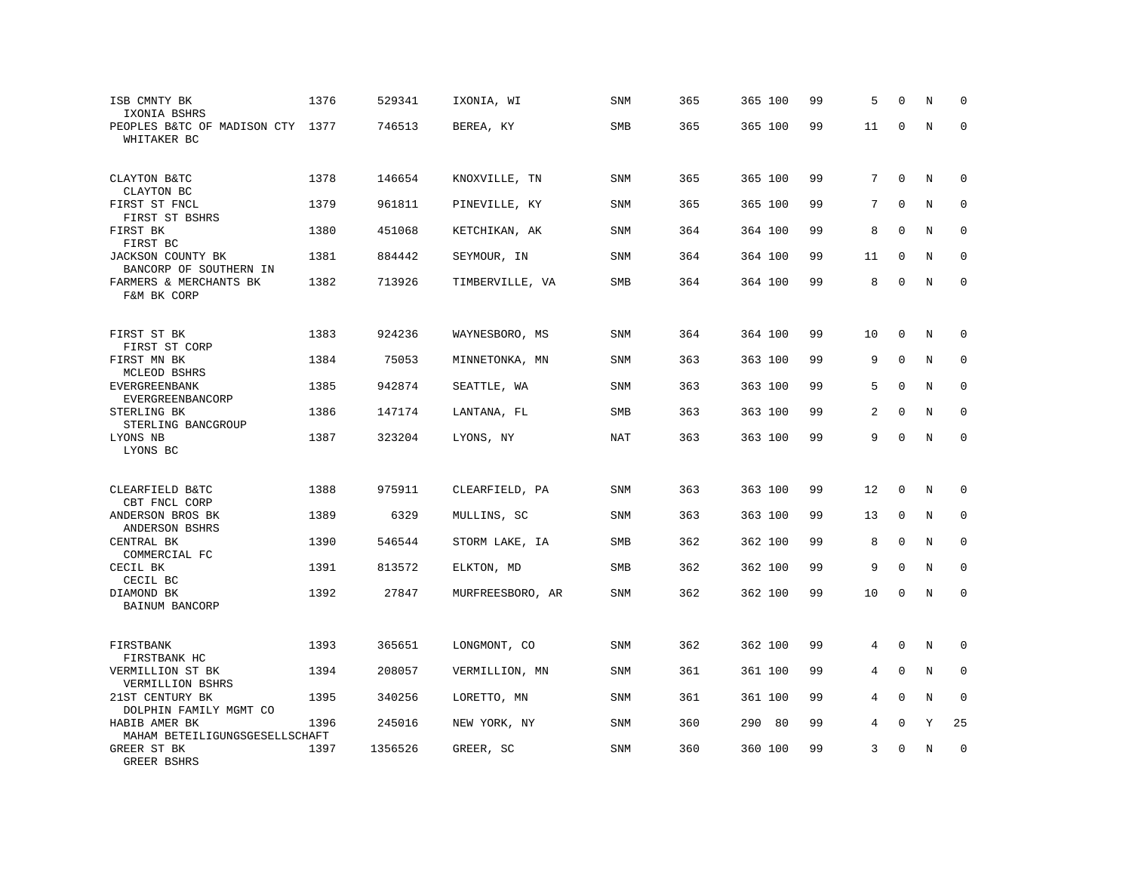| ISB CMNTY BK<br>IXONIA BSHRS                          | 1376 | 529341  | IXONIA, WI       | <b>SNM</b> | 365 | 365 100   | 99 | 5  | $\mathbf 0$  | N       | $\mathbf 0$ |
|-------------------------------------------------------|------|---------|------------------|------------|-----|-----------|----|----|--------------|---------|-------------|
| PEOPLES B&TC OF MADISON CTY<br>WHITAKER BC            | 1377 | 746513  | BEREA, KY        | SMB        | 365 | 365 100   | 99 | 11 | $\mathbf 0$  | $\rm N$ | $\mathbf 0$ |
| CLAYTON B&TC<br>CLAYTON BC                            | 1378 | 146654  | KNOXVILLE, TN    | <b>SNM</b> | 365 | 365 100   | 99 | 7  | $\mathbf 0$  | N       | $\mathbf 0$ |
| FIRST ST FNCL                                         | 1379 | 961811  | PINEVILLE, KY    | <b>SNM</b> | 365 | 365 100   | 99 | 7  | $\Omega$     | N       | $\mathbf 0$ |
| FIRST ST BSHRS<br>FIRST BK<br>FIRST BC                | 1380 | 451068  | KETCHIKAN, AK    | <b>SNM</b> | 364 | 364 100   | 99 | 8  | $\mathbf{0}$ | N       | $\mathbf 0$ |
| <b>JACKSON COUNTY BK</b><br>BANCORP OF SOUTHERN IN    | 1381 | 884442  | SEYMOUR, IN      | SNM        | 364 | 364 100   | 99 | 11 | $\mathbf 0$  | N       | $\mathbf 0$ |
| FARMERS & MERCHANTS BK<br>F&M BK CORP                 | 1382 | 713926  | TIMBERVILLE, VA  | SMB        | 364 | 364 100   | 99 | 8  | $\mathbf 0$  | N       | $\mathbf 0$ |
| FIRST ST BK                                           | 1383 | 924236  | WAYNESBORO, MS   | <b>SNM</b> | 364 | 364 100   | 99 | 10 | $\mathbf 0$  | N       | $\mathbf 0$ |
| FIRST ST CORP<br>FIRST MN BK                          | 1384 | 75053   | MINNETONKA, MN   | SNM        | 363 | 363 100   | 99 | 9  | $\mathbf 0$  | N       | $\mathbf 0$ |
| MCLEOD BSHRS<br><b>EVERGREENBANK</b>                  | 1385 | 942874  | SEATTLE, WA      | SNM        | 363 | 363 100   | 99 | 5  | $\mathbf 0$  | N       | $\mathbf 0$ |
| EVERGREENBANCORP<br>STERLING BK<br>STERLING BANCGROUP | 1386 | 147174  | LANTANA, FL      | SMB        | 363 | 363 100   | 99 | 2  | $\mathbf{0}$ | N       | $\mathbf 0$ |
| LYONS NB<br>LYONS BC                                  | 1387 | 323204  | LYONS, NY        | <b>NAT</b> | 363 | 363 100   | 99 | 9  | $\mathbf 0$  | N       | $\mathbf 0$ |
| CLEARFIELD B&TC                                       | 1388 | 975911  | CLEARFIELD, PA   | <b>SNM</b> | 363 | 363 100   | 99 | 12 | $\mathbf 0$  | N       | $\mathbf 0$ |
| CBT FNCL CORP<br>ANDERSON BROS BK                     | 1389 | 6329    | MULLINS, SC      | <b>SNM</b> | 363 | 363 100   | 99 | 13 | $\Omega$     | N       | $\mathbf 0$ |
| ANDERSON BSHRS<br>CENTRAL BK<br>COMMERCIAL FC         | 1390 | 546544  | STORM LAKE, IA   | SMB        | 362 | 362 100   | 99 | 8  | $\mathbf{0}$ | N       | 0           |
| CECIL BK<br>CECIL BC                                  | 1391 | 813572  | ELKTON, MD       | <b>SMB</b> | 362 | 362 100   | 99 | 9  | $\mathbf{0}$ | N       | $\mathbf 0$ |
| DIAMOND BK<br>BAINUM BANCORP                          | 1392 | 27847   | MURFREESBORO, AR | SNM        | 362 | 362 100   | 99 | 10 | 0            | N       | $\Omega$    |
| FIRSTBANK<br>FIRSTBANK HC                             | 1393 | 365651  | LONGMONT, CO     | SNM        | 362 | 362 100   | 99 | 4  | $\Omega$     | N       | 0           |
| VERMILLION ST BK<br>VERMILLION BSHRS                  | 1394 | 208057  | VERMILLION, MN   | <b>SNM</b> | 361 | 361 100   | 99 | 4  | $\mathbf{0}$ | N       | 0           |
| 21ST CENTURY BK<br>DOLPHIN FAMILY MGMT CO             | 1395 | 340256  | LORETTO, MN      | SNM        | 361 | 361 100   | 99 | 4  | $\Omega$     | N       | $\mathbf 0$ |
| HABIB AMER BK<br>MAHAM BETEILIGUNGSGESELLSCHAFT       | 1396 | 245016  | NEW YORK, NY     | <b>SNM</b> | 360 | 290<br>80 | 99 | 4  | $\mathbf{0}$ | Υ       | 25          |
| GREER ST BK<br><b>GREER BSHRS</b>                     | 1397 | 1356526 | GREER, SC        | <b>SNM</b> | 360 | 360 100   | 99 | 3  | $\mathbf 0$  | N       | $\mathbf 0$ |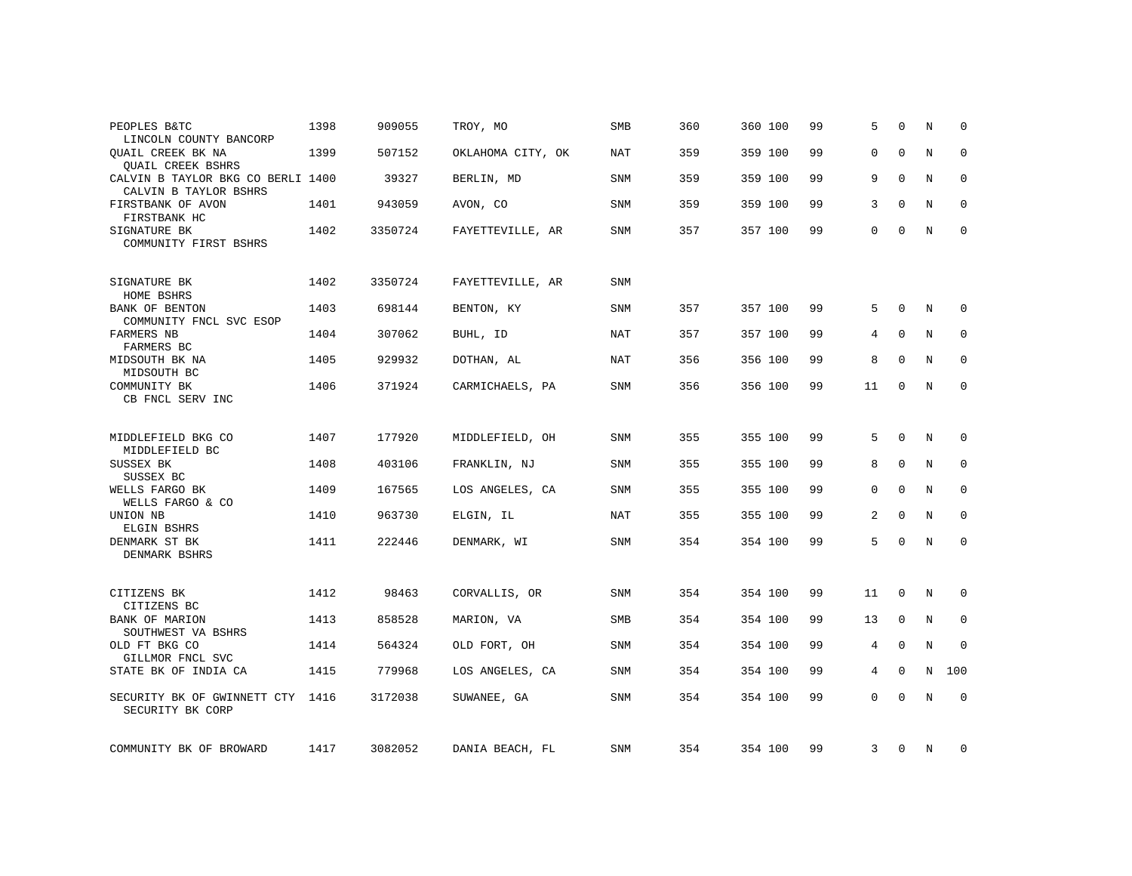| PEOPLES B&TC<br>LINCOLN COUNTY BANCORP                     | 1398 | 909055  | TROY, MO          | <b>SMB</b> | 360 | 360 100 | 99 | 5              | $\Omega$     | N              | $\Omega$     |
|------------------------------------------------------------|------|---------|-------------------|------------|-----|---------|----|----------------|--------------|----------------|--------------|
| <b>OUAIL CREEK BK NA</b><br><b>QUAIL CREEK BSHRS</b>       | 1399 | 507152  | OKLAHOMA CITY, OK | <b>NAT</b> | 359 | 359 100 | 99 | 0              | $\Omega$     | N              | $\mathbf 0$  |
| CALVIN B TAYLOR BKG CO BERLI 1400<br>CALVIN B TAYLOR BSHRS |      | 39327   | BERLIN, MD        | <b>SNM</b> | 359 | 359 100 | 99 | 9              | $\Omega$     | N              | 0            |
| FIRSTBANK OF AVON<br>FIRSTBANK HC                          | 1401 | 943059  | AVON, CO          | <b>SNM</b> | 359 | 359 100 | 99 | 3              | $\Omega$     | N              | $\mathbf 0$  |
| SIGNATURE BK<br>COMMUNITY FIRST BSHRS                      | 1402 | 3350724 | FAYETTEVILLE, AR  | SNM        | 357 | 357 100 | 99 | 0              | $\mathbf 0$  | N              | $\mathbf 0$  |
| SIGNATURE BK<br>HOME BSHRS                                 | 1402 | 3350724 | FAYETTEVILLE, AR  | SNM        |     |         |    |                |              |                |              |
| BANK OF BENTON<br>COMMUNITY FNCL SVC ESOP                  | 1403 | 698144  | BENTON, KY        | <b>SNM</b> | 357 | 357 100 | 99 | 5              | $\Omega$     | N              | 0            |
| <b>FARMERS NB</b><br>FARMERS BC                            | 1404 | 307062  | BUHL, ID          | <b>NAT</b> | 357 | 357 100 | 99 | 4              | $\mathbf 0$  | N              | $\mathbf 0$  |
| MIDSOUTH BK NA<br>MIDSOUTH BC                              | 1405 | 929932  | DOTHAN, AL        | NAT        | 356 | 356 100 | 99 | 8              | $\mathbf{0}$ | N              | $\mathbf 0$  |
| COMMUNITY BK<br>CB FNCL SERV INC                           | 1406 | 371924  | CARMICHAELS, PA   | <b>SNM</b> | 356 | 356 100 | 99 | 11             | $\mathbf 0$  | N              | $\mathbf 0$  |
| MIDDLEFIELD BKG CO<br>MIDDLEFIELD BC                       | 1407 | 177920  | MIDDLEFIELD, OH   | <b>SNM</b> | 355 | 355 100 | 99 | 5              | $\mathbf 0$  | N              | 0            |
| SUSSEX BK<br>SUSSEX BC                                     | 1408 | 403106  | FRANKLIN, NJ      | <b>SNM</b> | 355 | 355 100 | 99 | 8              | $\mathbf 0$  | N              | $\mathbf 0$  |
| WELLS FARGO BK<br>WELLS FARGO & CO                         | 1409 | 167565  | LOS ANGELES, CA   | SNM        | 355 | 355 100 | 99 | 0              | $\mathbf 0$  | N              | 0            |
| UNION NB                                                   | 1410 | 963730  | ELGIN, IL         | NAT        | 355 | 355 100 | 99 | $\overline{a}$ | $\Omega$     | N              | $\mathbf{0}$ |
| ELGIN BSHRS<br>DENMARK ST BK<br>DENMARK BSHRS              | 1411 | 222446  | DENMARK, WI       | SNM        | 354 | 354 100 | 99 | 5              | $\mathbf 0$  | N              | $\mathbf 0$  |
| CITIZENS BK<br>CITIZENS BC                                 | 1412 | 98463   | CORVALLIS, OR     | SNM        | 354 | 354 100 | 99 | 11             | 0            | $\rm N$        | 0            |
| BANK OF MARION<br>SOUTHWEST VA BSHRS                       | 1413 | 858528  | MARION, VA        | SMB        | 354 | 354 100 | 99 | 13             | 0            | N              | $\mathbf 0$  |
| OLD FT BKG CO<br>GILLMOR FNCL SVC                          | 1414 | 564324  | OLD FORT, OH      | SNM        | 354 | 354 100 | 99 | 4              | $\Omega$     | $\overline{N}$ | $\Omega$     |
| STATE BK OF INDIA CA                                       | 1415 | 779968  | LOS ANGELES, CA   | SNM        | 354 | 354 100 | 99 | 4              | $\mathbf 0$  | N              | 100          |
| SECURITY BK OF GWINNETT CTY 1416<br>SECURITY BK CORP       |      | 3172038 | SUWANEE, GA       | SNM        | 354 | 354 100 | 99 | 0              | $\Omega$     | N              | $\Omega$     |
| COMMUNITY BK OF BROWARD                                    | 1417 | 3082052 | DANIA BEACH, FL   | SNM        | 354 | 354 100 | 99 | 3              | 0            | N              | 0            |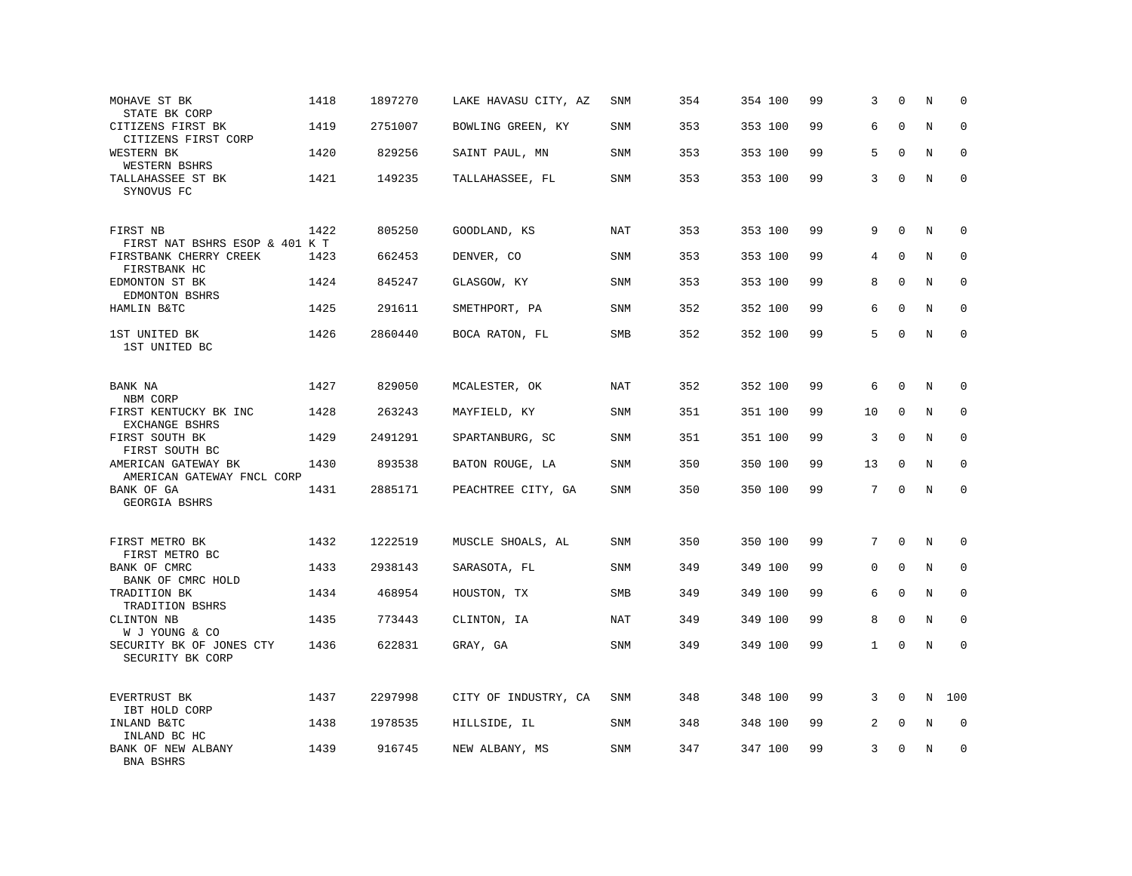| MOHAVE ST BK<br>STATE BK CORP                     | 1418 | 1897270 | LAKE HAVASU CITY, AZ | SNM        | 354 | 354 100 | 99 | 3            | $\mathbf 0$  | N | $\mathbf 0$  |
|---------------------------------------------------|------|---------|----------------------|------------|-----|---------|----|--------------|--------------|---|--------------|
| CITIZENS FIRST BK<br>CITIZENS FIRST CORP          | 1419 | 2751007 | BOWLING GREEN, KY    | <b>SNM</b> | 353 | 353 100 | 99 | 6            | $\Omega$     | N | $\Omega$     |
| WESTERN BK<br>WESTERN BSHRS                       | 1420 | 829256  | SAINT PAUL, MN       | SNM        | 353 | 353 100 | 99 | 5            | $\mathbf{0}$ | N | $\mathbf 0$  |
| TALLAHASSEE ST BK<br>SYNOVUS FC                   | 1421 | 149235  | TALLAHASSEE, FL      | <b>SNM</b> | 353 | 353 100 | 99 | 3            | $\Omega$     | N | $\mathbf 0$  |
| FIRST NB<br>FIRST NAT BSHRS ESOP & 401 K T        | 1422 | 805250  | GOODLAND, KS         | NAT        | 353 | 353 100 | 99 | 9            | $\Omega$     | N | $\Omega$     |
| FIRSTBANK CHERRY CREEK<br>FIRSTBANK HC            | 1423 | 662453  | DENVER, CO           | SNM        | 353 | 353 100 | 99 | 4            | $\mathbf 0$  | N | 0            |
| EDMONTON ST BK<br>EDMONTON BSHRS                  | 1424 | 845247  | GLASGOW, KY          | <b>SNM</b> | 353 | 353 100 | 99 | 8            | $\Omega$     | N | $\mathbf{0}$ |
| HAMLIN B&TC                                       | 1425 | 291611  | SMETHPORT, PA        | SNM        | 352 | 352 100 | 99 | 6            | $\Omega$     | N | $\mathbf 0$  |
| 1ST UNITED BK<br>1ST UNITED BC                    | 1426 | 2860440 | BOCA RATON, FL       | <b>SMB</b> | 352 | 352 100 | 99 | 5            | $\Omega$     | N | $\mathbf 0$  |
| BANK NA<br>NBM CORP                               | 1427 | 829050  | MCALESTER, OK        | NAT        | 352 | 352 100 | 99 | 6            | $\mathbf 0$  | N | 0            |
| FIRST KENTUCKY BK INC<br>EXCHANGE BSHRS           | 1428 | 263243  | MAYFIELD, KY         | SNM        | 351 | 351 100 | 99 | 10           | $\mathbf 0$  | N | $\mathbf 0$  |
| FIRST SOUTH BK<br>FIRST SOUTH BC                  | 1429 | 2491291 | SPARTANBURG, SC      | SNM        | 351 | 351 100 | 99 | 3            | $\mathbf 0$  | N | $\mathbf 0$  |
| AMERICAN GATEWAY BK<br>AMERICAN GATEWAY FNCL CORP | 1430 | 893538  | BATON ROUGE, LA      | SNM        | 350 | 350 100 | 99 | 13           | $\mathbf 0$  | N | $\mathbf 0$  |
| BANK OF GA<br>GEORGIA BSHRS                       | 1431 | 2885171 | PEACHTREE CITY, GA   | SNM        | 350 | 350 100 | 99 | 7            | $\Omega$     | N | $\mathbf 0$  |
| FIRST METRO BK<br>FIRST METRO BC                  | 1432 | 1222519 | MUSCLE SHOALS, AL    | SNM        | 350 | 350 100 | 99 | 7            | $\mathbf 0$  | N | 0            |
| BANK OF CMRC<br>BANK OF CMRC HOLD                 | 1433 | 2938143 | SARASOTA, FL         | SNM        | 349 | 349 100 | 99 | 0            | $\mathbf 0$  | N | 0            |
| TRADITION BK<br>TRADITION BSHRS                   | 1434 | 468954  | HOUSTON, TX          | SMB        | 349 | 349 100 | 99 | 6            | $\mathbf 0$  | N | $\mathbf 0$  |
| CLINTON NB<br>W J YOUNG & CO                      | 1435 | 773443  | CLINTON, IA          | NAT        | 349 | 349 100 | 99 | 8            | $\mathbf 0$  | N | $\mathbf 0$  |
| SECURITY BK OF JONES CTY<br>SECURITY BK CORP      | 1436 | 622831  | GRAY, GA             | SNM        | 349 | 349 100 | 99 | $\mathbf{1}$ | $\mathbf 0$  | N | $\mathbf 0$  |
| <b>EVERTRUST BK</b><br>IBT HOLD CORP              | 1437 | 2297998 | CITY OF INDUSTRY, CA | SNM        | 348 | 348 100 | 99 | 3            | $\Omega$     | N | 100          |
| INLAND B&TC<br>INLAND BC HC                       | 1438 | 1978535 | HILLSIDE, IL         | <b>SNM</b> | 348 | 348 100 | 99 | 2            | $\mathbf 0$  | N | $\mathbf 0$  |
| BANK OF NEW ALBANY<br><b>BNA BSHRS</b>            | 1439 | 916745  | NEW ALBANY, MS       | SNM        | 347 | 347 100 | 99 | 3            | $\mathbf 0$  | N | $\mathbf 0$  |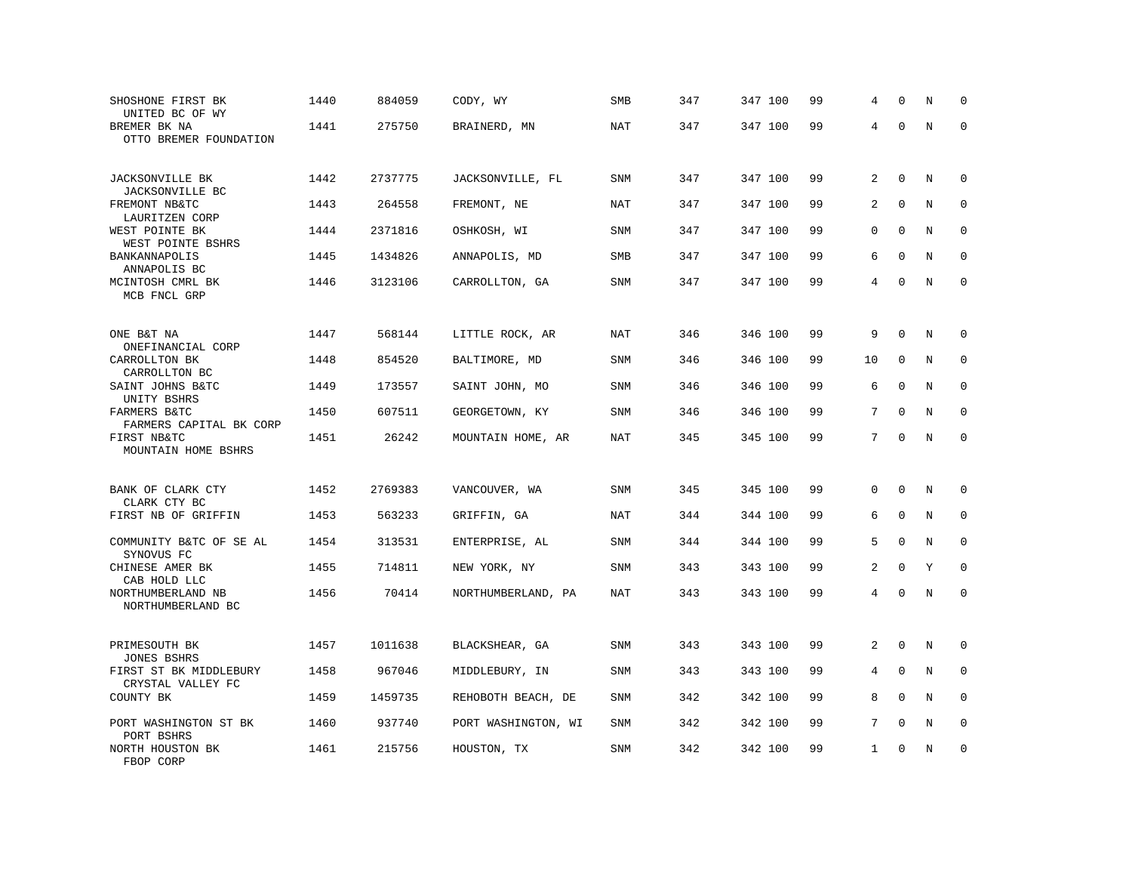| SHOSHONE FIRST BK<br>UNITED BC OF WY        | 1440 | 884059  | CODY, WY            | SMB        | 347 | 347 100 | 99 | 4            | $\mathbf 0$ | N       | $\mathbf 0$ |
|---------------------------------------------|------|---------|---------------------|------------|-----|---------|----|--------------|-------------|---------|-------------|
| BREMER BK NA<br>OTTO BREMER FOUNDATION      | 1441 | 275750  | BRAINERD, MN        | <b>NAT</b> | 347 | 347 100 | 99 | 4            | $\Omega$    | $\rm N$ | $\mathbf 0$ |
| <b>JACKSONVILLE BK</b><br>JACKSONVILLE BC   | 1442 | 2737775 | JACKSONVILLE, FL    | SNM        | 347 | 347 100 | 99 | 2            | $\mathbf 0$ | N       | 0           |
| FREMONT NB&TC<br>LAURITZEN CORP             | 1443 | 264558  | FREMONT, NE         | NAT        | 347 | 347 100 | 99 | 2            | $\mathbf 0$ | N       | $\mathbf 0$ |
| WEST POINTE BK<br>WEST POINTE BSHRS         | 1444 | 2371816 | OSHKOSH, WI         | SNM        | 347 | 347 100 | 99 | 0            | $\mathbf 0$ | N       | $\mathbf 0$ |
| BANKANNAPOLIS<br>ANNAPOLIS BC               | 1445 | 1434826 | ANNAPOLIS, MD       | <b>SMB</b> | 347 | 347 100 | 99 | 6            | $\Omega$    | N       | $\mathbf 0$ |
| MCINTOSH CMRL BK<br>MCB FNCL GRP            | 1446 | 3123106 | CARROLLTON, GA      | SNM        | 347 | 347 100 | 99 | 4            | $\Omega$    | N       | $\mathbf 0$ |
| ONE B&T NA<br>ONEFINANCIAL CORP             | 1447 | 568144  | LITTLE ROCK, AR     | NAT        | 346 | 346 100 | 99 | 9            | $\Omega$    | N       | $\mathbf 0$ |
| CARROLLTON BK<br>CARROLLTON BC              | 1448 | 854520  | BALTIMORE, MD       | SNM        | 346 | 346 100 | 99 | 10           | $\mathbf 0$ | N       | $\mathbf 0$ |
| SAINT JOHNS B&TC<br>UNITY BSHRS             | 1449 | 173557  | SAINT JOHN, MO      | <b>SNM</b> | 346 | 346 100 | 99 | 6            | $\mathbf 0$ | N       | $\mathbf 0$ |
| FARMERS B&TC<br>FARMERS CAPITAL BK CORP     | 1450 | 607511  | GEORGETOWN, KY      | <b>SNM</b> | 346 | 346 100 | 99 | 7            | $\mathbf 0$ | N       | $\mathbf 0$ |
| FIRST NB&TC<br>MOUNTAIN HOME BSHRS          | 1451 | 26242   | MOUNTAIN HOME, AR   | NAT        | 345 | 345 100 | 99 | 7            | $\mathbf 0$ | N       | $\mathbf 0$ |
| BANK OF CLARK CTY<br>CLARK CTY BC           | 1452 | 2769383 | VANCOUVER, WA       | SNM        | 345 | 345 100 | 99 | 0            | $\mathbf 0$ | N       | $\mathbf 0$ |
| FIRST NB OF GRIFFIN                         | 1453 | 563233  | GRIFFIN, GA         | NAT        | 344 | 344 100 | 99 | 6            | $\Omega$    | N       | $\mathbf 0$ |
| COMMUNITY B&TC OF SE AL<br>SYNOVUS FC       | 1454 | 313531  | ENTERPRISE, AL      | SNM        | 344 | 344 100 | 99 | 5            | $\mathbf 0$ | N       | $\mathbf 0$ |
| CHINESE AMER BK<br>CAB HOLD LLC             | 1455 | 714811  | NEW YORK, NY        | <b>SNM</b> | 343 | 343 100 | 99 | 2            | $\mathbf 0$ | Y       | $\mathbf 0$ |
| NORTHUMBERLAND NB<br>NORTHUMBERLAND BC      | 1456 | 70414   | NORTHUMBERLAND, PA  | NAT        | 343 | 343 100 | 99 | 4            | $\Omega$    | N       | $\Omega$    |
| PRIMESOUTH BK<br><b>JONES BSHRS</b>         | 1457 | 1011638 | BLACKSHEAR, GA      | SNM        | 343 | 343 100 | 99 | 2            | $\Omega$    | N       | 0           |
| FIRST ST BK MIDDLEBURY<br>CRYSTAL VALLEY FC | 1458 | 967046  | MIDDLEBURY, IN      | SNM        | 343 | 343 100 | 99 | 4            | $\mathbf 0$ | N       | $\mathbf 0$ |
| COUNTY BK                                   | 1459 | 1459735 | REHOBOTH BEACH, DE  | SNM        | 342 | 342 100 | 99 | 8            | $\Omega$    | N       | $\Omega$    |
| PORT WASHINGTON ST BK<br>PORT BSHRS         | 1460 | 937740  | PORT WASHINGTON, WI | SNM        | 342 | 342 100 | 99 | 7            | $\mathbf 0$ | N       | 0           |
| NORTH HOUSTON BK<br>FBOP CORP               | 1461 | 215756  | HOUSTON, TX         | <b>SNM</b> | 342 | 342 100 | 99 | $\mathbf{1}$ | $\mathbf 0$ | N       | $\mathbf 0$ |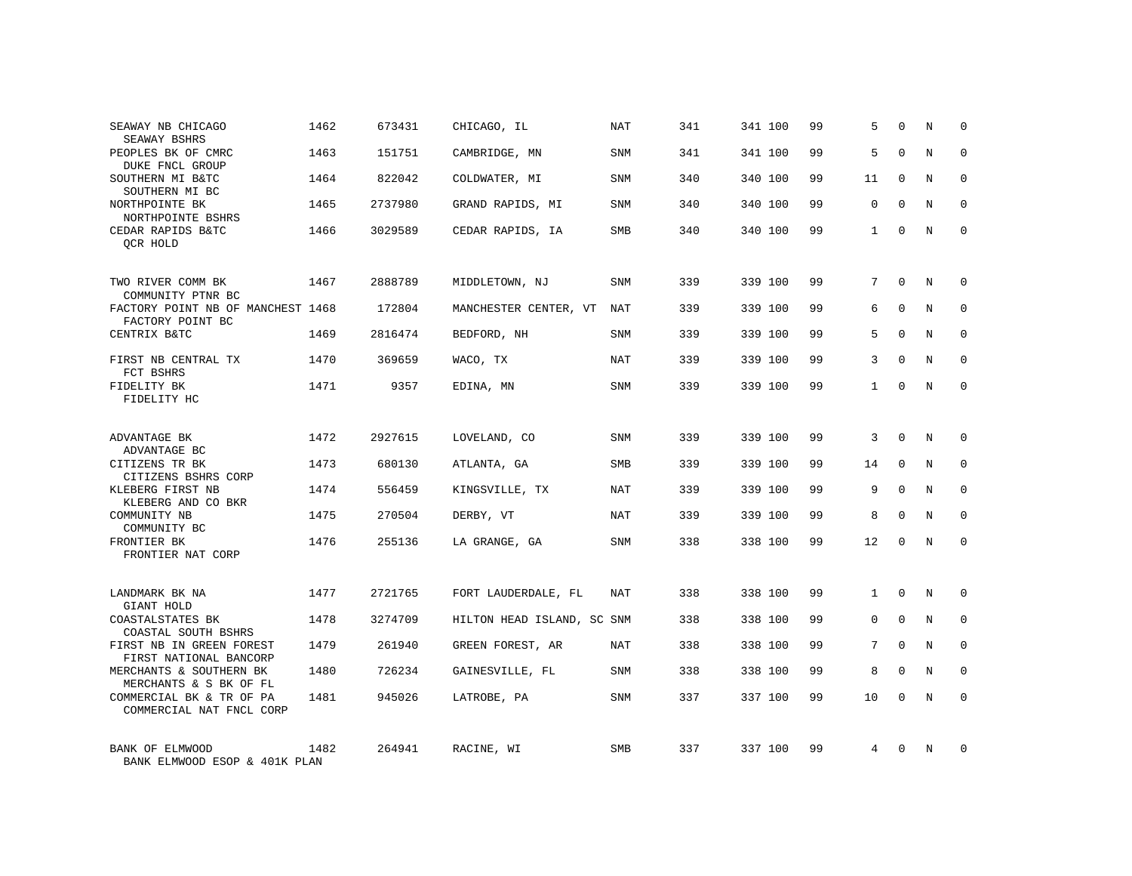| SEAWAY NB CHICAGO<br>SEAWAY BSHRS                     | 1462 | 673431  | CHICAGO, IL                | <b>NAT</b> | 341 | 341 100 | 99 | 5            | $\mathbf 0$  | N          | $\mathbf 0$ |
|-------------------------------------------------------|------|---------|----------------------------|------------|-----|---------|----|--------------|--------------|------------|-------------|
| PEOPLES BK OF CMRC<br><b>DUKE FNCL GROUP</b>          | 1463 | 151751  | CAMBRIDGE, MN              | <b>SNM</b> | 341 | 341 100 | 99 | 5            | $\Omega$     | N          | $\Omega$    |
| SOUTHERN MI B&TC<br>SOUTHERN MI BC                    | 1464 | 822042  | COLDWATER, MI              | SNM        | 340 | 340 100 | 99 | 11           | $\Omega$     | N          | $\mathbf 0$ |
| NORTHPOINTE BK<br>NORTHPOINTE BSHRS                   | 1465 | 2737980 | GRAND RAPIDS, MI           | <b>SNM</b> | 340 | 340 100 | 99 | $\Omega$     | $\Omega$     | N          | $\mathbf 0$ |
| CEDAR RAPIDS B&TC<br>QCR HOLD                         | 1466 | 3029589 | CEDAR RAPIDS, IA           | <b>SMB</b> | 340 | 340 100 | 99 | $\mathbf{1}$ | $\Omega$     | N          | $\Omega$    |
| TWO RIVER COMM BK<br>COMMUNITY PTNR BC                | 1467 | 2888789 | MIDDLETOWN, NJ             | <b>SNM</b> | 339 | 339 100 | 99 | 7            | $\Omega$     | $_{\rm N}$ | $\Omega$    |
| FACTORY POINT NB OF MANCHEST 1468<br>FACTORY POINT BC |      | 172804  | MANCHESTER CENTER, VT      | NAT        | 339 | 339 100 | 99 | 6            | $\mathbf{0}$ | N          | $\mathbf 0$ |
| CENTRIX B&TC                                          | 1469 | 2816474 | BEDFORD, NH                | <b>SNM</b> | 339 | 339 100 | 99 | 5            | $\Omega$     | N          | $\mathbf 0$ |
| FIRST NB CENTRAL TX<br>FCT BSHRS                      | 1470 | 369659  | WACO, TX                   | NAT        | 339 | 339 100 | 99 | 3            | $\Omega$     | N          | 0           |
| FIDELITY BK<br>FIDELITY HC                            | 1471 | 9357    | EDINA, MN                  | <b>SNM</b> | 339 | 339 100 | 99 | $\mathbf{1}$ | $\Omega$     | N          | $\mathbf 0$ |
| ADVANTAGE BK<br>ADVANTAGE BC                          | 1472 | 2927615 | LOVELAND, CO               | <b>SNM</b> | 339 | 339 100 | 99 | 3            | $\Omega$     | N          | $\mathbf 0$ |
| CITIZENS TR BK<br>CITIZENS BSHRS CORP                 | 1473 | 680130  | ATLANTA, GA                | <b>SMB</b> | 339 | 339 100 | 99 | 14           | $\Omega$     | N          | $\mathbf 0$ |
| KLEBERG FIRST NB<br>KLEBERG AND CO BKR                | 1474 | 556459  | KINGSVILLE, TX             | NAT        | 339 | 339 100 | 99 | 9            | $\Omega$     | N          | $\mathbf 0$ |
| COMMUNITY NB<br>COMMUNITY BC                          | 1475 | 270504  | DERBY, VT                  | NAT        | 339 | 339 100 | 99 | 8            | $\Omega$     | N          | $\mathbf 0$ |
| FRONTIER BK<br>FRONTIER NAT CORP                      | 1476 | 255136  | LA GRANGE, GA              | SNM        | 338 | 338 100 | 99 | 12           | $\Omega$     | N          | $\mathbf 0$ |
| LANDMARK BK NA<br>GIANT HOLD                          | 1477 | 2721765 | FORT LAUDERDALE, FL        | NAT        | 338 | 338 100 | 99 | $\mathbf{1}$ | $\mathbf{0}$ | N          | $\mathbf 0$ |
| COASTALSTATES BK<br>COASTAL SOUTH BSHRS               | 1478 | 3274709 | HILTON HEAD ISLAND, SC SNM |            | 338 | 338 100 | 99 | $\mathbf 0$  | $\mathbf{0}$ | N          | 0           |
| FIRST NB IN GREEN FOREST<br>FIRST NATIONAL BANCORP    | 1479 | 261940  | GREEN FOREST, AR           | NAT        | 338 | 338 100 | 99 | 7            | $\Omega$     | N          | $\mathbf 0$ |
| MERCHANTS & SOUTHERN BK<br>MERCHANTS & S BK OF FL     | 1480 | 726234  | GAINESVILLE, FL            | SNM        | 338 | 338 100 | 99 | 8            | $\Omega$     | N          | 0           |
| COMMERCIAL BK & TR OF PA<br>COMMERCIAL NAT FNCL CORP  | 1481 | 945026  | LATROBE, PA                | <b>SNM</b> | 337 | 337 100 | 99 | 10           | $\Omega$     | N          | $\mathbf 0$ |
| BANK OF ELMWOOD<br>BANK ELMWOOD ESOP & 401K PLAN      | 1482 | 264941  | RACINE, WI                 | <b>SMB</b> | 337 | 337 100 | 99 | 4            | $\Omega$     | N          | $\Omega$    |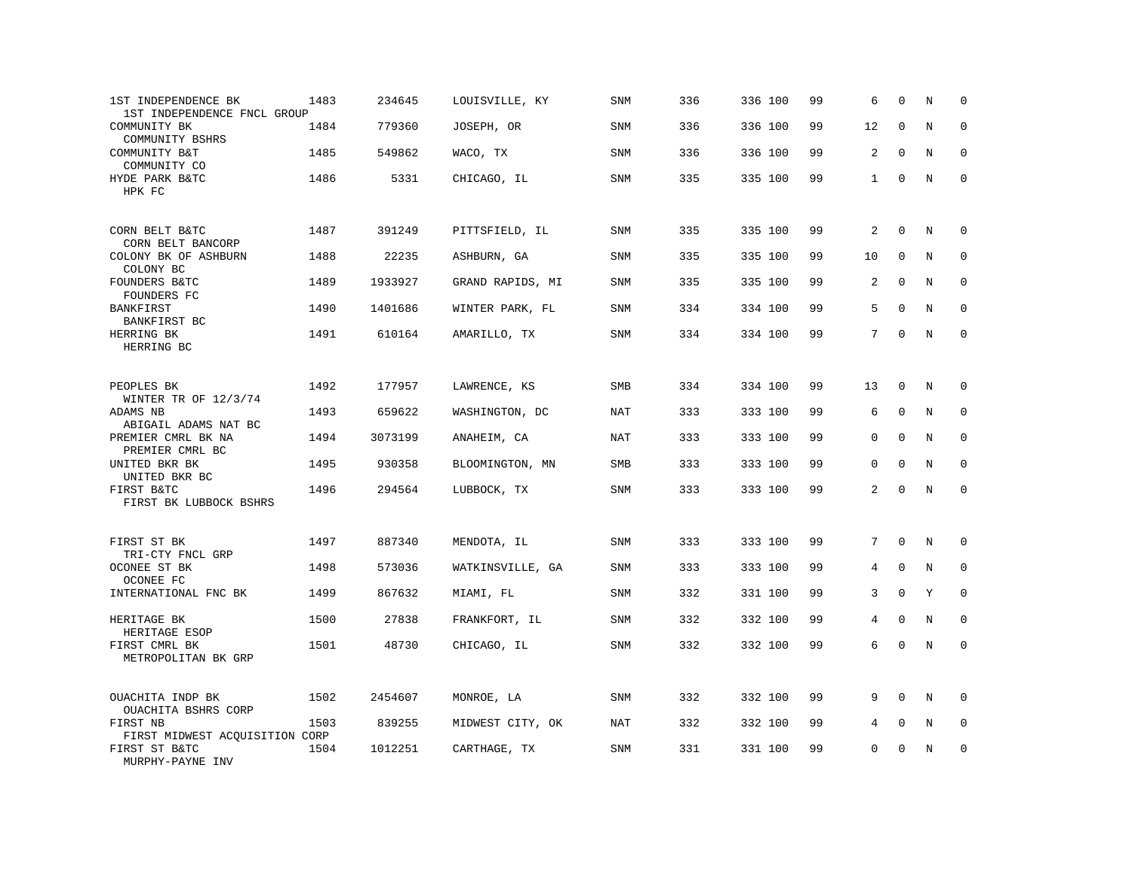| 1ST INDEPENDENCE BK<br>1ST INDEPENDENCE FNCL GROUP | 1483 | 234645  | LOUISVILLE, KY   | SNM        | 336 | 336 100 | 99 | 6            | $\mathbf 0$  | N           | $\mathbf 0$ |
|----------------------------------------------------|------|---------|------------------|------------|-----|---------|----|--------------|--------------|-------------|-------------|
| COMMUNITY BK<br>COMMUNITY BSHRS                    | 1484 | 779360  | JOSEPH, OR       | SNM        | 336 | 336 100 | 99 | 12           | $\mathbf{0}$ | N           | $\mathbf 0$ |
| COMMUNITY B&T<br>COMMUNITY CO                      | 1485 | 549862  | WACO, TX         | SNM        | 336 | 336 100 | 99 | 2            | $\Omega$     | N           | $\mathbf 0$ |
| HYDE PARK B&TC<br>HPK FC                           | 1486 | 5331    | CHICAGO, IL      | SNM        | 335 | 335 100 | 99 | $\mathbf{1}$ | $\mathbf 0$  | N           | $\mathbf 0$ |
| CORN BELT B&TC<br>CORN BELT BANCORP                | 1487 | 391249  | PITTSFIELD, IL   | <b>SNM</b> | 335 | 335 100 | 99 | 2            | $\Omega$     | N           | $\mathbf 0$ |
| COLONY BK OF ASHBURN<br>COLONY BC                  | 1488 | 22235   | ASHBURN, GA      | SNM        | 335 | 335 100 | 99 | 10           | $\mathbf 0$  | N           | 0           |
| FOUNDERS B&TC<br>FOUNDERS FC                       | 1489 | 1933927 | GRAND RAPIDS, MI | SNM        | 335 | 335 100 | 99 | 2            | $\Omega$     | N           | $\mathbf 0$ |
| BANKFIRST<br>BANKFIRST BC                          | 1490 | 1401686 | WINTER PARK, FL  | SNM        | 334 | 334 100 | 99 | 5            | $\Omega$     | N           | $\Omega$    |
| HERRING BK<br>HERRING BC                           | 1491 | 610164  | AMARILLO, TX     | SNM        | 334 | 334 100 | 99 | 7            | $\mathbf{0}$ | N           | $\mathbf 0$ |
| PEOPLES BK<br>WINTER TR OF 12/3/74                 | 1492 | 177957  | LAWRENCE, KS     | <b>SMB</b> | 334 | 334 100 | 99 | 13           | 0            | N           | $\mathbf 0$ |
| ADAMS NB<br>ABIGAIL ADAMS NAT BC                   | 1493 | 659622  | WASHINGTON, DC   | NAT        | 333 | 333 100 | 99 | 6            | $\mathbf{0}$ | N           | $\mathbf 0$ |
| PREMIER CMRL BK NA<br>PREMIER CMRL BC              | 1494 | 3073199 | ANAHEIM, CA      | NAT        | 333 | 333 100 | 99 | 0            | $\mathbf 0$  | $\mathbf N$ | $\mathbf 0$ |
| UNITED BKR BK<br>UNITED BKR BC                     | 1495 | 930358  | BLOOMINGTON, MN  | <b>SMB</b> | 333 | 333 100 | 99 | $\Omega$     | $\Omega$     | N           | $\Omega$    |
| FIRST B&TC<br>FIRST BK LUBBOCK BSHRS               | 1496 | 294564  | LUBBOCK, TX      | SNM        | 333 | 333 100 | 99 | 2            | $\mathbf 0$  | N           | $\mathbf 0$ |
| FIRST ST BK<br>TRI-CTY FNCL GRP                    | 1497 | 887340  | MENDOTA, IL      | <b>SNM</b> | 333 | 333 100 | 99 | 7            | $\mathbf{0}$ | N           | $\mathbf 0$ |
| OCONEE ST BK<br>OCONEE FC                          | 1498 | 573036  | WATKINSVILLE, GA | SNM        | 333 | 333 100 | 99 | 4            | $\mathbf 0$  | N           | $\mathbf 0$ |
| INTERNATIONAL FNC BK                               | 1499 | 867632  | MIAMI, FL        | SNM        | 332 | 331 100 | 99 | 3            | $\mathbf 0$  | Y           | $\mathbf 0$ |
| HERITAGE BK<br>HERITAGE ESOP                       | 1500 | 27838   | FRANKFORT, IL    | SNM        | 332 | 332 100 | 99 | 4            | $\Omega$     | N           | $\Omega$    |
| FIRST CMRL BK<br>METROPOLITAN BK GRP               | 1501 | 48730   | CHICAGO, IL      | SNM        | 332 | 332 100 | 99 | 6            | $\mathbf 0$  | $\rm N$     | $\mathbf 0$ |
| OUACHITA INDP BK<br>OUACHITA BSHRS CORP            | 1502 | 2454607 | MONROE, LA       | SNM        | 332 | 332 100 | 99 | 9            | $\Omega$     | N           | 0           |
| FIRST NB<br>FIRST MIDWEST ACQUISITION CORP         | 1503 | 839255  | MIDWEST CITY, OK | <b>NAT</b> | 332 | 332 100 | 99 | 4            | $\mathbf 0$  | N           | $\mathbf 0$ |
| FIRST ST B&TC<br>MURPHY-PAYNE INV                  | 1504 | 1012251 | CARTHAGE, TX     | SNM        | 331 | 331 100 | 99 | 0            | $\Omega$     | N           | $\mathbf 0$ |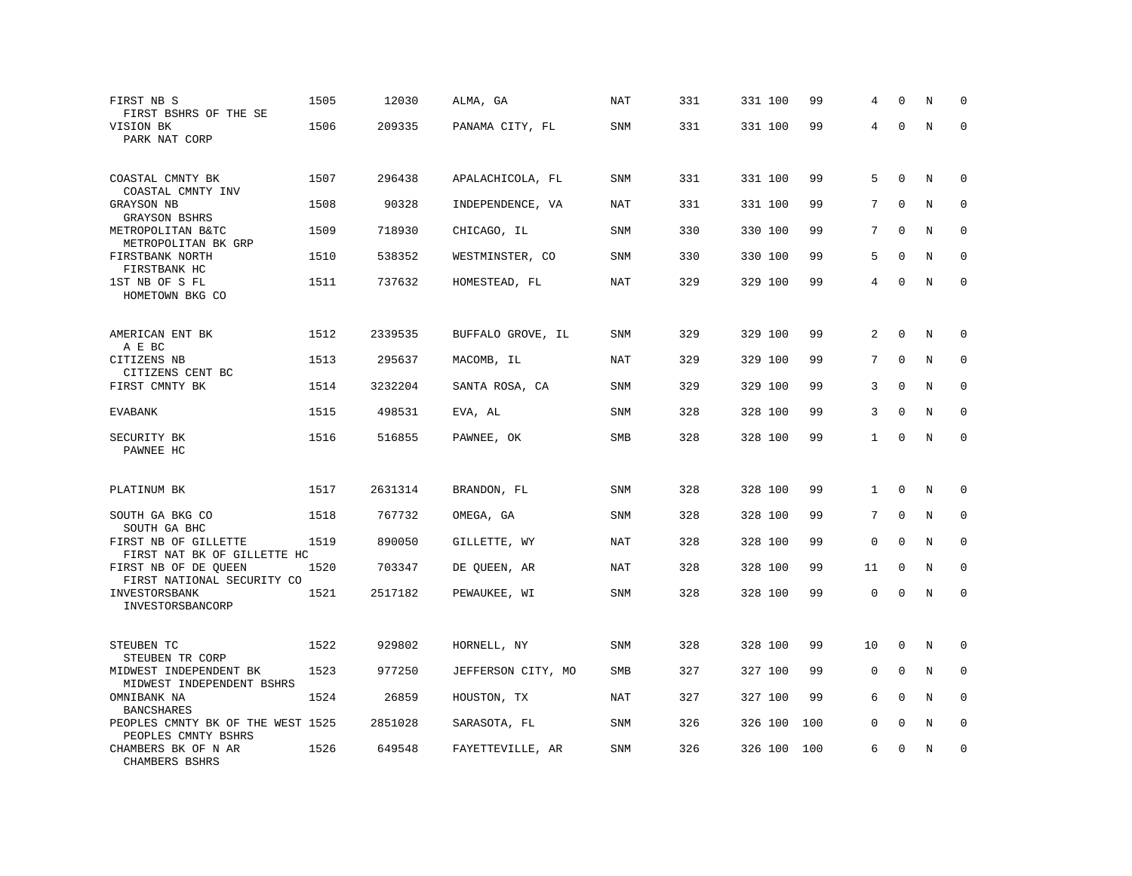| FIRST NB S<br>FIRST BSHRS OF THE SE                       | 1505 | 12030   | ALMA, GA           | <b>NAT</b> | 331 | 331 100 | 99  | 4            | $\mathbf 0$  | N       | $\Omega$     |
|-----------------------------------------------------------|------|---------|--------------------|------------|-----|---------|-----|--------------|--------------|---------|--------------|
| VISION BK<br>PARK NAT CORP                                | 1506 | 209335  | PANAMA CITY, FL    | SNM        | 331 | 331 100 | 99  | 4            | $\Omega$     | $\rm N$ | $\mathbf 0$  |
| COASTAL CMNTY BK                                          | 1507 | 296438  | APALACHICOLA, FL   | SNM        | 331 | 331 100 | 99  | 5            | $\mathbf 0$  | N       | $\mathbf 0$  |
| COASTAL CMNTY INV<br>GRAYSON NB                           | 1508 | 90328   | INDEPENDENCE, VA   | NAT        | 331 | 331 100 | 99  | 7            | $\Omega$     | N       | $\Omega$     |
| GRAYSON BSHRS<br>METROPOLITAN B&TC<br>METROPOLITAN BK GRP | 1509 | 718930  | CHICAGO, IL        | SNM        | 330 | 330 100 | 99  | $7^{\circ}$  | $\mathbf 0$  | N       | $\mathbf 0$  |
| FIRSTBANK NORTH<br>FIRSTBANK HC                           | 1510 | 538352  | WESTMINSTER, CO    | <b>SNM</b> | 330 | 330 100 | 99  | 5            | $\Omega$     | N       | $\mathbf 0$  |
| 1ST NB OF S FL<br>HOMETOWN BKG CO                         | 1511 | 737632  | HOMESTEAD, FL      | <b>NAT</b> | 329 | 329 100 | 99  | 4            | $\Omega$     | N       | $\mathbf 0$  |
| AMERICAN ENT BK                                           | 1512 | 2339535 | BUFFALO GROVE, IL  | <b>SNM</b> | 329 | 329 100 | 99  | 2            | $\Omega$     | N       | $\mathbf 0$  |
| A E BC<br>CITIZENS NB                                     | 1513 | 295637  | MACOMB, IL         | NAT        | 329 | 329 100 | 99  | 7            | $\mathbf 0$  | N       | $\mathbf 0$  |
| CITIZENS CENT BC<br>FIRST CMNTY BK                        | 1514 | 3232204 | SANTA ROSA, CA     | SNM        | 329 | 329 100 | 99  | 3            | $\Omega$     | N       | $\mathbf 0$  |
| <b>EVABANK</b>                                            | 1515 | 498531  | EVA, AL            | <b>SNM</b> | 328 | 328 100 | 99  | 3            | $\mathbf 0$  | N       | $\mathbf 0$  |
| SECURITY BK<br>PAWNEE HC                                  | 1516 | 516855  | PAWNEE, OK         | SMB        | 328 | 328 100 | 99  | $\mathbf{1}$ | $\mathbf 0$  | N       | $\mathbf 0$  |
| PLATINUM BK                                               | 1517 | 2631314 | BRANDON, FL        | SNM        | 328 | 328 100 | 99  | $\mathbf{1}$ | $\mathbf 0$  | N       | $\mathbf 0$  |
| SOUTH GA BKG CO<br>SOUTH GA BHC                           | 1518 | 767732  | OMEGA, GA          | <b>SNM</b> | 328 | 328 100 | 99  | 7            | $\Omega$     | N       | $\mathbf 0$  |
| FIRST NB OF GILLETTE<br>FIRST NAT BK OF GILLETTE HC       | 1519 | 890050  | GILLETTE, WY       | NAT        | 328 | 328 100 | 99  | $\mathbf 0$  | $\mathbf 0$  | N       | $\mathbf 0$  |
| FIRST NB OF DE QUEEN<br>FIRST NATIONAL SECURITY CO        | 1520 | 703347  | DE QUEEN, AR       | <b>NAT</b> | 328 | 328 100 | 99  | 11           | $\mathbf 0$  | N       | $\mathbf{0}$ |
| INVESTORSBANK<br>INVESTORSBANCORP                         | 1521 | 2517182 | PEWAUKEE, WI       | SNM        | 328 | 328 100 | 99  | 0            | $\Omega$     | N       | $\Omega$     |
| STEUBEN TC<br>STEUBEN TR CORP                             | 1522 | 929802  | HORNELL, NY        | SNM        | 328 | 328 100 | 99  | 10           | $\Omega$     | N       | 0            |
| MIDWEST INDEPENDENT BK<br>MIDWEST INDEPENDENT BSHRS       | 1523 | 977250  | JEFFERSON CITY, MO | SMB        | 327 | 327 100 | 99  | $\mathbf 0$  | $\mathbf 0$  | N       | $\mathbf 0$  |
| OMNIBANK NA<br><b>BANCSHARES</b>                          | 1524 | 26859   | HOUSTON, TX        | NAT        | 327 | 327 100 | 99  | 6            | $\Omega$     | N       | $\Omega$     |
| PEOPLES CMNTY BK OF THE WEST 1525<br>PEOPLES CMNTY BSHRS  |      | 2851028 | SARASOTA, FL       | SNM        | 326 | 326 100 | 100 | 0            | $\mathbf{0}$ | N       | 0            |
| CHAMBERS BK OF N AR<br>CHAMBERS BSHRS                     | 1526 | 649548  | FAYETTEVILLE, AR   | <b>SNM</b> | 326 | 326 100 | 100 | 6            | $\mathbf 0$  | N       | $\mathbf 0$  |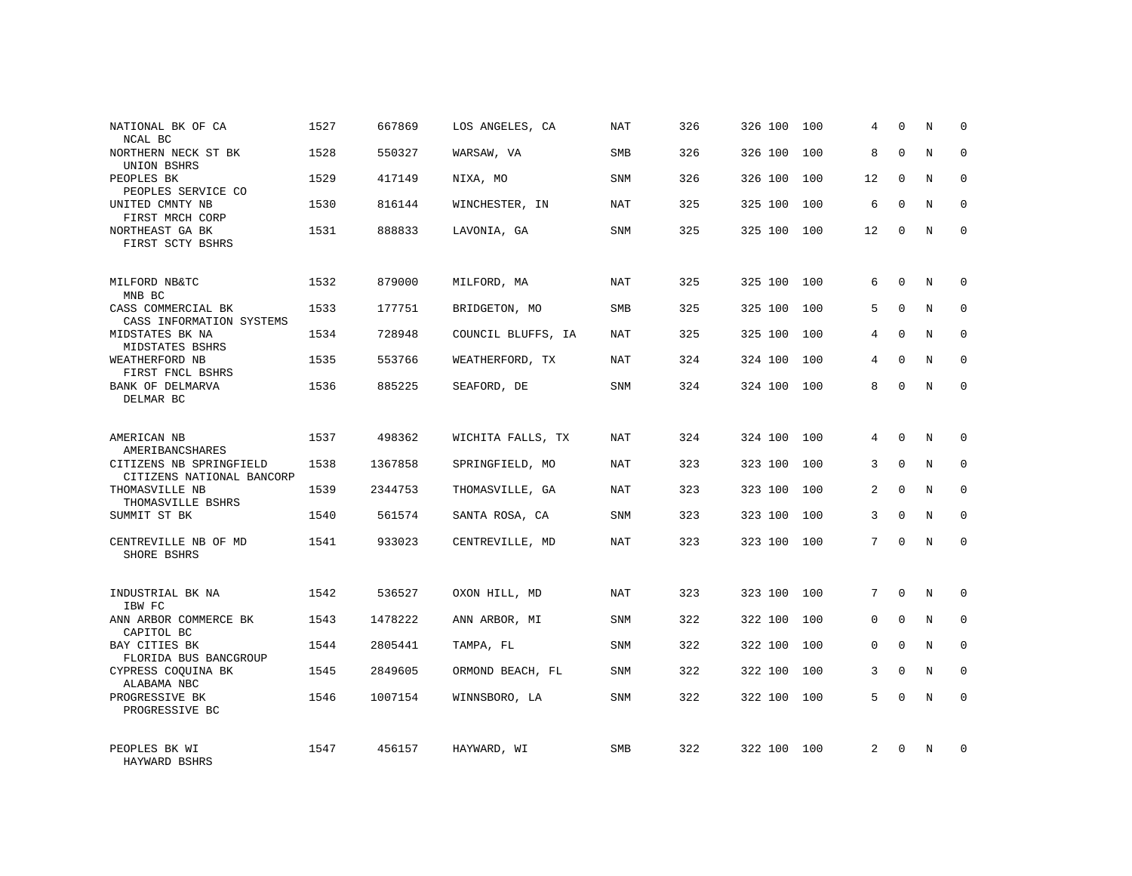| NATIONAL BK OF CA<br>NCAL BC                         | 1527 | 667869  | LOS ANGELES, CA    | NAT        | 326 | 326 100 | 100 | 4              | $\Omega$     | N          | $\Omega$     |
|------------------------------------------------------|------|---------|--------------------|------------|-----|---------|-----|----------------|--------------|------------|--------------|
| NORTHERN NECK ST BK<br>UNION BSHRS                   | 1528 | 550327  | WARSAW, VA         | <b>SMB</b> | 326 | 326 100 | 100 | 8              | $\Omega$     | N          | $\Omega$     |
| PEOPLES BK<br>PEOPLES SERVICE CO                     | 1529 | 417149  | NIXA, MO           | SNM        | 326 | 326 100 | 100 | 12             | $\Omega$     | N          | $\Omega$     |
| UNITED CMNTY NB<br>FIRST MRCH CORP                   | 1530 | 816144  | WINCHESTER, IN     | NAT        | 325 | 325 100 | 100 | 6              | $\Omega$     | N          | $\Omega$     |
| NORTHEAST GA BK<br>FIRST SCTY BSHRS                  | 1531 | 888833  | LAVONIA, GA        | SNM        | 325 | 325 100 | 100 | 12             | $\Omega$     | N          | $\Omega$     |
| MILFORD NB&TC<br>MNB BC                              | 1532 | 879000  | MILFORD, MA        | NAT        | 325 | 325 100 | 100 | 6              | $\mathbf 0$  | N          | $\mathbf 0$  |
| CASS COMMERCIAL BK<br>CASS INFORMATION SYSTEMS       | 1533 | 177751  | BRIDGETON, MO      | <b>SMB</b> | 325 | 325 100 | 100 | 5              | $\Omega$     | N          | $\mathbf 0$  |
| MIDSTATES BK NA<br>MIDSTATES BSHRS                   | 1534 | 728948  | COUNCIL BLUFFS, IA | NAT        | 325 | 325 100 | 100 | 4              | $\Omega$     | N          | $\mathbf 0$  |
| WEATHERFORD NB<br>FIRST FNCL BSHRS                   | 1535 | 553766  | WEATHERFORD, TX    | NAT        | 324 | 324 100 | 100 | 4              | $\Omega$     | N          | $\mathbf 0$  |
| BANK OF DELMARVA<br>DELMAR BC                        | 1536 | 885225  | SEAFORD, DE        | SNM        | 324 | 324 100 | 100 | 8              | $\Omega$     | N          | $\mathbf 0$  |
| AMERICAN NB<br>AMERIBANCSHARES                       | 1537 | 498362  | WICHITA FALLS, TX  | NAT        | 324 | 324 100 | 100 | 4              | $\Omega$     | N          | $\Omega$     |
| CITIZENS NB SPRINGFIELD<br>CITIZENS NATIONAL BANCORP | 1538 | 1367858 | SPRINGFIELD, MO    | NAT        | 323 | 323 100 | 100 | 3              | $\mathbf{0}$ | N          | $\mathbf 0$  |
| THOMASVILLE NB<br>THOMASVILLE BSHRS                  | 1539 | 2344753 | THOMASVILLE, GA    | NAT        | 323 | 323 100 | 100 | $\overline{2}$ | $\Omega$     | N          | $\Omega$     |
| SUMMIT ST BK                                         | 1540 | 561574  | SANTA ROSA, CA     | SNM        | 323 | 323 100 | 100 | 3              | $\Omega$     | N          | $\mathbf 0$  |
| CENTREVILLE NB OF MD<br>SHORE BSHRS                  | 1541 | 933023  | CENTREVILLE, MD    | NAT        | 323 | 323 100 | 100 | 7              | $\Omega$     | $_{\rm N}$ | $\Omega$     |
| INDUSTRIAL BK NA<br>IBW FC                           | 1542 | 536527  | OXON HILL, MD      | NAT        | 323 | 323 100 | 100 | 7              | $\Omega$     | N          | $\mathbf 0$  |
| ANN ARBOR COMMERCE BK<br>CAPITOL BC                  | 1543 | 1478222 | ANN ARBOR, MI      | SNM        | 322 | 322 100 | 100 | 0              | $\mathbf{0}$ | N          | 0            |
| BAY CITIES BK<br>FLORIDA BUS BANCGROUP               | 1544 | 2805441 | TAMPA, FL          | <b>SNM</b> | 322 | 322 100 | 100 | $\Omega$       | $\Omega$     | N          | $\mathbf{0}$ |
| CYPRESS COQUINA BK<br>ALABAMA NBC                    | 1545 | 2849605 | ORMOND BEACH, FL   | SNM        | 322 | 322 100 | 100 | 3              | $\Omega$     | N          | 0            |
| PROGRESSIVE BK<br>PROGRESSIVE BC                     | 1546 | 1007154 | WINNSBORO, LA      | SNM        | 322 | 322 100 | 100 | 5              | $\Omega$     | N          | $\mathbf 0$  |
| PEOPLES BK WI<br>HAYWARD BSHRS                       | 1547 | 456157  | HAYWARD, WI        | <b>SMB</b> | 322 | 322 100 | 100 | $\overline{2}$ | $\Omega$     | N          | $\Omega$     |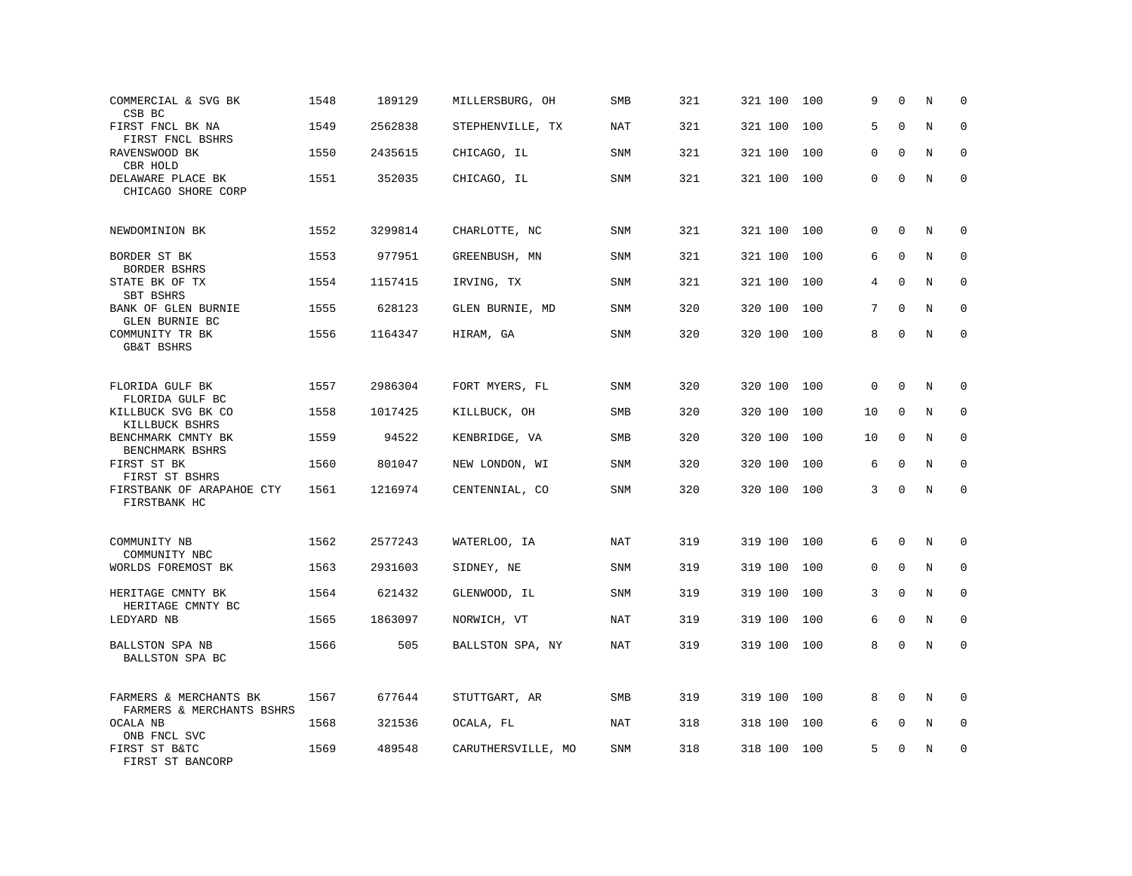| COMMERCIAL & SVG BK<br>CSB BC                       | 1548 | 189129  | MILLERSBURG, OH    | SMB        | 321 | 321 100 | 100 | 9           | $\Omega$     | N       | $\mathbf 0$  |
|-----------------------------------------------------|------|---------|--------------------|------------|-----|---------|-----|-------------|--------------|---------|--------------|
| FIRST FNCL BK NA<br>FIRST FNCL BSHRS                | 1549 | 2562838 | STEPHENVILLE, TX   | NAT        | 321 | 321 100 | 100 | 5           | $\Omega$     | N       | $\Omega$     |
| RAVENSWOOD BK<br>CBR HOLD                           | 1550 | 2435615 | CHICAGO, IL        | SNM        | 321 | 321 100 | 100 | 0           | $\mathbf{0}$ | N       | $\mathbf 0$  |
| DELAWARE PLACE BK<br>CHICAGO SHORE CORP             | 1551 | 352035  | CHICAGO, IL        | <b>SNM</b> | 321 | 321 100 | 100 | $\Omega$    | $\Omega$     | N       | $\mathbf{0}$ |
| NEWDOMINION BK                                      | 1552 | 3299814 | CHARLOTTE, NC      | <b>SNM</b> | 321 | 321 100 | 100 | $\Omega$    | $\Omega$     | N       | $\Omega$     |
| BORDER ST BK<br>BORDER BSHRS                        | 1553 | 977951  | GREENBUSH, MN      | SNM        | 321 | 321 100 | 100 | 6           | $\mathbf{0}$ | N       | 0            |
| STATE BK OF TX<br>SBT BSHRS                         | 1554 | 1157415 | IRVING, TX         | <b>SNM</b> | 321 | 321 100 | 100 | 4           | $\Omega$     | N       | $\mathbf{0}$ |
| BANK OF GLEN BURNIE<br><b>GLEN BURNIE BC</b>        | 1555 | 628123  | GLEN BURNIE, MD    | SNM        | 320 | 320 100 | 100 | 7           | $\Omega$     | N       | $\mathbf 0$  |
| COMMUNITY TR BK<br><b>GB&amp;T BSHRS</b>            | 1556 | 1164347 | HIRAM, GA          | SNM        | 320 | 320 100 | 100 | 8           | $\Omega$     | N       | $\mathbf 0$  |
| FLORIDA GULF BK<br>FLORIDA GULF BC                  | 1557 | 2986304 | FORT MYERS, FL     | <b>SNM</b> | 320 | 320 100 | 100 | $\mathbf 0$ | $\mathbf 0$  | N       | 0            |
| KILLBUCK SVG BK CO<br>KILLBUCK BSHRS                | 1558 | 1017425 | KILLBUCK, OH       | SMB        | 320 | 320 100 | 100 | 10          | $\mathbf 0$  | N       | $\mathbf 0$  |
| BENCHMARK CMNTY BK<br>BENCHMARK BSHRS               | 1559 | 94522   | KENBRIDGE, VA      | SMB        | 320 | 320 100 | 100 | 10          | $\Omega$     | N       | $\mathbf 0$  |
| FIRST ST BK<br>FIRST ST BSHRS                       | 1560 | 801047  | NEW LONDON, WI     | SNM        | 320 | 320 100 | 100 | 6           | $\Omega$     | N       | $\mathbf 0$  |
| FIRSTBANK OF ARAPAHOE CTY<br>FIRSTBANK HC           | 1561 | 1216974 | CENTENNIAL, CO     | SNM        | 320 | 320 100 | 100 | 3           | $\Omega$     | $\rm N$ | $\mathbf 0$  |
| COMMUNITY NB<br>COMMUNITY NBC                       | 1562 | 2577243 | WATERLOO, IA       | NAT        | 319 | 319 100 | 100 | 6           | $\mathbf 0$  | N       | 0            |
| WORLDS FOREMOST BK                                  | 1563 | 2931603 | SIDNEY, NE         | SNM        | 319 | 319 100 | 100 | 0           | $\mathbf 0$  | N       | 0            |
| HERITAGE CMNTY BK<br>HERITAGE CMNTY BC              | 1564 | 621432  | GLENWOOD, IL       | SNM        | 319 | 319 100 | 100 | 3           | $\mathbf{0}$ | N       | $\mathbf 0$  |
| LEDYARD NB                                          | 1565 | 1863097 | NORWICH, VT        | NAT        | 319 | 319 100 | 100 | 6           | $\mathbf{0}$ | N       | $\mathbf 0$  |
| BALLSTON SPA NB<br>BALLSTON SPA BC                  | 1566 | 505     | BALLSTON SPA, NY   | <b>NAT</b> | 319 | 319 100 | 100 | 8           | $\mathbf 0$  | N       | $\mathbf 0$  |
| FARMERS & MERCHANTS BK<br>FARMERS & MERCHANTS BSHRS | 1567 | 677644  | STUTTGART, AR      | SMB        | 319 | 319 100 | 100 | 8           | $\Omega$     | N       | $\Omega$     |
| OCALA NB<br>ONB FNCL SVC                            | 1568 | 321536  | OCALA, FL          | NAT        | 318 | 318 100 | 100 | 6           | $\mathbf 0$  | N       | $\mathbf 0$  |
| FIRST ST B&TC<br>FIRST ST BANCORP                   | 1569 | 489548  | CARUTHERSVILLE, MO | <b>SNM</b> | 318 | 318 100 | 100 | 5           | $\Omega$     | N       | $\mathbf 0$  |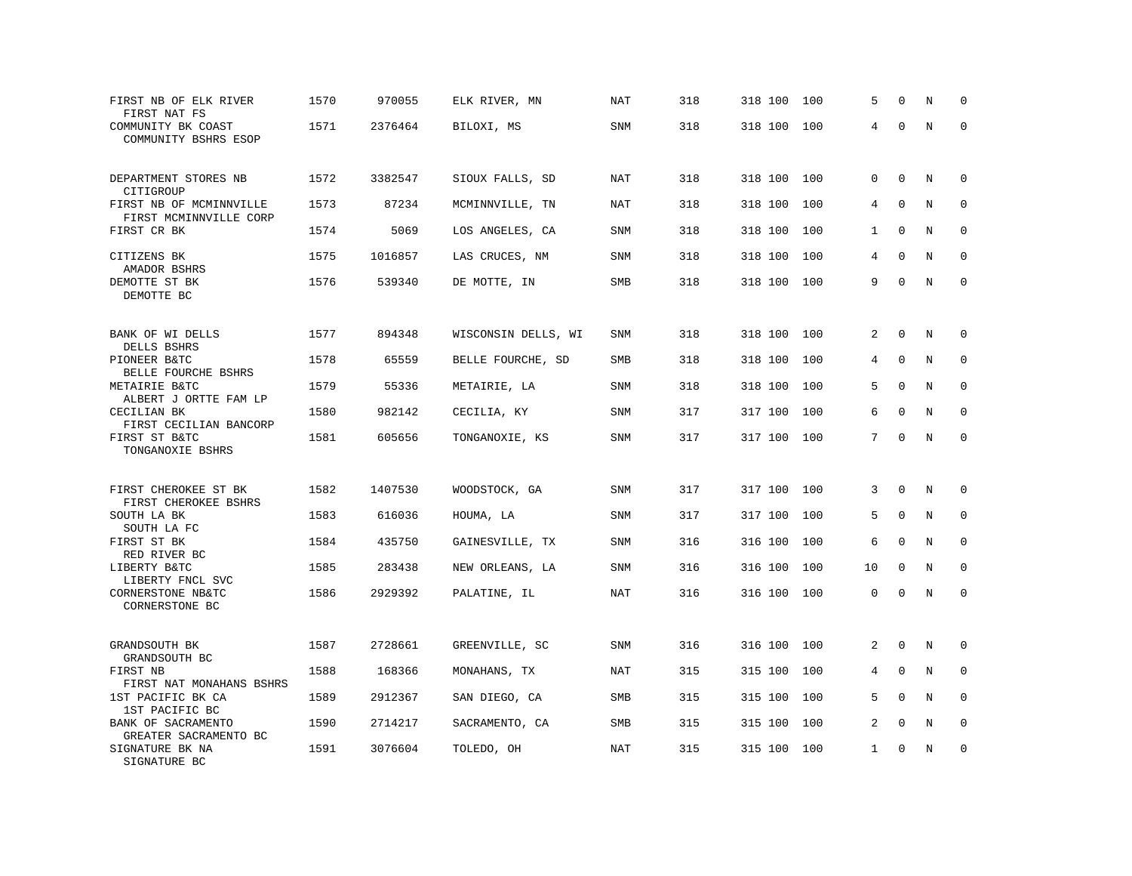| FIRST NB OF ELK RIVER<br>FIRST NAT FS              | 1570 | 970055  | ELK RIVER, MN       | NAT        | 318 | 318 100 | 100 | 5            | $\mathbf 0$  | N | $\mathbf 0$ |
|----------------------------------------------------|------|---------|---------------------|------------|-----|---------|-----|--------------|--------------|---|-------------|
| COMMUNITY BK COAST<br>COMMUNITY BSHRS ESOP         | 1571 | 2376464 | BILOXI, MS          | SNM        | 318 | 318 100 | 100 | 4            | $\Omega$     | N | $\mathbf 0$ |
| DEPARTMENT STORES NB<br>CITIGROUP                  | 1572 | 3382547 | SIOUX FALLS, SD     | <b>NAT</b> | 318 | 318 100 | 100 | 0            | $\mathbf 0$  | N | $\mathbf 0$ |
| FIRST NB OF MCMINNVILLE<br>FIRST MCMINNVILLE CORP  | 1573 | 87234   | MCMINNVILLE, TN     | <b>NAT</b> | 318 | 318 100 | 100 | 4            | $\Omega$     | N | $\mathbf 0$ |
| FIRST CR BK                                        | 1574 | 5069    | LOS ANGELES, CA     | SNM        | 318 | 318 100 | 100 | $\mathbf{1}$ | $\mathbf 0$  | N | 0           |
| CITIZENS BK<br>AMADOR BSHRS                        | 1575 | 1016857 | LAS CRUCES, NM      | <b>SNM</b> | 318 | 318 100 | 100 | 4            | $\Omega$     | N | $\mathbf 0$ |
| DEMOTTE ST BK<br>DEMOTTE BC                        | 1576 | 539340  | DE MOTTE, IN        | <b>SMB</b> | 318 | 318 100 | 100 | 9            | $\Omega$     | N | $\Omega$    |
| BANK OF WI DELLS                                   | 1577 | 894348  | WISCONSIN DELLS, WI | <b>SNM</b> | 318 | 318 100 | 100 | 2            | $\Omega$     | N | $\mathbf 0$ |
| DELLS BSHRS<br>PIONEER B&TC<br>BELLE FOURCHE BSHRS | 1578 | 65559   | BELLE FOURCHE, SD   | <b>SMB</b> | 318 | 318 100 | 100 | 4            | $\mathbf 0$  | N | $\mathbf 0$ |
| METAIRIE B&TC<br>ALBERT J ORTTE FAM LP             | 1579 | 55336   | METAIRIE, LA        | SNM        | 318 | 318 100 | 100 | 5            | $\mathbf{0}$ | N | $\mathbf 0$ |
| CECILIAN BK<br>FIRST CECILIAN BANCORP              | 1580 | 982142  | CECILIA, KY         | SNM        | 317 | 317 100 | 100 | 6            | $\Omega$     | N | $\mathbf 0$ |
| FIRST ST B&TC<br>TONGANOXIE BSHRS                  | 1581 | 605656  | TONGANOXIE, KS      | SNM        | 317 | 317 100 | 100 | 7            | $\Omega$     | N | $\Omega$    |
| FIRST CHEROKEE ST BK<br>FIRST CHEROKEE BSHRS       | 1582 | 1407530 | WOODSTOCK, GA       | SNM        | 317 | 317 100 | 100 | 3            | $\Omega$     | N | $\Omega$    |
| SOUTH LA BK<br>SOUTH LA FC                         | 1583 | 616036  | HOUMA, LA           | SNM        | 317 | 317 100 | 100 | 5            | $\mathbf{0}$ | N | 0           |
| FIRST ST BK<br>RED RIVER BC                        | 1584 | 435750  | GAINESVILLE, TX     | SNM        | 316 | 316 100 | 100 | 6            | $\mathbf{0}$ | N | $\mathbf 0$ |
| LIBERTY B&TC<br>LIBERTY FNCL SVC                   | 1585 | 283438  | NEW ORLEANS, LA     | <b>SNM</b> | 316 | 316 100 | 100 | 10           | $\Omega$     | N | $\mathbf 0$ |
| CORNERSTONE NB&TC<br>CORNERSTONE BC                | 1586 | 2929392 | PALATINE, IL        | <b>NAT</b> | 316 | 316 100 | 100 | 0            | $\mathbf{0}$ | N | $\mathbf 0$ |
| GRANDSOUTH BK<br>GRANDSOUTH BC                     | 1587 | 2728661 | GREENVILLE, SC      | SNM        | 316 | 316 100 | 100 | 2            | $\Omega$     | N | $\Omega$    |
| FIRST NB<br>FIRST NAT MONAHANS BSHRS               | 1588 | 168366  | MONAHANS, TX        | <b>NAT</b> | 315 | 315 100 | 100 | 4            | $\mathbf{0}$ | N | $\mathbf 0$ |
| 1ST PACIFIC BK CA<br>1ST PACIFIC BC                | 1589 | 2912367 | SAN DIEGO, CA       | <b>SMB</b> | 315 | 315 100 | 100 | 5            | $\Omega$     | N | $\Omega$    |
| BANK OF SACRAMENTO<br>GREATER SACRAMENTO BC        | 1590 | 2714217 | SACRAMENTO, CA      | SMB        | 315 | 315 100 | 100 | 2            | $\mathbf{0}$ | N | 0           |
| SIGNATURE BK NA<br>SIGNATURE BC                    | 1591 | 3076604 | TOLEDO, OH          | NAT        | 315 | 315 100 | 100 | $\mathbf{1}$ | $\Omega$     | N | $\mathbf 0$ |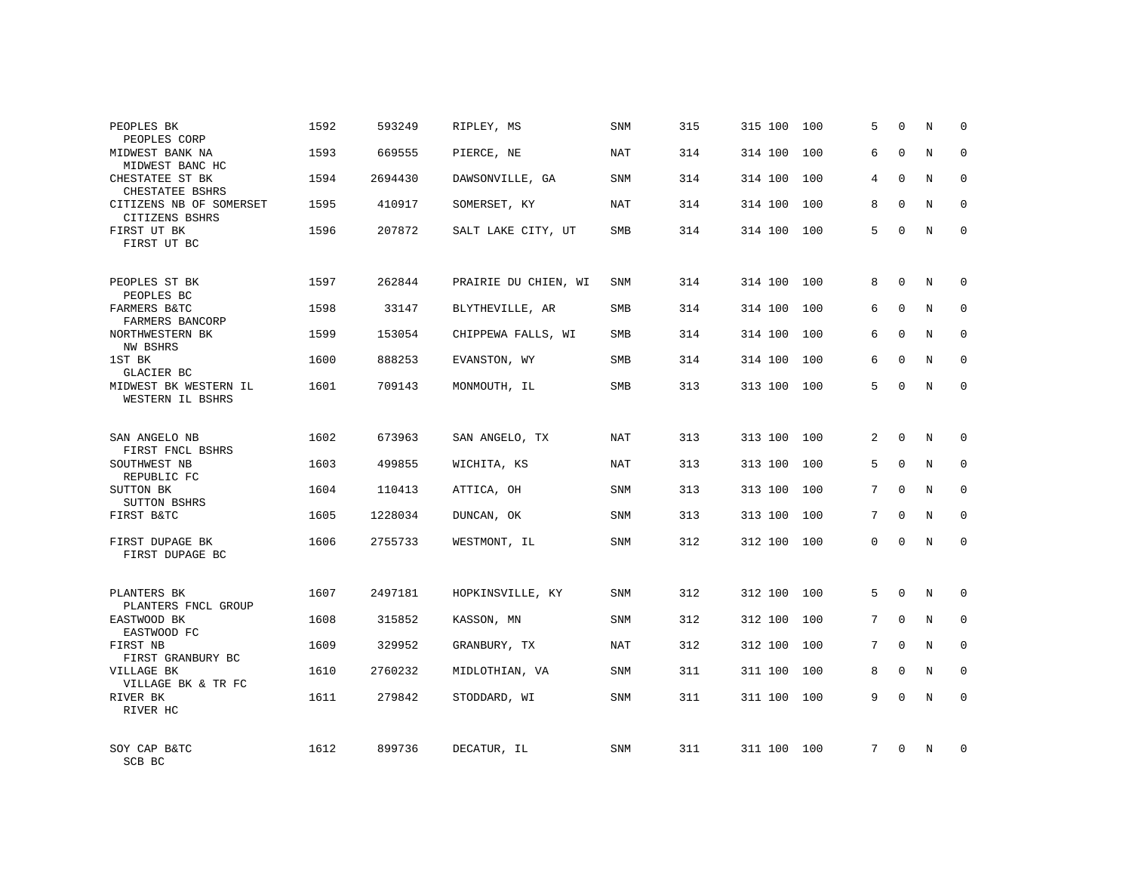| PEOPLES BK<br>PEOPLES CORP                    | 1592 | 593249  | RIPLEY, MS           | SNM        | 315 | 315 100 | 100 | 5              | $\Omega$     | N          | $\Omega$    |
|-----------------------------------------------|------|---------|----------------------|------------|-----|---------|-----|----------------|--------------|------------|-------------|
| MIDWEST BANK NA<br>MIDWEST BANC HC            | 1593 | 669555  | PIERCE, NE           | NAT        | 314 | 314 100 | 100 | 6              | $\Omega$     | N          | $\Omega$    |
| CHESTATEE ST BK<br>CHESTATEE BSHRS            | 1594 | 2694430 | DAWSONVILLE, GA      | SNM        | 314 | 314 100 | 100 | 4              | $\Omega$     | N          | $\Omega$    |
| CITIZENS NB OF SOMERSET<br>CITIZENS BSHRS     | 1595 | 410917  | SOMERSET, KY         | NAT        | 314 | 314 100 | 100 | 8              | $\Omega$     | N          | $\Omega$    |
| FIRST UT BK<br>FIRST UT BC                    | 1596 | 207872  | SALT LAKE CITY, UT   | SMB        | 314 | 314 100 | 100 | 5              | $\Omega$     | N          | $\Omega$    |
| PEOPLES ST BK                                 | 1597 | 262844  | PRAIRIE DU CHIEN, WI | <b>SNM</b> | 314 | 314 100 | 100 | 8              | $\mathbf{0}$ | N          | $\mathbf 0$ |
| PEOPLES BC<br>FARMERS B&TC<br>FARMERS BANCORP | 1598 | 33147   | BLYTHEVILLE, AR      | <b>SMB</b> | 314 | 314 100 | 100 | 6              | $\Omega$     | N          | $\mathbf 0$ |
| NORTHWESTERN BK<br>NW BSHRS                   | 1599 | 153054  | CHIPPEWA FALLS, WI   | <b>SMB</b> | 314 | 314 100 | 100 | 6              | $\Omega$     | N          | $\mathbf 0$ |
| 1ST BK<br>GLACIER BC                          | 1600 | 888253  | EVANSTON, WY         | <b>SMB</b> | 314 | 314 100 | 100 | 6              | $\Omega$     | N          | $\mathbf 0$ |
| MIDWEST BK WESTERN IL<br>WESTERN IL BSHRS     | 1601 | 709143  | MONMOUTH, IL         | SMB        | 313 | 313 100 | 100 | 5              | $\mathbf 0$  | N          | $\mathbf 0$ |
| SAN ANGELO NB<br>FIRST FNCL BSHRS             | 1602 | 673963  | SAN ANGELO, TX       | <b>NAT</b> | 313 | 313 100 | 100 | $\overline{a}$ | $\Omega$     | $_{\rm N}$ | $\Omega$    |
| SOUTHWEST NB<br>REPUBLIC FC                   | 1603 | 499855  | WICHITA, KS          | NAT        | 313 | 313 100 | 100 | 5              | $\mathbf 0$  | N          | $\mathbf 0$ |
| SUTTON BK<br><b>SUTTON BSHRS</b>              | 1604 | 110413  | ATTICA, OH           | <b>SNM</b> | 313 | 313 100 | 100 | 7              | $\Omega$     | N          | $\Omega$    |
| FIRST B&TC                                    | 1605 | 1228034 | DUNCAN, OK           | SNM        | 313 | 313 100 | 100 | 7              | $\Omega$     | N          | 0           |
| FIRST DUPAGE BK<br>FIRST DUPAGE BC            | 1606 | 2755733 | WESTMONT, IL         | SNM        | 312 | 312 100 | 100 | $\Omega$       | $\Omega$     | N          | $\Omega$    |
| PLANTERS BK<br>PLANTERS FNCL GROUP            | 1607 | 2497181 | HOPKINSVILLE, KY     | <b>SNM</b> | 312 | 312 100 | 100 | 5              | $\Omega$     | N          | $\mathbf 0$ |
| EASTWOOD BK<br>EASTWOOD FC                    | 1608 | 315852  | KASSON, MN           | SNM        | 312 | 312 100 | 100 | 7              | $\mathbf 0$  | N          | 0           |
| FIRST NB<br>FIRST GRANBURY BC                 | 1609 | 329952  | GRANBURY, TX         | NAT        | 312 | 312 100 | 100 | 7              | $\Omega$     | N          | $\mathbf 0$ |
| VILLAGE BK<br>VILLAGE BK & TR FC              | 1610 | 2760232 | MIDLOTHIAN, VA       | SNM        | 311 | 311 100 | 100 | 8              | $\mathbf 0$  | N          | 0           |
| RIVER BK<br>RIVER HC                          | 1611 | 279842  | STODDARD, WI         | SNM        | 311 | 311 100 | 100 | 9              | $\Omega$     | N          | $\mathbf 0$ |
| SOY CAP B&TC<br>SCB BC                        | 1612 | 899736  | DECATUR, IL          | <b>SNM</b> | 311 | 311 100 | 100 | 7              | $\Omega$     | N          | $\mathbf 0$ |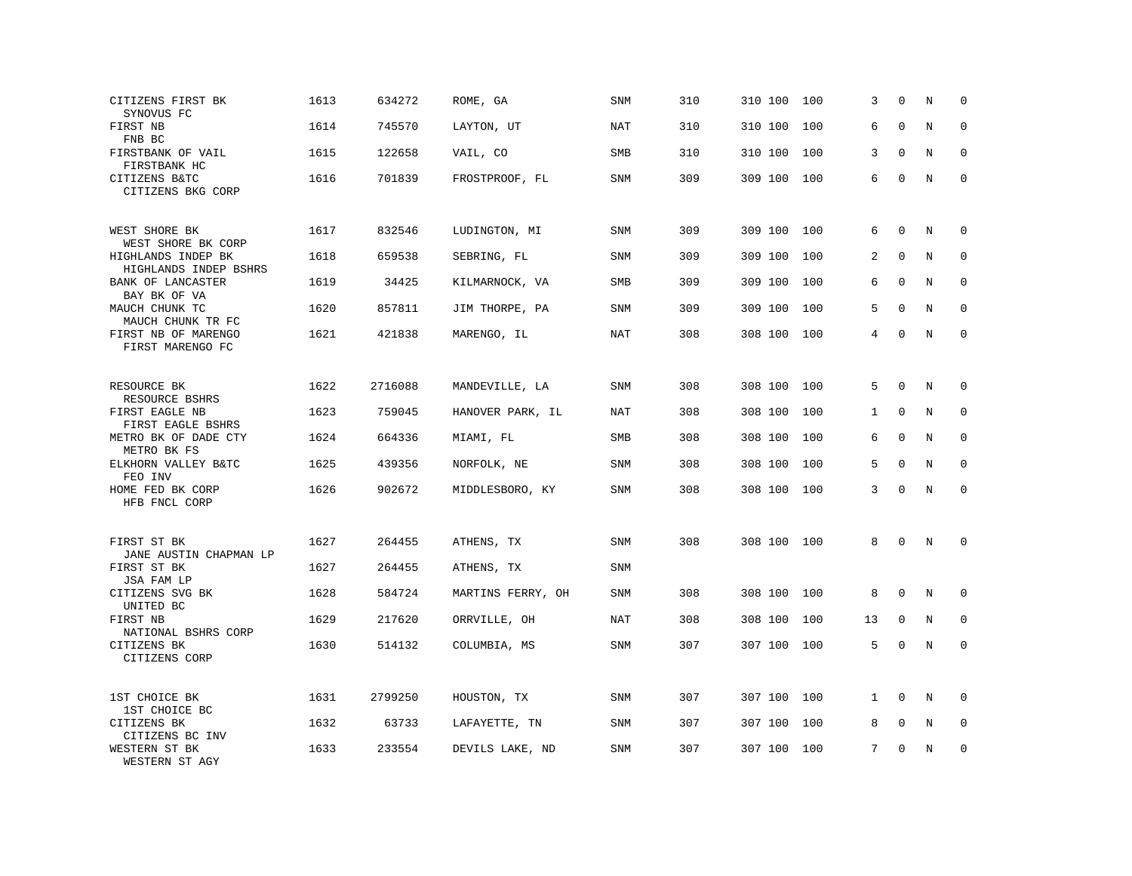| CITIZENS FIRST BK                           | 1613 | 634272  | ROME, GA          | <b>SNM</b> | 310 | 310 100 | 100 | 3            | $\mathbf 0$  | N       | $\mathbf 0$ |
|---------------------------------------------|------|---------|-------------------|------------|-----|---------|-----|--------------|--------------|---------|-------------|
| SYNOVUS FC<br>FIRST NB<br>FNB BC            | 1614 | 745570  | LAYTON, UT        | NAT        | 310 | 310 100 | 100 | 6            | $\mathbf 0$  | N       | $\mathbf 0$ |
| FIRSTBANK OF VAIL<br>FIRSTBANK HC           | 1615 | 122658  | VAIL, CO          | SMB        | 310 | 310 100 | 100 | 3            | $\Omega$     | N       | 0           |
| CITIZENS B&TC<br>CITIZENS BKG CORP          | 1616 | 701839  | FROSTPROOF, FL    | SNM        | 309 | 309 100 | 100 | 6            | $\mathbf 0$  | N       | $\mathbf 0$ |
| WEST SHORE BK<br>WEST SHORE BK CORP         | 1617 | 832546  | LUDINGTON, MI     | SNM        | 309 | 309 100 | 100 | 6            | $\mathbf 0$  | N       | $\mathbf 0$ |
| HIGHLANDS INDEP BK<br>HIGHLANDS INDEP BSHRS | 1618 | 659538  | SEBRING, FL       | SNM        | 309 | 309 100 | 100 | 2            | $\mathbf{0}$ | N       | $\mathbf 0$ |
| BANK OF LANCASTER<br>BAY BK OF VA           | 1619 | 34425   | KILMARNOCK, VA    | <b>SMB</b> | 309 | 309 100 | 100 | 6            | $\Omega$     | N       | $\mathbf 0$ |
| MAUCH CHUNK TC<br>MAUCH CHUNK TR FC         | 1620 | 857811  | JIM THORPE, PA    | SNM        | 309 | 309 100 | 100 | 5            | $\Omega$     | N       | $\mathbf 0$ |
| FIRST NB OF MARENGO<br>FIRST MARENGO FC     | 1621 | 421838  | MARENGO, IL       | NAT        | 308 | 308 100 | 100 | 4            | $\mathbf 0$  | N       | $\mathbf 0$ |
| RESOURCE BK<br>RESOURCE BSHRS               | 1622 | 2716088 | MANDEVILLE, LA    | SNM        | 308 | 308 100 | 100 | 5            | $\mathbf 0$  | N       | $\mathbf 0$ |
| FIRST EAGLE NB<br>FIRST EAGLE BSHRS         | 1623 | 759045  | HANOVER PARK, IL  | NAT        | 308 | 308 100 | 100 | $\mathbf{1}$ | $\mathbf 0$  | N       | $\mathbf 0$ |
| METRO BK OF DADE CTY<br>METRO BK FS         | 1624 | 664336  | MIAMI, FL         | SMB        | 308 | 308 100 | 100 | 6            | $\mathbf{0}$ | N       | $\mathbf 0$ |
| ELKHORN VALLEY B&TC<br>FEO INV              | 1625 | 439356  | NORFOLK, NE       | SNM        | 308 | 308 100 | 100 | 5            | $\Omega$     | N       | $\mathbf 0$ |
| HOME FED BK CORP<br>HFB FNCL CORP           | 1626 | 902672  | MIDDLESBORO, KY   | <b>SNM</b> | 308 | 308 100 | 100 | 3            | $\Omega$     | N       | $\mathbf 0$ |
| FIRST ST BK<br>JANE AUSTIN CHAPMAN LP       | 1627 | 264455  | ATHENS, TX        | <b>SNM</b> | 308 | 308 100 | 100 | 8            | $\mathbf 0$  | N       | $\mathbf 0$ |
| FIRST ST BK<br>JSA FAM LP                   | 1627 | 264455  | ATHENS, TX        | SNM        |     |         |     |              |              |         |             |
| CITIZENS SVG BK<br>UNITED BC                | 1628 | 584724  | MARTINS FERRY, OH | SNM        | 308 | 308 100 | 100 | 8            | $\mathbf 0$  | N       | 0           |
| FIRST NB<br>NATIONAL BSHRS CORP             | 1629 | 217620  | ORRVILLE, OH      | NAT        | 308 | 308 100 | 100 | 13           | $\mathbf 0$  | N       | $\Omega$    |
| CITIZENS BK<br>CITIZENS CORP                | 1630 | 514132  | COLUMBIA, MS      | SNM        | 307 | 307 100 | 100 | 5            | $\mathbf{0}$ | $\rm N$ | $\mathbf 0$ |
| 1ST CHOICE BK<br>1ST CHOICE BC              | 1631 | 2799250 | HOUSTON, TX       | <b>SNM</b> | 307 | 307 100 | 100 | 1            | $\Omega$     | N       | 0           |
| CITIZENS BK<br>CITIZENS BC INV              | 1632 | 63733   | LAFAYETTE, TN     | SNM        | 307 | 307 100 | 100 | 8            | $\mathbf 0$  | N       | $\mathbf 0$ |
| WESTERN ST BK<br>WESTERN ST AGY             | 1633 | 233554  | DEVILS LAKE, ND   | SNM        | 307 | 307 100 | 100 | 7            | $\Omega$     | N       | $\mathbf 0$ |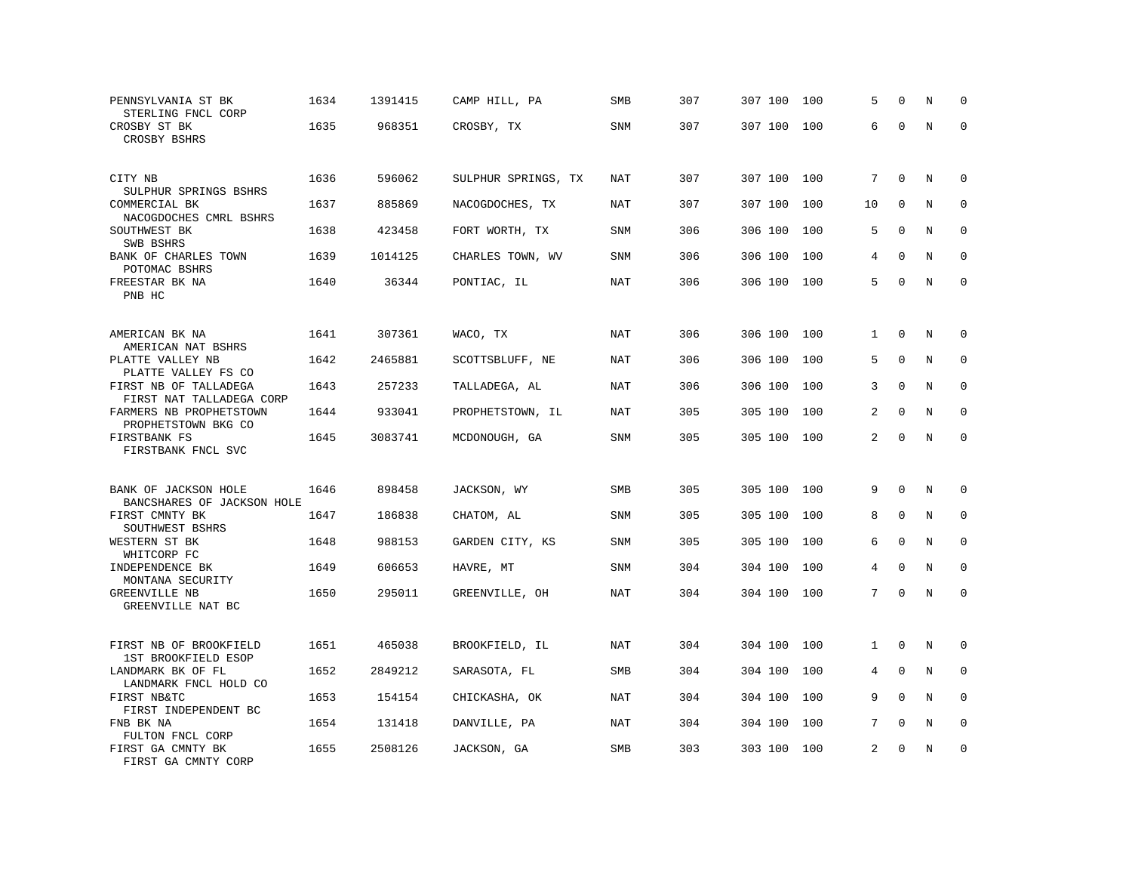| PENNSYLVANIA ST BK<br>STERLING FNCL CORP                                 | 1634 | 1391415 | CAMP HILL, PA       | SMB        | 307 | 307 100 | 100 | 5              | $\mathbf 0$  | N       | $\Omega$     |
|--------------------------------------------------------------------------|------|---------|---------------------|------------|-----|---------|-----|----------------|--------------|---------|--------------|
| CROSBY ST BK<br>CROSBY BSHRS                                             | 1635 | 968351  | CROSBY, TX          | SNM        | 307 | 307 100 | 100 | 6              | $\Omega$     | $\rm N$ | $\mathbf 0$  |
| CITY NB<br>SULPHUR SPRINGS BSHRS                                         | 1636 | 596062  | SULPHUR SPRINGS, TX | <b>NAT</b> | 307 | 307 100 | 100 | 7              | $\mathbf 0$  | N       | $\mathbf 0$  |
| COMMERCIAL BK                                                            | 1637 | 885869  | NACOGDOCHES, TX     | NAT        | 307 | 307 100 | 100 | 10             | $\Omega$     | N       | $\Omega$     |
| NACOGDOCHES CMRL BSHRS<br>SOUTHWEST BK<br>SWB BSHRS                      | 1638 | 423458  | FORT WORTH, TX      | <b>SNM</b> | 306 | 306 100 | 100 | 5              | $\mathbf{0}$ | N       | $\mathbf 0$  |
| BANK OF CHARLES TOWN<br>POTOMAC BSHRS                                    | 1639 | 1014125 | CHARLES TOWN, WV    | <b>SNM</b> | 306 | 306 100 | 100 | 4              | $\Omega$     | N       | $\mathbf 0$  |
| FREESTAR BK NA<br>PNB HC                                                 | 1640 | 36344   | PONTIAC, IL         | <b>NAT</b> | 306 | 306 100 | 100 | 5              | $\Omega$     | N       | $\mathbf 0$  |
| AMERICAN BK NA                                                           | 1641 | 307361  | WACO, TX            | NAT        | 306 | 306 100 | 100 | $\mathbf{1}$   | $\Omega$     | N       | 0            |
| AMERICAN NAT BSHRS<br>PLATTE VALLEY NB                                   | 1642 | 2465881 | SCOTTSBLUFF, NE     | NAT        | 306 | 306 100 | 100 | 5              | $\mathbf 0$  | N       | 0            |
| PLATTE VALLEY FS CO<br>FIRST NB OF TALLADEGA<br>FIRST NAT TALLADEGA CORP | 1643 | 257233  | TALLADEGA, AL       | NAT        | 306 | 306 100 | 100 | 3              | $\Omega$     | N       | 0            |
| FARMERS NB PROPHETSTOWN<br>PROPHETSTOWN BKG CO                           | 1644 | 933041  | PROPHETSTOWN, IL    | NAT        | 305 | 305 100 | 100 | 2              | $\mathbf 0$  | N       | $\mathbf 0$  |
| FIRSTBANK FS<br>FIRSTBANK FNCL SVC                                       | 1645 | 3083741 | MCDONOUGH, GA       | SNM        | 305 | 305 100 | 100 | 2              | $\Omega$     | N       | $\mathbf 0$  |
| BANK OF JACKSON HOLE<br>BANCSHARES OF JACKSON HOLE                       | 1646 | 898458  | JACKSON, WY         | SMB        | 305 | 305 100 | 100 | 9              | $\Omega$     | N       | $\mathbf 0$  |
| FIRST CMNTY BK<br>SOUTHWEST BSHRS                                        | 1647 | 186838  | CHATOM, AL          | <b>SNM</b> | 305 | 305 100 | 100 | 8              | $\Omega$     | N       | $\mathbf 0$  |
| WESTERN ST BK<br>WHITCORP FC                                             | 1648 | 988153  | GARDEN CITY, KS     | SNM        | 305 | 305 100 | 100 | 6              | $\mathbf{0}$ | N       | 0            |
| INDEPENDENCE BK<br>MONTANA SECURITY                                      | 1649 | 606653  | HAVRE, MT           | <b>SNM</b> | 304 | 304 100 | 100 | 4              | $\mathbf{0}$ | N       | $\mathbf{0}$ |
| GREENVILLE NB<br>GREENVILLE NAT BC                                       | 1650 | 295011  | GREENVILLE, OH      | <b>NAT</b> | 304 | 304 100 | 100 | $7^{\circ}$    | $\Omega$     | N       | $\Omega$     |
| FIRST NB OF BROOKFIELD<br>1ST BROOKFIELD ESOP                            | 1651 | 465038  | BROOKFIELD, IL      | NAT        | 304 | 304 100 | 100 | 1              | $\Omega$     | N       | $\Omega$     |
| LANDMARK BK OF FL<br>LANDMARK FNCL HOLD CO                               | 1652 | 2849212 | SARASOTA, FL        | SMB        | 304 | 304 100 | 100 | 4              | $\mathbf 0$  | N       | $\mathbf 0$  |
| FIRST NB&TC<br>FIRST INDEPENDENT BC                                      | 1653 | 154154  | CHICKASHA, OK       | NAT        | 304 | 304 100 | 100 | 9              | $\Omega$     | N       | $\Omega$     |
| FNB BK NA<br>FULTON FNCL CORP                                            | 1654 | 131418  | DANVILLE, PA        | NAT        | 304 | 304 100 | 100 | 7              | $\mathbf{0}$ | N       | 0            |
| FIRST GA CMNTY BK<br>FIRST GA CMNTY CORP                                 | 1655 | 2508126 | JACKSON, GA         | <b>SMB</b> | 303 | 303 100 | 100 | $\overline{2}$ | $\Omega$     | N       | $\mathbf 0$  |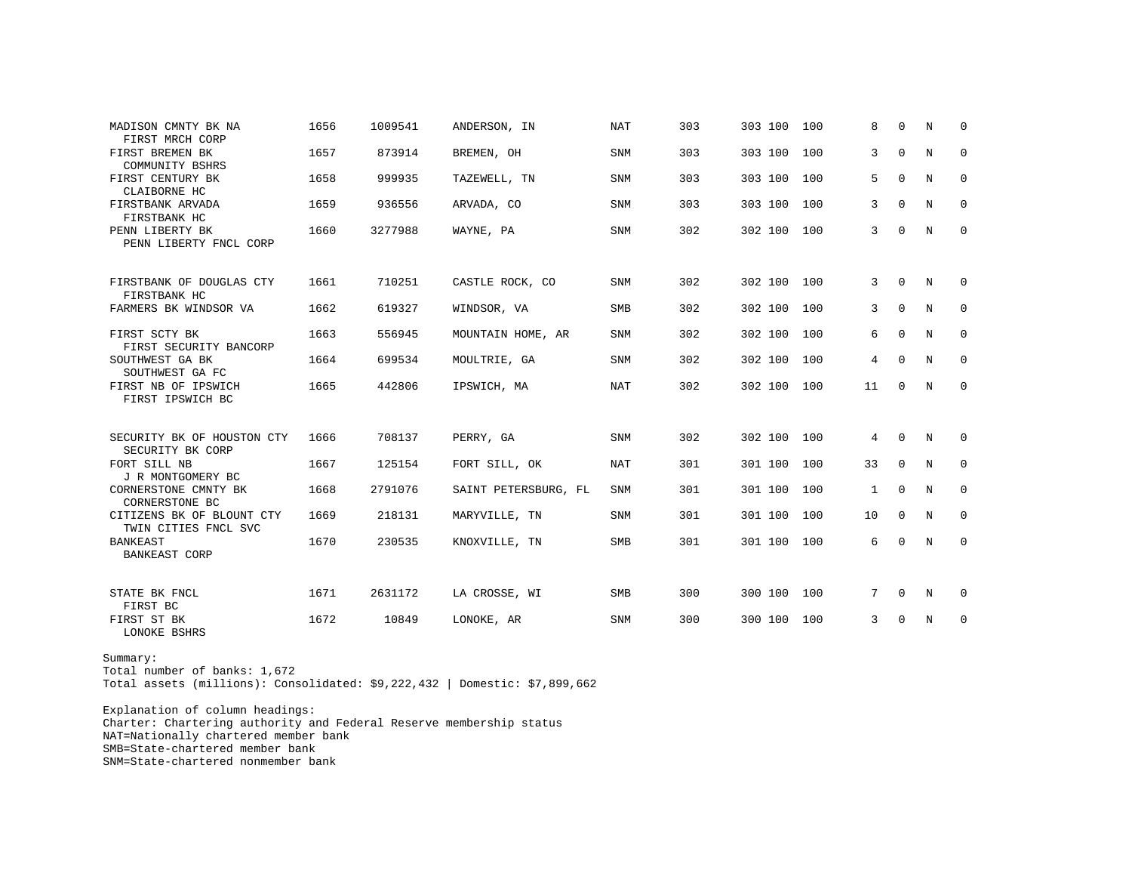| MADISON CMNTY BK NA<br>FIRST MRCH CORP            | 1656 | 1009541 | ANDERSON, IN         | NAT        | 303 | 303 100 | 100 | 8            | $\mathbf 0$ | N | 0            |
|---------------------------------------------------|------|---------|----------------------|------------|-----|---------|-----|--------------|-------------|---|--------------|
| FIRST BREMEN BK<br>COMMUNITY BSHRS                | 1657 | 873914  | BREMEN, OH           | SNM        | 303 | 303 100 | 100 | 3            | $\Omega$    | N | $\mathbf 0$  |
| FIRST CENTURY BK<br>CLAIBORNE HC                  | 1658 | 999935  | TAZEWELL, TN         | <b>SNM</b> | 303 | 303 100 | 100 | 5            | $\Omega$    | N | $\mathbf 0$  |
| FIRSTBANK ARVADA<br>FIRSTBANK HC                  | 1659 | 936556  | ARVADA, CO           | SNM        | 303 | 303 100 | 100 | 3            | $\mathbf 0$ | N | $\mathbf 0$  |
| PENN LIBERTY BK<br>PENN LIBERTY FNCL CORP         | 1660 | 3277988 | WAYNE, PA            | SNM        | 302 | 302 100 | 100 | $\mathbf{3}$ | $\mathbf 0$ | N | $\mathbf{0}$ |
| FIRSTBANK OF DOUGLAS CTY<br>FIRSTBANK HC          | 1661 | 710251  | CASTLE ROCK, CO      | SNM        | 302 | 302 100 | 100 | 3            | $\Omega$    | N | 0            |
| FARMERS BK WINDSOR VA                             | 1662 | 619327  | WINDSOR, VA          | SMB        | 302 | 302 100 | 100 | 3            | $\Omega$    | N | $\mathbf 0$  |
| FIRST SCTY BK<br>FIRST SECURITY BANCORP           | 1663 | 556945  | MOUNTAIN HOME, AR    | <b>SNM</b> | 302 | 302 100 | 100 | 6            | $\Omega$    | N | $\mathbf 0$  |
| SOUTHWEST GA BK<br>SOUTHWEST GA FC                | 1664 | 699534  | MOULTRIE, GA         | SNM        | 302 | 302 100 | 100 | 4            | $\Omega$    | N | $\mathbf 0$  |
| FIRST NB OF IPSWICH<br>FIRST IPSWICH BC           | 1665 | 442806  | IPSWICH, MA          | NAT        | 302 | 302 100 | 100 | 11           | $\Omega$    | N | $\mathbf{0}$ |
| SECURITY BK OF HOUSTON CTY<br>SECURITY BK CORP    | 1666 | 708137  | PERRY, GA            | SNM        | 302 | 302 100 | 100 | 4            | $\Omega$    | N | $\mathbf 0$  |
| FORT SILL NB<br>J R MONTGOMERY BC                 | 1667 | 125154  | FORT SILL, OK        | NAT        | 301 | 301 100 | 100 | 33           | $\mathbf 0$ | N | 0            |
| CORNERSTONE CMNTY BK<br>CORNERSTONE BC            | 1668 | 2791076 | SAINT PETERSBURG, FL | <b>SNM</b> | 301 | 301 100 | 100 | $\mathbf{1}$ | 0           | N | 0            |
| CITIZENS BK OF BLOUNT CTY<br>TWIN CITIES FNCL SVC | 1669 | 218131  | MARYVILLE, TN        | SNM        | 301 | 301 100 | 100 | 10           | $\Omega$    | N | $\mathbf 0$  |
| <b>BANKEAST</b><br><b>BANKEAST CORP</b>           | 1670 | 230535  | KNOXVILLE, TN        | SMB        | 301 | 301 100 | 100 | 6            | $\Omega$    | N | $\mathbf 0$  |
| STATE BK FNCL<br>FIRST BC                         | 1671 | 2631172 | LA CROSSE, WI        | SMB        | 300 | 300 100 | 100 | 7            | $\Omega$    | N | $\Omega$     |
| FIRST ST BK<br>LONOKE BSHRS                       | 1672 | 10849   | LONOKE, AR           | <b>SNM</b> | 300 | 300 100 | 100 | 3            | $\Omega$    | N | $\mathbf 0$  |

Summary: Total number of banks: 1,672 Total assets (millions): Consolidated: \$9,222,432 | Domestic: \$7,899,662

Explanation of column headings: Charter: Chartering authority and Federal Reserve membership status NAT=Nationally chartered member bank SMB=State-chartered member bank SNM=State-chartered nonmember bank